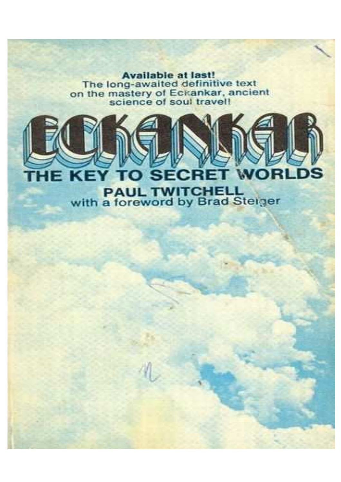**Available at last!** The long-awaited definitive text on the mastery of Eckankar, ancient<br>science of soul travell



**PAUL TWITCHELL**<br>with a foreword by Brad Steiger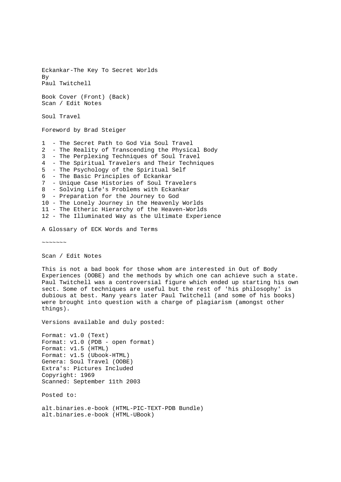Eckankar-The Key To Secret Worlds By Paul Twitchell Book Cover (Front) (Back) Scan / Edit Notes Soul Travel Foreword by Brad Steiger 1 - The Secret Path to God Via Soul Travel 2 - The Reality of Transcending the Physical Body 3 - The Perplexing Techniques of Soul Travel 4 - The Spiritual Travelers and Their Techniques 5 - The Psychology of the Spiritual Self 6 - The Basic Principles of Eckankar 7 - Unique Case Histories of Soul Travelers 8 - Solving Life's Problems with Eckankar 9 - Preparation for the Journey to God 10 - The Lonely Journey in the Heavenly Worlds 11 - The Etheric Hierarchy of the Heaven-Worlds 12 - The Illuminated Way as the Ultimate Experience A Glossary of ECK Words and Terms  $\sim$ ~~~~~ Scan / Edit Notes This is not a bad book for those whom are interested in Out of Body Experiences (OOBE) and the methods by which one can achieve such a state. Paul Twitchell was a controversial figure which ended up starting his own sect. Some of techniques are useful but the rest of 'his philosophy' is dubious at best. Many years later Paul Twitchell (and some of his books) were brought into question with a charge of plagiarism (amongst other things). Versions available and duly posted: Format: v1.0 (Text) Format: v1.0 (PDB - open format) Format: v1.5 (HTML) Format: v1.5 (Ubook-HTML) Genera: Soul Travel (OOBE) Extra's: Pictures Included Copyright: 1969 Scanned: September 11th 2003 Posted to: alt.binaries.e-book (HTML-PIC-TEXT-PDB Bundle) alt.binaries.e-book (HTML-UBook)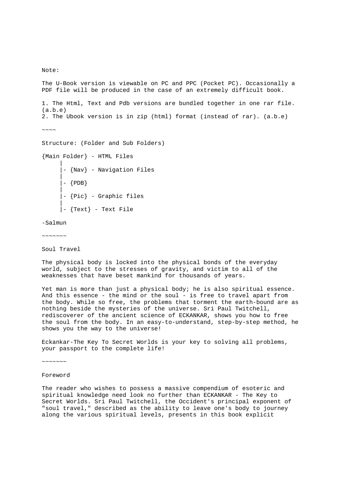Note:

The U-Book version is viewable on PC and PPC (Pocket PC). Occasionally a PDF file will be produced in the case of an extremely difficult book. 1. The Html, Text and Pdb versions are bundled together in one rar file. (a.b.e) 2. The Ubook version is in zip (html) format (instead of rar). (a.b.e)  $\sim\sim\sim\sim$ Structure: (Folder and Sub Folders) {Main Folder} - HTML Files | |- {Nav} - Navigation Files | |- {PDB} |  $\vert$ - {Pic} - Graphic files |  $\vert$  - {Text} - Text File

-Salmun

 $\sim\sim\sim\sim\sim\sim\sim$ 

Soul Travel

The physical body is locked into the physical bonds of the everyday world, subject to the stresses of gravity, and victim to all of the weaknesses that have beset mankind for thousands of years.

Yet man is more than just a physical body; he is also spiritual essence. And this essence - the mind or the soul - is free to travel apart from the body. While so free, the problems that torment the earth-bound are as nothing beside the mysteries of the universe. Sri Paul Twitchell, rediscoverer of the ancient science of ECKANKAR, shows you how to free the soul from the body. In an easy-to-understand, step-by-step method, he shows you the way to the universe!

Eckankar-The Key To Secret Worlds is your key to solving all problems, your passport to the complete life!

 $\sim\sim\sim\sim\sim\sim\sim$ 

Foreword

The reader who wishes to possess a massive compendium of esoteric and spiritual knowledge need look no further than ECKANKAR - The Key to Secret Worlds. Sri Paul Twitchell, the Occident's principal exponent of "soul travel," described as the ability to leave one's body to journey along the various spiritual levels, presents in this book explicit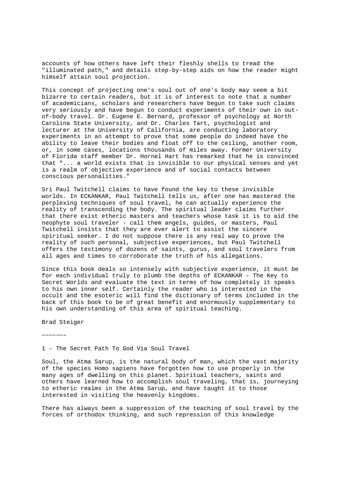accounts of how others have left their fleshly shells to tread the "illuminated path," and details step-by-step aids on how the reader might himself attain soul projection.

This concept of projecting one's soul out of one's body may seem a bit bizarre to certain readers, but it is of interest to note that a number of academicians, scholars and researchers have begun to take such claims very seriously and have begun to conduct experiments of their own in outof-body travel. Dr. Eugene E. Bernard, professor of psychology at North Carolina State University, and Dr. Charles Tart, psychologist and lecturer at the University of California, are conducting laboratory experiments in an attempt to prove that some people do indeed have the ability to leave their bodies and float off to the ceiling, another room, or, in some cases, locations thousands of miles away. Former University of Florida staff member Dr. Hornel Hart has remarked that he is convinced that "... a world exists that is invisible to our physical senses and yet is a realm of objective experience and of social contacts between conscious personalities."

Sri Paul Twitchell claims to have found the key to these invisible worlds. In ECKANKAR, Paul Twitchell tells us, after one has mastered the perplexing techniques of soul travel, he can actually experience the reality of transcending the body. The spiritual leader claims further that there exist etheric masters and teachers whose task it is to aid the neophyte soul traveler - call them angels, guides, or masters, Paul Twitchell insists that they are ever alert to assist the sincere spiritual seeker. I do not suppose there is any real way to prove the reality of such personal, subjective experiences, but Paul Twitchell offers the testimony of dozens of saints, gurus, and soul travelers from all ages and times to corroborate the truth of his allegations.

Since this book deals so intensely with subjective experience, it must be for each individual truly to plumb the depths of ECKANKAR - The Key to Secret Worlds and evaluate the text in terms of how completely it speaks to his own inner self. Certainly the reader who is interested in the occult and the esoteric will find the dictionary of terms included in the back of this book to be of great benefit and enormously supplementary to his own understanding of this area of spiritual teaching.

Brad Steiger

 $\sim\sim\sim\sim\sim\sim$ 

1 - The Secret Path To God Via Soul Travel

Soul, the Atma Sarup, is the natural body of man, which the vast majority of the species Homo sapiens have forgotten how to use properly in the many ages of dwelling on this planet. Spiritual teachers, saints and others have learned how to accomplish soul traveling, that is, journeying to etheric realms in the Atma Sarup, and have taught it to those interested in visiting the heavenly kingdoms.

There has always been a suppression of the teaching of soul travel by the forces of orthodox thinking, and such repression of this knowledge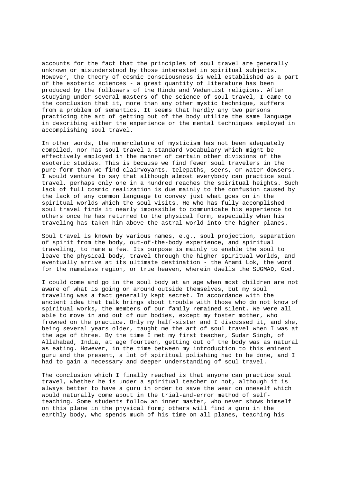accounts for the fact that the principles of soul travel are generally unknown or misunderstood by those interested in spiritual subjects. However, the theory of cosmic consciousness is well established as a part of the esoteric sciences - a great quantity of literature has been produced by the followers of the Hindu and Vedantist religions. After studying under several masters of the science of soul travel, I came to the conclusion that it, more than any other mystic technique, suffers from a problem of semantics. It seems that hardly any two persons practicing the art of getting out of the body utilize the same language in describing either the experience or the mental techniques employed in accomplishing soul travel.

In other words, the nomenclature of mysticism has not been adequately compiled, nor has soul travel a standard vocabulary which might be effectively employed in the manner of certain other divisions of the esoteric studies. This is because we find fewer soul travelers in the pure form than we find clairvoyants, telepaths, seers, or water dowsers. I would venture to say that although almost everybody can practice soul travel, perhaps only one in a hundred reaches the spiritual heights. Such lack of full cosmic realization is due mainly to the confusion caused by the lack of any common language to convey just what goes on in the spiritual worlds which the soul visits. He who has fully accomplished soul travel finds it nearly impossible to communicate his experience to others once he has returned to the physical form, especially when his traveling has taken him above the astral world into the higher planes.

Soul travel is known by various names, e.g., soul projection, separation of spirit from the body, out-of-the-body experience, and spiritual traveling, to name a few. Its purpose is mainly to enable the soul to leave the physical body, travel through the higher spiritual worlds, and eventually arrive at its ultimate destination - the Anami Lok, the word for the nameless region, or true heaven, wherein dwells the SUGMAD, God.

I could come and go in the soul body at an age when most children are not aware of what is going on around outside themselves, but my soul traveling was a fact generally kept secret. In accordance with the ancient idea that talk brings about trouble with those who do not know of spiritual works, the members of our family remained silent. We were all able to move in and out of our bodies, except my foster mother, who frowned on the practice. Only my half-sister and I discussed it, and she, being several years older, taught me the art of soul travel when I was at the age of three. By the time I met my first teacher, Sudar Singh, of Allahabad, India, at age fourteen, getting out of the body was as natural as eating. However, in the time between my introduction to this eminent guru and the present, a lot of spiritual polishing had to be done, and I had to gain a necessary and deeper understanding of soul travel.

The conclusion which I finally reached is that anyone can practice soul travel, whether he is under a spiritual teacher or not, although it is always better to have a guru in order to save the wear on oneself which would naturally come about in the trial-and-error method of selfteaching. Some students follow an inner master, who never shows himself on this plane in the physical form; others will find a guru in the earthly body, who spends much of his time on all planes, teaching his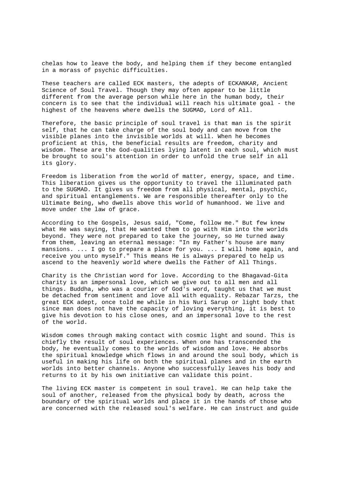chelas how to leave the body, and helping them if they become entangled in a morass of psychic difficulties.

These teachers are called ECK masters, the adepts of ECKANKAR, Ancient Science of Soul Travel. Though they may often appear to be little different from the average person while here in the human body, their concern is to see that the individual will reach his ultimate goal - the highest of the heavens where dwells the SUGMAD, Lord of All.

Therefore, the basic principle of soul travel is that man is the spirit self, that he can take charge of the soul body and can move from the visible planes into the invisible worlds at will. When he becomes proficient at this, the beneficial results are freedom, charity and wisdom. These are the God-qualities lying latent in each soul, which must be brought to soul's attention in order to unfold the true self in all its glory.

Freedom is liberation from the world of matter, energy, space, and time. This liberation gives us the opportunity to travel the illuminated path to the SUGMAD. It gives us freedom from all physical, mental, psychic, and spiritual entanglements. We are responsible thereafter only to the Ultimate Being, who dwells above this world of humanhood. We live and move under the law of grace.

According to the Gospels, Jesus said, "Come, follow me." But few knew what He was saying, that He wanted them to go with Him into the worlds beyond. They were not prepared to take the journey, so He turned away from them, leaving an eternal message: "In my Father's house are many mansions. ... I go to prepare a place for you. ... I will home again, and receive you unto myself." This means He is always prepared to help us ascend to the heavenly world where dwells the Father of All Things.

Charity is the Christian word for love. According to the Bhagavad-Gita charity is an impersonal love, which we give out to all men and all things. Buddha, who was a courier of God's word, taught us that we must be detached from sentiment and love all with equality. Rebazar Tarzs, the great ECK adept, once told me while in his Nuri Sarup or light body that since man does not have the capacity of loving everything, it is best to give his devotion to his close ones, and an impersonal love to the rest of the world.

Wisdom comes through making contact with cosmic light and sound. This is chiefly the result of soul experiences. When one has transcended the body, he eventually comes to the worlds of wisdom and love. He absorbs the spiritual knowledge which flows in and around the soul body, which is useful in making his life on both the spiritual planes and in the earth worlds into better channels. Anyone who successfully leaves his body and returns to it by his own initiative can validate this point.

The living ECK master is competent in soul travel. He can help take the soul of another, released from the physical body by death, across the boundary of the spiritual worlds and place it in the hands of those who are concerned with the released soul's welfare. He can instruct and guide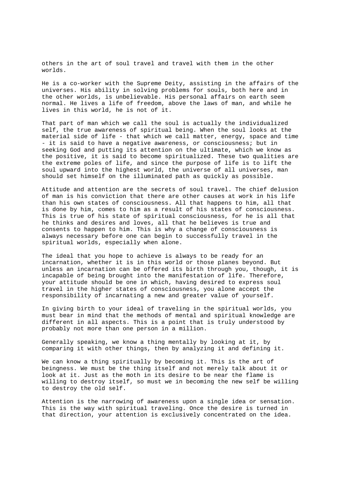others in the art of soul travel and travel with them in the other worlds.

He is a co-worker with the Supreme Deity, assisting in the affairs of the universes. His ability in solving problems for souls, both here and in the other worlds, is unbelievable. His personal affairs on earth seem normal. He lives a life of freedom, above the laws of man, and while he lives in this world, he is not of it.

That part of man which we call the soul is actually the individualized self, the true awareness of spiritual being. When the soul looks at the material side of life - that which we call matter, energy, space and time - it is said to have a negative awareness, or consciousness; but in seeking God and putting its attention on the ultimate, which we know as the positive, it is said to become spiritualized. These two qualities are the extreme poles of life, and since the purpose of life is to lift the soul upward into the highest world, the universe of all universes, man should set himself on the illuminated path as quickly as possible.

Attitude and attention are the secrets of soul travel. The chief delusion of man is his conviction that there are other causes at work in his life than his own states of consciousness. All that happens to him, all that is done by him, comes to him as a result of his states of consciousness. This is true of his state of spiritual consciousness, for he is all that he thinks and desires and loves, all that he believes is true and consents to happen to him. This is why a change of consciousness is always necessary before one can begin to successfully travel in the spiritual worlds, especially when alone.

The ideal that you hope to achieve is always to be ready for an incarnation, whether it is in this world or those planes beyond. But unless an incarnation can be offered its birth through you, though, it is incapable of being brought into the manifestation of life. Therefore, your attitude should be one in which, having desired to express soul travel in the higher states of consciousness, you alone accept the responsibility of incarnating a new and greater value of yourself.

In giving birth to your ideal of traveling in the spiritual worlds, you must bear in mind that the methods of mental and spiritual knowledge are different in all aspects. This is a point that is truly understood by probably not more than one person in a million.

Generally speaking, we know a thing mentally by looking at it, by comparing it with other things, then by analyzing it and defining it.

We can know a thing spiritually by becoming it. This is the art of beingness. We must be the thing itself and not merely talk about it or look at it. Just as the moth in its desire to be near the flame is willing to destroy itself, so must we in becoming the new self be willing to destroy the old self.

Attention is the narrowing of awareness upon a single idea or sensation. This is the way with spiritual traveling. Once the desire is turned in that direction, your attention is exclusively concentrated on the idea.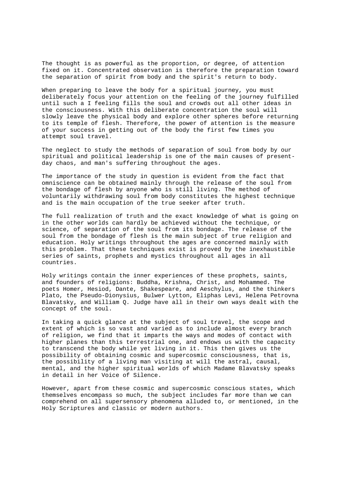The thought is as powerful as the proportion, or degree, of attention fixed on it. Concentrated observation is therefore the preparation toward the separation of spirit from body and the spirit's return to body.

When preparing to leave the body for a spiritual journey, you must deliberately focus your attention on the feeling of the journey fulfilled until such a I feeling fills the soul and crowds out all other ideas in the consciousness. With this deliberate concentration the soul will slowly leave the physical body and explore other spheres before returning to its temple of flesh. Therefore, the power of attention is the measure of your success in getting out of the body the first few times you attempt soul travel.

The neglect to study the methods of separation of soul from body by our spiritual and political leadership is one of the main causes of presentday chaos, and man's suffering throughout the ages.

The importance of the study in question is evident from the fact that omniscience can be obtained mainly through the release of the soul from the bondage of flesh by anyone who is still living. The method of voluntarily withdrawing soul from body constitutes the highest technique and is the main occupation of the true seeker after truth.

The full realization of truth and the exact knowledge of what is going on in the other worlds can hardly be achieved without the technique, or science, of separation of the soul from its bondage. The release of the soul from the bondage of flesh is the main subject of true religion and education. Holy writings throughout the ages are concerned mainly with this problem. That these techniques exist is proved by the inexhaustible series of saints, prophets and mystics throughout all ages in all countries.

Holy writings contain the inner experiences of these prophets, saints, and founders of religions: Buddha, Krishna, Christ, and Mohammed. The poets Homer, Hesiod, Dante, Shakespeare, and Aeschylus, and the thinkers Plato, the Pseudo-Dionysius, Bulwer Lytton, Eliphas Levi, Helena Petrovna Blavatsky, and William Q. Judge have all in their own ways dealt with the concept of the soul.

In taking a quick glance at the subject of soul travel, the scope and extent of which is so vast and varied as to include almost every branch of religion, we find that it imparts the ways and modes of contact with higher planes than this terrestrial one, and endows us with the capacity to transcend the body while yet living in it. This then gives us the possibility of obtaining cosmic and supercosmic consciousness, that is, the possibility of a living man visiting at will the astral, causal, mental, and the higher spiritual worlds of which Madame Blavatsky speaks in detail in her Voice of Silence.

However, apart from these cosmic and supercosmic conscious states, which themselves encompass so much, the subject includes far more than we can comprehend on all supersensory phenomena alluded to, or mentioned, in the Holy Scriptures and classic or modern authors.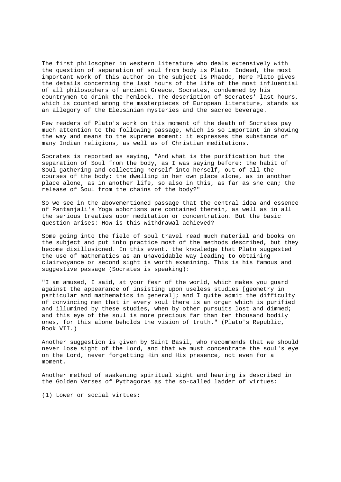The first philosopher in western literature who deals extensively with the question of separation of soul from body is Plato. Indeed, the most important work of this author on the subject is Phaedo, Here Plato gives the details concerning the last hours of the life of the most influential of all philosophers of ancient Greece, Socrates, condemned by his countrymen to drink the hemlock. The description of Socrates' last hours, which is counted among the masterpieces of European literature, stands as an allegory of the Eleusinian mysteries and the sacred beverage.

Few readers of Plato's work on this moment of the death of Socrates pay much attention to the following passage, which is so important in showing the way and means to the supreme moment: it expresses the substance of many Indian religions, as well as of Christian meditations.

Socrates is reported as saying, "And what is the purification but the separation of Soul from the body, as I was saying before; the habit of Soul gathering and collecting herself into herself, out of all the courses of the body; the dwelling in her own place alone, as in another place alone, as in another life, so also in this, as far as she can; the release of Soul from the chains of the body?"

So we see in the abovementioned passage that the central idea and essence of Pantanjali's Yoga aphorisms are contained therein, as well as in all the serious treaties upon meditation or concentration. But the basic question arises: How is this withdrawal achieved?

Some going into the field of soul travel read much material and books on the subject and put into practice most of the methods described, but they become disillusioned. In this event, the knowledge that Plato suggested the use of mathematics as an unavoidable way leading to obtaining clairvoyance or second sight is worth examining. This is his famous and suggestive passage (Socrates is speaking):

"I am amused, I said, at your fear of the world, which makes you guard against the appearance of insisting upon useless studies [geometry in particular and mathematics in general]; and I quite admit the difficulty of convincing men that in every soul there is an organ which is purified and illumined by these studies, when by other pursuits lost and dimmed; and this eye of the soul is more precious far than ten thousand bodily ones, for this alone beholds the vision of truth." (Plato's Republic, Book VII.)

Another suggestion is given by Saint Basil, who recommends that we should never lose sight of the Lord, and that we must concentrate the soul's eye on the Lord, never forgetting Him and His presence, not even for a moment.

Another method of awakening spiritual sight and hearing is described in the Golden Verses of Pythagoras as the so-called ladder of virtues:

(1) Lower or social virtues: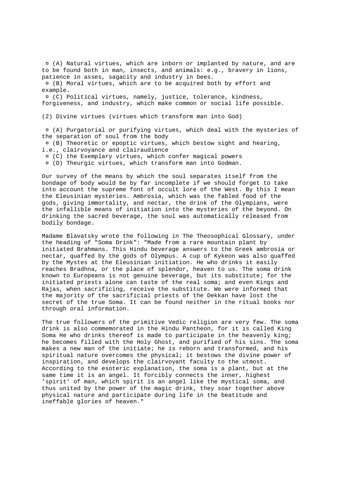¤ (A) Natural virtues, which are inborn or implanted by nature, and are to be found both in man, insects, and animals: e.g., bravery in lions, patience in asses, sagacity and industry in bees. ¤ (B) Moral virtues, which are to be acquired both by effort and example. ¤ (C) Political virtues, namely, justice, tolerance, kindness,

forgiveness, and industry, which make common or social life possible.

(2) Divine virtues (virtues which transform man into God)

 ¤ (A) Purgatorial or purifying virtues, which deal with the mysteries of the separation of soul from the body

 ¤ (B) Theoretic or epoptic virtues, which bestow sight and hearing, i.e., clairvoyance and clairaudience

¤ (C) the Exemplary virtues, which confer magical powers

¤ (D) Theurgic virtues, which transform man into Godman.

Our survey of the means by which the soul separates itself from the bondage of body would be by far incomplete if we should forget to take into account the supreme font of occult lore of the West. By this I mean the Eleusinian mysteries. Ambrosia, which was the fabled food of the gods, giving immortality, and nectar, the drink of the Olympians, were the infallible means of initiation into the mysteries of the beyond. On drinking the sacred beverage, the soul was automatically released from bodily bondage.

Madame Blavatsky wrote the following in The Theosophical Glossary, under the heading of "Soma Drink": "Made from a rare mountain plant by initiated Brahmans. This Hindu beverage answers to the Greek ambrosia or nectar, quaffed by the gods of Olympus. A cup of Kykeon was also quaffed by the Mystes at the Eleusinian initiation. He who drinks it easily reaches Bradhna, or the place of splendor, heaven to us. The soma drink known to Europeans is not genuine beverage, but its substitute; for the initiated priests alone can taste of the real soma; and even Kings and Rajas, when sacrificing, receive the substitute. We were informed that the majority of the sacrificial priests of the Dekkan have lost the secret of the true Soma. It can be found neither in the ritual books nor through oral information.

The true followers of the primitive Vedic religion are very few. The soma drink is also commemorated in the Hindu Pantheon, for it is called King Soma He who drinks thereof is made to participate in the heavenly king; he becomes filled with the Holy Ghost, and purified of his sins. The soma makes a new man of the initiate; he is reborn and transformed, and his spiritual nature overcomes the physical; it bestows the divine power of inspiration, and develops the clairvoyant faculty to the utmost. According to the esoteric explanation, the soma is a plant, but at the same time it is an angel. It forcibly connects the inner, highest 'spirit' of man, which spirit is an angel like the mystical soma, and thus united by the power of the magic drink, they soar together above physical nature and participate during life in the beatitude and ineffable glories of heaven."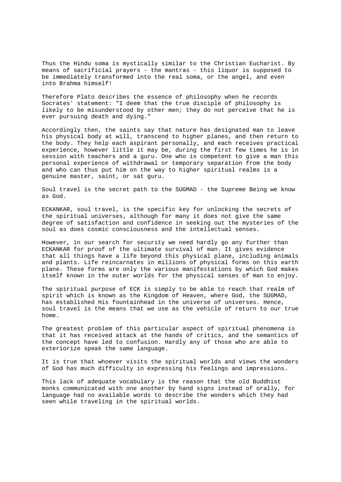Thus the Hindu soma is mystically similar to the Christian Eucharist. By means of sacrificial prayers - the mantras - this liquor is supposed to be immediately transformed into the real soma, or the angel, and even into Brahma himself!

Therefore Plato describes the essence of philosophy when he records Socrates' statement: "I deem that the true disciple of philosophy is likely to be misunderstood by other men; they do not perceive that he is ever pursuing death and dying."

Accordingly then, the saints say that nature has designated man to leave his physical body at will, transcend to higher planes, and then return to the body. They help each aspirant personally, and each receives practical experience, however little it may be, during the first few times he is in session with teachers and a guru. One who is competent to give a man this personal experience of withdrawal or temporary separation from the body and who can thus put him on the way to higher spiritual realms is a genuine master, saint, or sat guru.

Soul travel is the secret path to the SUGMAD - the Supreme Being we know as God.

ECKANKAR, soul travel, is the specific key for unlocking the secrets of the spiritual universes, although for many it does not give the same degree of satisfaction and confidence in seeking out the mysteries of the soul as does cosmic consciousness and the intellectual senses.

However, in our search for security we need hardly go any further than ECKANKAR for proof of the ultimate survival of man. It gives evidence that all things have a life beyond this physical plane, including animals and plants. Life reincarnates in millions of physical forms on this earth plane. These forms are only the various manifestations by which God makes itself known in the outer worlds for the physical senses of man to enjoy.

The spiritual purpose of ECK is simply to be able to reach that realm of spirit which is known as the Kingdom of Heaven, where God, the SUGMAD, has established His fountainhead in the universe of universes. Hence, soul travel is the means that we use as the vehicle of return to our true home.

The greatest problem of this particular aspect of spiritual phenomena is that it has received attack at the hands of critics, and the semantics of the concept have led to confusion. Hardly any of those who are able to exteriorize speak the same language.

It is true that whoever visits the spiritual worlds and views the wonders of God has much difficulty in expressing his feelings and impressions.

This lack of adequate vocabulary is the reason that the old Buddhist monks communicated with one another by hand signs instead of orally, for language had no available words to describe the wonders which they had seen while traveling in the spiritual worlds.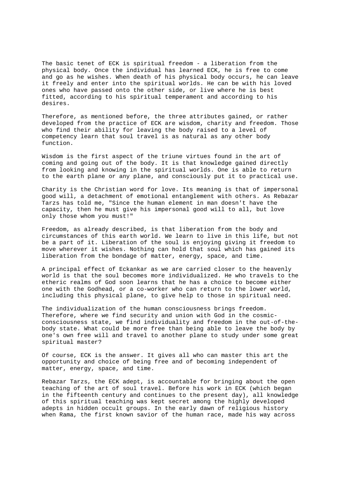The basic tenet of ECK is spiritual freedom - a liberation from the physical body. Once the individual has learned ECK, he is free to come and go as he wishes. When death of his physical body occurs, he can leave it freely and enter into the spiritual worlds. He can be with his loved ones who have passed onto the other side, or live where he is best fitted, according to his spiritual temperament and according to his desires.

Therefore, as mentioned before, the three attributes gained, or rather developed from the practice of ECK are wisdom, charity and freedom. Those who find their ability for leaving the body raised to a level of competency learn that soul travel is as natural as any other body function.

Wisdom is the first aspect of the triune virtues found in the art of coming and going out of the body. It is that knowledge gained directly from looking and knowing in the spiritual worlds. One is able to return to the earth plane or any plane, and consciously put it to practical use.

Charity is the Christian word for love. Its meaning is that of impersonal good will, a detachment of emotional entanglement with others. As Rebazar Tarzs has told me, "Since the human element in man doesn't have the capacity, then he must give his impersonal good will to all, but love only those whom you must!"

Freedom, as already described, is that liberation from the body and circumstances of this earth world. We learn to live in this life, but not be a part of it. Liberation of the soul is enjoying giving it freedom to move wherever it wishes. Nothing can hold that soul which has gained its liberation from the bondage of matter, energy, space, and time.

A principal effect of Eckankar as we are carried closer to the heavenly world is that the soul becomes more individualized. He who travels to the etheric realms of God soon learns that he has a choice to become either one with the Godhead, or a co-worker who can return to the lower world, including this physical plane, to give help to those in spiritual need.

The individualization of the human consciousness brings freedom. Therefore, where we find security and union with God in the cosmicconsciousness state, we find individuality and freedom in the out-of-thebody state. What could be more free than being able to leave the body by one's own free will and travel to another plane to study under some great spiritual master?

Of course, ECK is the answer. It gives all who can master this art the opportunity and choice of being free and of becoming independent of matter, energy, space, and time.

Rebazar Tarzs, the ECK adept, is accountable for bringing about the open teaching of the art of soul travel. Before his work in ECK (which began in the fifteenth century and continues to the present day), all knowledge of this spiritual teaching was kept secret among the highly developed adepts in hidden occult groups. In the early dawn of religious history when Rama, the first known savior of the human race, made his way across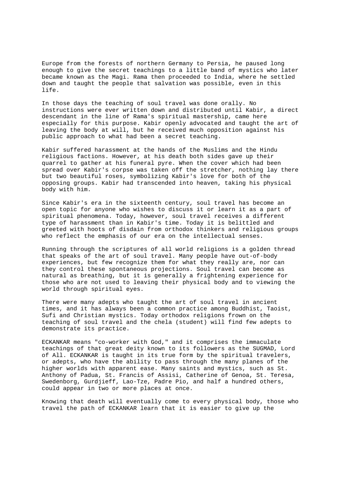Europe from the forests of northern Germany to Persia, he paused long enough to give the secret teachings to a little band of mystics who later became known as the Magi. Rama then proceeded to India, where he settled down and taught the people that salvation was possible, even in this life.

In those days the teaching of soul travel was done orally. No instructions were ever written down and distributed until Kabir, a direct descendant in the line of Rama's spiritual mastership, came here especially for this purpose. Kabir openly advocated and taught the art of leaving the body at will, but he received much opposition against his public approach to what had been a secret teaching.

Kabir suffered harassment at the hands of the Muslims and the Hindu religious factions. However, at his death both sides gave up their quarrel to gather at his funeral pyre. When the cover which had been spread over Kabir's corpse was taken off the stretcher, nothing lay there but two beautiful roses, symbolizing Kabir's love for both of the opposing groups. Kabir had transcended into heaven, taking his physical body with him.

Since Kabir's era in the sixteenth century, soul travel has become an open topic for anyone who wishes to discuss it or learn it as a part of spiritual phenomena. Today, however, soul travel receives a different type of harassment than in Kabir's time. Today it is belittled and greeted with hoots of disdain from orthodox thinkers and religious groups who reflect the emphasis of our era on the intellectual senses.

Running through the scriptures of all world religions is a golden thread that speaks of the art of soul travel. Many people have out-of-body experiences, but few recognize them for what they really are, nor can they control these spontaneous projections. Soul travel can become as natural as breathing, but it is generally a frightening experience for those who are not used to leaving their physical body and to viewing the world through spiritual eyes.

There were many adepts who taught the art of soul travel in ancient times, and it has always been a common practice among Buddhist, Taoist, Sufi and Christian mystics. Today orthodox religions frown on the teaching of soul travel and the chela (student) will find few adepts to demonstrate its practice.

ECKANKAR means "co-worker with God," and it comprises the immaculate teachings of that great deity known to its followers as the SUGMAD, Lord of All. ECKANKAR is taught in its true form by the spiritual travelers, or adepts, who have the ability to pass through the many planes of the higher worlds with apparent ease. Many saints and mystics, such as St. Anthony of Padua, St. Francis of Assisi, Catherine of Genoa, St. Teresa, Swedenborg, Gurdjieff, Lao-Tze, Padre Pio, and half a hundred others, could appear in two or more places at once.

Knowing that death will eventually come to every physical body, those who travel the path of ECKANKAR learn that it is easier to give up the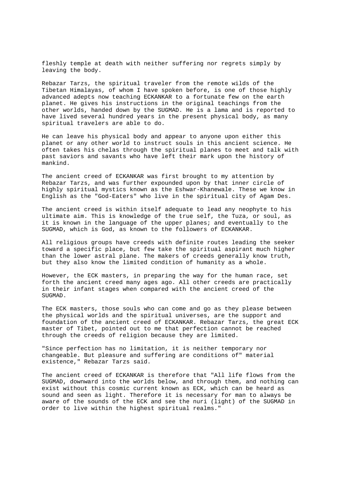fleshly temple at death with neither suffering nor regrets simply by leaving the body.

Rebazar Tarzs, the spiritual traveler from the remote wilds of the Tibetan Himalayas, of whom I have spoken before, is one of those highly advanced adepts now teaching ECKANKAR to a fortunate few on the earth planet. He gives his instructions in the original teachings from the other worlds, handed down by the SUGMAD. He is a lama and is reported to have lived several hundred years in the present physical body, as many spiritual travelers are able to do.

He can leave his physical body and appear to anyone upon either this planet or any other world to instruct souls in this ancient science. He often takes his chelas through the spiritual planes to meet and talk with past saviors and savants who have left their mark upon the history of mankind.

The ancient creed of ECKANKAR was first brought to my attention by Rebazar Tarzs, and was further expounded upon by that inner circle of highly spiritual mystics known as the Eshwar-Khanewale. These we know in English as the "God-Eaters" who live in the spiritual city of Agam Des.

The ancient creed is within itself adequate to lead any neophyte to his ultimate aim. This is knowledge of the true self, the Tuza, or soul, as it is known in the language of the upper planes; and eventually to the SUGMAD, which is God, as known to the followers of ECKANKAR.

All religious groups have creeds with definite routes leading the seeker toward a specific place, but few take the spiritual aspirant much higher than the lower astral plane. The makers of creeds generally know truth, but they also know the limited condition of humanity as a whole.

However, the ECK masters, in preparing the way for the human race, set forth the ancient creed many ages ago. All other creeds are practically in their infant stages when compared with the ancient creed of the SUGMAD.

The ECK masters, those souls who can come and go as they please between the physical worlds and the spiritual universes, are the support and foundation of the ancient creed of ECKANKAR. Rebazar Tarzs, the great ECK master of Tibet, pointed out to me that perfection cannot be reached through the creeds of religion because they are limited.

"Since perfection has no limitation, it is neither temporary nor changeable. But pleasure and suffering are conditions of" material existence," Rebazar Tarzs said.

The ancient creed of ECKANKAR is therefore that "All life flows from the SUGMAD, downward into the worlds below, and through them, and nothing can exist without this cosmic current known as ECK, which can be heard as sound and seen as light. Therefore it is necessary for man to always be aware of the sounds of the ECK and see the nuri (light) of the SUGMAD in order to live within the highest spiritual realms."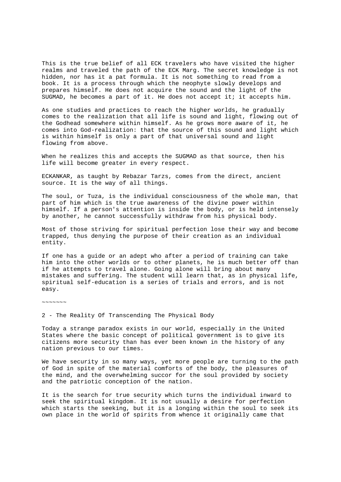This is the true belief of all ECK travelers who have visited the higher realms and traveled the path of the ECK Marg. The secret knowledge is not hidden, nor has it a pat formula. It is not something to read from a book. It is a process through which the neophyte slowly develops and prepares himself. He does not acquire the sound and the light of the SUGMAD, he becomes a part of it. He does not accept it; it accepts him.

As one studies and practices to reach the higher worlds, he gradually comes to the realization that all life is sound and light, flowing out of the Godhead somewhere within himself. As he grows more aware of it, he comes into God-realization: that the source of this sound and light which is within himself is only a part of that universal sound and light flowing from above.

When he realizes this and accepts the SUGMAD as that source, then his life will become greater in every respect.

ECKANKAR, as taught by Rebazar Tarzs, comes from the direct, ancient source. It is the way of all things.

The soul, or Tuza, is the individual consciousness of the whole man, that part of him which is the true awareness of the divine power within himself. If a person's attention is inside the body, or is held intensely by another, he cannot successfully withdraw from his physical body.

Most of those striving for spiritual perfection lose their way and become trapped, thus denying the purpose of their creation as an individual entity.

If one has a guide or an adept who after a period of training can take him into the other worlds or to other planets, he is much better off than if he attempts to travel alone. Going alone will bring about many mistakes and suffering. The student will learn that, as in physical life, spiritual self-education is a series of trials and errors, and is not easy.

 $\sim$ ~~~~~

2 - The Reality Of Transcending The Physical Body

Today a strange paradox exists in our world, especially in the United States where the basic concept of political government is to give its citizens more security than has ever been known in the history of any nation previous to our times.

We have security in so many ways, yet more people are turning to the path of God in spite of the material comforts of the body, the pleasures of the mind, and the overwhelming succor for the soul provided by society and the patriotic conception of the nation.

It is the search for true security which turns the individual inward to seek the spiritual kingdom. It is not usually a desire for perfection which starts the seeking, but it is a longing within the soul to seek its own place in the world of spirits from whence it originally came that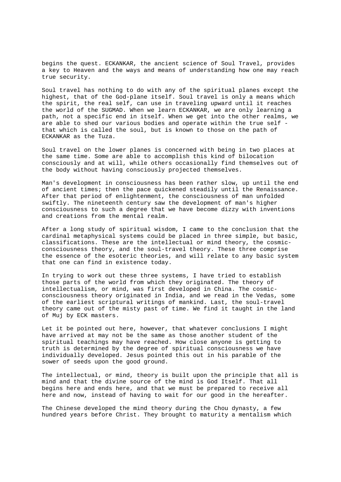begins the quest. ECKANKAR, the ancient science of Soul Travel, provides a key to Heaven and the ways and means of understanding how one may reach true security.

Soul travel has nothing to do with any of the spiritual planes except the highest, that of the God-plane itself. Soul travel is only a means which the spirit, the real self, can use in traveling upward until it reaches the world of the SUGMAD. When we learn ECKANKAR, we are only learning a path, not a specific end in itself. When we get into the other realms, we are able to shed our various bodies and operate within the true self that which is called the soul, but is known to those on the path of ECKANKAR as the Tuza.

Soul travel on the lower planes is concerned with being in two places at the same time. Some are able to accomplish this kind of bilocation consciously and at will, while others occasionally find themselves out of the body without having consciously projected themselves.

Man's development in consciousness has been rather slow, up until the end of ancient times; then the pace quickened steadily until the Renaissance. After that period of enlightenment, the consciousness of man unfolded swiftly. The nineteenth century saw the development of man's higher consciousness to such a degree that we have become dizzy with inventions and creations from the mental realm.

After a long study of spiritual wisdom, I came to the conclusion that the cardinal metaphysical systems could be placed in three simple, but basic, classifications. These are the intellectual or mind theory, the cosmicconsciousness theory, and the soul-travel theory. These three comprise the essence of the esoteric theories, and will relate to any basic system that one can find in existence today.

In trying to work out these three systems, I have tried to establish those parts of the world from which they originated. The theory of intellectualism, or mind, was first developed in China. The cosmicconsciousness theory originated in India, and we read in the Vedas, some of the earliest scriptural writings of mankind. Last, the soul-travel theory came out of the misty past of time. We find it taught in the land of Muj by ECK masters.

Let it be pointed out here, however, that whatever conclusions I might have arrived at may not be the same as those another student of the spiritual teachings may have reached. How close anyone is getting to truth is determined by the degree of spiritual consciousness we have individually developed. Jesus pointed this out in his parable of the sower of seeds upon the good ground.

The intellectual, or mind, theory is built upon the principle that all is mind and that the divine source of the mind is God Itself. That all begins here and ends here, and that we must be prepared to receive all here and now, instead of having to wait for our good in the hereafter.

The Chinese developed the mind theory during the Chou dynasty, a few hundred years before Christ. They brought to maturity a mentalism which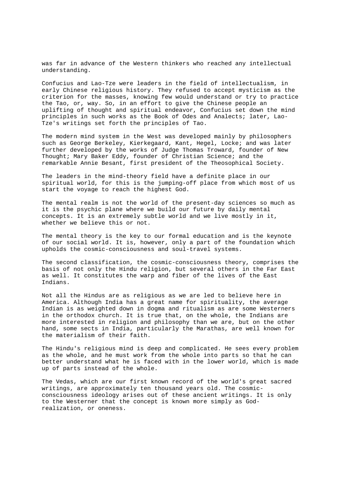was far in advance of the Western thinkers who reached any intellectual understanding.

Confucius and Lao-Tze were leaders in the field of intellectualism, in early Chinese religious history. They refused to accept mysticism as the criterion for the masses, knowing few would understand or try to practice the Tao, or, way. So, in an effort to give the Chinese people an uplifting of thought and spiritual endeavor, Confucius set down the mind principles in such works as the Book of Odes and Analects; later, Lao-Tze's writings set forth the principles of Tao.

The modern mind system in the West was developed mainly by philosophers such as George Berkeley, Kierkegaard, Kant, Hegel, Locke; and was later further developed by the works of Judge Thomas Troward, founder of New Thought; Mary Baker Eddy, founder of Christian Science; and the remarkable Annie Besant, first president of the Theosophical Society.

The leaders in the mind-theory field have a definite place in our spiritual world, for this is the jumping-off place from which most of us start the voyage to reach the highest God.

The mental realm is not the world of the present-day sciences so much as it is the psychic plane where we build our future by daily mental concepts. It is an extremely subtle world and we live mostly in it, whether we believe this or not.

The mental theory is the key to our formal education and is the keynote of our social world. It is, however, only a part of the foundation which upholds the cosmic-consciousness and soul-travel systems.

The second classification, the cosmic-consciousness theory, comprises the basis of not only the Hindu religion, but several others in the Far East as well. It constitutes the warp and fiber of the lives of the East Indians.

Not all the Hindus are as religious as we are led to believe here in America. Although India has a great name for spirituality, the average Indian is as weighted down in dogma and ritualism as are some Westerners in the orthodox church. It is true that, on the whole, the Indians are more interested in religion and philosophy than we are, but on the other hand, some sects in India, particularly the Marathas, are well known for the materialism of their faith.

The Hindu's religious mind is deep and complicated. He sees every problem as the whole, and he must work from the whole into parts so that he can better understand what he is faced with in the lower world, which is made up of parts instead of the whole.

The Vedas, which are our first known record of the world's great sacred writings, are approximately ten thousand years old. The cosmicconsciousness ideology arises out of these ancient writings. It is only to the Westerner that the concept is known more simply as Godrealization, or oneness.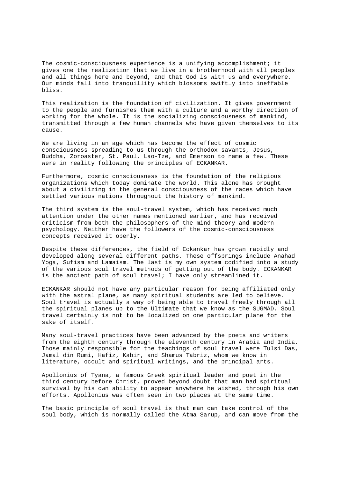The cosmic-consciousness experience is a unifying accomplishment; it gives one the realization that we live in a brotherhood with all peoples and all things here and beyond, and that God is with us and everywhere. Our minds fall into tranquillity which blossoms swiftly into ineffable bliss.

This realization is the foundation of civilization. It gives government to the people and furnishes them with a culture and a worthy direction of working for the whole. It is the socializing consciousness of mankind, transmitted through a few human channels who have given themselves to its cause.

We are living in an age which has become the effect of cosmic consciousness spreading to us through the orthodox savants, Jesus, Buddha, Zoroaster, St. Paul, Lao-Tze, and Emerson to name a few. These were in reality following the principles of ECKANKAR.

Furthermore, cosmic consciousness is the foundation of the religious organizations which today dominate the world. This alone has brought about a civilizing in the general consciousness of the races which have settled various nations throughout the history of mankind.

The third system is the soul-travel system, which has received much attention under the other names mentioned earlier, and has received criticism from both the philosophers of the mind theory and modern psychology. Neither have the followers of the cosmic-consciousness concepts received it openly.

Despite these differences, the field of Eckankar has grown rapidly and developed along several different paths. These offsprings include Anahad Yoga, Sufism and Lamaism. The last is my own system codified into a study of the various soul travel methods of getting out of the body. ECKANKAR is the ancient path of soul travel; I have only streamlined it.

ECKANKAR should not have any particular reason for being affiliated only with the astral plane, as many spiritual students are led to believe. Soul travel is actually a way of being able to travel freely through all the spiritual planes up to the Ultimate that we know as the SUGMAD. Soul travel certainly is not to be localized on one particular plane for the sake of itself.

Many soul-travel practices have been advanced by the poets and writers from the eighth century through the eleventh century in Arabia and India. Those mainly responsible for the teachings of soul travel were Tulsi Das, Jamal din Rumi, Hafiz, Kabir, and Shamus Tabriz, whom we know in literature, occult and spiritual writings, and the principal arts.

Apollonius of Tyana, a famous Greek spiritual leader and poet in the third century before Christ, proved beyond doubt that man had spiritual survival by his own ability to appear anywhere he wished, through his own efforts. Apollonius was often seen in two places at the same time.

The basic principle of soul travel is that man can take control of the soul body, which is normally called the Atma Sarup, and can move from the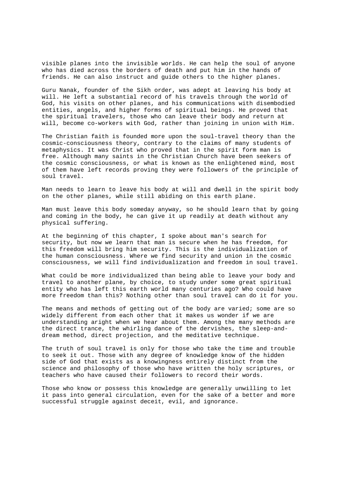visible planes into the invisible worlds. He can help the soul of anyone who has died across the borders of death and put him in the hands of friends. He can also instruct and guide others to the higher planes.

Guru Nanak, founder of the Sikh order, was adept at leaving his body at will. He left a substantial record of his travels through the world of God, his visits on other planes, and his communications with disembodied entities, angels, and higher forms of spiritual beings. He proved that the spiritual travelers, those who can leave their body and return at will, become co-workers with God, rather than joining in union with Him.

The Christian faith is founded more upon the soul-travel theory than the cosmic-consciousness theory, contrary to the claims of many students of metaphysics. It was Christ who proved that in the spirit form man is free. Although many saints in the Christian Church have been seekers of the cosmic consciousness, or what is known as the enlightened mind, most of them have left records proving they were followers of the principle of soul travel.

Man needs to learn to leave his body at will and dwell in the spirit body on the other planes, while still abiding on this earth plane.

Man must leave this body someday anyway, so he should learn that by going and coming in the body, he can give it up readily at death without any physical suffering.

At the beginning of this chapter, I spoke about man's search for security, but now we learn that man is secure when he has freedom, for this freedom will bring him security. This is the individualization of the human consciousness. Where we find security and union in the cosmic consciousness, we will find individualization and freedom in soul travel.

What could be more individualized than being able to leave your body and travel to another plane, by choice, to study under some great spiritual entity who has left this earth world many centuries ago? Who could have more freedom than this? Nothing other than soul travel can do it for you.

The means and methods of getting out of the body are varied; some are so widely different from each other that it makes us wonder if we are understanding aright when we hear about them. Among the many methods are the direct trance, the whirling dance of the dervishes, the sleep-anddream method, direct projection, and the meditative technique.

The truth of soul travel is only for those who take the time and trouble to seek it out. Those with any degree of knowledge know of the hidden side of God that exists as a knowingness entirely distinct from the science and philosophy of those who have written the holy scriptures, or teachers who have caused their followers to record their words.

Those who know or possess this knowledge are generally unwilling to let it pass into general circulation, even for the sake of a better and more successful struggle against deceit, evil, and ignorance.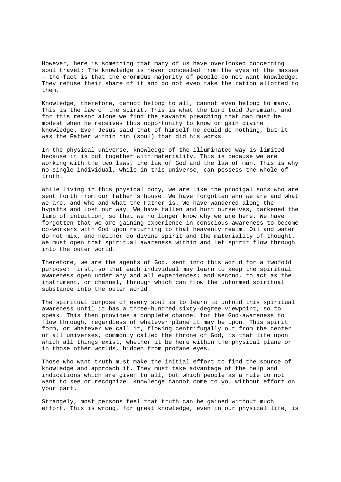However, here is something that many of us have overlooked concerning soul travel: The knowledge is never concealed from the eyes of the masses - the fact is that the enormous majority of people do not want knowledge. They refuse their share of it and do not even take the ration allotted to them.

Knowledge, therefore, cannot belong to all, cannot even belong to many. This is the law of the spirit. This is what the Lord told Jeremiah, and for this reason alone we find the savants preaching that man must be modest when he receives this opportunity to know or gain divine knowledge. Even Jesus said that of himself he could do nothing, but it was the Father within him (soul) that did his works.

In the physical universe, knowledge of the illuminated way is limited because it is put together with materiality. This is because we are working with the two laws, the law of God and the law of man. This is why no single individual, while in this universe, can possess the whole of truth.

While living in this physical body, we are like the prodigal sons who are sent forth from our father's house. We have forgotten who we are and what we are, and who and what the Father is. We have wandered along the bypaths and lost our way. We have fallen and hurt ourselves, darkened the lamp of intuition, so that we no longer know why we are here. We have forgotten that we are gaining experience in conscious awareness to become co-workers with God upon returning to that heavenly realm. Oil and water do not mix, and neither do divine spirit and the materiality of thought. We must open that spiritual awareness within and let spirit flow through into the outer world.

Therefore, we are the agents of God, sent into this world for a twofold purpose: first, so that each individual may learn to keep the spiritual awareness open under any and all experiences; and second, to act as the instrument, or channel, through which can flow the unformed spiritual substance into the outer world.

The spiritual purpose of every soul is to learn to unfold this spiritual awareness until it has a three-hundred sixty-degree viewpoint, so to speak. This then provides a complete channel for the God-awareness to flow through, regardless of whatever plane it may be upon. This spirit form, or whatever we call it, flowing centrifugally out from the center of all universes, commonly called the throne of God, is that life upon which all things exist, whether it be here within the physical plane or in those other worlds, hidden from profane eyes.

Those who want truth must make the initial effort to find the source of knowledge and approach it. They must take advantage of the help and indications which are given to all, but which people as a rule do not want to see or recognize. Knowledge cannot come to you without effort on your part.

Strangely, most persons feel that truth can be gained without much effort. This is wrong, for great knowledge, even in our physical life, is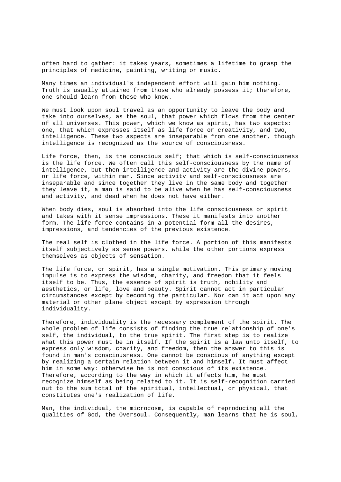often hard to gather: it takes years, sometimes a lifetime to grasp the principles of medicine, painting, writing or music.

Many times an individual's independent effort will gain him nothing. Truth is usually attained from those who already possess it; therefore, one should learn from those who know.

We must look upon soul travel as an opportunity to leave the body and take into ourselves, as the soul, that power which flows from the center of all universes. This power, which we know as spirit, has two aspects: one, that which expresses itself as life force or creativity, and two, intelligence. These two aspects are inseparable from one another, though intelligence is recognized as the source of consciousness.

Life force, then, is the conscious self; that which is self-consciousness is the life force. We often call this self-consciousness by the name of intelligence, but then intelligence and activity are the divine powers, or life force, within man. Since activity and self-consciousness are inseparable and since together they live in the same body and together they leave it, a man is said to be alive when he has self-consciousness and activity, and dead when he does not have either.

When body dies, soul is absorbed into the life consciousness or spirit and takes with it sense impressions. These it manifests into another form. The life force contains in a potential form all the desires, impressions, and tendencies of the previous existence.

The real self is clothed in the life force. A portion of this manifests itself subjectively as sense powers, while the other portions express themselves as objects of sensation.

The life force, or spirit, has a single motivation. This primary moving impulse is to express the wisdom, charity, and freedom that it feels itself to be. Thus, the essence of spirit is truth, nobility and aesthetics, or life, love and beauty. Spirit cannot act in particular circumstances except by becoming the particular. Nor can it act upon any material or other plane object except by expression through individuality.

Therefore, individuality is the necessary complement of the spirit. The whole problem of life consists of finding the true relationship of one's self, the individual, to the true spirit. The first step is to realize what this power must be in itself. If the spirit is a law unto itself, to express only wisdom, charity, and freedom, then the answer to this is found in man's consciousness. One cannot be conscious of anything except by realizing a certain relation between it and himself. It must affect him in some way: otherwise he is not conscious of its existence. Therefore, according to the way in which it affects him, he must recognize himself as being related to it. It is self-recognition carried out to the sum total of the spiritual, intellectual, or physical, that constitutes one's realization of life.

Man, the individual, the microcosm, is capable of reproducing all the qualities of God, the Oversoul. Consequently, man learns that he is soul,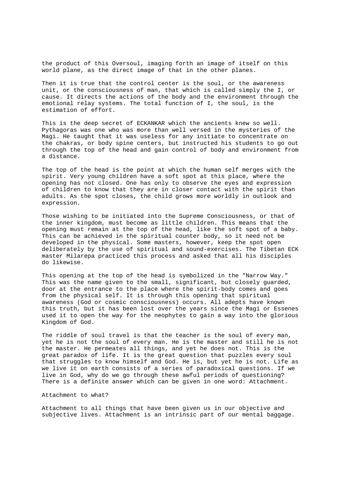the product of this Oversoul, imaging forth an image of itself on this world plane, as the direct image of that in the other planes.

Then it is true that the control center is the soul, or the awareness unit, or the consciousness of man, that which is called simply the I, or cause. It directs the actions of the body and the environment through the emotional relay systems. The total function of I, the soul, is the estimation of effort.

This is the deep secret of ECKANKAR which the ancients knew so well. Pythagoras was one who was more than well versed in the mysteries of the Magi. He taught that it was useless for any initiate to concentrate on the chakras, or body spine centers, but instructed his students to go out through the top of the head and gain control of body and environment from a distance.

The top of the head is the point at which the human self merges with the spirit. Very young children have a soft spot at this place, where the opening has not closed. One has only to observe the eyes and expression of children to know that they are in closer contact with the spirit than adults. As the spot closes, the child grows more worldly in outlook and expression.

Those wishing to be initiated into the Supreme Consciousness, or that of the inner kingdom, must become as little children. This means that the opening must remain at the top of the head, like the soft spot of a baby. This can be achieved in the spiritual counter body, so it need not be developed in the physical. Some masters, however, keep the spot open deliberately by the use of spiritual and sound-exercises. The Tibetan ECK master Milarepa practiced this process and asked that all his disciples do likewise.

This opening at the top of the head is symbolized in the "Narrow Way." This was the name given to the small, significant, but closely guarded, door at the entrance to the place where the spirit-body comes and goes from the physical self. It is through this opening that spiritual awareness (God or cosmic consciousness) occurs. All adepts have known this truth, but it has been lost over the years since the Magi or Essenes used it to open the way for the neophytes to gain a way into the glorious Kingdom of God.

The riddle of soul travel is that the teacher is the soul of every man, yet he is not the soul of every man. He is the master and still he is not the master. He permeates all things, and yet he does not. This is the great paradox of life. It is the great question that puzzles every soul that struggles to know himself and God. He is, but yet he is not. Life as we live it on earth consists of a series of paradoxical questions. If we live in God, why do we go through these awful periods of questioning? There is a definite answer which can be given in one word: Attachment.

Attachment to what?

Attachment to all things that have been given us in our objective and subjective lives. Attachment is an intrinsic part of our mental baggage.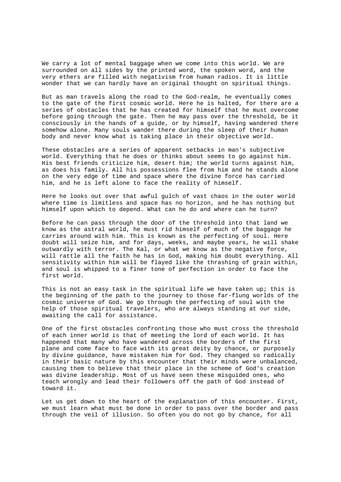We carry a lot of mental baggage when we come into this world. We are surrounded on all sides by the printed word, the spoken word, and the very ethers are filled with negativism from human radios. It is little wonder that we can hardly have an original thought on spiritual things.

But as man travels along the road to the God-realm, he eventually comes to the gate of the first cosmic world. Here he is halted, for there are a series of obstacles that he has created for himself that he must overcome before going through the gate. Then he may pass over the threshold, be it consciously in the hands of a guide, or by himself, having wandered there somehow alone. Many souls wander there during the sleep of their human body and never know what is taking place in their objective world.

These obstacles are a series of apparent setbacks in man's subjective world. Everything that he does or thinks about seems to go against him. His best friends criticize him, desert him; the world turns against him, as does his family. All his possessions flee from him and he stands alone on the very edge of time and space where the divine force has carried him, and he is left alone to face the reality of himself.

Here he looks out over that awful gulch of vast chaos in the outer world where time is limitless and space has no horizon, and he has nothing but himself upon which to depend. What can he do and where can he turn?

Before he can pass through the door of the threshold into that land we know as the astral world, he must rid himself of much of the baggage he carries around with him. This is known as the perfecting of soul. Here doubt will seize him, and for days, weeks, and maybe years, he will shake outwardly with terror. The Kal, or what we know as the negative force, will rattle all the faith he has in God, making him doubt everything. All sensitivity within him will be flayed like the thrashing of grain within, and soul is whipped to a finer tone of perfection in order to face the first world.

This is not an easy task in the spiritual life we have taken up; this is the beginning of the path to the journey to those far-flung worlds of the cosmic universe of God. We go through the perfecting of soul with the help of those spiritual travelers, who are always standing at our side, awaiting the call for assistance.

One of the first obstacles confronting those who must cross the threshold of each inner world is that of meeting the lord of each world. It has happened that many who have wandered across the borders of the first plane and come face to face with its great deity by chance, or purposely by divine guidance, have mistaken him for God. They changed so radically in their basic nature by this encounter that their minds were unbalanced, causing them to believe that their place in the scheme of God's creation was divine leadership. Most of us have seen these misguided ones, who teach wrongly and lead their followers off the path of God instead of toward it.

Let us get down to the heart of the explanation of this encounter. First, we must learn what must be done in order to pass over the border and pass through the veil of illusion. So often you do not go by chance, for all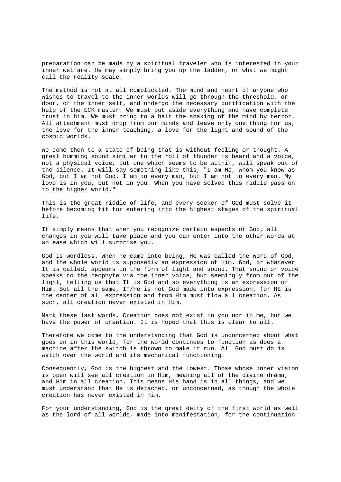preparation can be made by a spiritual traveler who is interested in your inner welfare. He may simply bring you up the ladder, or what we might call the reality scale.

The method is not at all complicated. The mind and heart of anyone who wishes to travel to the inner worlds will go through the threshold, or door, of the inner self, and undergo the necessary purification with the help of the ECK master. We must put aside everything and have complete trust in him. We must bring to a halt the shaking of the mind by terror. All attachment must drop from our minds and leave only one thing for us, the love for the inner teaching, a love for the light and sound of the cosmic worlds.

We come then to a state of being that is without feeling or thought. A great humming sound similar to the roll of thunder is heard and a voice, not a physical voice, but one which seems to be within, will speak out of the silence. It will say something like this, "I am He, whom you know as God, but I am not God. I am in every man, but I am not in every man. My love is in you, but not in you. When you have solved this riddle pass on to the higher world."

This is the great riddle of life, and every seeker of God must solve it before becoming fit for entering into the highest stages of the spiritual life.

It simply means that when you recognize certain aspects of God, all changes in you will take place and you can enter into the other words at an ease which will surprise you.

God is wordless. When he came into being, He was called the Word of God, and the whole world is supposedly an expression of Him. God, or whatever It is called, appears in the form of light and sound. That sound or voice speaks to the neophyte via the inner voice, but seemingly from out of the light, telling us that It is God and so everything is an expression of Him. But all the same, IT/He is not God made into expression, for HE is the center of all expression and from Him must flow all creation. As such, all creation never existed in Him.

Mark these last words. Creation does not exist in you nor in me, but we have the power of creation. It is hoped that this is clear to all.

Therefore we come to the understanding that God is unconcerned about what goes on in this world, for the world continues to function as does a machine after the switch is thrown to make it run. All God must do is watch over the world and its mechanical functioning.

Consequently, God is the highest and the lowest. Those whose inner vision is open will see all creation in Him, meaning all of the divine drama, and Him in all creation. This means His hand is in all things, and we must understand that He is detached, or unconcerned, as though the whole creation has never existed in Him.

For your understanding, God is the great deity of the first world as well as the lord of all worlds, made into manifestation, for the continuation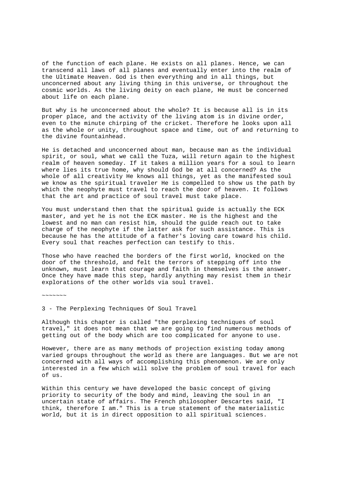of the function of each plane. He exists on all planes. Hence, we can transcend all laws of all planes and eventually enter into the realm of the Ultimate Heaven. God is then everything and in all things, but unconcerned about any living thing in this universe, or throughout the cosmic worlds. As the living deity on each plane, He must be concerned about life on each plane.

But why is he unconcerned about the whole? It is because all is in its proper place, and the activity of the living atom is in divine order, even to the minute chirping of the cricket. Therefore he looks upon all as the whole or unity, throughout space and time, out of and returning to the divine fountainhead.

He is detached and unconcerned about man, because man as the individual spirit, or soul, what we call the Tuza, will return again to the highest realm of heaven someday. If it takes a million years for a soul to learn where lies its true home, why should God be at all concerned? As the whole of all creativity He knows all things, yet as the manifested soul we know as the spiritual traveler He is compelled to show us the path by which the neophyte must travel to reach the door of heaven. It follows that the art and practice of soul travel must take place.

You must understand then that the spiritual guide is actually the ECK master, and yet he is not the ECK master. He is the highest and the lowest and no man can resist him, should the guide reach out to take charge of the neophyte if the latter ask for such assistance. This is because he has the attitude of a father's loving care toward his child. Every soul that reaches perfection can testify to this.

Those who have reached the borders of the first world, knocked on the door of the threshold, and felt the terrors of stepping off into the unknown, must learn that courage and faith in themselves is the answer. Once they have made this step, hardly anything may resist them in their explorations of the other worlds via soul travel.

~~~~~~~

3 - The Perplexing Techniques Of Soul Travel

Although this chapter is called "the perplexing techniques of soul travel," it does not mean that we are going to find numerous methods of getting out of the body which are too complicated for anyone to use.

However, there are as many methods of projection existing today among varied groups throughout the world as there are languages. But we are not concerned with all ways of accomplishing this phenomenon. We are only interested in a few which will solve the problem of soul travel for each of us.

Within this century we have developed the basic concept of giving priority to security of the body and mind, leaving the soul in an uncertain state of affairs. The French philosopher Descartes said, "I think, therefore I am." This is a true statement of the materialistic world, but it is in direct opposition to all spiritual sciences.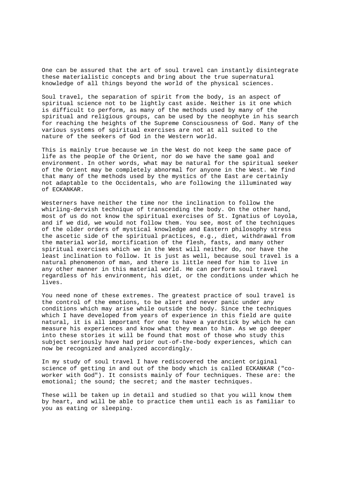One can be assured that the art of soul travel can instantly disintegrate these materialistic concepts and bring about the true supernatural knowledge of all things beyond the world of the physical sciences.

Soul travel, the separation of spirit from the body, is an aspect of spiritual science not to be lightly cast aside. Neither is it one which is difficult to perform, as many of the methods used by many of the spiritual and religious groups, can be used by the neophyte in his search for reaching the heights of the Supreme Consciousness of God. Many of the various systems of spiritual exercises are not at all suited to the nature of the seekers of God in the Western world.

This is mainly true because we in the West do not keep the same pace of life as the people of the Orient, nor do we have the same goal and environment. In other words, what may be natural for the spiritual seeker of the Orient may be completely abnormal for anyone in the West. We find that many of the methods used by the mystics of the East are certainly not adaptable to the Occidentals, who are following the illuminated way of ECKANKAR.

Westerners have neither the time nor the inclination to follow the whirling-dervish technique of transcending the body. On the other hand, most of us do not know the spiritual exercises of St. Ignatius of Loyola, and if we did, we would not follow them. You see, most of the techniques of the older orders of mystical knowledge and Eastern philosophy stress the ascetic side of the spiritual practices, e.g., diet, withdrawal from the material world, mortification of the flesh, fasts, and many other spiritual exercises which we in the West will neither do, nor have the least inclination to follow. It is just as well, because soul travel is a natural phenomenon of man, and there is little need for him to live in any other manner in this material world. He can perform soul travel regardless of his environment, his diet, or the conditions under which he lives.

You need none of these extremes. The greatest practice of soul travel is the control of the emotions, to be alert and never panic under any conditions which may arise while outside the body. Since the techniques which I have developed from years of experience in this field are quite natural, it is all important for one to have a yardstick by which he can measure his experiences and know what they mean to him. As we go deeper into these stories it will be found that most of those who study this subject seriously have had prior out-of-the-body experiences, which can now be recognized and analyzed accordingly.

In my study of soul travel I have rediscovered the ancient original science of getting in and out of the body which is called ECKANKAR ("coworker with God"). It consists mainly of four techniques. These are: the emotional; the sound; the secret; and the master techniques.

These will be taken up in detail and studied so that you will know them by heart, and will be able to practice them until each is as familiar to you as eating or sleeping.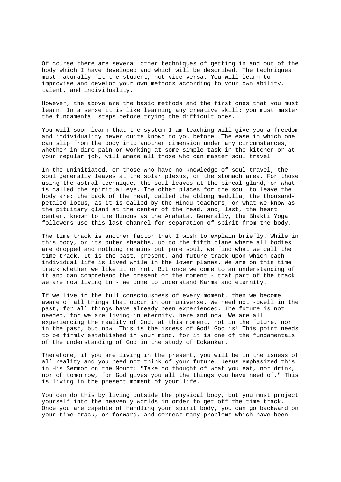Of course there are several other techniques of getting in and out of the body which I have developed and which will be described. The techniques must naturally fit the student, not vice versa. You will learn to improvise and develop your own methods according to your own ability, talent, and individuality.

However, the above are the basic methods and the first ones that you must learn. In a sense it is like learning any creative skill; you must master the fundamental steps before trying the difficult ones.

You will soon learn that the system I am teaching will give you a freedom and individuality never quite known to you before. The ease in which one can slip from the body into another dimension under any circumstances, whether in dire pain or working at some simple task in the kitchen or at your regular job, will amaze all those who can master soul travel.

In the uninitiated, or those who have no knowledge of soul travel, the soul generally leaves at the solar plexus, or the stomach area. For those using the astral technique, the soul leaves at the pineal gland, or what is called the spiritual eye. The other places for the soul to leave the body are: the back of the head, called the oblong medulla; the thousandpetaled lotus, as it is called by the Hindu teachers, or what we know as the pituitary gland at the center of the head, and, last, the heart center, known to the Hindus as the Anahata. Generally, the Bhakti Yoga followers use this last channel for separation of spirit from the body.

The time track is another factor that I wish to explain briefly. While in this body, or its outer sheaths, up to the fifth plane where all bodies are dropped and nothing remains but pure soul, we find what we call the time track. It is the past, present, and future track upon which each individual life is lived while in the lower planes. We are on this time track whether we like it or not. But once we come to an understanding of it and can comprehend the present or the moment - that part of the track we are now living in - we come to understand Karma and eternity.

If we live in the full consciousness of every moment, then we become aware of all things that occur in our universe. We need not -dwell in the past, for all things have already been experienced. The future is not needed, for we are living in eternity, here and now. We are all experiencing the reality of God, at this moment, not in the future, nor in the past, but now! This is the isness of God! God is! This point needs to be firmly established in your mind, for it is one of the fundamentals of the understanding of God in the study of Eckankar.

Therefore, if you are living in the present, you will be in the isness of all reality and you need not think of your future. Jesus emphasized this in His Sermon on the Mount: "Take no thought of what you eat, nor drink, nor of tomorrow, for God gives you all the things you have need of." This is living in the present moment of your life.

You can do this by living outside the physical body, but you must project yourself into the heavenly worlds in order to get off the time track. Once you are capable of handling your spirit body, you can go backward on your time track, or forward, and correct many problems which have been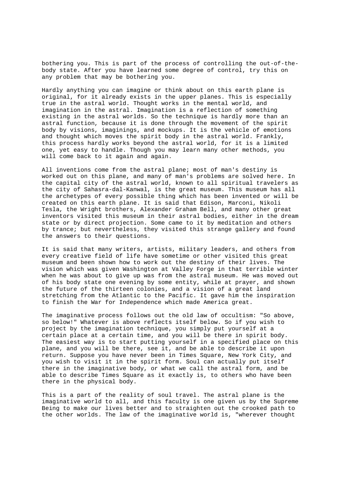bothering you. This is part of the process of controlling the out-of-thebody state. After you have learned some degree of control, try this on any problem that may be bothering you.

Hardly anything you can imagine or think about on this earth plane is original, for it already exists in the upper planes. This is especially true in the astral world. Thought works in the mental world, and imagination in the astral. Imagination is a reflection of something existing in the astral worlds. So the technique is hardly more than an astral function, because it is done through the movement of the spirit body by visions, imaginings, and mockups. It is the vehicle of emotions and thought which moves the spirit body in the astral world. Frankly, this process hardly works beyond the astral world, for it is a limited one, yet easy to handle. Though you may learn many other methods, you will come back to it again and again.

All inventions come from the astral plane; most of man's destiny is worked out on this plane, and many of man's problems are solved here. In the capital city of the astral world, known to all spiritual travelers as the city of Sahasra-dal-Kanwal, is the great museum. This museum has all the archetypes of every possible thing which has been invented or will be created on this earth plane. It is said that Edison, Marconi, Nikoli Tesla, the Wright brothers, Alexander Graham Bell, and many other great inventors visited this museum in their astral bodies, either in the dream state or by direct projection. Some came to it by meditation and others by trance; but nevertheless, they visited this strange gallery and found the answers to their questions.

It is said that many writers, artists, military leaders, and others from every creative field of life have sometime or other visited this great museum and been shown how to work out the destiny of their lives. The vision which was given Washington at Valley Forge in that terrible winter when he was about to give up was from the astral museum. He was moved out of his body state one evening by some entity, while at prayer, and shown the future of the thirteen colonies, and a vision of a great land stretching from the Atlantic to the Pacific. It gave him the inspiration to finish the War for Independence which made America great.

The imaginative process follows out the old law of occultism: "So above, so below!" Whatever is above reflects itself below. So if you wish to project by the imagination technique, you simply put yourself at a certain place at a certain time, and you will be there in spirit body. The easiest way is to start putting yourself in a specified place on this plane, and you will be there, see it, and be able to describe it upon return. Suppose you have never been in Times Square, New York City, and you wish to visit it in the spirit form. Soul can actually put itself there in the imaginative body, or what we call the astral form, and be able to describe Times Square as it exactly is, to others who have been there in the physical body.

This is a part of the reality of soul travel. The astral plane is the imaginative world to all, and this faculty is one given us by the Supreme Being to make our lives better and to straighten out the crooked path to the other worlds. The law of the imaginative world is, "wherever thought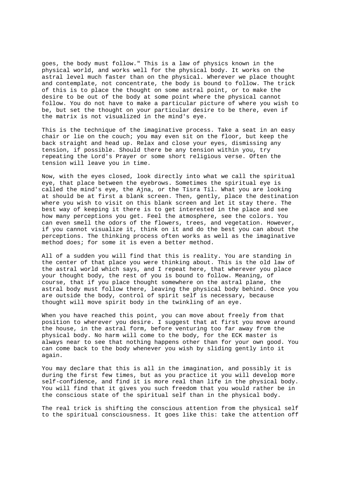goes, the body must follow." This is a law of physics known in the physical world, and works well for the physical body. It works on the astral level much faster than on the physical. Wherever we place thought and contemplate, not concentrate, the body is bound to follow. The trick of this is to place the thought on some astral point, or to make the desire to be out of the body at some point where the physical cannot follow. You do not have to make a particular picture of where you wish to be, but set the thought on your particular desire to be there, even if the matrix is not visualized in the mind's eye.

This is the technique of the imaginative process. Take a seat in an easy chair or lie on the couch; you may even sit on the floor, but keep the back straight and head up. Relax and close your eyes, dismissing any tension, if possible. Should there be any tension within you, try repeating the Lord's Prayer or some short religious verse. Often the tension will leave you in time.

Now, with the eyes closed, look directly into what we call the spiritual eye, that place between the eyebrows. Sometimes the spiritual eye is called the mind's eye, the Ajna, or the Tisra Til. What you are looking at should be at first a blank screen. Then, gently, place the destination where you wish to visit on this blank screen and let it stay there. The best way of keeping it there is to get interested in the place and see how many perceptions you get. Feel the atmosphere, see the colors. You can even smell the odors of the flowers, trees, and vegetation. However, if you cannot visualize it, think on it and do the best you can about the perceptions. The thinking process often works as well as the imaginative method does; for some it is even a better method.

All of a sudden you will find that this is reality. You are standing in the center of that place you were thinking about. This is the old law of the astral world which says, and I repeat here, that wherever you place your thought body, the rest of you is bound to follow. Meaning, of course, that if you place thought somewhere on the astral plane, the astral body must follow there, leaving the physical body behind. Once you are outside the body, control of spirit self is necessary, because thought will move spirit body in the twinkling of an eye.

When you have reached this point, you can move about freely from that position to wherever you desire. I suggest that at first you move around the house, in the astral form, before venturing too far away from the physical body. No harm will come to the body, for the ECK master is always near to see that nothing happens other than for your own good. You can come back to the body whenever you wish by sliding gently into it again.

You may declare that this is all in the imagination, and possibly it is during the first few times, but as you practice it you will develop more self-confidence, and find it is more real than life in the physical body. You will find that it gives you such freedom that you would rather be in the conscious state of the spiritual self than in the physical body.

The real trick is shifting the conscious attention from the physical self to the spiritual consciousness. It goes like this: take the attention off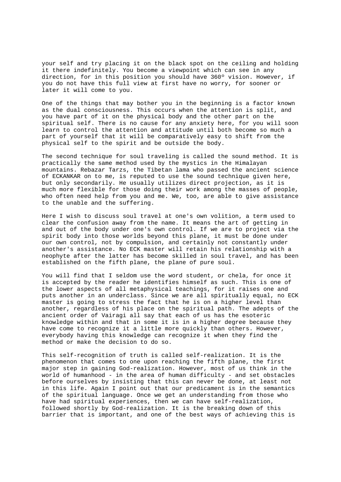your self and try placing it on the black spot on the ceiling and holding it there indefinitely. You become a viewpoint which can see in any direction, for in this position you should have 360º vision. However, if you do not have this full view at first have no worry, for sooner or later it will come to you.

One of the things that may bother you in the beginning is a factor known as the dual consciousness. This occurs when the attention is split, and you have part of it on the physical body and the other part on the spiritual self. There is no cause for any anxiety here, for you will soon learn to control the attention and attitude until both become so much a part of yourself that it will be comparatively easy to shift from the physical self to the spirit and be outside the body.

The second technique for soul traveling is called the sound method. It is practically the same method used by the mystics in the Himalayan mountains. Rebazar Tarzs, the Tibetan lama who passed the ancient science of ECKANKAR on to me, is reputed to use the sound technique given here, but only secondarily. He usually utilizes direct projection, as it is much more flexible for those doing their work among the masses of people, who often need help from you and me. We, too, are able to give assistance to the unable and the suffering.

Here I wish to discuss soul travel at one's own volition, a term used to clear the confusion away from the name. It means the art of getting in and out of the body under one's own control. If we are to project via the spirit body into those worlds beyond this plane, it must be done under our own control, not by compulsion, and certainly not constantly under another's assistance. No ECK master will retain his relationship with a neophyte after the latter has become skilled in soul travel, and has been established on the fifth plane, the plane of pure soul.

You will find that I seldom use the word student, or chela, for once it is accepted by the reader he identifies himself as such. This is one of the lower aspects of all metaphysical teachings, for it raises one and puts another in an underclass. Since we are all spiritually equal, no ECK master is going to stress the fact that he is on a higher level than another, regardless of his place on the spiritual path. The adepts of the ancient order of Vairagi all say that each of us has the esoteric knowledge within and that in some it is in a higher degree because they have come to recognize it a little more quickly than others. However, everybody having this knowledge can recognize it when they find the method or make the decision to do so.

This self-recognition of truth is called self-realization. It is the phenomenon that comes to one upon reaching the fifth plane, the first major step in gaining God-realization. However, most of us think in the world of humanhood - in the area of human difficulty - and set obstacles before ourselves by insisting that this can never be done, at least not in this life. Again I point out that our predicament is in the semantics of the spiritual language. Once we get an understanding from those who have had spiritual experiences, then we can have self-realization, followed shortly by God-realization. It is the breaking down of this barrier that is important, and one of the best ways of achieving this is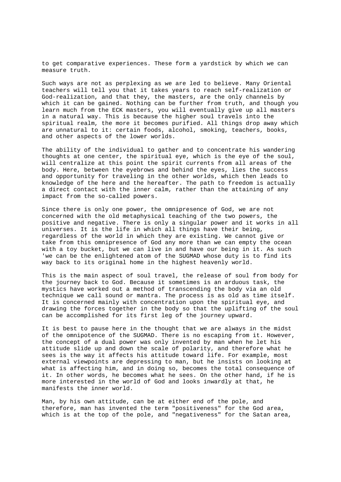to get comparative experiences. These form a yardstick by which we can measure truth.

Such ways are not as perplexing as we are led to believe. Many Oriental teachers will tell you that it takes years to reach self-realization or God-realization, and that they, the masters, are the only channels by which it can be gained. Nothing can be further from truth, and though you learn much from the ECK masters, you will eventually give up all masters in a natural way. This is because the higher soul travels into the spiritual realm, the more it becomes purified. All things drop away which are unnatural to it: certain foods, alcohol, smoking, teachers, books, and other aspects of the lower worlds.

The ability of the individual to gather and to concentrate his wandering thoughts at one center, the spiritual eye, which is the eye of the soul, will centralize at this point the spirit currents from all areas of the body. Here, between the eyebrows and behind the eyes, lies the success and opportunity for traveling in the other worlds, which then leads to knowledge of the here and the hereafter. The path to freedom is actually a direct contact with the inner calm, rather than the attaining of any impact from the so-called powers.

Since there is only one power, the omnipresence of God, we are not concerned with the old metaphysical teaching of the two powers, the positive and negative. There is only a singular power and it works in all universes. It is the life in which all things have their being, regardless of the world in which they are existing. We cannot give or take from this omnipresence of God any more than we can empty the ocean with a toy bucket, but we can live in and have our being in it. As such 'we can be the enlightened atom of the SUGMAD whose duty is to find its way back to its original home in the highest heavenly world.

This is the main aspect of soul travel, the release of soul from body for the journey back to God. Because it sometimes is an arduous task, the mystics have worked out a method of transcending the body via an old technique we call sound or mantra. The process is as old as time itself. It is concerned mainly with concentration upon the spiritual eye, and drawing the forces together in the body so that the uplifting of the soul can be accomplished for its first leg of the journey upward.

It is best to pause here in the thought that we are always in the midst of the omnipotence of the SUGMAD. There is no escaping from it. However, the concept of a dual power was only invented by man when he let his attitude slide up and down the scale of polarity, and therefore what he sees is the way it affects his attitude toward life. For example, most external viewpoints are depressing to man, but he insists on looking at what is affecting him, and in doing so, becomes the total consequence of it. In other words, he becomes what he sees. On the other hand, if he is more interested in the world of God and looks inwardly at that, he manifests the inner world.

Man, by his own attitude, can be at either end of the pole, and therefore, man has invented the term "positiveness" for the God area, which is at the top of the pole, and "negativeness" for the Satan area,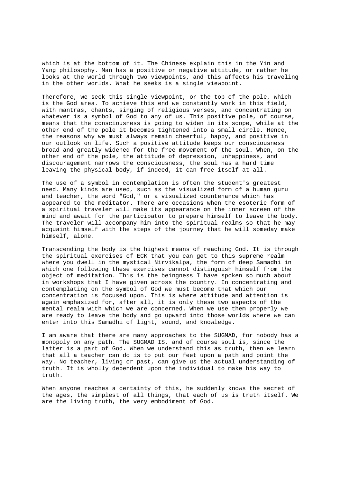which is at the bottom of it. The Chinese explain this in the Yin and Yang philosophy. Man has a positive or negative attitude, or rather he looks at the world through two viewpoints, and this affects his traveling in the other worlds. What he seeks is a single viewpoint.

Therefore, we seek this single viewpoint, or the top of the pole, which is the God area. To achieve this end we constantly work in this field, with mantras, chants, singing of religious verses, and concentrating on whatever is a symbol of God to any of us. This positive pole, of course, means that the consciousness is going to widen in its scope, while at the other end of the pole it becomes tightened into a small circle. Hence, the reasons why we must always remain cheerful, happy, and positive in our outlook on life. Such a positive attitude keeps our consciousness broad and greatly widened for the free movement of the soul. When, on the other end of the pole, the attitude of depression, unhappiness, and discouragement narrows the consciousness, the soul has a hard time leaving the physical body, if indeed, it can free itself at all.

The use of a symbol in contemplation is often the student's greatest need. Many kinds are used, such as the visualized form of a human guru and teacher, the word "God," or a visualized countenance which has appeared to the meditator. There are occasions when the esoteric form of a spiritual traveler will make its appearance on the inner screen of the mind and await for the participator to prepare himself to leave the body. The traveler will accompany him into the spiritual realms so that he may acquaint himself with the steps of the journey that he will someday make himself, alone.

Transcending the body is the highest means of reaching God. It is through the spiritual exercises of ECK that you can get to this supreme realm where you dwell in the mystical Nirvikalpa, the form of deep Samadhi in which one following these exercises cannot distinguish himself from the object of meditation. This is the beingness I have spoken so much about in workshops that I have given across the country. In concentrating and contemplating on the symbol of God we must become that which our concentration is focused upon. This is where attitude and attention is again emphasized for, after all, it is only these two aspects of the mental realm with which we are concerned. When we use them properly we are ready to leave the body and go upward into those worlds where we can enter into this Samadhi of light, sound, and knowledge.

I am aware that there are many approaches to the SUGMAD, for nobody has a monopoly on any path. The SUGMAD IS, and of course soul is, since the latter is a part of God. When we understand this as truth, then we learn that all a teacher can do is to put our feet upon a path and point the way. No teacher, living or past, can give us the actual understanding of truth. It is wholly dependent upon the individual to make his way to truth.

When anyone reaches a certainty of this, he suddenly knows the secret of the ages, the simplest of all things, that each of us is truth itself. We are the living truth, the very embodiment of God.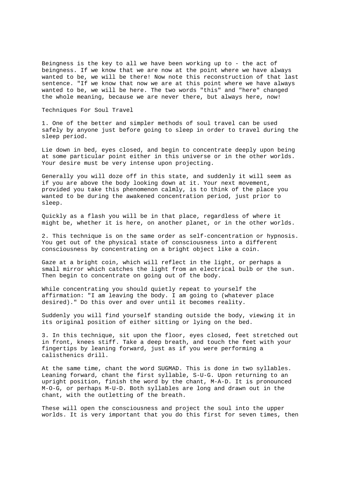Beingness is the key to all we have been working up to - the act of beingness. If we know that we are now at the point where we have always wanted to be, we will be there! Now note this reconstruction of that last sentence. "If we know that now we are at this point where we have always wanted to be, we will be here. The two words "this" and "here" changed the whole meaning, because we are never there, but always here, now!

## Techniques For Soul Travel

1. One of the better and simpler methods of soul travel can be used safely by anyone just before going to sleep in order to travel during the sleep period.

Lie down in bed, eyes closed, and begin to concentrate deeply upon being at some particular point either in this universe or in the other worlds. Your desire must be very intense upon projecting.

Generally you will doze off in this state, and suddenly it will seem as if you are above the body looking down at it. Your next movement, provided you take this phenomenon calmly, is to think of the place you wanted to be during the awakened concentration period, just prior to sleep.

Quickly as a flash you will be in that place, regardless of where it might be, whether it is here, on another planet, or in the other worlds.

2. This technique is on the same order as self-concentration or hypnosis. You get out of the physical state of consciousness into a different consciousness by concentrating on a bright object like a coin.

Gaze at a bright coin, which will reflect in the light, or perhaps a small mirror which catches the light from an electrical bulb or the sun. Then begin to concentrate on going out of the body.

While concentrating you should quietly repeat to yourself the affirmation: "I am leaving the body. I am going to (whatever place desired)." Do this over and over until it becomes reality.

Suddenly you will find yourself standing outside the body, viewing it in its original position of either sitting or lying on the bed.

3. In this technique, sit upon the floor, eyes closed, feet stretched out in front, knees stiff. Take a deep breath, and touch the feet with your fingertips by leaning forward, just as if you were performing a calisthenics drill.

At the same time, chant the word SUGMAD. This is done in two syllables. Leaning forward, chant the first syllable, S-U-G. Upon returning to an upright position, finish the word by the chant, M-A-D. It is pronounced M-O-G, or perhaps M-U-D. Both syllables are long and drawn out in the chant, with the outletting of the breath.

These will open the consciousness and project the soul into the upper worlds. It is very important that you do this first for seven times, then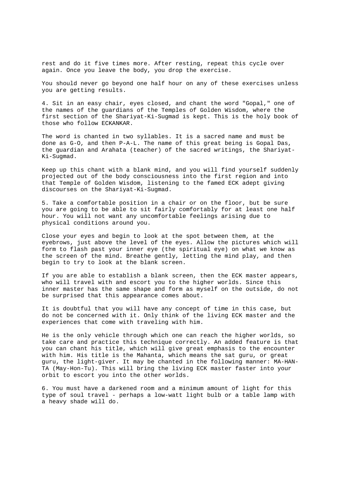rest and do it five times more. After resting, repeat this cycle over again. Once you leave the body, you drop the exercise.

You should never go beyond one half hour on any of these exercises unless you are getting results.

4. Sit in an easy chair, eyes closed, and chant the word "Gopal," one of the names of the guardians of the Temples of Golden Wisdom, where the first section of the Shariyat-Ki-Sugmad is kept. This is the holy book of those who follow ECKANKAR.

The word is chanted in two syllables. It is a sacred name and must be done as G-O, and then P-A-L. The name of this great being is Gopal Das, the guardian and Arahata (teacher) of the sacred writings, the Shariyat-Ki-Sugmad.

Keep up this chant with a blank mind, and you will find yourself suddenly projected out of the body consciousness into the first region and into that Temple of Golden Wisdom, listening to the famed ECK adept giving discourses on the Shariyat-Ki-Sugmad.

5. Take a comfortable position in a chair or on the floor, but be sure you are going to be able to sit fairly comfortably for at least one half hour. You will not want any uncomfortable feelings arising due to physical conditions around you.

Close your eyes and begin to look at the spot between them, at the eyebrows, just above the level of the eyes. Allow the pictures which will form to flash past your inner eye (the spiritual eye) on what we know as the screen of the mind. Breathe gently, letting the mind play, and then begin to try to look at the blank screen.

If you are able to establish a blank screen, then the ECK master appears, who will travel with and escort you to the higher worlds. Since this inner master has the same shape and form as myself on the outside, do not be surprised that this appearance comes about.

It is doubtful that you will have any concept of time in this case, but do not be concerned with it. Only think of the living ECK master and the experiences that come with traveling with him.

He is the only vehicle through which one can reach the higher worlds, so take care and practice this technique correctly. An added feature is that you can chant his title, which will give great emphasis to the encounter with him. His title is the Mahanta, which means the sat guru, or great guru, the light-giver. It may be chanted in the following manner: MA-HAN-TA (May-Hon-Tu). This will bring the living ECK master faster into your orbit to escort you into the other worlds.

6. You must have a darkened room and a minimum amount of light for this type of soul travel - perhaps a low-watt light bulb or a table lamp with a heavy shade will do.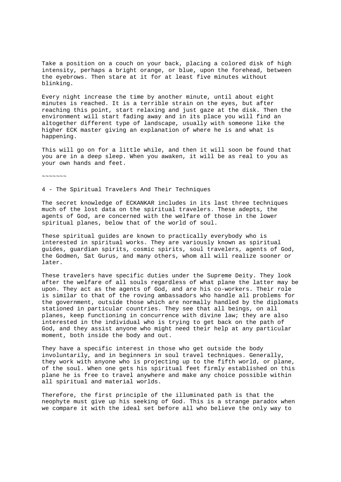Take a position on a couch on your back, placing a colored disk of high intensity, perhaps a bright orange, or blue, upon the forehead, between the eyebrows. Then stare at it for at least five minutes without blinking.

Every night increase the time by another minute, until about eight minutes is reached. It is a terrible strain on the eyes, but after reaching this point, start relaxing and just gaze at the disk. Then the environment will start fading away and in its place you will find an altogether different type of landscape, usually with someone like the higher ECK master giving an explanation of where he is and what is happening.

This will go on for a little while, and then it will soon be found that you are in a deep sleep. When you awaken, it will be as real to you as your own hands and feet.

 $\sim\sim\sim\sim\sim\sim$ 

4 - The Spiritual Travelers And Their Techniques

The secret knowledge of ECKANKAR includes in its last three techniques much of the lost data on the spiritual travelers. These adepts, the agents of God, are concerned with the welfare of those in the lower spiritual planes, below that of the world of soul.

These spiritual guides are known to practically everybody who is interested in spiritual works. They are variously known as spiritual guides, guardian spirits, cosmic spirits, soul travelers, agents of God, the Godmen, Sat Gurus, and many others, whom all will realize sooner or later.

These travelers have specific duties under the Supreme Deity. They look after the welfare of all souls regardless of what plane the latter may be upon. They act as the agents of God, and are his co-workers. Their role is similar to that of the roving ambassadors who handle all problems for the government, outside those which are normally handled by the diplomats stationed in particular countries. They see that all beings, on all planes, keep functioning in concurrence with divine law; they are also interested in the individual who is trying to get back on the path of God, and they assist anyone who might need their help at any particular moment, both inside the body and out.

They have a specific interest in those who get outside the body involuntarily, and in beginners in soul travel techniques. Generally, they work with anyone who is projecting up to the fifth world, or plane, of the soul. When one gets his spiritual feet firmly established on this plane he is free to travel anywhere and make any choice possible within all spiritual and material worlds.

Therefore, the first principle of the illuminated path is that the neophyte must give up his seeking of God. This is a strange paradox when we compare it with the ideal set before all who believe the only way to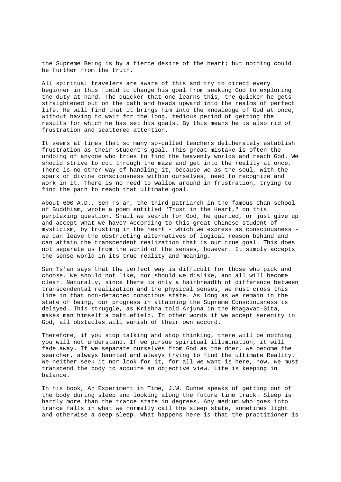the Supreme Being is by a fierce desire of the heart; but nothing could be further from the truth.

All spiritual travelers are aware of this and try to direct every beginner in this field to change his goal from seeking God to exploring the duty at hand. The quicker that one learns this, the quicker he gets straightened out on the path and heads upward into the realms of perfect life. He will find that it brings him into the knowledge of God at once, without having to wait for the long, tedious period of getting the results for which he has set his goals. By this means he is also rid of frustration and scattered attention.

It seems at times that so many so-called teachers deliberately establish frustration as their student's goal. This great mistake is often the undoing of anyone who tries to find the heavenly worlds and reach God. We should strive to cut through the maze and get into the reality at once. There is no other way of handling it, because we as the soul, with the spark of divine consciousness within ourselves, need to recognize and work in it. There is no need to wallow around in frustration, trying to find the path to reach that ultimate goal.

About 600 A.D., Sen Ts'an, the third patriarch in the famous Chan school of Buddhism, wrote a poem entitled "Trust in the Heart," on this perplexing question. Shall we search for God, he queried, or just give up and accept what we have? According to this great Chinese student of mysticism, by trusting in the heart - which we express as consciousness we can leave the obstructing alternatives of logical reason behind and can attain the transcendent realization that is our true goal. This does not separate us from the world of the senses, however. It simply accepts the sense world in its true reality and meaning.

Sen Ts'an says that the perfect way is difficult for those who pick and choose. We should not like, nor should we dislike, and all will become clear. Naturally, since there is only a hairbreadth of difference between transcendental realization and the physical senses, we must cross this line in that non-detached conscious state. As long as we remain in the state of being, our progress in attaining the Supreme Consciousness is delayed. This struggle, as Krishna told Arjuna in the Bhagavad-Gita, makes man himself a battlefield. In other words if we accept serenity in God, all obstacles will vanish of their own accord.

Therefore, if you stop talking and stop thinking, there will be nothing you will not understand. If we pursue spiritual illumination, it will fade away. If we separate ourselves from God as the doer, we become the searcher, always haunted and always trying to find the ultimate Reality. We neither seek it nor look for it, for all we want is here, now. We must transcend the body to acquire an objective view. Life is keeping in balance.

In his book, An Experiment in Time, J.W. Dunne speaks of getting out of the body during sleep and looking along the future time track. Sleep is hardly more than the trance state in degrees. Any medium who goes into trance falls in what we normally call the sleep state, sometimes light and otherwise a deep sleep. What happens here is that the practitioner is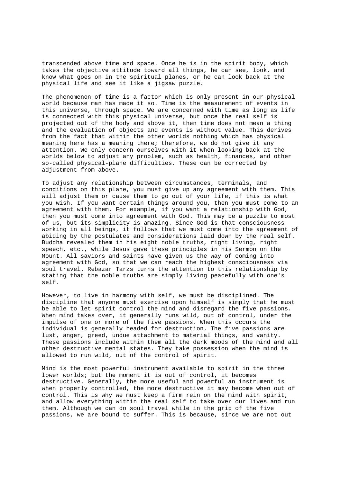transcended above time and space. Once he is in the spirit body, which takes the objective attitude toward all things, he can see, look, and know what goes on in the spiritual planes, or he can look back at the physical life and see it like a jigsaw puzzle.

The phenomenon of time is a factor which is only present in our physical world because man has made it so. Time is the measurement of events in this universe, through space. We are concerned with time as long as life is connected with this physical universe, but once the real self is projected out of the body and above it, then time does not mean a thing and the evaluation of objects and events is without value. This derives from the fact that within the other worlds nothing which has physical meaning here has a meaning there; therefore, we do not give it any attention. We only concern ourselves with it when looking back at the worlds below to adjust any problem, such as health, finances, and other so-called physical-plane difficulties. These can be corrected by adjustment from above.

To adjust any relationship between circumstances, terminals, and conditions on this plane, you must give up any agreement with them. This will adjust them or cause them to go out of your life, if this is what you wish. If you want certain things around you, then you must come to an agreement with them. For example, if you want a relationship with God, then you must come into agreement with God. This may be a puzzle to most of us, but its simplicity is amazing. Since God is that consciousness working in all beings, it follows that we must come into the agreement of abiding by the postulates and considerations laid down by the real self. Buddha revealed them in his eight noble truths, right living, right speech, etc., while Jesus gave these principles in his Sermon on the Mount. All saviors and saints have given us the way of coming into agreement with God, so that we can reach the highest consciousness via soul travel. Rebazar Tarzs turns the attention to this relationship by stating that the noble truths are simply living peacefully with one's self.

However, to live in harmony with self, we must be disciplined. The discipline that anyone must exercise upon himself is simply that he must be able to let spirit control the mind and disregard the five passions. When mind takes over, it generally runs wild, out of control, under the impulse of one or more of the five passions. When this occurs the individual is generally headed for destruction. The five passions are lust, anger, greed, undue attachment to material things, and vanity. These passions include within them all the dark moods of the mind and all other destructive mental states. They take possession when the mind is allowed to run wild, out of the control of spirit.

Mind is the most powerful instrument available to spirit in the three lower worlds; but the moment it is out of control, it becomes destructive. Generally, the more useful and powerful an instrument is when properly controlled, the more destructive it may become when out of control. This is why we must keep a firm rein on the mind with spirit, and allow everything within the real self to take over our lives and run them. Although we can do soul travel while in the grip of the five passions, we are bound to suffer. This is because, since we are not out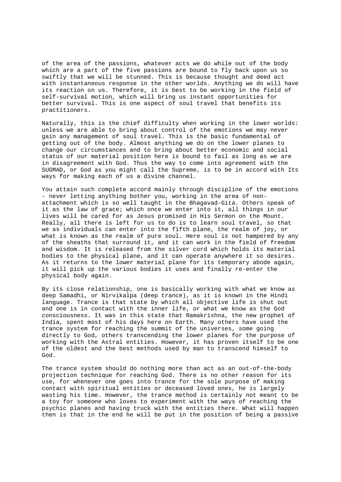of the area of the passions, whatever acts we do while out of the body which are a part of the five passions are bound to fly back upon us so swiftly that we will be stunned. This is because thought and deed act with instantaneous response in the other worlds. Anything we do will have its reaction on us. Therefore, it is best to be working in the field of self-survival motion, which will bring us instant opportunities for better survival. This is one aspect of soul travel that benefits its practitioners.

Naturally, this is the chief difficulty when working in the lower worlds: unless we are able to bring about control of the emotions we may never gain any management of soul travel. This is the basic fundamental of getting out of the body. Almost anything we do on the lower planes to change our circumstances and to bring about better economic and social status of our material position here is bound to fail as long as we are in disagreement with God. Thus the way to come into agreement with the SUGMAD, or God as you might call the Supreme, is to be in accord with Its ways for making each of us a divine channel.

You attain such complete accord mainly through discipline of the emotions - never letting anything bother you, working in the area of nonattachment which is so well taught in the Bhagavad-Gita. Others speak of it as the law of grace; which once we enter into it, all things in our lives will be cared for as Jesus promised in His Sermon on the Mount. Really, all there is left for us to do is to learn soul travel, so that we as individuals can enter into the fifth plane, the realm of joy, or what is known as the realm of pure soul. Here soul is not hampered by any of the sheaths that surround it, and it can work in the field of freedom and wisdom. It is released from the silver cord which holds its material bodies to the physical plane, and it can operate anywhere it so desires. As it returns to the lower material plane for its temporary abode again, it will pick up the various bodies it uses and finally re-enter the physical body again.

By its close relationship, one is basically working with what we know as deep Samadhi, or Nirvikalpa (deep trance), as it is known in the Hindi language. Trance is that state by which all objective life is shut out and one is in contact with the inner life, or what we know as the God consciousness. It was in this state that Ramakrishna, the new prophet of India, spent most of his days here on Earth. Many others have used the trance system for reaching the summit of the universes, some going directly to God, others transcending the lower planes for the purpose of working with the Astral entities. However, it has proven itself to be one of the oldest and the best methods used by man to transcend himself to God.

The trance system should do nothing more than act as an out-of-the-body projection technique for reaching God. There is no other reason for its use, for whenever one goes into trance for the sole purpose of making contact with spiritual entities or deceased loved ones, he is largely wasting his time. However, the trance method is certainly not meant to be a toy for someone who loves to experiment with the ways of reaching the psychic planes and having truck with the entities there. What will happen then is that in the end he will be put in the position of being a passive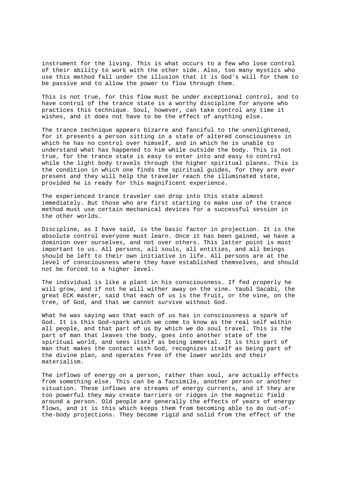instrument for the living. This is what occurs to a few who lose control of their ability to work with the other side. Also, too many mystics who use this method fall under the illusion that it is God's will for them to be passive and to allow the power to flow through them.

This is not true, for this flow must be under exceptional control, and to have control of the trance state is a worthy discipline for anyone who practices this technique. Soul, however, can take control any time it wishes, and it does not have to be the effect of anything else.

The trance technique appears bizarre and fanciful to the unenlightened, for it presents a person sitting in a state of altered consciousness in which he has no control over himself, and in which he is unable to understand what has happened to him while outside the body. This is not true, for the trance state is easy to enter into and easy to control while the light body travels through the higher spiritual planes. This is the condition in which one finds the spiritual guides, for they are ever present and they will help the traveler reach the illuminated state, provided he is ready for this magnificent experience.

The experienced trance traveler can drop into this state almost immediately. But those who are first starting to make use of the trance method must use certain mechanical devices for a successful session in the other worlds.

Discipline, as I have said, is the basic factor in projection. It is the absolute control everyone must learn. Once it has been gained, we have a dominion over ourselves, and not over others. This latter point is most important to us. All persons, all souls, all entities, and all beings should be left to their own initiative in life. All persons are at the level of consciousness where they have established themselves, and should not be forced to a higher level.

The individual is like a plant in his consciousness. If fed properly he will grow, and if not he will wither away on the vine. Yaubl Sacabi, the great ECK master, said that each of us is the fruit, or the vine, on the tree, of God, and that we cannot survive without God.

What he was saying was that each of us has in consciousness a spark of God. It is this God-spark which we come to know as the real self within all people, and that part of us by which we do soul travel. This is the part of man that leaves the body, goes into another state of the spiritual world, and sees itself as being immortal. It is this part of man that makes the contact with God, recognizes itself as being part of the divine plan, and operates free of the lower worlds and their materialism.

The inflows of energy on a person, rather than soul, are actually effects from something else. This can be a facsimile, another person or another situation. These inflows are streams of energy currents, and if they are too powerful they may create barriers or ridges in the magnetic field around a person. Old people are generally the effects of years of energy flows, and it is this which keeps them from becoming able to do out-ofthe-body projections. They become rigid and solid from the effect of the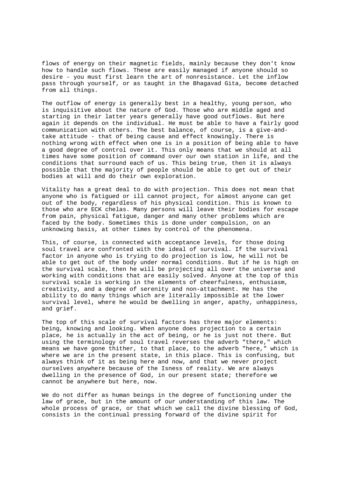flows of energy on their magnetic fields, mainly because they don't know how to handle such flows. These are easily managed if anyone should so desire - you must first learn the art of nonresistance. Let the inflow pass through yourself, or as taught in the Bhagavad Gita, become detached from all things.

The outflow of energy is generally best in a healthy, young person, who is inquisitive about the nature of God. Those who are middle aged and starting in their latter years generally have good outflows. But here again it depends on the individual. He must be able to have a fairly good communication with others. The best balance, of course, is a give-andtake attitude - that of being cause and effect knowingly. There is nothing wrong with effect when one is in a position of being able to have a good degree of control over it. This only means that we should at all times have some position of command over our own station in life, and the conditions that surround each of us. This being true, then it is always possible that the majority of people should be able to get out of their bodies at will and do their own exploration.

Vitality has a great deal to do with projection. This does not mean that anyone who is fatigued or ill cannot project, for almost anyone can get out of the body, regardless of his physical condition. This is known to those who are ECK chelas. Many persons will leave their bodies for escape from pain, physical fatigue, danger and many other problems which are faced by the body. Sometimes this is done under compulsion, on an unknowing basis, at other times by control of the phenomena.

This, of course, is connected with acceptance levels, for those doing soul travel are confronted with the ideal of survival. If the survival factor in anyone who is trying to do projection is low, he will not be able to get out of the body under normal conditions. But if he is high on the survival scale, then he will be projecting all over the universe and working with conditions that are easily solved. Anyone at the top of this survival scale is working in the elements of cheerfulness, enthusiasm, creativity, and a degree of serenity and non-attachment. He has the ability to do many things which are literally impossible at the lower survival level, where he would be dwelling in anger, apathy, unhappiness, and grief.

The top of this scale of survival factors has three major elements: being, knowing and looking. When anyone does projection to a certain place, he is actually in the act of being, or he is just not there. But using the terminology of soul travel reverses the adverb "there," which means we have gone thither, to that place, to the adverb "here," which is where we are in the present state, in this place. This is confusing, but always think of it as being here and now, and that we never project ourselves anywhere because of the Isness of reality. We are always dwelling in the presence of God, in our present state; therefore we cannot be anywhere but here, now.

We do not differ as human beings in the degree of functioning under the law of grace, but in the amount of our understanding of this law. The whole process of grace, or that which we call the divine blessing of God, consists in the continual pressing forward of the divine spirit for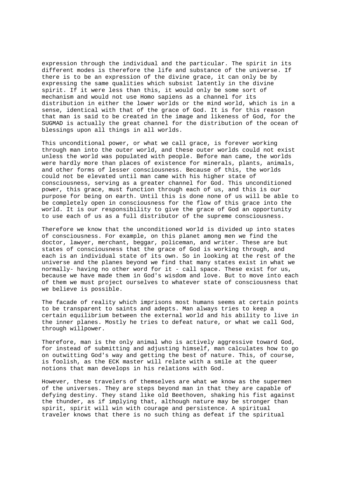expression through the individual and the particular. The spirit in its different modes is therefore the life and substance of the universe. If there is to be an expression of the divine grace, it can only be by expressing the same qualities which subsist latently in the divine spirit. If it were less than this, it would only be some sort of mechanism and would not use Homo sapiens as a channel for its distribution in either the lower worlds or the mind world, which is in a sense, identical with that of the grace of God. It is for this reason that man is said to be created in the image and likeness of God, for the SUGMAD is actually the great channel for the distribution of the ocean of blessings upon all things in all worlds.

This unconditional power, or what we call grace, is forever working through man into the outer world, and these outer worlds could not exist unless the world was populated with people. Before man came, the worlds were hardly more than places of existence for minerals, plants, animals, and other forms of lesser consciousness. Because of this, the worlds could not be elevated until man came with his higher state of consciousness, serving as a greater channel for God. This unconditioned power, this grace, must function through each of us, and this is our purpose for being on earth. Until this is done none of us will be able to be completely open in consciousness for the flow of this grace into the world. It is our responsibility to give the grace of God an opportunity to use each of us as a full distributor of the supreme consciousness.

Therefore we know that the unconditioned world is divided up into states of consciousness. For example, on this planet among men we find the doctor, lawyer, merchant, beggar, policeman, and writer. These are but states of consciousness that the grace of God is working through, and each is an individual state of its own. So in looking at the rest of the universe and the planes beyond we find that many states exist in what we normally- having no other word for it - call space. These exist for us, because we have made them in God's wisdom and love. But to move into each of them we must project ourselves to whatever state of consciousness that we believe is possible.

The facade of reality which imprisons most humans seems at certain points to be transparent to saints and adepts. Man always tries to keep a certain equilibrium between the external world and his ability to live in the inner planes. Mostly he tries to defeat nature, or what we call God, through willpower.

Therefore, man is the only animal who is actively aggressive toward God, for instead of submitting and adjusting himself, man calculates how to go on outwitting God's way and getting the best of nature. This, of course, is foolish, as the ECK master will relate with a smile at the queer notions that man develops in his relations with God.

However, these travelers of themselves are what we know as the supermen of the universes. They are steps beyond man in that they are capable of defying destiny. They stand like old Beethoven, shaking his fist against the thunder, as if implying that, although nature may be stronger than spirit, spirit will win with courage and persistence. A spiritual traveler knows that there is no such thing as defeat if the spiritual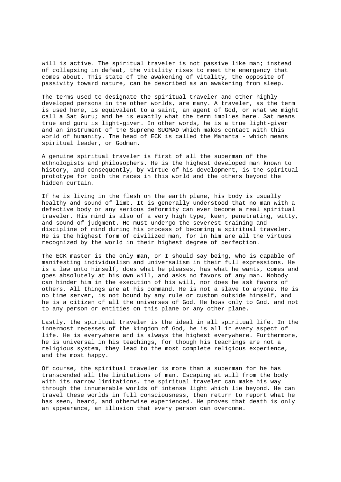will is active. The spiritual traveler is not passive like man; instead of collapsing in defeat, the vitality rises to meet the emergency that comes about. This state of the awakening of vitality, the opposite of passivity toward nature, can be described as an awakening from sleep.

The terms used to designate the spiritual traveler and other highly developed persons in the other worlds, are many. A traveler, as the term is used here, is equivalent to a saint, an agent of God, or what we might call a Sat Guru; and he is exactly what the term implies here. Sat means true and guru is light-giver. In other words, he is a true light-giver and an instrument of the Supreme SUGMAD which makes contact with this world of humanity. The head of ECK is called the Mahanta - which means spiritual leader, or Godman.

A genuine spiritual traveler is first of all the superman of the ethnologists and philosophers. He is the highest developed man known to history, and consequently, by virtue of his development, is the spiritual prototype for both the races in this world and the others beyond the hidden curtain.

If he is living in the flesh on the earth plane, his body is usually healthy and sound of limb. It is generally understood that no man with a defective body or any serious deformity can ever become a real spiritual traveler. His mind is also of a very high type, keen, penetrating, witty, and sound of judgment. He must undergo the severest training and discipline of mind during his process of becoming a spiritual traveler. He is the highest form of civilized man, for in him are all the virtues recognized by the world in their highest degree of perfection.

The ECK master is the only man, or I should say being, who is capable of manifesting individualism and universalism in their full expressions. He is a law unto himself, does what he pleases, has what he wants, comes and goes absolutely at his own will, and asks no favors of any man. Nobody can hinder him in the execution of his will, nor does he ask favors of others. All things are at his command. He is not a slave to anyone. He is no time server, is not bound by any rule or custom outside himself, and he is a citizen of all the universes of God. He bows only to God, and not to any person or entities on this plane or any other plane.

Lastly, the spiritual traveler is the ideal in all spiritual life. In the innermost recesses of the kingdom of God, he is all in every aspect of life. He is everywhere and is always the highest everywhere. Furthermore, he is universal in his teachings, for though his teachings are not a religious system, they lead to the most complete religious experience, and the most happy.

Of course, the spiritual traveler is more than a superman for he has transcended all the limitations of man. Escaping at will from the body with its narrow limitations, the spiritual traveler can make his way through the innumerable worlds of intense light which lie beyond. He can travel these worlds in full consciousness, then return to report what he has seen, heard, and otherwise experienced. He proves that death is only an appearance, an illusion that every person can overcome.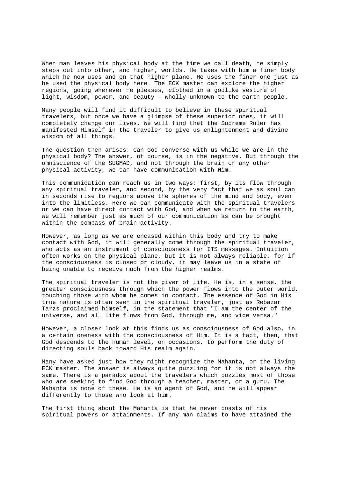When man leaves his physical body at the time we call death, he simply steps out into other, and higher, worlds. He takes with him a finer body which he now uses and on that higher plane. He uses the finer one just as he used the physical body here. The ECK master can explore the higher regions, going wherever he pleases, clothed in a godlike vesture of light, wisdom, power, and beauty - wholly unknown to the earth people.

Many people will find it difficult to believe in these spiritual travelers, but once we have a glimpse of these superior ones, it will completely change our lives. We will find that the Supreme Ruler has manifested Himself in the traveler to give us enlightenment and divine wisdom of all things.

The question then arises: Can God converse with us while we are in the physical body? The answer, of course, is in the negative. But through the omniscience of the SUGMAD, and not through the brain or any other physical activity, we can have communication with Him.

This communication can reach us in two ways: first, by its flow through any spiritual traveler, and second, by the very fact that we as soul can in seconds rise to regions above the spheres of the mind and body, even into the limitless. Here we can communicate with the spiritual travelers or we can have direct contact with God, and when we return to the earth, we will remember just as much of our communication as can be brought within the compass of brain activity.

However, as long as we are encased within this body and try to make contact with God, it will generally come through the spiritual traveler, who acts as an instrument of consciousness for ITS messages. Intuition often works on the physical plane, but it is not always reliable, for if the consciousness is closed or cloudy, it may leave us in a state of being unable to receive much from the higher realms.

The spiritual traveler is not the giver of life. He is, in a sense, the greater consciousness through which the power flows into the outer world, touching those with whom he comes in contact. The essence of God in His true nature is often seen in the spiritual traveler, just as Rebazar Tarzs proclaimed himself, in the statement that "I am the center of the universe, and all life flows from God, through me, and vice versa."

However, a closer look at this finds us as consciousness of God also, in a certain oneness with the consciousness of Him. It is a fact, then, that God descends to the human level, on occasions, to perform the duty of directing souls back toward His realm again.

Many have asked just how they might recognize the Mahanta, or the living ECK master. The answer is always quite puzzling for it is not always the same. There is a paradox about the travelers which puzzles most of those who are seeking to find God through a teacher, master, or a guru. The Mahanta is none of these. He is an agent of God, and he will appear differently to those who look at him.

The first thing about the Mahanta is that he never boasts of his spiritual powers or attainments. If any man claims to have attained the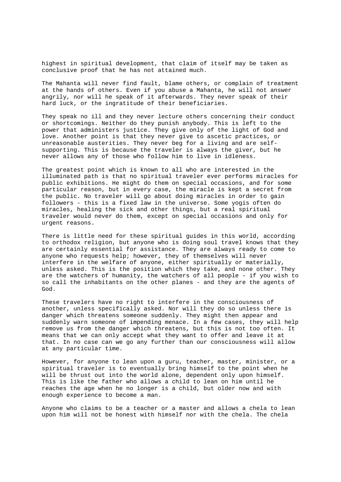highest in spiritual development, that claim of itself may be taken as conclusive proof that he has not attained much.

The Mahanta will never find fault, blame others, or complain of treatment at the hands of others. Even if you abuse a Mahanta, he will not answer angrily, nor will he speak of it afterwards. They never speak of their hard luck, or the ingratitude of their beneficiaries.

They speak no ill and they never lecture others concerning their conduct or shortcomings. Neither do they punish anybody. This is left to the power that administers justice. They give only of the light of God and love. Another point is that they never give to ascetic practices, or unreasonable austerities. They never beg for a living and are selfsupporting. This is because the traveler is always the giver, but he never allows any of those who follow him to live in idleness.

The greatest point which is known to all who are interested in the illuminated path is that no spiritual traveler ever performs miracles for public exhibitions. He might do them on special occasions, and for some particular reason, but in every case, the miracle is kept a secret from the public. No traveler will go about doing miracles in order to gain followers - this is a fixed law in the universe. Some yogis often do miracles, healing the sick and other things, but a real spiritual traveler would never do them, except on special occasions and only for urgent reasons.

There is little need for these spiritual guides in this world, according to orthodox religion, but anyone who is doing soul travel knows that they are certainly essential for assistance. They are always ready to come to anyone who requests help; however, they of themselves will never interfere in the welfare of anyone, either spiritually or materially, unless asked. This is the position which they take, and none other. They are the watchers of humanity, the watchers of all people - if you wish to so call the inhabitants on the other planes - and they are the agents of God.

These travelers have no right to interfere in the consciousness of another, unless specifically asked. Nor will they do so unless there is danger which threatens someone suddenly. They might then appear and suddenly warn someone of impending menace. In a few cases, they will help remove us from the danger which threatens, but this is not too often. It means that we can only accept what they want to offer and leave it at that. In no case can we go any further than our consciousness will allow at any particular time.

However, for anyone to lean upon a guru, teacher, master, minister, or a spiritual traveler is to eventually bring himself to the point when he will be thrust out into the world alone, dependent only upon himself. This is like the father who allows a child to lean on him until he reaches the age when he no longer is a child, but older now and with enough experience to become a man.

Anyone who claims to be a teacher or a master and allows a chela to lean upon him will not be honest with himself nor with the chela. The chela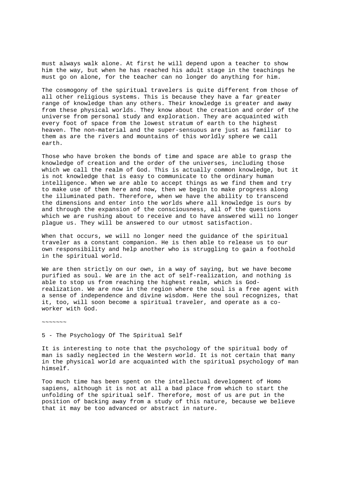must always walk alone. At first he will depend upon a teacher to show him the way, but when he has reached his adult stage in the teachings he must go on alone, for the teacher can no longer do anything for him.

The cosmogony of the spiritual travelers is quite different from those of all other religious systems. This is because they have a far greater range of knowledge than any others. Their knowledge is greater and away from these physical worlds. They know about the creation and order of the universe from personal study and exploration. They are acquainted with every foot of space from the lowest stratum of earth to the highest heaven. The non-material and the super-sensuous are just as familiar to them as are the rivers and mountains of this worldly sphere we call earth.

Those who have broken the bonds of time and space are able to grasp the knowledge of creation and the order of the universes, including those which we call the realm of God. This is actually common knowledge, but it is not knowledge that is easy to communicate to the ordinary human intelligence. When we are able to accept things as we find them and try to make use of them here and now, then we begin to make progress along the illuminated path. Therefore, when we have the ability to transcend the dimensions and enter into the worlds where all knowledge is ours by and through the expansion of the consciousness, all of the questions which we are rushing about to receive and to have answered will no longer plague us. They will be answered to our utmost satisfaction.

When that occurs, we will no longer need the quidance of the spiritual traveler as a constant companion. He is then able to release us to our own responsibility and help another who is struggling to gain a foothold in the spiritual world.

We are then strictly on our own, in a way of saying, but we have become purified as soul. We are in the act of self-realization, and nothing is able to stop us from reaching the highest realm, which is Godrealization. We are now in the region where the soul is a free agent with a sense of independence and divine wisdom. Here the soul recognizes, that it, too, will soon become a spiritual traveler, and operate as a coworker with God.

 $\sim$  ~~~~~

## 5 - The Psychology Of The Spiritual Self

It is interesting to note that the psychology of the spiritual body of man is sadly neglected in the Western world. It is not certain that many in the physical world are acquainted with the spiritual psychology of man himself.

Too much time has been spent on the intellectual development of Homo sapiens, although it is not at all a bad place from which to start the unfolding of the spiritual self. Therefore, most of us are put in the position of backing away from a study of this nature, because we believe that it may be too advanced or abstract in nature.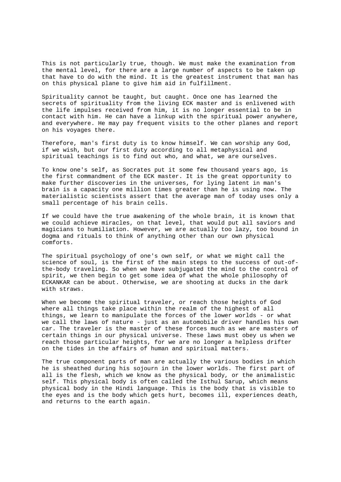This is not particularly true, though. We must make the examination from the mental level, for there are a large number of aspects to be taken up that have to do with the mind. It is the greatest instrument that man has on this physical plane to give him aid in fulfillment.

Spirituality cannot be taught, but caught. Once one has learned the secrets of spirituality from the living ECK master and is enlivened with the life impulses received from him, it is no longer essential to be in contact with him. He can have a linkup with the spiritual power anywhere, and everywhere. He may pay frequent visits to the other planes and report on his voyages there.

Therefore, man's first duty is to know himself. We can worship any God, if we wish, but our first duty according to all metaphysical and spiritual teachings is to find out who, and what, we are ourselves.

To know one's self, as Socrates put it some few thousand years ago, is the first commandment of the ECK master. It is the great opportunity to make further discoveries in the universes, for lying latent in man's brain is a capacity one million times greater than he is using now. The materialistic scientists assert that the average man of today uses only a small percentage of his brain cells.

If we could have the true awakening of the whole brain, it is known that we could achieve miracles, on that level, that would put all saviors and magicians to humiliation. However, we are actually too lazy, too bound in dogma and rituals to think of anything other than our own physical comforts.

The spiritual psychology of one's own self, or what we might call the science of soul, is the first of the main steps to the success of out-ofthe-body traveling. So when we have subjugated the mind to the control of spirit, we then begin to get some idea of what the whole philosophy of ECKANKAR can be about. Otherwise, we are shooting at ducks in the dark with straws.

When we become the spiritual traveler, or reach those heights of God where all things take place within the realm of the highest of all things, we learn to manipulate the forces of the lower worlds - or what we call the laws of nature - just as an automobile driver handles his own car. The traveler is the master of these forces much as we are masters of certain things in our physical universe. These laws must obey us when we reach those particular heights, for we are no longer a helpless drifter on the tides in the affairs of human and spiritual matters.

The true component parts of man are actually the various bodies in which he is sheathed during his sojourn in the lower worlds. The first part of all is the flesh, which we know as the physical body, or the animalistic self. This physical body is often called the Isthul Sarup, which means physical body in the Hindi language. This is the body that is visible to the eyes and is the body which gets hurt, becomes ill, experiences death, and returns to the earth again.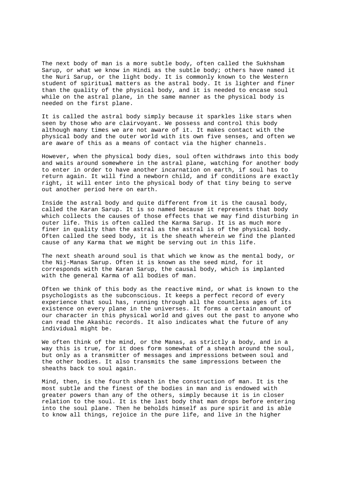The next body of man is a more subtle body, often called the Sukhsham Sarup, or what we know in Hindi as the subtle body; others have named it the Nuri Sarup, or the light body. It is commonly known to the Western student of spiritual matters as the astral body. It is lighter and finer than the quality of the physical body, and it is needed to encase soul while on the astral plane, in the same manner as the physical body is needed on the first plane.

It is called the astral body simply because it sparkles like stars when seen by those who are clairvoyant. We possess and control this body although many times we are not aware of it. It makes contact with the physical body and the outer world with its own five senses, and often we are aware of this as a means of contact via the higher channels.

However, when the physical body dies, soul often withdraws into this body and waits around somewhere in the astral plane, watching for another body to enter in order to have another incarnation on earth, if soul has to return again. It will find a newborn child, and if conditions are exactly right, it will enter into the physical body of that tiny being to serve out another period here on earth.

Inside the astral body and quite different from it is the causal body, called the Karan Sarup. It is so named because it represents that body which collects the causes of those effects that we may find disturbing in outer life. This is often called the Karma Sarup. It is as much more finer in quality than the astral as the astral is of the physical body. Often called the seed body, it is the sheath wherein we find the planted cause of any Karma that we might be serving out in this life.

The next sheath around soul is that which we know as the mental body, or the Nij-Manas Sarup. Often it is known as the seed mind, for it corresponds with the Karan Sarup, the causal body, which is implanted with the general Karma of all bodies of man.

Often we think of this body as the reactive mind, or what is known to the psychologists as the subconscious. It keeps a perfect record of every experience that soul has, running through all the countless ages of its existence on every plane in the universes. It forms a certain amount of our character in this physical world and gives out the past to anyone who can read the Akashic records. It also indicates what the future of any individual might be.

We often think of the mind, or the Manas, as strictly a body, and in a way this is true, for it does form somewhat of a sheath around the soul, but only as a transmitter of messages and impressions between soul and the other bodies. It also transmits the same impressions between the sheaths back to soul again.

Mind, then, is the fourth sheath in the construction of man. It is the most subtle and the finest of the bodies in man and is endowed with greater powers than any of the others, simply because it is in closer relation to the soul. It is the last body that man drops before entering into the soul plane. Then he beholds himself as pure spirit and is able to know all things, rejoice in the pure life, and live in the higher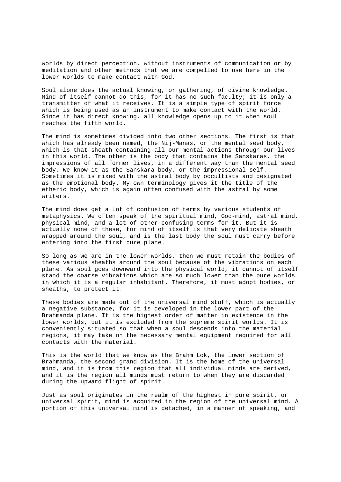worlds by direct perception, without instruments of communication or by meditation and other methods that we are compelled to use here in the lower worlds to make contact with God.

Soul alone does the actual knowing, or gathering, of divine knowledge. Mind of itself cannot do this, for it has no such faculty; it is only a transmitter of what it receives. It is a simple type of spirit force which is being used as an instrument to make contact with the world. Since it has direct knowing, all knowledge opens up to it when soul reaches the fifth world.

The mind is sometimes divided into two other sections. The first is that which has already been named, the Nij-Manas, or the mental seed body, which is that sheath containing all our mental actions through our lives in this world. The other is the body that contains the Sanskaras, the impressions of all former lives, in a different way than the mental seed body. We know it as the Sanskara body, or the impressional self. Sometimes it is mixed with the astral body by occultists and designated as the emotional body. My own terminology gives it the title of the etheric body, which is again often confused with the astral by some writers.

The mind does get a lot of confusion of terms by various students of metaphysics. We often speak of the spiritual mind, God-mind, astral mind, physical mind, and a lot of other confusing terms for it. But it is actually none of these, for mind of itself is that very delicate sheath wrapped around the soul, and is the last body the soul must carry before entering into the first pure plane.

So long as we are in the lower worlds, then we must retain the bodies of these various sheaths around the soul because of the vibrations on each plane. As soul goes downward into the physical world, it cannot of itself stand the coarse vibrations which are so much lower than the pure worlds in which it is a regular inhabitant. Therefore, it must adopt bodies, or sheaths, to protect it.

These bodies are made out of the universal mind stuff, which is actually a negative substance, for it is developed in the lower part of the Brahmanda plane. It is the highest order of matter in existence in the lower worlds, but it is excluded from the supreme spirit worlds. It is conveniently situated so that when a soul descends into the material regions, it may take on the necessary mental equipment required for all contacts with the material.

This is the world that we know as the Brahm Lok, the lower section of Brahmanda, the second grand division. It is the home of the universal mind, and it is from this region that all individual minds are derived, and it is the region all minds must return to when they are discarded during the upward flight of spirit.

Just as soul originates in the realm of the highest in pure spirit, or universal spirit, mind is acquired in the region of the universal mind. A portion of this universal mind is detached, in a manner of speaking, and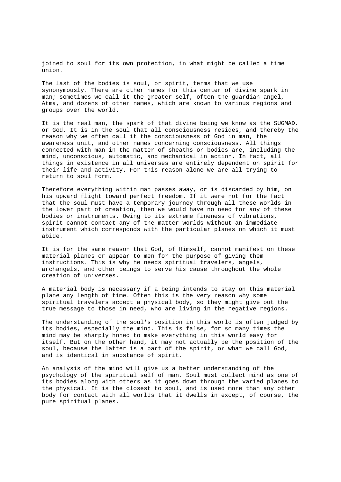joined to soul for its own protection, in what might be called a time union.

The last of the bodies is soul, or spirit, terms that we use synonymously. There are other names for this center of divine spark in man; sometimes we call it the greater self, often the guardian angel, Atma, and dozens of other names, which are known to various regions and groups over the world.

It is the real man, the spark of that divine being we know as the SUGMAD, or God. It is in the soul that all consciousness resides, and thereby the reason why we often call it the consciousness of God in man, the awareness unit, and other names concerning consciousness. All things connected with man in the matter of sheaths or bodies are, including the mind, unconscious, automatic, and mechanical in action. In fact, all things in existence in all universes are entirely dependent on spirit for their life and activity. For this reason alone we are all trying to return to soul form.

Therefore everything within man passes away, or is discarded by him, on his upward flight toward perfect freedom. If it were not for the fact that the soul must have a temporary journey through all these worlds in the lower part of creation, then we would have no need for any of these bodies or instruments. Owing to its extreme fineness of vibrations, spirit cannot contact any of the matter worlds without an immediate instrument which corresponds with the particular planes on which it must abide.

It is for the same reason that God, of Himself, cannot manifest on these material planes or appear to men for the purpose of giving them instructions. This is why he needs spiritual travelers, angels, archangels, and other beings to serve his cause throughout the whole creation of universes.

A material body is necessary if a being intends to stay on this material plane any length of time. Often this is the very reason why some spiritual travelers accept a physical body, so they might give out the true message to those in need, who are living in the negative regions.

The understanding of the soul's position in this world is often judged by its bodies, especially the mind. This is false, for so many times the mind may be sharply honed to make everything in this world easy for itself. But on the other hand, it may not actually be the position of the soul, because the latter is a part of the spirit, or what we call God, and is identical in substance of spirit.

An analysis of the mind will give us a better understanding of the psychology of the spiritual self of man. Soul must collect mind as one of its bodies along with others as it goes down through the varied planes to the physical. It is the closest to soul, and is used more than any other body for contact with all worlds that it dwells in except, of course, the pure spiritual planes.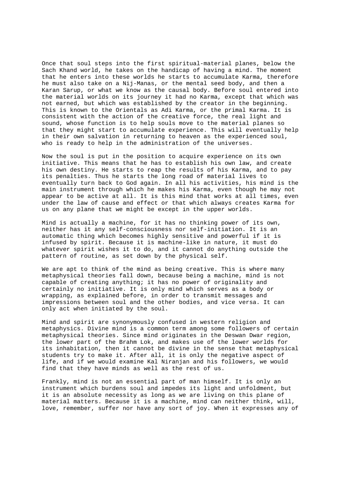Once that soul steps into the first spiritual-material planes, below the Sach Khand world, he takes on the handicap of having a mind. The moment that he enters into these worlds he starts to accumulate Karma, therefore he must also take on a Nij-Manas, or the mental seed body, and then a Karan Sarup, or what we know as the causal body. Before soul entered into the material worlds on its journey it had no Karma, except that which was not earned, but which was established by the creator in the beginning. This is known to the Orientals as Adi Karma, or the primal Karma. It is consistent with the action of the creative force, the real light and sound, whose function is to help souls move to the material planes so that they might start to accumulate experience. This will eventually help in their own salvation in returning to heaven as the experienced soul, who is ready to help in the administration of the universes.

Now the soul is put in the position to acquire experience on its own initiative. This means that he has to establish his own law, and create his own destiny. He starts to reap the results of his Karma, and to pay its penalties. Thus he starts the long road of material lives to eventually turn back to God again. In all his activities, his mind is the main instrument through which he makes his Karma, even though he may not appear to be active at all. It is this mind that works at all times, even under the law of cause and effect or that which always creates Karma for us on any plane that we might be except in the upper worlds.

Mind is actually a machine, for it has no thinking power of its own, neither has it any self-consciousness nor self-initiation. It is an automatic thing which becomes highly sensitive and powerful if it is infused by spirit. Because it is machine-like in nature, it must do whatever spirit wishes it to do, and it cannot do anything outside the pattern of routine, as set down by the physical self.

We are apt to think of the mind as being creative. This is where many metaphysical theories fall down, because being a machine, mind is not capable of creating anything; it has no power of originality and certainly no initiative. It is only mind which serves as a body or wrapping, as explained before, in order to transmit messages and impressions between soul and the other bodies, and vice versa. It can only act when initiated by the soul.

Mind and spirit are synonymously confused in western religion and metaphysics. Divine mind is a common term among some followers of certain metaphysical theories. Since mind originates in the Deswan Dwar region, the lower part of the Brahm Lok, and makes use of the lower worlds for its inhabitation, then it cannot be divine in the sense that metaphysical students try to make it. After all, it is only the negative aspect of life, and if we would examine Kal Niranjan and his followers, we would find that they have minds as well as the rest of us.

Frankly, mind is not an essential part of man himself. It is only an instrument which burdens soul and impedes its light and unfoldment, but it is an absolute necessity as long as we are living on this plane of material matters. Because it is a machine, mind can neither think, will, love, remember, suffer nor have any sort of joy. When it expresses any of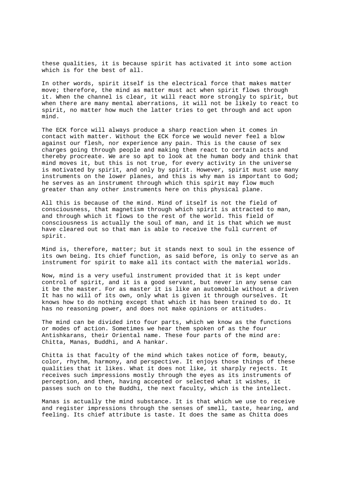these qualities, it is because spirit has activated it into some action which is for the best of all.

In other words, spirit itself is the electrical force that makes matter move; therefore, the mind as matter must act when spirit flows through it. When the channel is clear, it will react more strongly to spirit, but when there are many mental aberrations, it will not be likely to react to spirit, no matter how much the latter tries to get through and act upon mind.

The ECK force will always produce a sharp reaction when it comes in contact with matter. Without the ECK force we would never feel a blow against our flesh, nor experience any pain. This is the cause of sex charges going through people and making them react to certain acts and thereby procreate. We are so apt to look at the human body and think that mind moves it, but this is not true, for every activity in the universe is motivated by spirit, and only by spirit. However, spirit must use many instruments on the lower planes, and this is why man is important to God; he serves as an instrument through which this spirit may flow much greater than any other instruments here on this physical plane.

All this is because of the mind. Mind of itself is not the field of consciousness, that magnetism through which spirit is attracted to man, and through which it flows to the rest of the world. This field of consciousness is actually the soul of man, and it is that which we must have cleared out so that man is able to receive the full current of spirit.

Mind is, therefore, matter; but it stands next to soul in the essence of its own being. Its chief function, as said before, is only to serve as an instrument for spirit to make all its contact with the material worlds.

Now, mind is a very useful instrument provided that it is kept under control of spirit, and it is a good servant, but never in any sense can it be the master. For as master it is like an automobile without a driven It has no will of its own, only what is given it through ourselves. It knows how to do nothing except that which it has been trained to do. It has no reasoning power, and does not make opinions or attitudes.

The mind can be divided into four parts, which we know as the functions or modes of action. Sometimes we hear them spoken of as the four Antishkarans, their Oriental name. These four parts of the mind are: Chitta, Manas, Buddhi, and A hankar.

Chitta is that faculty of the mind which takes notice of form, beauty, color, rhythm, harmony, and perspective. It enjoys those things of these qualities that it likes. What it does not like, it sharply rejects. It receives such impressions mostly through the eyes as its instruments of perception, and then, having accepted or selected what it wishes, it passes such on to the Buddhi, the next faculty, which is the intellect.

Manas is actually the mind substance. It is that which we use to receive and register impressions through the senses of smell, taste, hearing, and feeling. Its chief attribute is taste. It does the same as Chitta does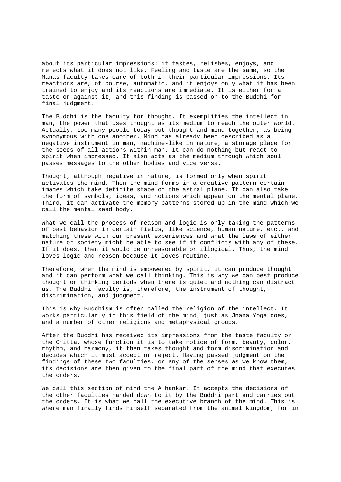about its particular impressions: it tastes, relishes, enjoys, and rejects what it does not like. Feeling and taste are the same, so the Manas faculty takes care of both in their particular impressions. Its reactions are, of course, automatic, and it enjoys only what it has been trained to enjoy and its reactions are immediate. It is either for a taste or against it, and this finding is passed on to the Buddhi for final judgment.

The Buddhi is the faculty for thought. It exemplifies the intellect in man, the power that uses thought as its medium to reach the outer world. Actually, too many people today put thought and mind together, as being synonymous with one another. Mind has already been described as a negative instrument in man, machine-like in nature, a storage place for the seeds of all actions within man. It can do nothing but react to spirit when impressed. It also acts as the medium through which soul passes messages to the other bodies and vice versa.

Thought, although negative in nature, is formed only when spirit activates the mind. Then the mind forms in a creative pattern certain images which take definite shape on the astral plane. It can also take the form of symbols, ideas, and notions which appear on the mental plane. Third, it can activate the memory patterns stored up in the mind which we call the mental seed body.

What we call the process of reason and logic is only taking the patterns of past behavior in certain fields, like science, human nature, etc., and matching these with our present experiences and what the laws of either nature or society might be able to see if it conflicts with any of these. If it does, then it would be unreasonable or illogical. Thus, the mind loves logic and reason because it loves routine.

Therefore, when the mind is empowered by spirit, it can produce thought and it can perform what we call thinking. This is why we can best produce thought or thinking periods when there is quiet and nothing can distract us. The Buddhi faculty is, therefore, the instrument of thought, discrimination, and judgment.

This is why Buddhism is often called the religion of the intellect. It works particularly in this field of the mind, just as Jnana Yoga does, and a number of other religions and metaphysical groups.

After the Buddhi has received its impressions from the taste faculty or the Chitta, whose function it is to take notice of form, beauty, color, rhythm, and harmony, it then takes thought and form discrimination and decides which it must accept or reject. Having passed judgment on the findings of these two faculties, or any of the senses as we know them, its decisions are then given to the final part of the mind that executes the orders.

We call this section of mind the A hankar. It accepts the decisions of the other faculties handed down to it by the Buddhi part and carries out the orders. It is what we call the executive branch of the mind. This is where man finally finds himself separated from the animal kingdom, for in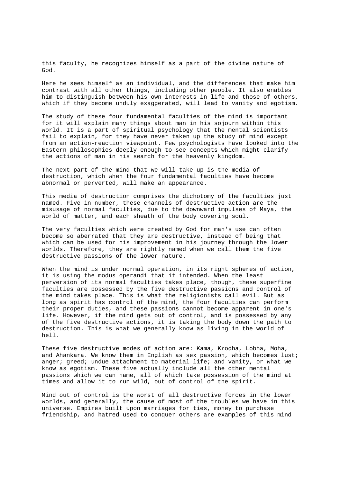this faculty, he recognizes himself as a part of the divine nature of God.

Here he sees himself as an individual, and the differences that make him contrast with all other things, including other people. It also enables him to distinguish between his own interests in life and those of others, which if they become unduly exaggerated, will lead to vanity and egotism.

The study of these four fundamental faculties of the mind is important for it will explain many things about man in his sojourn within this world. It is a part of spiritual psychology that the mental scientists fail to explain, for they have never taken up the study of mind except from an action-reaction viewpoint. Few psychologists have looked into the Eastern philosophies deeply enough to see concepts which might clarify the actions of man in his search for the heavenly kingdom.

The next part of the mind that we will take up is the media of destruction, which when the four fundamental faculties have become abnormal or perverted, will make an appearance.

This media of destruction comprises the dichotomy of the faculties just named. Five in number, these channels of destructive action are the misusage of normal faculties, due to the downward impulses of Maya, the world of matter, and each sheath of the body covering soul.

The very faculties which were created by God for man's use can often become so aberrated that they are destructive, instead of being that which can be used for his improvement in his journey through the lower worlds. Therefore, they are rightly named when we call them the five destructive passions of the lower nature.

When the mind is under normal operation, in its right spheres of action, it is using the modus operandi that it intended. When the least perversion of its normal faculties takes place, though, these superfine faculties are possessed by the five destructive passions and control of the mind takes place. This is what the religionists call evil. But as long as spirit has control of the mind, the four faculties can perform their proper duties, and these passions cannot become apparent in one's life. However, if the mind gets out of control, and is possessed by any of the five destructive actions, it is taking the body down the path to destruction. This is what we generally know as living in the world of hell.

These five destructive modes of action are: Kama, Krodha, Lobha, Moha, and Ahankara. We know them in English as sex passion, which becomes lust; anger; greed; undue attachment to material life; and vanity, or what we know as egotism. These five actually include all the other mental passions which we can name, all of which take possession of the mind at times and allow it to run wild, out of control of the spirit.

Mind out of control is the worst of all destructive forces in the lower worlds, and generally, the cause of most of the troubles we have in this universe. Empires built upon marriages for ties, money to purchase friendship, and hatred used to conquer others are examples of this mind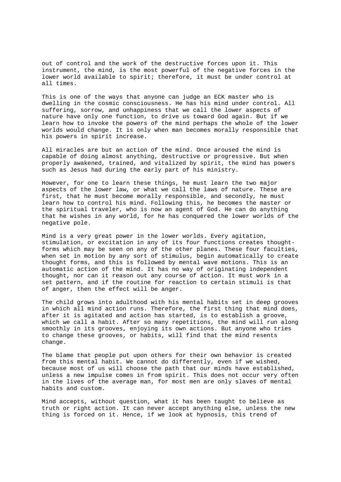out of control and the work of the destructive forces upon it. This instrument, the mind, is the most powerful of the negative forces in the lower world available to spirit; therefore, it must be under control at all times.

This is one of the ways that anyone can judge an ECK master who is dwelling in the cosmic consciousness. He has his mind under control. All suffering, sorrow, and unhappiness that we call the lower aspects of nature have only one function, to drive us toward God again. But if we learn how to invoke the powers of the mind perhaps the whole of the lower worlds would change. It is only when man becomes morally responsible that his powers in spirit increase.

All miracles are but an action of the mind. Once aroused the mind is capable of doing almost anything, destructive or progressive. But when properly awakened, trained, and vitalized by spirit, the mind has powers such as Jesus had during the early part of his ministry.

However, for one to learn these things, he must learn the two major aspects of the lower law, or what we call the laws of nature. These are first, that he must become morally responsible, and secondly, he must learn how to control his mind. Following this, he becomes the master or the spiritual traveler, who is now an agent of God. He can do anything that he wishes in any world, for he has conquered the lower worlds of the negative pole.

Mind is a very great power in the lower worlds. Every agitation, stimulation, or excitation in any of its four functions creates thoughtforms which may be seen on any of the other planes. These four faculties, when set in motion by any sort of stimulus, begin automatically to create thought forms, and this is followed by mental wave motions. This is an automatic action of the mind. It has no way of originating independent thought, nor can it reason out any course of action. It must work in a set pattern, and if the routine for reaction to certain stimuli is that of anger, then the effect will be anger.

The child grows into adulthood with his mental habits set in deep grooves in which all mind action runs. Therefore, the first thing that mind does, after it is agitated and action has started, is to establish a groove, which we call a habit. After so many repetitions, the mind will run along smoothly in its grooves, enjoying its own actions. But anyone who tries to change these grooves, or habits, will find that the mind resents change.

The blame that people put upon others for their own behavior is created from this mental habit. We cannot do differently, even if we wished, because most of us will choose the path that our minds have established, unless a new impulse comes in from spirit. This does not occur very often in the lives of the average man, for most men are only slaves of mental habits and custom.

Mind accepts, without question, what it has been taught to believe as truth or right action. It can never accept anything else, unless the new thing is forced on it. Hence, if we look at hypnosis, this trend of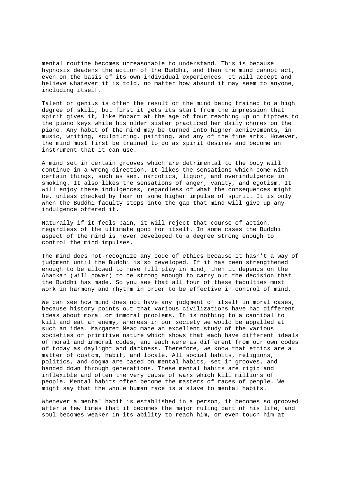mental routine becomes unreasonable to understand. This is because hypnosis deadens the action of the Buddhi, and then the mind cannot act, even on the basis of its own individual experiences. It will accept and believe whatever it is told, no matter how absurd it may seem to anyone, including itself.

Talent or genius is often the result of the mind being trained to a high degree of skill, but first it gets its start from the impression that spirit gives it, like Mozart at the age of four reaching up on tiptoes to the piano keys while his older sister practiced her daily chores on the piano. Any habit of the mind may be turned into higher achievements, in music, writing, sculpturing, painting, and any of the fine arts. However, the mind must first be trained to do as spirit desires and become an instrument that it can use.

A mind set in certain grooves which are detrimental to the body will continue in a wrong direction. It likes the sensations which come with certain things, such as sex, narcotics, liquor, and overindulgence in smoking. It also likes the sensations of anger, vanity, and egotism. It will enjoy these indulgences, regardless of what the consequences might be, unless checked by fear or some higher impulse of spirit. It is only when the Buddhi faculty steps into the gap that mind will give up any indulgence offered it.

Naturally if it feels pain, it will reject that course of action, regardless of the ultimate good for itself. In some cases the Buddhi aspect of the mind is never developed to a degree strong enough to control the mind impulses.

The mind does not-recognize any code of ethics because it hasn't a way of judgment until the Buddhi is so developed. If it has been strengthened enough to be allowed to have full play in mind, then it depends on the Ahankar (will power) to be strong enough to carry out the decision that the Buddhi has made. So you see that all four of these faculties must work in harmony and rhythm in order to be effective in control of mind.

We can see how mind does not have any judgment of itself in moral cases, because history points out that various civilizations have had different ideas about moral or immoral problems. It is nothing to a cannibal to kill and eat an enemy, whereas in our society we would be appalled at such an idea. Margaret Mead made an excellent study of the various societies of primitive nature which shows that each have different ideals of moral and immoral codes, and each were as different from our own codes of today as daylight and darkness. Therefore, we know that ethics are a matter of custom, habit, and locale. All social habits, religions, politics, and dogma are based on mental habits, set in grooves, and handed down through generations. These mental habits are rigid and inflexible and often the very cause of wars which kill millions of people. Mental habits often become the masters of races of people. We might say that the whole human race is a slave to mental habits.

Whenever a mental habit is established in a person, it becomes so grooved after a few times that it becomes the major ruling part of his life, and soul becomes weaker in its ability to reach him, or even touch him at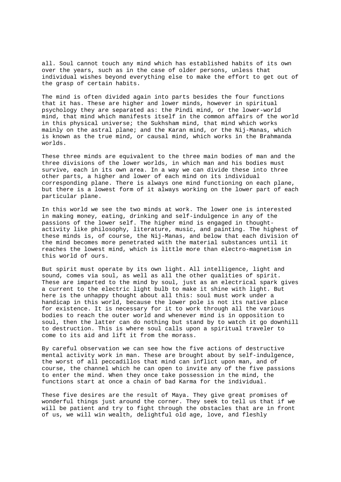all. Soul cannot touch any mind which has established habits of its own over the years, such as in the case of older persons, unless that individual wishes beyond everything else to make the effort to get out of the grasp of certain habits.

The mind is often divided again into parts besides the four functions that it has. These are higher and lower minds, however in spiritual psychology they are separated as: the Pindi mind, or the lower-world mind, that mind which manifests itself in the common affairs of the world in this physical universe; the Sukhsham mind, that mind which works mainly on the astral plane; and the Karan mind, or the Nij-Manas, which is known as the true mind, or causal mind, which works in the Brahmanda worlds.

These three minds are equivalent to the three main bodies of man and the three divisions of the lower worlds, in which man and his bodies must survive, each in its own area. In a way we can divide these into three other parts, a higher and lower of each mind on its individual corresponding plane. There is always one mind functioning on each plane, but there is a lowest form of it always working on the lower part of each particular plane.

In this world we see the two minds at work. The lower one is interested in making money, eating, drinking and self-indulgence in any of the passions of the lower self. The higher mind is engaged in thoughtactivity like philosophy, literature, music, and painting. The highest of these minds is, of course, the Nij-Manas, and below that each division of the mind becomes more penetrated with the material substances until it reaches the lowest mind, which is little more than electro-magnetism in this world of ours.

But spirit must operate by its own light. All intelligence, light and sound, comes via soul, as well as all the other qualities of spirit. These are imparted to the mind by soul, just as an electrical spark gives a current to the electric light bulb to make it shine with light. But here is the unhappy thought about all this: soul must work under a handicap in this world, because the lower pole is not its native place for existence. It is necessary for it to work through all the various bodies to reach the outer world and whenever mind is in opposition to soul, then the latter can do nothing but stand by to watch it go downhill to destruction. This is where soul calls upon a spiritual traveler to come to its aid and lift it from the morass.

By careful observation we can see how the five actions of destructive mental activity work in man. These are brought about by self-indulgence, the worst of all peccadillos that mind can inflict upon man, and of course, the channel which he can open to invite any of the five passions to enter the mind. When they once take possession in the mind, the functions start at once a chain of bad Karma for the individual.

These five desires are the result of Maya. They give great promises of wonderful things just around the corner. They seek to tell us that if we will be patient and try to fight through the obstacles that are in front of us, we will win wealth, delightful old age, love, and fleshly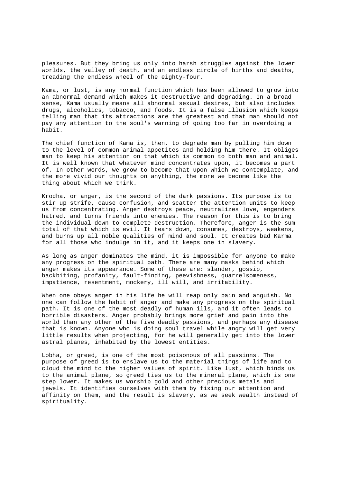pleasures. But they bring us only into harsh struggles against the lower worlds, the valley of death, and an endless circle of births and deaths, treading the endless wheel of the eighty-four.

Kama, or lust, is any normal function which has been allowed to grow into an abnormal demand which makes it destructive and degrading. In a broad sense, Kama usually means all abnormal sexual desires, but also includes drugs, alcoholics, tobacco, and foods. It is a false illusion which keeps telling man that its attractions are the greatest and that man should not pay any attention to the soul's warning of going too far in overdoing a habit.

The chief function of Kama is, then, to degrade man by pulling him down to the level of common animal appetites and holding him there. It obliges man to keep his attention on that which is common to both man and animal. It is well known that whatever mind concentrates upon, it becomes a part of. In other words, we grow to become that upon which we contemplate, and the more vivid our thoughts on anything, the more we become like the thing about which we think.

Krodha, or anger, is the second of the dark passions. Its purpose is to stir up strife, cause confusion, and scatter the attention units to keep us from concentrating. Anger destroys peace, neutralizes love, engenders hatred, and turns friends into enemies. The reason for this is to bring the individual down to complete destruction. Therefore, anger is the sum total of that which is evil. It tears down, consumes, destroys, weakens, and burns up all noble qualities of mind and soul. It creates bad Karma for all those who indulge in it, and it keeps one in slavery.

As long as anger dominates the mind, it is impossible for anyone to make any progress on the spiritual path. There are many masks behind which anger makes its appearance. Some of these are: slander, gossip, backbiting, profanity, fault-finding, peevishness, quarrelsomeness, impatience, resentment, mockery, ill will, and irritability.

When one obeys anger in his life he will reap only pain and anguish. No one can follow the habit of anger and make any progress on the spiritual path. It is one of the most deadly of human ills, and it often leads to horrible disasters. Anger probably brings more grief and pain into the world than any other of the five deadly passions, and perhaps any disease that is known. Anyone who is doing soul travel while angry will get very little results when projecting, for he will generally get into the lower astral planes, inhabited by the lowest entities.

Lobha, or greed, is one of the most poisonous of all passions. The purpose of greed is to enslave us to the material things of life and to cloud the mind to the higher values of spirit. Like lust, which binds us to the animal plane, so greed ties us to the mineral plane, which is one step lower. It makes us worship gold and other precious metals and jewels. It identifies ourselves with them by fixing our attention and affinity on them, and the result is slavery, as we seek wealth instead of spirituality.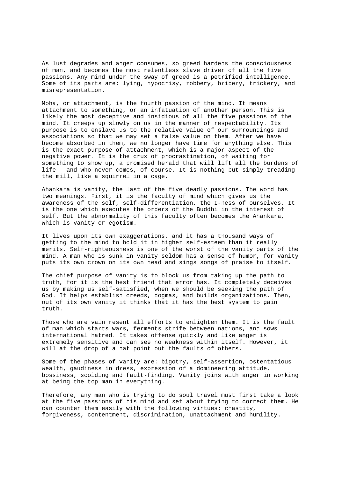As lust degrades and anger consumes, so greed hardens the consciousness of man, and becomes the most relentless slave driver of all the five passions. Any mind under the sway of greed is a petrified intelligence. Some of its parts are: lying, hypocrisy, robbery, bribery, trickery, and misrepresentation.

Moha, or attachment, is the fourth passion of the mind. It means attachment to something, or an infatuation of another person. This is likely the most deceptive and insidious of all the five passions of the mind. It creeps up slowly on us in the manner of respectability. Its purpose is to enslave us to the relative value of our surroundings and associations so that we may set a false value on them. After we have become absorbed in them, we no longer have time for anything else. This is the exact purpose of attachment, which is a major aspect of the negative power. It is the crux of procrastination, of waiting for something to show up, a promised herald that will lift all the burdens of life - and who never comes, of course. It is nothing but simply treading the mill, like a squirrel in a cage.

Ahankara is vanity, the last of the five deadly passions. The word has two meanings. First, it is the faculty of mind which gives us the awareness of the self, self-differentiation, the I-ness of ourselves. It is the one which executes the orders of the Buddhi in the interest of self. But the abnormality of this faculty often becomes the Ahankara, which is vanity or egotism.

It lives upon its own exaggerations, and it has a thousand ways of getting to the mind to hold it in higher self-esteem than it really merits. Self-righteousness is one of the worst of the vanity parts of the mind. A man who is sunk in vanity seldom has a sense of humor, for vanity puts its own crown on its own head and sings songs of praise to itself.

The chief purpose of vanity is to block us from taking up the path to truth, for it is the best friend that error has. It completely deceives us by making us self-satisfied, when we should be seeking the path of God. It helps establish creeds, dogmas, and builds organizations. Then, out of its own vanity it thinks that it has the best system to gain truth.

Those who are vain resent all efforts to enlighten them. It is the fault of man which starts wars, ferments strife between nations, and sows international hatred. It takes offense quickly and like anger is extremely sensitive and can see no weakness within itself. However, it will at the drop of a hat point out the faults of others.

Some of the phases of vanity are: bigotry, self-assertion, ostentatious wealth, gaudiness in dress, expression of a domineering attitude, bossiness, scolding and fault-finding. Vanity joins with anger in working at being the top man in everything.

Therefore, any man who is trying to do soul travel must first take a look at the five passions of his mind and set about trying to correct them. He can counter them easily with the following virtues: chastity, forgiveness, contentment, discrimination, unattachment and humility.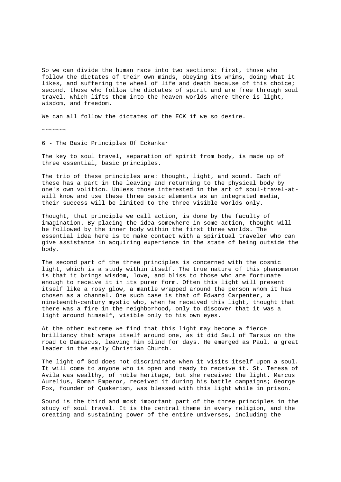So we can divide the human race into two sections: first, those who follow the dictates of their own minds, obeying its whims, doing what it likes, and suffering the wheel of life and death because of this choice; second, those who follow the dictates of spirit and are free through soul travel, which lifts them into the heaven worlds where there is light, wisdom, and freedom.

We can all follow the dictates of the ECK if we so desire.

 $\sim\sim\sim\sim\sim\sim\sim$ 

6 - The Basic Principles Of Eckankar

The key to soul travel, separation of spirit from body, is made up of three essential, basic principles.

The trio of these principles are: thought, light, and sound. Each of these has a part in the leaving and returning to the physical body by one's own volition. Unless those interested in the art of soul-travel-atwill know and use these three basic elements as an integrated media, their success will be limited to the three visible worlds only.

Thought, that principle we call action, is done by the faculty of imagination. By placing the idea somewhere in some action, thought will be followed by the inner body within the first three worlds. The essential idea here is to make contact with a spiritual traveler who can give assistance in acquiring experience in the state of being outside the body.

The second part of the three principles is concerned with the cosmic light, which is a study within itself. The true nature of this phenomenon is that it brings wisdom, love, and bliss to those who are fortunate enough to receive it in its purer form. Often this light will present itself like a rosy glow, a mantle wrapped around the person whom it has chosen as a channel. One such case is that of Edward Carpenter, a nineteenth-century mystic who, when he received this light, thought that there was a fire in the neighborhood, only to discover that it was a light around himself, visible only to his own eyes.

At the other extreme we find that this light may become a fierce brilliancy that wraps itself around one, as it did Saul of Tarsus on the road to Damascus, leaving him blind for days. He emerged as Paul, a great leader in the early Christian Church.

The light of God does not discriminate when it visits itself upon a soul. It will come to anyone who is open and ready to receive it. St. Teresa of Avila was wealthy, of noble heritage, but she received the light. Marcus Aurelius, Roman Emperor, received it during his battle campaigns; George Fox, founder of Quakerism, was blessed with this light while in prison.

Sound is the third and most important part of the three principles in the study of soul travel. It is the central theme in every religion, and the creating and sustaining power of the entire universes, including the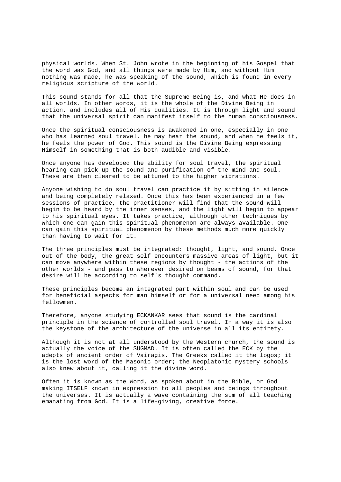physical worlds. When St. John wrote in the beginning of his Gospel that the word was God, and all things were made by Him, and without Him nothing was made, he was speaking of the sound, which is found in every religious scripture of the world.

This sound stands for all that the Supreme Being is, and what He does in all worlds. In other words, it is the whole of the Divine Being in action, and includes all of His qualities. It is through light and sound that the universal spirit can manifest itself to the human consciousness.

Once the spiritual consciousness is awakened in one, especially in one who has learned soul travel, he may hear the sound, and when he feels it, he feels the power of God. This sound is the Divine Being expressing Himself in something that is both audible and visible.

Once anyone has developed the ability for soul travel, the spiritual hearing can pick up the sound and purification of the mind and soul. These are then cleared to be attuned to the higher vibrations.

Anyone wishing to do soul travel can practice it by sitting in silence and being completely relaxed. Once this has been experienced in a few sessions of practice, the practitioner will find that the sound will begin to be heard by the inner senses, and the light will begin to appear to his spiritual eyes. It takes practice, although other techniques by which one can gain this spiritual phenomenon are always available. One can gain this spiritual phenomenon by these methods much more quickly than having to wait for it.

The three principles must be integrated: thought, light, and sound. Once out of the body, the great self encounters massive areas of light, but it can move anywhere within these regions by thought - the actions of the other worlds - and pass to wherever desired on beams of sound, for that desire will be according to self's thought command.

These principles become an integrated part within soul and can be used for beneficial aspects for man himself or for a universal need among his fellowmen.

Therefore, anyone studying ECKANKAR sees that sound is the cardinal principle in the science of controlled soul travel. In a way it is also the keystone of the architecture of the universe in all its entirety.

Although it is not at all understood by the Western church, the sound is actually the voice of the SUGMAD. It is often called the ECK by the adepts of ancient order of Vairagis. The Greeks called it the logos; it is the lost word of the Masonic order; the Neoplatonic mystery schools also knew about it, calling it the divine word.

Often it is known as the Word, as spoken about in the Bible, or God making ITSELF known in expression to all peoples and beings throughout the universes. It is actually a wave containing the sum of all teaching emanating from God. It is a life-giving, creative force.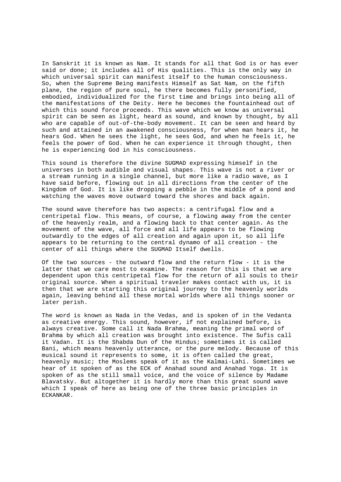In Sanskrit it is known as Nam. It stands for all that God is or has ever said or done; it includes all of His qualities. This is the only way in which universal spirit can manifest itself to the human consciousness. So, when the Supreme Being manifests Himself as Sat Nam, on the fifth plane, the region of pure soul, he there becomes fully personified, embodied, individualized for the first time and brings into being all of the manifestations of the Deity. Here he becomes the fountainhead out of which this sound force proceeds. This wave which we know as universal spirit can be seen as light, heard as sound, and known by thought, by all who are capable of out-of-the-body movement. It can be seen and heard by such and attained in an awakened consciousness, for when man hears it, he hears God. When he sees the light, he sees God, and when he feels it, he feels the power of God. When he can experience it through thought, then he is experiencing God in his consciousness.

This sound is therefore the divine SUGMAD expressing himself in the universes in both audible and visual shapes. This wave is not a river or a stream running in a single channel, but more like a radio wave, as I have said before, flowing out in all directions from the center of the Kingdom of God. It is like dropping a pebble in the middle of a pond and watching the waves move outward toward the shores and back again.

The sound wave therefore has two aspects: a centrifugal flow and a centripetal flow. This means, of course, a flowing away from the center of the heavenly realm, and a flowing back to that center again. As the movement of the wave, all force and all life appears to be flowing outwardly to the edges of all creation and again upon it, so all life appears to be returning to the central dynamo of all creation - the center of all things where the SUGMAD Itself dwells.

Of the two sources - the outward flow and the return flow - it is the latter that we care most to examine. The reason for this is that we are dependent upon this centripetal flow for the return of all souls to their original source. When a spiritual traveler makes contact with us, it is then that we are starting this original journey to the heavenly worlds again, leaving behind all these mortal worlds where all things sooner or later perish.

The word is known as Nada in the Vedas, and is spoken of in the Vedanta as creative energy. This sound, however, if not explained before, is always creative. Some call it Nada Brahma, meaning the primal word of Brahma by which all creation was brought into existence. The Sufis call it Vadan. It is the Shabda Dun of the Hindus; sometimes it is called Bani, which means heavenly utterance, or the pure melody. Because of this musical sound it represents to some, it is often called the great, heavenly music; the Moslems speak of it as the Kalmai-Lahi. Sometimes we hear of it spoken of as the ECK of Anahad sound and Anahad Yoga. It is spoken of as the still small voice, and the voice of silence by Madame Blavatsky. But altogether it is hardly more than this great sound wave which I speak of here as being one of the three basic principles in ECKANKAR.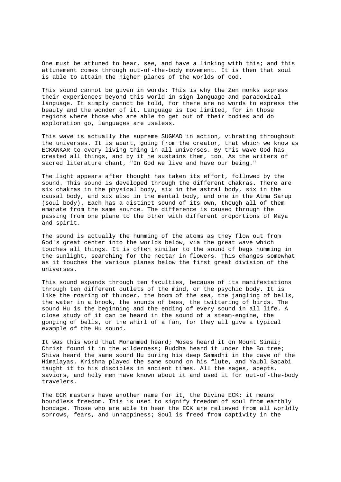One must be attuned to hear, see, and have a linking with this; and this attunement comes through out-of-the-body movement. It is then that soul is able to attain the higher planes of the worlds of God.

This sound cannot be given in words: This is why the Zen monks express their experiences beyond this world in sign language and paradoxical language. It simply cannot be told, for there are no words to express the beauty and the wonder of it. Language is too limited, for in those regions where those who are able to get out of their bodies and do exploration go, languages are useless.

This wave is actually the supreme SUGMAD in action, vibrating throughout the universes. It is apart, going from the creator, that which we know as ECKANKAR to every living thing in all universes. By this wave God has created all things, and by it he sustains them, too. As the writers of sacred literature chant, "In God we live and have our being."

The light appears after thought has taken its effort, followed by the sound. This sound is developed through the different chakras. There are six chakras in the physical body, six in the astral body, six in the causal body, and six also in the mental body, and one in the Atma Sarup (soul body). Each has a distinct sound of its own, though all of them emanate from the same source. The difference is caused through the passing from one plane to the other with different proportions of Maya and spirit.

The sound is actually the humming of the atoms as they flow out from God's great center into the worlds below, via the great wave which touches all things. It is often similar to the sound of begs humming in the sunlight, searching for the nectar in flowers. This changes somewhat as it touches the various planes below the first great division of the universes.

This sound expands through ten faculties, because of its manifestations through ten different outlets of the mind, or the psychic body. It is like the roaring of thunder, the boom of the sea, the jangling of bells, the water in a brook, the sounds of bees, the twittering of birds. The sound Hu is the beginning and the ending of every sound in all life. A close study of it can be heard in the sound of a steam-engine, the gonging of bells, or the whirl of a fan, for they all give a typical example of the Hu sound.

It was this word that Mohammed heard; Moses heard it on Mount Sinai; Christ found it in the wilderness; Buddha heard it under the Bo tree; Shiva heard the same sound Hu during his deep Samadhi in the cave of the Himalayas. Krishna played the same sound on his flute, and Yaubl Sacabi taught it to his disciples in ancient times. All the sages, adepts, saviors, and holy men have known about it and used it for out-of-the-body travelers.

The ECK masters have another name for it, the Divine ECK; it means boundless freedom. This is used to signify freedom of soul from earthly bondage. Those who are able to hear the ECK are relieved from all worldly sorrows, fears, and unhappiness; Soul is freed from captivity in the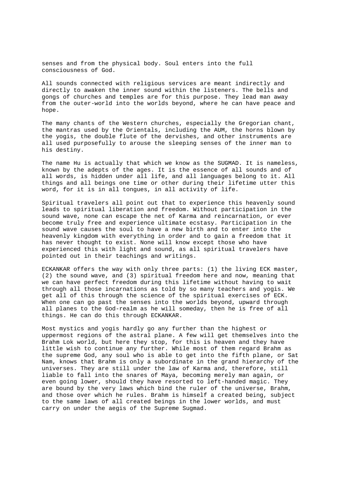senses and from the physical body. Soul enters into the full consciousness of God.

All sounds connected with religious services are meant indirectly and directly to awaken the inner sound within the listeners. The bells and gongs of churches and temples are for this purpose. They lead man away from the outer-world into the worlds beyond, where he can have peace and hope.

The many chants of the Western churches, especially the Gregorian chant, the mantras used by the Orientals, including the AUM, the horns blown by the yogis, the double flute of the dervishes, and other instruments are all used purposefully to arouse the sleeping senses of the inner man to his destiny.

The name Hu is actually that which we know as the SUGMAD. It is nameless, known by the adepts of the ages. It is the essence of all sounds and of all words, is hidden under all life, and all languages belong to it. All things and all beings one time or other during their lifetime utter this word, for it is in all tongues, in all activity of life.

Spiritual travelers all point out that to experience this heavenly sound leads to spiritual liberation and freedom. Without participation in the sound wave, none can escape the net of Karma and reincarnation, or ever become truly free and experience ultimate ecstasy. Participation in the sound wave causes the soul to have a new birth and to enter into the heavenly kingdom with everything in order and to gain a freedom that it has never thought to exist. None will know except those who have experienced this with light and sound, as all spiritual travelers have pointed out in their teachings and writings.

ECKANKAR offers the way with only three parts: (1) the living ECK master, (2) the sound wave, and (3) spiritual freedom here and now, meaning that we can have perfect freedom during this lifetime without having to wait through all those incarnations as told by so many teachers and yogis. We get all of this through the science of the spiritual exercises of ECK. When one can go past the senses into the worlds beyond, upward through all planes to the God-realm as he will someday, then he is free of all things. He can do this through ECKANKAR.

Most mystics and yogis hardly go any further than the highest or uppermost regions of the astral plane. A few will get themselves into the Brahm Lok world, but here they stop, for this is heaven and they have little wish to continue any further. While most of them regard Brahm as the supreme God, any soul who is able to get into the fifth plane, or Sat Nam, knows that Brahm is only a subordinate in the grand hierarchy of the universes. They are still under the law of Karma and, therefore, still liable to fall into the snares of Maya, becoming merely man again, or even going lower, should they have resorted to left-handed magic. They are bound by the very laws which bind the ruler of the universe, Brahm, and those over which he rules. Brahm is himself a created being, subject to the same laws of all created beings in the lower worlds, and must carry on under the aegis of the Supreme Sugmad.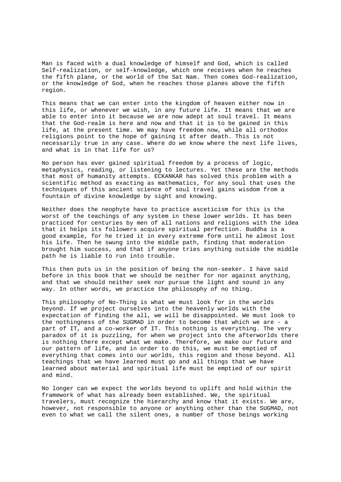Man is faced with a dual knowledge of himself and God, which is called Self-realization, or self-knowledge, which one receives when he reaches the fifth plane, or the world of the Sat Nam. Then comes God-realization, or the knowledge of God, when he reaches those planes above the fifth region.

This means that we can enter into the kingdom of heaven either now in this life, or whenever we wish, in any future life. It means that we are able to enter into it because we are now adept at soul travel. It means that the God-realm is here and now and that it is to be gained in this life, at the present time. We may have freedom now, while all orthodox religions point to the hope of gaining it after death. This is not necessarily true in any case. Where do we know where the next life lives, and what is in that life for us?

No person has ever gained spiritual freedom by a process of logic, metaphysics, reading, or listening to lectures. Yet these are the methods that most of humanity attempts. ECKANKAR has solved this problem with a scientific method as exacting as mathematics, for any soul that uses the techniques of this ancient science of soul travel gains wisdom from a fountain of divine knowledge by sight and knowing.

Neither does the neophyte have to practice asceticism for this is the worst of the teachings of any system in these lower worlds. It has been practiced for centuries by men of all nations and religions with the idea that it helps its followers acquire spiritual perfection. Buddha is a good example, for he tried it in every extreme form until he almost lost his life. Then he swung into the middle path, finding that moderation brought him success, and that if anyone tries anything outside the middle path he is liable to run into trouble.

This then puts us in the position of being the non-seeker. I have said before in this book that we should be neither for nor against anything, and that we should neither seek nor pursue the light and sound in any way. In other words, we practice the philosophy of no thing.

This philosophy of No-Thing is what we must look for in the worlds beyond. If we project ourselves into the heavenly worlds with the expectation of finding the all, we will be disappointed. We must look to the nothingness of the SUGMAD in order to become that which we are - a part of IT, and a co-worker of IT. This nothing is everything. The very paradox of it is puzzling, for when we project into the afterworlds there is nothing there except what we make. Therefore, we make our future and our pattern of life, and in order to do this, we must be emptied of everything that comes into our worlds, this region and those beyond. All teachings that we have learned must go and all things that we have learned about material and spiritual life must be emptied of our spirit and mind.

No longer can we expect the worlds beyond to uplift and hold within the framework of what has already been established. We, the spiritual travelers, must recognize the hierarchy and know that it exists. We are, however, not responsible to anyone or anything other than the SUGMAD, not even to what we call the silent ones, a number of those beings working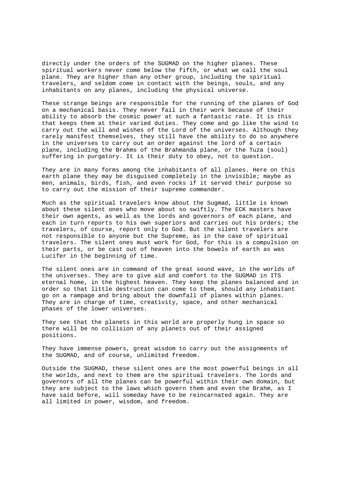directly under the orders of the SUGMAD on the higher planes. These spiritual workers never come below the fifth, or what we call the soul plane. They are higher than any other group, including the spiritual travelers, and seldom come in contact with the beings, souls, and any inhabitants on any planes, including the physical universe.

These strange beings are responsible for the running of the planes of God on a mechanical basis. They never fail in their work because of their ability to absorb the cosmic power at such a fantastic rate. It is this that keeps them at their varied duties. They come and go like the wind to carry out the will and wishes of the Lord of the universes. Although they rarely manifest themselves, they still have the ability to do so anywhere in the universes to carry out an order against the lord of a certain plane, including the Brahms of the Brahmanda plane, or the Tuza (soul) suffering in purgatory. It is their duty to obey, not to question.

They are in many forms among the inhabitants of all planes. Here on this earth plane they may be disguised completely in the invisible; maybe as men, animals, birds, fish, and even rocks if it served their purpose so to carry out the mission of their supreme commander.

Much as the spiritual travelers know about the Sugmad, little is known about these silent ones who move about so swiftly. The ECK masters have their own agents, as well as the lords and governors of each plane, and each in turn reports to his own superiors and carries out his orders; the travelers, of course, report only to God. But the silent travelers are not responsible to anyone but the Supreme, as in the case of spiritual travelers. The silent ones must work for God, for this is a compulsion on their parts, or be cast out of heaven into the bowels of earth as was Lucifer in the beginning of time.

The silent ones are in command of the great sound wave, in the worlds of the universes. They are to give aid and comfort to the SUGMAD in ITS eternal home, in the highest heaven. They keep the planes balanced and in order so that little destruction can come to them, should any inhabitant go on a rampage and bring about the downfall of planes within planes. They are in charge of time, creativity, space, and other mechanical phases of the lower universes.

They see that the planets in this world are properly hung in space so there will be no collision of any planets out of their assigned positions.

They have immense powers, great wisdom to carry out the assignments of the SUGMAD, and of course, unlimited freedom.

Outside the SUGMAD, these silent ones are the most powerful beings in all the worlds, and next to them are the spiritual travelers. The lords and governors of all the planes can be powerful within their own domain, but they are subject to the laws which govern them and even the Brahm, as I have said before, will someday have to be reincarnated again. They are all limited in power, wisdom, and freedom.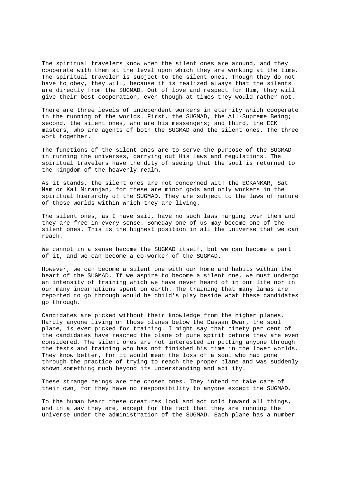The spiritual travelers know when the silent ones are around, and they cooperate with them at the level upon which they are working at the time. The spiritual traveler is subject to the silent ones. Though they do not have to obey, they will, because it is realized always that the silents are directly from the SUGMAD. Out of love and respect for Him, they will give their best cooperation, even though at times they would rather not.

There are three levels of independent workers in eternity which cooperate in the running of the worlds. First, the SUGMAD, the All-Supreme Being; second, the silent ones, who are his messengers; and third, the ECK masters, who are agents of both the SUGMAD and the silent ones. The three work together.

The functions of the silent ones are to serve the purpose of the SUGMAD in running the universes, carrying out His laws and regulations. The spiritual travelers have the duty of seeing that the soul is returned to the kingdom of the heavenly realm.

As it stands, the silent ones are not concerned with the ECKANKAR, Sat Nam or Kal Niranjan, for these are minor gods and only workers in the spiritual hierarchy of the SUGMAD. They are subject to the laws of nature of those worlds within which they are living.

The silent ones, as I have said, have no such laws hanging over them and they are free in every sense. Someday one of us may become one of the silent ones. This is the highest position in all the universe that we can reach.

We cannot in a sense become the SUGMAD itself, but we can become a part of it, and we can become a co-worker of the SUGMAD.

However, we can become a silent one with our home and habits within the heart of the SUGMAD. If we aspire to become a silent one, we must undergo an intensity of training which we have never heard of in our life nor in our many incarnations spent on earth. The training that many lamas are reported to go through would be child's play beside what these candidates go through.

Candidates are picked without their knowledge from the higher planes. Hardly anyone living on those planes below the Daswan Dwar, the soul plane, is ever picked for training. I might say that ninety per cent of the candidates have reached the plane of pure spirit before they are even considered. The silent ones are not interested in putting anyone through the tests and training who has not finished his time in the lower worlds. They know better, for it would mean the loss of a soul who had gone through the practice of trying to reach the proper plane and was suddenly shown something much beyond its understanding and ability.

These strange beings are the chosen ones. They intend to take care of their own, for they have no responsibility to anyone except the SUGMAD.

To the human heart these creatures look and act cold toward all things, and in a way they are, except for the fact that they are running the universe under the administration of the SUGMAD. Each plane has a number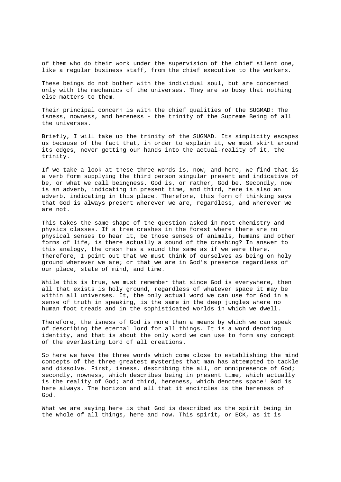of them who do their work under the supervision of the chief silent one, like a regular business staff, from the chief executive to the workers.

These beings do not bother with the individual soul, but are concerned only with the mechanics of the universes. They are so busy that nothing else matters to them.

Their principal concern is with the chief qualities of the SUGMAD: The isness, nowness, and hereness - the trinity of the Supreme Being of all the universes.

Briefly, I will take up the trinity of the SUGMAD. Its simplicity escapes us because of the fact that, in order to explain it, we must skirt around its edges, never getting our hands into the actual-reality of it, the trinity.

If we take a look at these three words is, now, and here, we find that is a verb form supplying the third person singular present and indicative of be, or what we call beingness. God is, or rather, God be. Secondly, now is an adverb, indicating in present time, and third, here is also an adverb, indicating in this place. Therefore, this form of thinking says that God is always present wherever we are, regardless, and wherever we are not.

This takes the same shape of the question asked in most chemistry and physics classes. If a tree crashes in the forest where there are no physical senses to hear it, be those senses of animals, humans and other forms of life, is there actually a sound of the crashing? In answer to this analogy, the crash has a sound the same as if we were there. Therefore, I point out that we must think of ourselves as being on holy ground wherever we are; or that we are in God's presence regardless of our place, state of mind, and time.

While this is true, we must remember that since God is everywhere, then all that exists is holy ground, regardless of whatever space it may be within all universes. It, the only actual word we can use for God in a sense of truth in speaking, is the same in the deep jungles where no human foot treads and in the sophisticated worlds in which we dwell.

Therefore, the isness of God is more than a means by which we can speak of describing the eternal lord for all things. It is a word denoting identity, and that is about the only word we can use to form any concept of the everlasting Lord of all creations.

So here we have the three words which come close to establishing the mind concepts of the three greatest mysteries that man has attempted to tackle and dissolve. First, isness, describing the all, or omnipresence of God; secondly, nowness, which describes being in present time, which actually is the reality of God; and third, hereness, which denotes space! God is here always. The horizon and all that it encircles is the hereness of God.

What we are saying here is that God is described as the spirit being in the whole of all things, here and now. This spirit, or ECK, as it is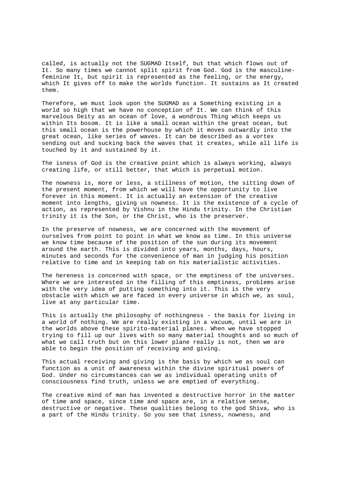called, is actually not the SUGMAD Itself, but that which flows out of It. So many times we cannot split spirit from God. God is the masculinefeminine It, but spirit is represented as the feeling, or the energy, which It gives off to make the worlds function. It sustains as It created them.

Therefore, we must look upon the SUGMAD as a Something existing in a world so high that we have no conception of It. We can think of this marvelous Deity as an ocean of love, a wondrous Thing which keeps us within Its bosom. It is like a small ocean within the great ocean, but this small ocean is the powerhouse by which it moves outwardly into the great ocean, like series of waves. It can be described as a vortex sending out and sucking back the waves that it creates, while all life is touched by it and sustained by it.

The isness of God is the creative point which is always working, always creating life, or still better, that which is perpetual motion.

The nowness is, more or less, a stillness of motion, the sitting down of the present moment, from which we will have the opportunity to live forever in this moment. It is actually an extension of the creative moment into lengths, giving us nowness. It is the existence of a cycle of action, as represented by Vishnu in the Hindu trinity. In the Christian trinity it is the Son, or the Christ, who is the preserver.

In the preserve of nowness, we are concerned with the movement of ourselves from point to point in what we know as time. In this universe we know time because of the position of the sun during its movement around the earth. This is divided into years, months, days, hours, minutes and seconds for the convenience of man in judging his position relative to time and in keeping tab on his materialistic activities.

The hereness is concerned with space, or the emptiness of the universes. Where we are interested in the filling of this emptiness, problems arise with the very idea of putting something into it. This is the very obstacle with which we are faced in every universe in which we, as soul, live at any particular time.

This is actually the philosophy of nothingness - the basis for living in a world of nothing. We are really existing in a vacuum, until we are in the worlds above these spirito-material planes. When we have stopped trying to fill up our lives with so many material thoughts and so much of what we call truth but on this lower plane really is not, then we are able to begin the position of receiving and giving.

This actual receiving and giving is the basis by which we as soul can function as a unit of awareness within the divine spiritual powers of God. Under no circumstances can we as individual operating units of consciousness find truth, unless we are emptied of everything.

The creative mind of man has invented a destructive horror in the matter of time and space, since time and space are, in a relative sense, destructive or negative. These qualities belong to the god Shiva, who is a part of the Hindu trinity. So you see that isness, nowness, and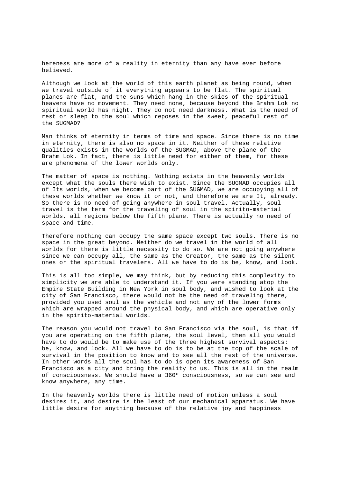hereness are more of a reality in eternity than any have ever before believed.

Although we look at the world of this earth planet as being round, when we travel outside of it everything appears to be flat. The spiritual planes are flat, and the suns which hang in the skies of the spiritual heavens have no movement. They need none, because beyond the Brahm Lok no spiritual world has night. They do not need darkness. What is the need of rest or sleep to the soul which reposes in the sweet, peaceful rest of the SUGMAD?

Man thinks of eternity in terms of time and space. Since there is no time in eternity, there is also no space in it. Neither of these relative qualities exists in the worlds of the SUGMAD, above the plane of the Brahm Lok. In fact, there is little need for either of them, for these are phenomena of the lower worlds only.

The matter of space is nothing. Nothing exists in the heavenly worlds except what the souls there wish to exist. Since the SUGMAD occupies all of Its worlds, when we become part of the SUGMAD, we are occupying all of these worlds whether we know it or not, and therefore we are It, already. So there is no need of going anywhere in soul travel. Actually, soul travel is the term for the traveling of soul in the spirito-material worlds, all regions below the fifth plane. There is actually no need of space and time.

Therefore nothing can occupy the same space except two souls. There is no space in the great beyond. Neither do we travel in the world of all worlds for there is little necessity to do so. We are not going anywhere since we can occupy all, the same as the Creator, the same as the silent ones or the spiritual travelers. All we have to do is be, know, and look.

This is all too simple, we may think, but by reducing this complexity to simplicity we are able to understand it. If you were standing atop the Empire State Building in New York in soul body, and wished to look at the city of San Francisco, there would not be the need of traveling there, provided you used soul as the vehicle and not any of the lower forms which are wrapped around the physical body, and which are operative only in the spirito-material worlds.

The reason you would not travel to San Francisco via the soul, is that if you are operating on the fifth plane, the soul level, then all you would have to do would be to make use of the three highest survival aspects: be, know, and look. All we have to do is to be at the top of the scale of survival in the position to know and to see all the rest of the universe. In other words all the soul has to do is open its awareness of San Francisco as a city and bring the reality to us. This is all in the realm of consciousness. We should have a 360º consciousness, so we can see and know anywhere, any time.

In the heavenly worlds there is little need of motion unless a soul desires it, and desire is the least of our mechanical apparatus. We have little desire for anything because of the relative joy and happiness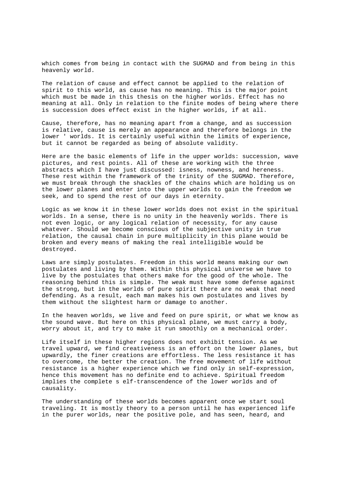which comes from being in contact with the SUGMAD and from being in this heavenly world.

The relation of cause and effect cannot be applied to the relation of spirit to this world, as cause has no meaning. This is the major point which must be made in this thesis on the higher worlds. Effect has no meaning at all. Only in relation to the finite modes of being where there is succession does effect exist in the higher worlds, if at all.

Cause, therefore, has no meaning apart from a change, and as succession is relative, cause is merely an appearance and therefore belongs in the lower ' worlds. It is certainly useful within the limits of experience, but it cannot be regarded as being of absolute validity.

Here are the basic elements of life in the upper worlds: succession, wave pictures, and rest points. All of these are working with the three abstracts which I have just discussed: isness, nowness, and hereness. These rest within the framework of the trinity of the SUGMAD. Therefore, we must break through the shackles of the chains which are holding us on the lower planes and enter into the upper worlds to gain the freedom we seek, and to spend the rest of our days in eternity.

Logic as we know it in these lower worlds does not exist in the spiritual worlds. In a sense, there is no unity in the heavenly worlds. There is not even logic, or any logical relation of necessity, for any cause whatever. Should we become conscious of the subjective unity in true relation, the causal chain in pure multiplicity in this plane would be broken and every means of making the real intelligible would be destroyed.

Laws are simply postulates. Freedom in this world means making our own postulates and living by them. Within this physical universe we have to live by the postulates that others make for the good of the whole. The reasoning behind this is simple. The weak must have some defense against the strong, but in the worlds of pure spirit there are no weak that need defending. As a result, each man makes his own postulates and lives by them without the slightest harm or damage to another.

In the heaven worlds, we live and feed on pure spirit, or what we know as the sound wave. But here on this physical plane, we must carry a body, worry about it, and try to make it run smoothly on a mechanical order.

Life itself in these higher regions does not exhibit tension. As we travel upward, we find creativeness is an effort on the lower planes, but upwardly, the finer creations are effortless. The less resistance it has to overcome, the better the creation. The free movement of life without resistance is a higher experience which we find only in self-expression, hence this movement has no definite end to achieve. Spiritual freedom implies the complete s elf-transcendence of the lower worlds and of causality.

The understanding of these worlds becomes apparent once we start soul traveling. It is mostly theory to a person until he has experienced life in the purer worlds, near the positive pole, and has seen, heard, and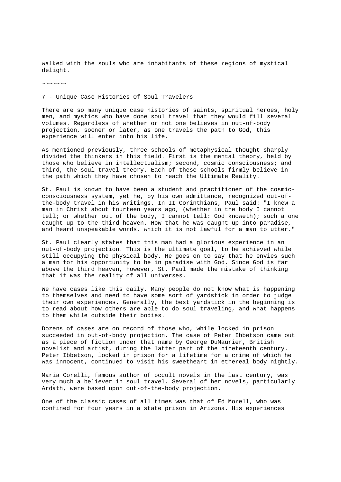walked with the souls who are inhabitants of these regions of mystical delight.

~~~~~~~

7 - Unique Case Histories Of Soul Travelers

There are so many unique case histories of saints, spiritual heroes, holy men, and mystics who have done soul travel that they would fill several volumes. Regardless of whether or not one believes in out-of-body projection, sooner or later, as one travels the path to God, this experience will enter into his life.

As mentioned previously, three schools of metaphysical thought sharply divided the thinkers in this field. First is the mental theory, held by those who believe in intellectualism; second, cosmic consciousness; and third, the soul-travel theory. Each of these schools firmly believe in the path which they have chosen to reach the Ultimate Reality.

St. Paul is known to have been a student and practitioner of the cosmicconsciousness system, yet he, by his own admittance, recognized out-ofthe-body travel in his writings. In II Corinthians, Paul said: "I knew a man in Christ about fourteen years ago, (whether in the body I cannot tell; or whether out of the body, I cannot tell: God knoweth); such a one caught up to the third heaven. How that he was caught up into paradise, and heard unspeakable words, which it is not lawful for a man to utter."

St. Paul clearly states that this man had a glorious experience in an out-of-body projection. This is the ultimate goal, to be achieved while still occupying the physical body. He goes on to say that he envies such a man for his opportunity to be in paradise with God. Since God is far above the third heaven, however, St. Paul made the mistake of thinking that it was the reality of all universes.

We have cases like this daily. Many people do not know what is happening to themselves and need to have some sort of yardstick in order to judge their own experiences. Generally, the best yardstick in the beginning is to read about how others are able to do soul traveling, and what happens to them while outside their bodies.

Dozens of cases are on record of those who, while locked in prison succeeded in out-of-body projection. The case of Peter Ibbetson came out as a piece of fiction under that name by George DuMaurier, British novelist and artist, during the latter part of the nineteenth century. Peter Ibbetson, locked in prison for a lifetime for a crime of which he was innocent, continued to visit his sweetheart in ethereal body nightly.

Maria Corelli, famous author of occult novels in the last century, was very much a believer in soul travel. Several of her novels, particularly Ardath, were based upon out-of-the-body projection.

One of the classic cases of all times was that of Ed Morell, who was confined for four years in a state prison in Arizona. His experiences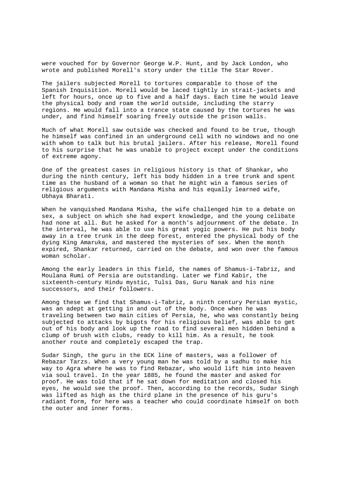were vouched for by Governor George W.P. Hunt, and by Jack London, who wrote and published Morell's story under the title The Star Rover.

The jailers subjected Morell to tortures comparable to those of the Spanish Inquisition. Morell would be laced tightly in strait-jackets and left for hours, once up to five and a half days. Each time he would leave the physical body and roam the world outside, including the starry regions. He would fall into a trance state caused by the tortures he was under, and find himself soaring freely outside the prison walls.

Much of what Morell saw outside was checked and found to be true, though he himself was confined in an underground cell with no windows and no one with whom to talk but his brutal jailers. After his release, Morell found to his surprise that he was unable to project except under the conditions of extreme agony.

One of the greatest cases in religious history is that of Shankar, who during the ninth century, left his body hidden in a tree trunk and spent time as the husband of a woman so that he might win a famous series of religious arguments with Mandana Misha and his equally learned wife, Ubhaya Bharati.

When he vanquished Mandana Misha, the wife challenged him to a debate on sex, a subject on which she had expert knowledge, and the young celibate had none at all. But he asked for a month's adjournment of the debate. In the interval, he was able to use his great yogic powers. He put his body away in a tree trunk in the deep forest, entered the physical body of the dying King Amaruka, and mastered the mysteries of sex. When the month expired, Shankar returned, carried on the debate, and won over the famous woman scholar.

Among the early leaders in this field, the names of Shamus-i-Tabriz, and Moulana Rumi of Persia are outstanding. Later we find Kabir, the sixteenth-century Hindu mystic, Tulsi Das, Guru Nanak and his nine successors, and their followers.

Among these we find that Shamus-i-Tabriz, a ninth century Persian mystic, was an adept at getting in and out of the body. Once when he was traveling between two main cities of Persia, he, who was constantly being subjected to attacks by bigots for his religious belief, was able to get out of his body and look up the road to find several men hidden behind a clump of brush with clubs, ready to kill him. As a result, he took another route and completely escaped the trap.

Sudar Singh, the guru in the ECK line of masters, was a follower of Rebazar Tarzs. When a very young man he was told by a sadhu to make his way to Agra where he was to find Rebazar, who would lift him into heaven via soul travel. In the year 1885, he found the master and asked for proof. He was told that if he sat down for meditation and closed his eyes, he would see the proof. Then, according to the records, Sudar Singh was lifted as high as the third plane in the presence of his guru's radiant form, for here was a teacher who could coordinate himself on both the outer and inner forms.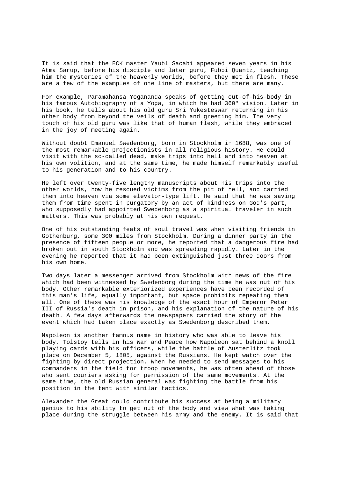It is said that the ECK master Yaubl Sacabi appeared seven years in his Atma Sarup, before his disciple and later guru, Fubbi Quantz, teaching him the mysteries of the heavenly worlds, before they met in flesh. These are a few of the examples of one line of masters, but there are many.

For example, Paramahansa Yogananda speaks of getting out-of-his-body in his famous Autobiography of a Yoga, in which he had 360º vision. Later in his book, he tells about his old guru Sri Yukesteswar returning in his other body from beyond the veils of death and greeting him. The very touch of his old guru was like that of human flesh, while they embraced in the joy of meeting again.

Without doubt Emanuel Swedenborg, born in Stockholm in 1688, was one of the most remarkable projectionists in all religious history. He could visit with the so-called dead, make trips into hell and into heaven at his own volition, and at the same time, he made himself remarkably useful to his generation and to his country.

He left over twenty-five lengthy manuscripts about his trips into the other worlds, how he rescued victims from the pit of hell, and carried them into heaven via some elevator-type lift. He said that he was saving them from time spent in purgatory by an act of kindness on God's part, who supposedly had appointed Swedenborg as a spiritual traveler in such matters. This was probably at his own request.

One of his outstanding feats of soul travel was when visiting friends in Gothenburg, some 300 miles from Stockholm. During a dinner party in the presence of fifteen people or more, he reported that a dangerous fire had broken out in south Stockholm and was spreading rapidly. Later in the evening he reported that it had been extinguished just three doors from his own home.

Two days later a messenger arrived from Stockholm with news of the fire which had been witnessed by Swedenborg during the time he was out of his body. Other remarkable exteriorized experiences have been recorded of this man's life, equally important, but space prohibits repeating them all. One of these was his knowledge of the exact hour of Emperor Peter III of Russia's death in prison, and his explanation of the nature of his death. A few days afterwards the newspapers carried the story of the event which had taken place exactly as Swedenborg described them.

Napoleon is another famous name in history who was able to leave his body. Tolstoy tells in his War and Peace how Napoleon sat behind a knoll playing cards with his officers, while the battle of Austerlitz took place on December 5, 1805, against the Russians. He kept watch over the fighting by direct projection. When he needed to send messages to his commanders in the field for troop movements, he was often ahead of those who sent couriers asking for permission of the same movements. At the same time, the old Russian general was fighting the battle from his position in the tent with similar tactics.

Alexander the Great could contribute his success at being a military genius to his ability to get out of the body and view what was taking place during the struggle between his army and the enemy. It is said that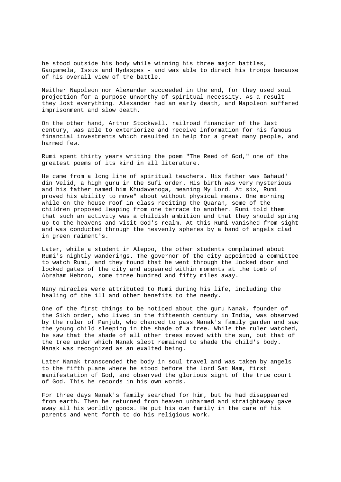he stood outside his body while winning his three major battles, Gaugamela, Issus and Hydaspes - and was able to direct his troops because of his overall view of the battle.

Neither Napoleon nor Alexander succeeded in the end, for they used soul projection for a purpose unworthy of spiritual necessity. As a result they lost everything. Alexander had an early death, and Napoleon suffered imprisonment and slow death.

On the other hand, Arthur Stockwell, railroad financier of the last century, was able to exteriorize and receive information for his famous financial investments which resulted in help for a great many people, and harmed few.

Rumi spent thirty years writing the poem "The Reed of God," one of the greatest poems of its kind in all literature.

He came from a long line of spiritual teachers. His father was Bahaud' din Velid, a high guru in the Sufi order. His birth was very mysterious and his father named him Khudavenoga, meaning My Lord. At six, Rumi proved his ability to move" about without physical means. One morning while on the house roof in class reciting the Quaran, some of the children proposed leaping from one terrace to another. Rumi told them that such an activity was a childish ambition and that they should spring up to the heavens and visit God's realm. At this Rumi vanished from sight and was conducted through the heavenly spheres by a band of angels clad in green raiment's.

Later, while a student in Aleppo, the other students complained about Rumi's nightly wanderings. The governor of the city appointed a committee to watch Rumi, and they found that he went through the locked door and locked gates of the city and appeared within moments at the tomb of Abraham Hebron, some three hundred and fifty miles away.

Many miracles were attributed to Rumi during his life, including the healing of the ill and other benefits to the needy.

One of the first things to be noticed about the guru Nanak, founder of the Sikh order, who lived in the fifteenth century in India, was observed by the ruler of Panjub, who chanced to pass Nanak's family garden and saw the young child sleeping in the shade of a tree. While the ruler watched, he saw that the shade of all other trees moved with the sun, but that of the tree under which Nanak slept remained to shade the child's body. Nanak was recognized as an exalted being.

Later Nanak transcended the body in soul travel and was taken by angels to the fifth plane where he stood before the lord Sat Nam, first manifestation of God, and observed the glorious sight of the true court of God. This he records in his own words.

For three days Nanak's family searched for him, but he had disappeared from earth. Then he returned from heaven unharmed and straightaway gave away all his worldly goods. He put his own family in the care of his parents and went forth to do his religious work.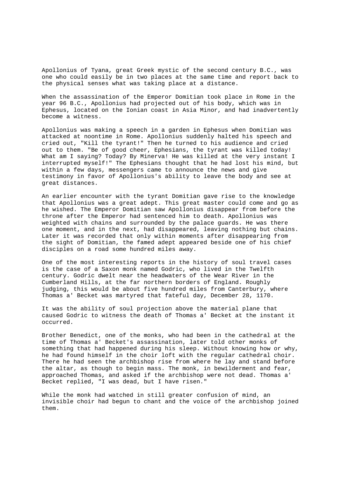Apollonius of Tyana, great Greek mystic of the second century B.C., was one who could easily be in two places at the same time and report back to the physical senses what was taking place at a distance.

When the assassination of the Emperor Domitian took place in Rome in the year 96 B.C., Apollonius had projected out of his body, which was in Ephesus, located on the Ionian coast in Asia Minor, and had inadvertently become a witness.

Apollonius was making a speech in a garden in Ephesus when Domitian was attacked at noontime in Rome. Apollonius suddenly halted his speech and cried out, "Kill the tyrant!" Then he turned to his audience and cried out to them. "Be of good cheer, Ephesians, the tyrant was killed today! What am I saying? Today? By Minerva! He was killed at the very instant I interrupted myself!" The Ephesians thought that he had lost his mind, but within a few days, messengers came to announce the news and give testimony in favor of Apollonius's ability to leave the body and see at great distances.

An earlier encounter with the tyrant Domitian gave rise to the knowledge that Apollonius was a great adept. This great master could come and go as he wished. The Emperor Domitian saw Apollonius disappear from before the throne after the Emperor had sentenced him to death. Apollonius was weighted with chains and surrounded by the palace guards. He was there one moment, and in the next, had disappeared, leaving nothing but chains. Later it was recorded that only within moments after disappearing from the sight of Domitian, the famed adept appeared beside one of his chief disciples on a road some hundred miles away.

One of the most interesting reports in the history of soul travel cases is the case of a Saxon monk named Godric, who lived in the Twelfth century. Godric dwelt near the headwaters of the Wear River in the Cumberland Hills, at the far northern borders of England. Roughly judging, this would be about five hundred miles from Canterbury, where Thomas a' Becket was martyred that fateful day, December 28, 1170.

It was the ability of soul projection above the material plane that caused Godric to witness the death of Thomas a' Becket at the instant it occurred.

Brother Benedict, one of the monks, who had been in the cathedral at the time of Thomas a' Becket's assassination, later told other monks of something that had happened during his sleep. Without knowing how or why, he had found himself in the choir loft with the regular cathedral choir. There he had seen the archbishop rise from where he lay and stand before the altar, as though to begin mass. The monk, in bewilderment and fear, approached Thomas, and asked if the archbishop were not dead. Thomas a' Becket replied, "I was dead, but I have risen."

While the monk had watched in still greater confusion of mind, an invisible choir had begun to chant and the voice of the archbishop joined them.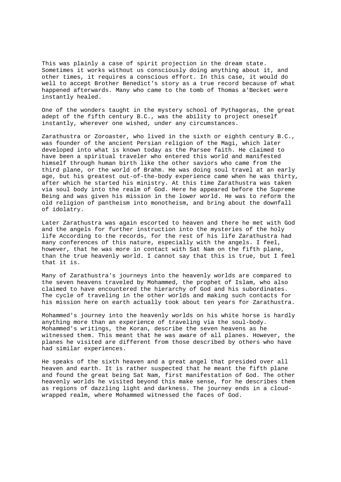This was plainly a case of spirit projection in the dream state. Sometimes it works without us consciously doing anything about it, and other times, it requires a conscious effort. In this case, it would do well to accept Brother Benedict's story as a true record because of what happened afterwards. Many who came to the tomb of Thomas a'Becket were instantly healed.

One of the wonders taught in the mystery school of Pythagoras, the great adept of the fifth century B.C., was the ability to project oneself instantly, wherever one wished, under any circumstances.

Zarathustra or Zoroaster, who lived in the sixth or eighth century B.C., was founder of the ancient Persian religion of the Magi, which later developed into what is known today as the Parsee faith. He claimed to have been a spiritual traveler who entered this world and manifested himself through human birth like the other saviors who came from the third plane, or the world of Brahm. He was doing soul travel at an early age, but his greatest out-of-the-body experience came when he was thirty, after which he started his ministry. At this time Zarathustra was taken via soul body into the realm of God. Here he appeared before the Supreme Being and was given his mission in the lower world. He was to reform the old religion of pantheism into monotheism, and bring about the downfall of idolatry.

Later Zarathustra was again escorted to heaven and there he met with God and the angels for further instruction into the mysteries of the holy life According to the records, for the rest of his life Zarathustra had many conferences of this nature, especially with the angels. I feel, however, that he was more in contact with Sat Nam on the fifth plane, than the true heavenly world. I cannot say that this is true, but I feel that it is.

Many of Zarathustra's journeys into the heavenly worlds are compared to the seven heavens traveled by Mohammed, the prophet of Islam, who also claimed to have encountered the hierarchy of God and his subordinates. The cycle of traveling in the other worlds and making such contacts for his mission here on earth actually took about ten years for Zarathustra.

Mohammed's journey into the heavenly worlds on his white horse is hardly anything more than an experience of traveling via the soul-body. Mohammed's writings, the Koran, describe the seven heavens as he witnessed them. This meant that he was aware of all planes. However, the planes he visited are different from those described by others who have had similar experiences.

He speaks of the sixth heaven and a great angel that presided over all heaven and earth. It is rather suspected that he meant the fifth plane and found the great being Sat Nam, first manifestation of God. The other heavenly worlds he visited beyond this make sense, for he describes them as regions of dazzling light and darkness. The journey ends in a cloudwrapped realm, where Mohammed witnessed the faces of God.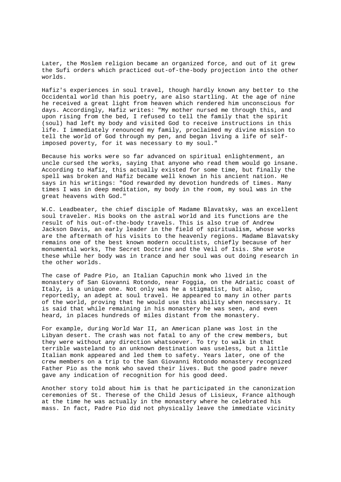Later, the Moslem religion became an organized force, and out of it grew the Sufi orders which practiced out-of-the-body projection into the other worlds.

Hafiz's experiences in soul travel, though hardly known any better to the Occidental world than his poetry, are also startling. At the age of nine he received a great light from heaven which rendered him unconscious for days. Accordingly, Hafiz writes: "My mother nursed me through this, and upon rising from the bed, I refused to tell the family that the spirit (soul) had left my body and visited God to receive instructions in this life. I immediately renounced my family, proclaimed my divine mission to tell the world of God through my pen, and began living a life of selfimposed poverty, for it was necessary to my soul."

Because his works were so far advanced on spiritual enlightenment, an uncle cursed the works, saying that anyone who read them would go insane. According to Hafiz, this actually existed for some time, but finally the spell was broken and Hafiz became well known in his ancient nation. He says in his writings: "God rewarded my devotion hundreds of times. Many times I was in deep meditation, my body in the room, my soul was in the great heavens with God."

W.C. Leadbeater, the chief disciple of Madame Blavatsky, was an excellent soul traveler. His books on the astral world and its functions are the result of his out-of-the-body travels. This is also true of Andrew Jackson Davis, an early leader in the field of spiritualism, whose works are the aftermath of his visits to the heavenly regions. Madame Blavatsky remains one of the best known modern occultists, chiefly because of her monumental works, The Secret Doctrine and the Veil of Isis. She wrote these while her body was in trance and her soul was out doing research in the other worlds.

The case of Padre Pio, an Italian Capuchin monk who lived in the monastery of San Giovanni Rotondo, near Foggia, on the Adriatic coast of Italy, is a unique one. Not only was he a stigmatist, but also, reportedly, an adept at soul travel. He appeared to many in other parts of the world, proving that he would use this ability when necessary. It is said that while remaining in his monastery he was seen, and even heard, in places hundreds of miles distant from the monastery.

For example, during World War II, an American plane was lost in the Libyan desert. The crash was not fatal to any of the crew members, but they were without any direction whatsoever. To try to walk in that terrible wasteland to an unknown destination was useless, but a little Italian monk appeared and led them to safety. Years later, one of the crew members on a trip to the San Giovanni Rotondo monastery recognized Father Pio as the monk who saved their lives. But the good padre never gave any indication of recognition for his good deed.

Another story told about him is that he participated in the canonization ceremonies of St. Therese of the Child Jesus of Lisieux, France although at the time he was actually in the monastery where he celebrated his mass. In fact, Padre Pio did not physically leave the immediate vicinity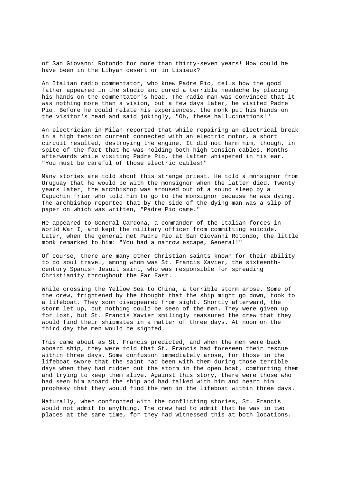of San Giovanni Rotondo for more than thirty-seven years! How could he have been in the Libyan desert or in Lisieux?

An Italian radio commentator, who knew Padre Pio, tells how the good father appeared in the studio and cured a terrible headache by placing his hands on the commentator's head. The radio man was convinced that it was nothing more than a vision, but a few days later, he visited Padre Pio. Before he could relate his experiences, the monk put his hands on the visitor's head and said jokingly, "Oh, these hallucinations!"

An electrician in Milan reported that while repairing an electrical break in a high tension current connected with an electric motor, a short circuit resulted, destroying the engine. It did not harm him, though, in spite of the fact that he was holding both high tension cables. Months afterwards while visiting Padre Pio, the latter whispered in his ear. "You must be careful of those electric cables!"

Many stories are told about this strange priest. He told a monsignor from Uruguay that he would be with the monsignor when the latter died. Twenty years later, the archbishop was aroused out of a sound sleep by a Capuchin friar who told him to go to the monsignor because he was dying. The archbishop reported that by the side of the dying man was a slip of paper on which was written, "Padre Pio came."

He appeared to General Cardona, a commander of the Italian forces in World War I, and kept the military officer from committing suicide. Later, when the general met Padre Pio at San Giovanni Rotondo, the little monk remarked to him: "You had a narrow escape, General!"

Of course, there are many other Christian saints known for their ability to do soul travel, among whom was St. Francis Xavier, the sixteenthcentury Spanish Jesuit saint, who was responsible for spreading Christianity throughout the Far East.

While crossing the Yellow Sea to China, a terrible storm arose. Some of the crew, frightened by the thought that the ship might go down, took to a lifeboat. They soon disappeared from sight. Shortly afterward, the storm let up, but nothing could be seen of the men. They were given up for lost, but St. Francis Xavier smilingly reassured the crew that they would find their shipmates in a matter of three days. At noon on the third day the men would be sighted.

This came about as St. Francis predicted, and when the men were back aboard ship, they were told that St. Francis had foreseen their rescue within three days. Some confusion immediately arose, for those in the lifeboat swore that the saint had been with them during those terrible days when they had ridden out the storm in the open boat, comforting them and trying to keep them alive. Against this story, there were those who had seen him aboard the ship and had talked with him and heard him prophesy that they would find the men in the lifeboat within three days.

Naturally, when confronted with the conflicting stories, St. Francis would not admit to anything. The crew had to admit that he was in two places at the same time, for they had witnessed this at both locations.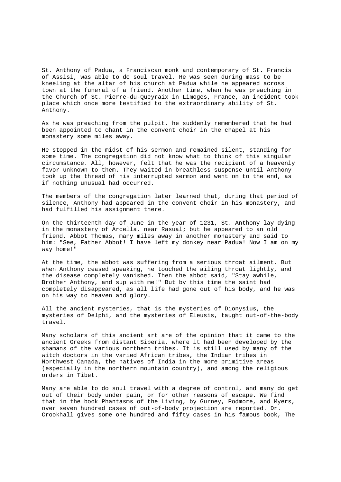St. Anthony of Padua, a Franciscan monk and contemporary of St. Francis of Assisi, was able to do soul travel. He was seen during mass to be kneeling at the altar of his church at Padua while he appeared across town at the funeral of a friend. Another time, when he was preaching in the Church of St. Pierre-du-Queyraix in Limoges, France, an incident took place which once more testified to the extraordinary ability of St. Anthony.

As he was preaching from the pulpit, he suddenly remembered that he had been appointed to chant in the convent choir in the chapel at his monastery some miles away.

He stopped in the midst of his sermon and remained silent, standing for some time. The congregation did not know what to think of this singular circumstance. All, however, felt that he was the recipient of a heavenly favor unknown to them. They waited in breathless suspense until Anthony took up the thread of his interrupted sermon and went on to the end, as if nothing unusual had occurred.

The members of the congregation later learned that, during that period of silence, Anthony had appeared in the convent choir in his monastery, and had fulfilled his assignment there.

On the thirteenth day of June in the year of 1231, St. Anthony lay dying in the monastery of Arcella, near Rasual; but he appeared to an old friend, Abbot Thomas, many miles away in another monastery and said to him: "See, Father Abbot! I have left my donkey near Padua! Now I am on my way home!"

At the time, the abbot was suffering from a serious throat ailment. But when Anthony ceased speaking, he touched the ailing throat lightly, and the disease completely vanished. Then the abbot said, "Stay awhile, Brother Anthony, and sup with me!" But by this time the saint had completely disappeared, as all life had gone out of his body, and he was on his way to heaven and glory.

All the ancient mysteries, that is the mysteries of Dionysius, the mysteries of Delphi, and the mysteries of Eleusis, taught out-of-the-body travel.

Many scholars of this ancient art are of the opinion that it came to the ancient Greeks from distant Siberia, where it had been developed by the shamans of the various northern tribes. It is still used by many of the witch doctors in the varied African tribes, the Indian tribes in Northwest Canada, the natives of India in the more primitive areas (especially in the northern mountain country), and among the religious orders in Tibet.

Many are able to do soul travel with a degree of control, and many do get out of their body under pain, or for other reasons of escape. We find that in the book Phantasms of the Living, by Gurney, Podmore, and Myers, over seven hundred cases of out-of-body projection are reported. Dr. Crookhall gives some one hundred and fifty cases in his famous book, The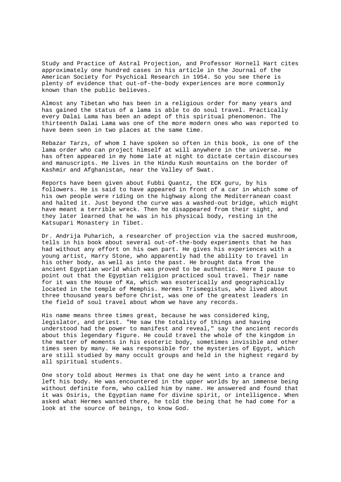Study and Practice of Astral Projection, and Professor Hornell Hart cites approximately one hundred cases in his article in the Journal of the American Society for Psychical Research in 1954. So you see there is plenty of evidence that out-of-the-body experiences are more commonly known than the public believes.

Almost any Tibetan who has been in a religious order for many years and has gained the status of a lama is able to do soul travel. Practically every Dalai Lama has been an adept of this spiritual phenomenon. The thirteenth Dalai Lama was one of the more modern ones who was reported to have been seen in two places at the same time.

Rebazar Tarzs, of whom I have spoken so often in this book, is one of the lama order who can project himself at will anywhere in the universe. He has often appeared in my home late at night to dictate certain discourses and manuscripts. He lives in the Hindu Kush mountains on the border of Kashmir and Afghanistan, near the Valley of Swat.

Reports have been given about Fubbi Quantz, the ECK guru, by his followers. He is said to have appeared in front of a car in which some of his own people were riding on the highway along the Mediterranean coast and halted it. Just beyond the curve was a washed-out bridge, which might have meant a terrible wreck. Then he disappeared from their sight, and they later learned that he was in his physical body, resting in the Katsupari Monastery in Tibet.

Dr. Andrija Puharich, a researcher of projection via the sacred mushroom, tells in his book about several out-of-the-body experiments that he has had without any effort on his own part. He gives his experiences with a young artist, Harry Stone, who apparently had the ability to travel in his other body, as well as into the past. He brought data from the ancient Egyptian world which was proved to be authentic. Here I pause to point out that the Egyptian religion practiced soul travel. Their name for it was the House of Ka, which was esoterically and geographically located in the temple of Memphis. Hermes Trismegistus, who lived about three thousand years before Christ, was one of the greatest leaders in the field of soul travel about whom we have any records.

His name means three times great, because he was considered king, legislator, and priest. "He saw the totality of things and having understood had the power to manifest and reveal," say the ancient records about this legendary figure. He could travel the whole of the kingdom in the matter of moments in his esoteric body, sometimes invisible and other times seen by many. He was responsible for the mysteries of Egypt, which are still studied by many occult groups and held in the highest regard by all spiritual students.

One story told about Hermes is that one day he went into a trance and left his body. He was encountered in the upper worlds by an immense being without definite form, who called him by name. He answered and found that it was Osiris, the Egyptian name for divine spirit, or intelligence. When asked what Hermes wanted there, he told the being that he had come for a look at the source of beings, to know God.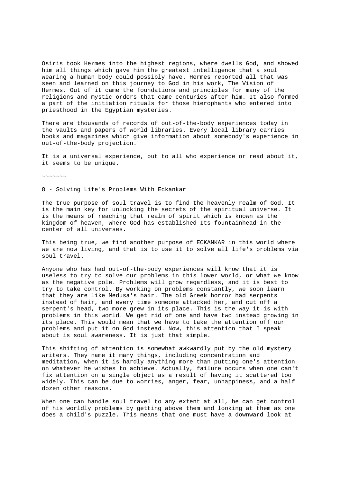Osiris took Hermes into the highest regions, where dwells God, and showed him all things which gave him the greatest intelligence that a soul wearing a human body could possibly have. Hermes reported all that was seen and learned on this journey to God in his work, The Vision of Hermes. Out of it came the foundations and principles for many of the religions and mystic orders that came centuries after him. It also formed a part of the initiation rituals for those hierophants who entered into priesthood in the Egyptian mysteries.

There are thousands of records of out-of-the-body experiences today in the vaults and papers of world libraries. Every local library carries books and magazines which give information about somebody's experience in out-of-the-body projection.

It is a universal experience, but to all who experience or read about it, it seems to be unique.

 $\sim\sim\sim\sim\sim\sim$ 

8 - Solving Life's Problems With Eckankar

The true purpose of soul travel is to find the heavenly realm of God. It is the main key for unlocking the secrets of the spiritual universe. It is the means of reaching that realm of spirit which is known as the kingdom of heaven, where God has established Its fountainhead in the center of all universes.

This being true, we find another purpose of ECKANKAR in this world where we are now living, and that is to use it to solve all life's problems via soul travel.

Anyone who has had out-of-the-body experiences will know that it is useless to try to solve our problems in this lower world, or what we know as the negative pole. Problems will grow regardless, and it is best to try to take control. By working on problems constantly, we soon learn that they are like Medusa's hair. The old Greek horror had serpents instead of hair, and every time someone attacked her, and cut off a serpent's head, two more grew in its place. This is the way it is with problems in this world. We get rid of one and have two instead growing in its place. This would mean that we have to take the attention off our problems and put it on God instead. Now, this attention that I speak about is soul awareness. It is just that simple.

This shifting of attention is somewhat awkwardly put by the old mystery writers. They name it many things, including concentration and meditation, when it is hardly anything more than putting one's attention on whatever he wishes to achieve. Actually, failure occurs when one can't fix attention on a single object as a result of having it scattered too widely. This can be due to worries, anger, fear, unhappiness, and a half dozen other reasons.

When one can handle soul travel to any extent at all, he can get control of his worldly problems by getting above them and looking at them as one does a child's puzzle. This means that one must have a downward look at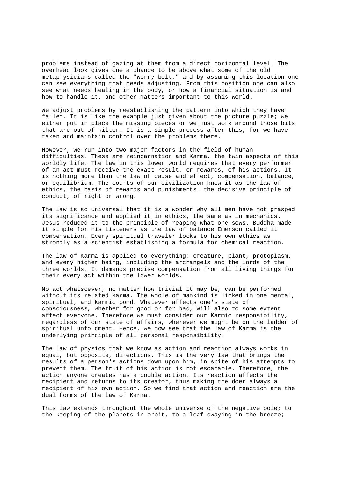problems instead of gazing at them from a direct horizontal level. The overhead look gives one a chance to be above what some of the old metaphysicians called the "worry belt," and by assuming this location one can see everything that needs adjusting. From this position one can also see what needs healing in the body, or how a financial situation is and how to handle it, and other matters important to this world.

We adjust problems by reestablishing the pattern into which they have fallen. It is like the example just given about the picture puzzle; we either put in place the missing pieces or we just work around those bits that are out of kilter. It is a simple process after this, for we have taken and maintain control over the problems there.

However, we run into two major factors in the field of human difficulties. These are reincarnation and Karma, the twin aspects of this worldly life. The law in this lower world requires that every performer of an act must receive the exact result, or rewards, of his actions. It is nothing more than the law of cause and effect, compensation, balance, or equilibrium. The courts of our civilization know it as the law of ethics, the basis of rewards and punishments, the decisive principle of conduct, of right or wrong.

The law is so universal that it is a wonder why all men have not grasped its significance and applied it in ethics, the same as in mechanics. Jesus reduced it to the principle of reaping what one sows. Buddha made it simple for his listeners as the law of balance Emerson called it compensation. Every spiritual traveler looks to his own ethics as strongly as a scientist establishing a formula for chemical reaction.

The law of Karma is applied to everything: creature, plant, protoplasm, and every higher being, including the archangels and the lords of the three worlds. It demands precise compensation from all living things for their every act within the lower worlds.

No act whatsoever, no matter how trivial it may be, can be performed without its related Karma. The whole of mankind is linked in one mental, spiritual, and Karmic bond. Whatever affects one's state of consciousness, whether for good or for bad, will also to some extent affect everyone. Therefore we must consider our Karmic responsibility, regardless of our state of affairs, wherever we might be on the ladder of spiritual unfoldment. Hence, we now see that the law of Karma is the underlying principle of all personal responsibility.

The law of physics that we know as action and reaction always works in equal, but opposite, directions. This is the very law that brings the results of a person's actions down upon him, in spite of his attempts to prevent them. The fruit of his action is not escapable. Therefore, the action anyone creates has a double action. Its reaction affects the recipient and returns to its creator, thus making the doer always a recipient of his own action. So we find that action and reaction are the dual forms of the law of Karma.

This law extends throughout the whole universe of the negative pole; to the keeping of the planets in orbit, to a leaf swaying in the breeze;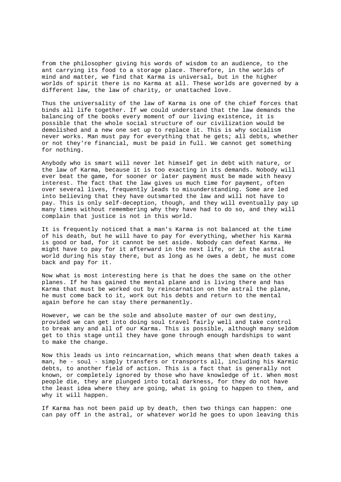from the philosopher giving his words of wisdom to an audience, to the ant carrying its food to a storage place. Therefore, in the worlds of mind and matter, we find that Karma is universal, but in the higher worlds of spirit there is no Karma at all. These worlds are governed by a different law, the law of charity, or unattached love.

Thus the universality of the law of Karma is one of the chief forces that binds all life together. If we could understand that the law demands the balancing of the books every moment of our living existence, it is possible that the whole social structure of our civilization would be demolished and a new one set up to replace it. This is why socialism never works. Man must pay for everything that he gets; all debts, whether or not they're financial, must be paid in full. We cannot get something for nothing.

Anybody who is smart will never let himself get in debt with nature, or the law of Karma, because it is too exacting in its demands. Nobody will ever beat the game, for sooner or later payment must be made with heavy interest. The fact that the law gives us much time for payment, often over several lives, frequently leads to misunderstanding. Some are led into believing that they have outsmarted the law and will not have to pay. This is only self-deception, though, and they will eventually pay up many times without remembering why they have had to do so, and they will complain that justice is not in this world.

It is frequently noticed that a man's Karma is not balanced at the time of his death, but he will have to pay for everything, whether his Karma is good or bad, for it cannot be set aside. Nobody can defeat Karma. He might have to pay for it afterward in the next life, or in the astral world during his stay there, but as long as he owes a debt, he must come back and pay for it.

Now what is most interesting here is that he does the same on the other planes. If he has gained the mental plane and is living there and has Karma that must be worked out by reincarnation on the astral the plane, he must come back to it, work out his debts and return to the mental again before he can stay there permanently.

However, we can be the sole and absolute master of our own destiny, provided we can get into doing soul travel fairly well and take control to break any and all of our Karma. This is possible, although many seldom get to this stage until they have gone through enough hardships to want to make the change.

Now this leads us into reincarnation, which means that when death takes a man, he - soul - simply transfers or transports all, including his Karmic debts, to another field of action. This is a fact that is generally not known, or completely ignored by those who have knowledge of it. When most people die, they are plunged into total darkness, for they do not have the least idea where they are going, what is going to happen to them, and why it will happen.

If Karma has not been paid up by death, then two things can happen: one can pay off in the astral, or whatever world he goes to upon leaving this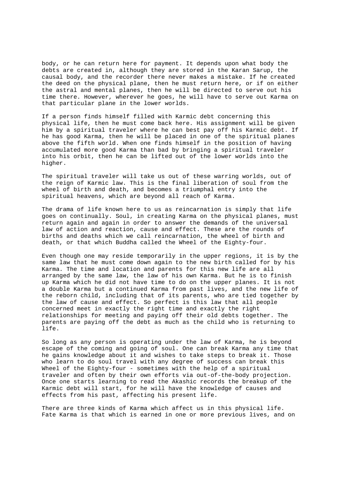body, or he can return here for payment. It depends upon what body the debts are created in, although they are stored in the Karan Sarup, the causal body, and the recorder there never makes a mistake. If he created the deed on the physical plane, then he must return here, or if on either the astral and mental planes, then he will be directed to serve out his time there. However, wherever he goes, he will have to serve out Karma on that particular plane in the lower worlds.

If a person finds himself filled with Karmic debt concerning this physical life, then he must come back here. His assignment will be given him by a spiritual traveler where he can best pay off his Karmic debt. If he has good Karma, then he will be placed in one of the spiritual planes above the fifth world. When one finds himself in the position of having accumulated more good Karma than bad by bringing a spiritual traveler into his orbit, then he can be lifted out of the lower worlds into the higher.

The spiritual traveler will take us out of these warring worlds, out of the reign of Karmic law. This is the final liberation of soul from the wheel of birth and death, and becomes a triumphal entry into the spiritual heavens, which are beyond all reach of Karma.

The drama of life known here to us as reincarnation is simply that life goes on continually. Soul, in creating Karma on the physical planes, must return again and again in order to answer the demands of the universal law of action and reaction, cause and effect. These are the rounds of births and deaths which we call reincarnation, the wheel of birth and death, or that which Buddha called the Wheel of the Eighty-four.

Even though one may reside temporarily in the upper regions, it is by the same law that he must come down again to the new birth called for by his Karma. The time and location and parents for this new life are all arranged by the same law, the law of his own Karma. But he is to finish up Karma which he did not have time to do on the upper planes. It is not a double Karma but a continued Karma from past lives, and the new life of the reborn child, including that of its parents, who are tied together by the law of cause and effect. So perfect is this law that all people concerned meet in exactly the right time and exactly the right relationships for meeting and paying off their old debts together. The parents are paying off the debt as much as the child who is returning to life.

So long as any person is operating under the law of Karma, he is beyond escape of the coming and going of soul. One can break Karma any time that he gains knowledge about it and wishes to take steps to break it. Those who learn to do soul travel with any degree of success can break this Wheel of the Eighty-four - sometimes with the help of a spiritual traveler and often by their own efforts via out-of-the-body projection. Once one starts learning to read the Akashic records the breakup of the Karmic debt will start, for he will have the knowledge of causes and effects from his past, affecting his present life.

There are three kinds of Karma which affect us in this physical life. Fate Karma is that which is earned in one or more previous lives, and on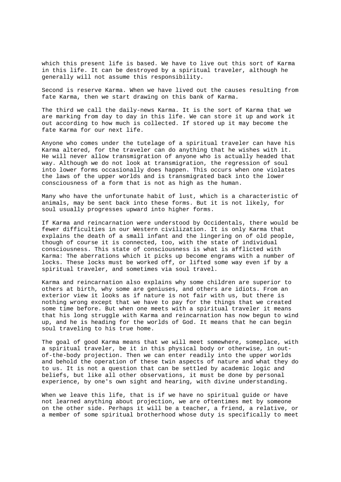which this present life is based. We have to live out this sort of Karma in this life. It can be destroyed by a spiritual traveler, although he generally will not assume this responsibility.

Second is reserve Karma. When we have lived out the causes resulting from fate Karma, then we start drawing on this bank of Karma.

The third we call the daily-news Karma. It is the sort of Karma that we are marking from day to day in this life. We can store it up and work it out according to how much is collected. If stored up it may become the fate Karma for our next life.

Anyone who comes under the tutelage of a spiritual traveler can have his Karma altered, for the traveler can do anything that he wishes with it. He will never allow transmigration of anyone who is actually headed that way. Although we do not look at transmigration, the regression of soul into lower forms occasionally does happen. This occurs when one violates the laws of the upper worlds and is transmigrated back into the lower consciousness of a form that is not as high as the human.

Many who have the unfortunate habit of lust, which is a characteristic of animals, may be sent back into these forms. But it is not likely, for soul usually progresses upward into higher forms.

If Karma and reincarnation were understood by Occidentals, there would be fewer difficulties in our Western civilization. It is only Karma that explains the death of a small infant and the lingering on of old people, though of course it is connected, too, with the state of individual consciousness. This state of consciousness is what is afflicted with Karma: The aberrations which it picks up become engrams with a number of locks. These locks must be worked off, or lifted some way even if by a spiritual traveler, and sometimes via soul travel.

Karma and reincarnation also explains why some children are superior to others at birth, why some are geniuses, and others are idiots. From an exterior view it looks as if nature is not fair with us, but there is nothing wrong except that we have to pay for the things that we created some time before. But when one meets with a spiritual traveler it means that his long struggle with Karma and reincarnation has now begun to wind up, and he is heading for the worlds of God. It means that he can begin soul traveling to his true home.

The goal of good Karma means that we will meet somewhere, someplace, with a spiritual traveler, be it in this physical body or otherwise, in outof-the-body projection. Then we can enter readily into the upper worlds and behold the operation of these twin aspects of nature and what they do to us. It is not a question that can be settled by academic logic and beliefs, but like all other observations, it must be done by personal experience, by one's own sight and hearing, with divine understanding.

When we leave this life, that is if we have no spiritual guide or have not learned anything about projection, we are oftentimes met by someone on the other side. Perhaps it will be a teacher, a friend, a relative, or a member of some spiritual brotherhood whose duty is specifically to meet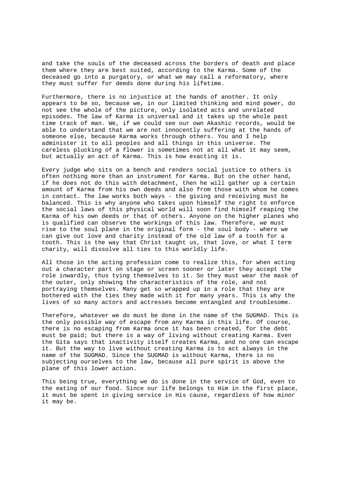and take the souls of the deceased across the borders of death and place them where they are best suited, according to the Karma. Some of the deceased go into a purgatory, or what we may call a reformatory, where they must suffer for deeds done during his lifetime.

Furthermore, there is no injustice at the hands of another. It only appears to be so, because we, in our limited thinking and mind power, do not see the whole of the picture, only isolated acts and unrelated episodes. The law of Karma is universal and it takes up the whole past time track of man. We, if we could see our own Akashic records, would be able to understand that we are not innocently suffering at the hands of someone else, because Karma works through others. You and I help administer it to all peoples and all things in this universe. The careless plucking of a flower is sometimes not at all what it may seem, but actually an act of Karma. This is how exacting it is.

Every judge who sits on a bench and renders social justice to others is often nothing more than an instrument for Karma. But on the other hand, if he does not do this with detachment, then he will gather up a certain amount of Karma from his own deeds and also from those with whom he comes in contact. The law works both ways - the giving and receiving must be balanced. This is why anyone who takes upon himself the right to enforce the social laws of this physical world will soon find himself reaping the Karma of his own deeds or that of others. Anyone on the higher planes who is qualified can observe the workings of this law. Therefore, we must rise to the soul plane in the original form - the soul body - where we can give out love and charity instead of the old law of a tooth for a tooth. This is the way that Christ taught us, that love, or what I term charity, will dissolve all ties to this worldly life.

All those in the acting profession come to realize this, for when acting out a character part on stage or screen sooner or later they accept the role inwardly, thus tying themselves to it. So they must wear the mask of the outer, only showing the characteristics of the role, and not portraying themselves. Many get so wrapped up in a role that they are bothered with the ties they made with it for many years. This is why the lives of so many actors and actresses become entangled and troublesome.

Therefore, whatever we do must be done in the name of the SUGMAD. This is the only possible way of escape from any Karma in this life. Of course, there is no escaping from Karma once it has been created, for the debt must be paid; but there is a way of living without creating Karma. Even the Gita says that inactivity itself creates Karma, and no one can escape it. But the way to live without creating Karma is to act always in the name of the SUGMAD. Since the SUGMAD is without Karma, there is no subjecting ourselves to the law, because all pure spirit is above the plane of this lower action.

This being true, everything we do is done in the service of God, even to the eating of our food. Since our life belongs to Him in the first place, it must be spent in giving service in His cause, regardless of how minor it may be.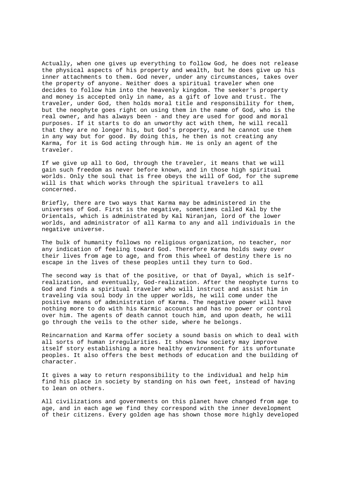Actually, when one gives up everything to follow God, he does not release the physical aspects of his property and wealth, but he does give up his inner attachments to them. God never, under any circumstances, takes over the property of anyone. Neither does a spiritual traveler when one decides to follow him into the heavenly kingdom. The seeker's property and money is accepted only in name, as a gift of love and trust. The traveler, under God, then holds moral title and responsibility for them, but the neophyte goes right on using them in the name of God, who is the real owner, and has always been - and they are used for good and moral purposes. If it starts to do an unworthy act with them, he will recall that they are no longer his, but God's property, and he cannot use them in any way but for good. By doing this, he then is not creating any Karma, for it is God acting through him. He is only an agent of the traveler.

If we give up all to God, through the traveler, it means that we will gain such freedom as never before known, and in those high spiritual worlds. Only the soul that is free obeys the will of God, for the supreme will is that which works through the spiritual travelers to all concerned.

Briefly, there are two ways that Karma may be administered in the universes of God. First is the negative, sometimes called Kal by the Orientals, which is administrated by Kal Niranjan, lord of the lower worlds, and administrator of all Karma to any and all individuals in the negative universe.

The bulk of humanity follows no religious organization, no teacher, nor any indication of feeling toward God. Therefore Karma holds sway over their lives from age to age, and from this wheel of destiny there is no escape in the lives of these peoples until they turn to God.

The second way is that of the positive, or that of Dayal, which is selfrealization, and eventually, God-realization. After the neophyte turns to God and finds a spiritual traveler who will instruct and assist him in traveling via soul body in the upper worlds, he will come under the positive means of administration of Karma. The negative power will have nothing more to do with his Karmic accounts and has no power or control over him. The agents of death cannot touch him, and upon death, he will go through the veils to the other side, where he belongs.

Reincarnation and Karma offer society a sound basis on which to deal with all sorts of human irregularities. It shows how society may improve itself story establishing a more healthy environment for its unfortunate peoples. It also offers the best methods of education and the building of character.

It gives a way to return responsibility to the individual and help him find his place in society by standing on his own feet, instead of having to lean on others.

All civilizations and governments on this planet have changed from age to age, and in each age we find they correspond with the inner development of their citizens. Every golden age has shown those more highly developed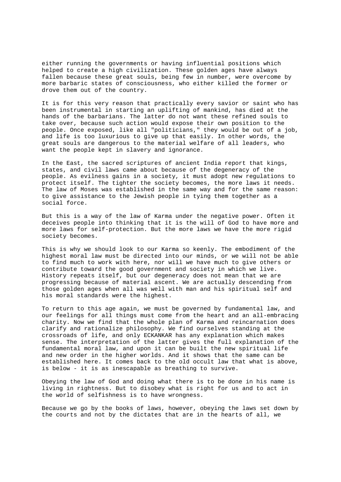either running the governments or having influential positions which helped to create a high civilization. These golden ages have always fallen because these great souls, being few in number, were overcome by more barbaric states of consciousness, who either killed the former or drove them out of the country.

It is for this very reason that practically every savior or saint who has been instrumental in starting an uplifting of mankind, has died at the hands of the barbarians. The latter do not want these refined souls to take over, because such action would expose their own position to the people. Once exposed, like all "politicians," they would be out of a job, and life is too luxurious to give up that easily. In other words, the great souls are dangerous to the material welfare of all leaders, who want the people kept in slavery and ignorance.

In the East, the sacred scriptures of ancient India report that kings, states, and civil laws came about because of the degeneracy of the people. As evilness gains in a society, it must adopt new regulations to protect itself. The tighter the society becomes, the more laws it needs. The law of Moses was established in the same way and for the same reason: to give assistance to the Jewish people in tying them together as a social force.

But this is a way of the law of Karma under the negative power. Often it deceives people into thinking that it is the will of God to have more and more laws for self-protection. But the more laws we have the more rigid society becomes.

This is why we should look to our Karma so keenly. The embodiment of the highest moral law must be directed into our minds, or we will not be able to find much to work with here, nor will we have much to give others or contribute toward the good government and society in which we live. History repeats itself, but our degeneracy does not mean that we are progressing because of material ascent. We are actually descending from those golden ages when all was well with man and his spiritual self and his moral standards were the highest.

To return to this age again, we must be governed by fundamental law, and our feelings for all things must come from the heart and an all-embracing charity. Now we find that the whole plan of Karma and reincarnation does clarify and rationalize philosophy. We find ourselves standing at the crossroads of life, and only ECKANKAR has any explanation which makes sense. The interpretation of the latter gives the full explanation of the fundamental moral law, and upon it can be built the new spiritual life and new order in the higher worlds. And it shows that the same can be established here. It comes back to the old occult law that what is above, is below - it is as inescapable as breathing to survive.

Obeying the law of God and doing what there is to be done in his name is living in rightness. But to disobey what is right for us and to act in the world of selfishness is to have wrongness.

Because we go by the books of laws, however, obeying the laws set down by the courts and not by the dictates that are in the hearts of all, we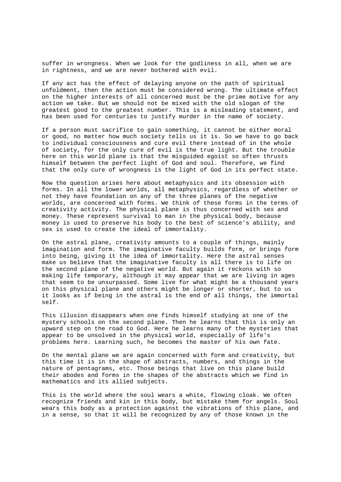suffer in wrongness. When we look for the godliness in all, when we are in rightness, and we are never bothered with evil.

If any act has the effect of delaying anyone on the path of spiritual unfoldment, then the action must be considered wrong. The ultimate effect on the higher interests of all concerned must be the prime motive for any action we take. But we should not be mixed with the old slogan of the greatest good to the greatest number. This is a misleading statement, and has been used for centuries to justify murder in the name of society.

If a person must sacrifice to gain something, it cannot be either moral or good, no matter how much society tells us it is. So we have to go back to individual consciousness and cure evil there instead of in the whole of society, for the only cure of evil is the true light. But the trouble here on this world plane is that the misguided egoist so often thrusts himself between the perfect light of God and soul. Therefore, we find that the only cure of wrongness is the light of God in its perfect state.

Now the question arises here about metaphysics and its obsession with forms. In all the lower worlds, all metaphysics, regardless of whether or not they have foundation on any of the three planes of the negative worlds, are concerned with forms. We think of these forms in the terms of creativity activity. The physical plane is thus concerned with sex and money. These represent survival to man in the physical body, because money is used to preserve his body to the best of science's ability, and sex is used to create the ideal of immortality.

On the astral plane, creativity amounts to a couple of things, mainly imagination and form. The imaginative faculty builds form, or brings form into being, giving it the idea of immortality. Here the astral senses make us believe that the imaginative faculty is all there is to life on the second plane of the negative world. But again it reckons with so making life temporary, although it may appear that we are living in ages that seem to be unsurpassed. Some live for what might be a thousand years on this physical plane and others might be longer or shorter, but to us it looks as if being in the astral is the end of all things, the immortal self.

This illusion disappears when one finds himself studying at one of the mystery schools on the second plane. Then he learns that this is only an upward step on the road to God. Here he learns many of the mysteries that appear to be unsolved in the physical world, especially of life's problems here. Learning such, he becomes the master of his own fate.

On the mental plane we are again concerned with form and creativity, but this time it is in the shape of abstracts, numbers, and things in the nature of pentagrams, etc. Those beings that live on this plane build their abodes and forms in the shapes of the abstracts which we find in mathematics and its allied subjects.

This is the world where the soul wears a white, flowing cloak. We often recognize friends and kin in this body, but mistake them for angels. Soul wears this body as a protection against the vibrations of this plane, and in a sense, so that it will be recognized by any of those known in the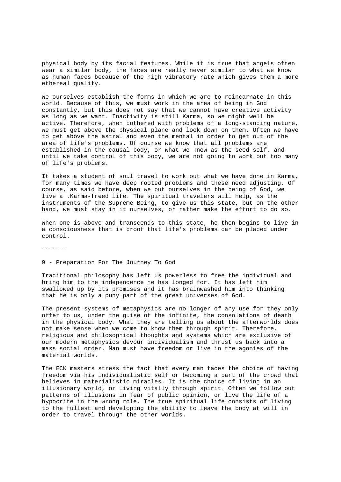physical body by its facial features. While it is true that angels often wear a similar body, the faces are really never similar to what we know as human faces because of the high vibratory rate which gives them a more ethereal quality.

We ourselves establish the forms in which we are to reincarnate in this world. Because of this, we must work in the area of being in God constantly, but this does not say that we cannot have creative activity as long as we want. Inactivity is still Karma, so we might well be active. Therefore, when bothered with problems of a long-standing nature, we must get above the physical plane and look down on them. Often we have to get above the astral and even the mental in order to get out of the area of life's problems. Of course we know that all problems are established in the causal body, or what we know as the seed self, and until we take control of this body, we are not going to work out too many of life's problems.

It takes a student of soul travel to work out what we have done in Karma, for many times we have deep rooted problems and these need adjusting. Of course, as said before, when we put ourselves in the being of God, we live a .Karma-freed life. The spiritual travelers will help, as the instruments of the Supreme Being, to give us this state, but on the other hand, we must stay in it ourselves, or rather make the effort to do so.

When one is above and transcends to this state, he then begins to live in a consciousness that is proof that life's problems can be placed under control.

~~~~~~~

## 9 - Preparation For The Journey To God

Traditional philosophy has left us powerless to free the individual and bring him to the independence he has longed for. It has left him swallowed up by its promises and it has brainwashed him into thinking that he is only a puny part of the great universes of God.

The present systems of metaphysics are no longer of any use for they only offer to us, under the guise of the infinite, the consolations of death in the physical body. What they are telling us about the afterworlds does not make sense when we come to know them through spirit. Therefore, religious and philosophical thoughts and systems which are exclusive of our modern metaphysics devour individualism and thrust us back into a mass social order. Man must have freedom or live in the agonies of the material worlds.

The ECK masters stress the fact that every man faces the choice of having freedom via his individualistic self or becoming a part of the crowd that believes in materialistic miracles. It is the choice of living in an illusionary world, or living vitally through spirit. Often we follow out patterns of illusions in fear of public opinion, or live the life of a hypocrite in the wrong role. The true spiritual life consists of living to the fullest and developing the ability to leave the body at will in order to travel through the other worlds.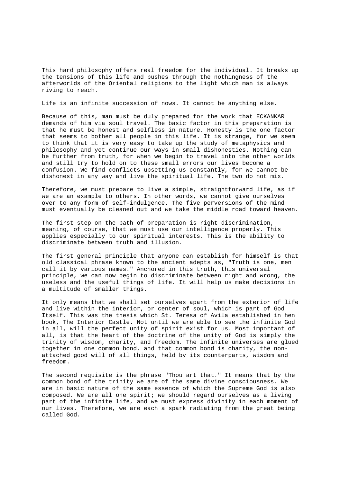This hard philosophy offers real freedom for the individual. It breaks up the tensions of this life and pushes through the nothingness of the afterworlds of the Oriental religions to the light which man is always riving to reach.

Life is an infinite succession of nows. It cannot be anything else.

Because of this, man must be duly prepared for the work that ECKANKAR demands of him via soul travel. The basic factor in this preparation is that he must be honest and selfless in nature. Honesty is the one factor that seems to bother all people in this life. It is strange, for we seem to think that it is very easy to take up the study of metaphysics and philosophy and yet continue our ways in small dishonesties. Nothing can be further from truth, for when we begin to travel into the other worlds and still try to hold on to these small errors our lives become a confusion. We find conflicts upsetting us constantly, for we cannot be dishonest in any way and live the spiritual life. The two do not mix.

Therefore, we must prepare to live a simple, straightforward life, as if we are an example to others. In other words, we cannot give ourselves over to any form of self-indulgence. The five perversions of the mind must eventually be cleaned out and we take the middle road toward heaven.

The first step on the path of preparation is right discrimination, meaning, of course, that we must use our intelligence properly. This applies especially to our spiritual interests. This is the ability to discriminate between truth and illusion.

The first general principle that anyone can establish for himself is that old classical phrase known to the ancient adepts as, "Truth is one, men call it by various names." Anchored in this truth, this universal principle, we can now begin to discriminate between right and wrong, the useless and the useful things of life. It will help us make decisions in a multitude of smaller things.

It only means that we shall set ourselves apart from the exterior of life and live within the interior, or center of soul, which is part of God Itself. This was the thesis which St. Teresa of Avila established in hen book, The Interior Castle. Not until we are able to see the infinite God in all, will the perfect unity of spirit exist for us. Most important of all, is that the heart of the doctrine of the unity of God is simply the trinity of wisdom, charity, and freedom. The infinite universes are glued together in one common bond, and that common bond is charity, the nonattached good will of all things, held by its counterparts, wisdom and freedom.

The second requisite is the phrase "Thou art that." It means that by the common bond of the trinity we are of the same divine consciousness. We are in basic nature of the same essence of which the Supreme God is also composed. We are all one spirit; we should regard ourselves as a living part of the infinite life, and we must express divinity in each moment of our lives. Therefore, we are each a spark radiating from the great being called God.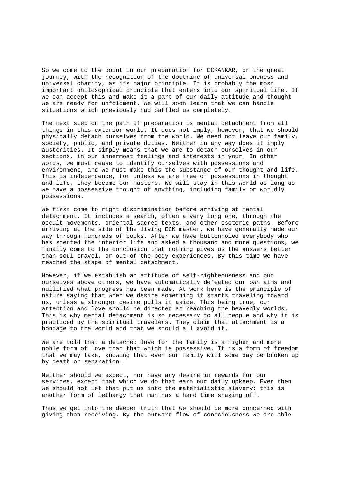So we come to the point in our preparation for ECKANKAR, or the great journey, with the recognition of the doctrine of universal oneness and universal charity, as its major principle. It is probably the most important philosophical principle that enters into our spiritual life. If we can accept this and make it a part of our daily attitude and thought we are ready for unfoldment. We will soon learn that we can handle situations which previously had baffled us completely.

The next step on the path of preparation is mental detachment from all things in this exterior world. It does not imply, however, that we should physically detach ourselves from the world. We need not leave our family, society, public, and private duties. Neither in any way does it imply austerities. It simply means that we are to detach ourselves in our sections, in our innermost feelings and interests in your. In other words, we must cease to identify ourselves with possessions and environment, and we must make this the substance of our thought and life. This is independence, for unless we are free of possessions in thought and life, they become our masters. We will stay in this world as long as we have a possessive thought of anything, including family or worldly possessions.

We first come to right discrimination before arriving at mental detachment. It includes a search, often a very long one, through the occult movements, oriental sacred texts, and other esoteric paths. Before arriving at the side of the living ECK master, we have generally made our way through hundreds of books. After we have buttonholed everybody who has scented the interior life and asked a thousand and more questions, we finally come to the conclusion that nothing gives us the answers better than soul travel, or out-of-the-body experiences. By this time we have reached the stage of mental detachment.

However, if we establish an attitude of self-righteousness and put ourselves above others, we have automatically defeated our own aims and nullified what progress has been made. At work here is the principle of nature saying that when we desire something it starts traveling toward us, unless a stronger desire pulls it aside. This being true, our attention and love should be directed at reaching the heavenly worlds. This is why mental detachment is so necessary to all people and why it is practiced by the spiritual travelers. They claim that attachment is a bondage to the world and that we should all avoid it.

We are told that a detached love for the family is a higher and more noble form of love than that which is possessive. It is a form of freedom that we may take, knowing that even our family will some day be broken up by death or separation.

Neither should we expect, nor have any desire in rewards for our services, except that which we do that earn our daily upkeep. Even then we should not let that put us into the materialistic slavery; this is another form of lethargy that man has a hard time shaking off.

Thus we get into the deeper truth that we should be more concerned with giving than receiving. By the outward flow of consciousness we are able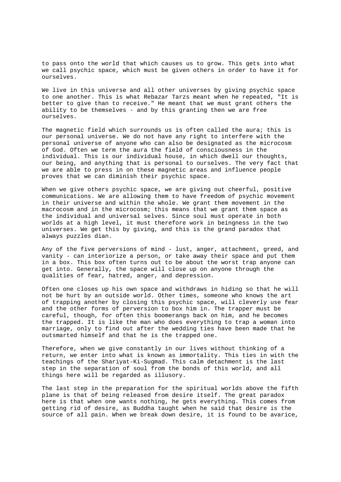to pass onto the world that which causes us to grow. This gets into what we call psychic space, which must be given others in order to have it for ourselves.

We live in this universe and all other universes by giving psychic space to one another. This is what Rebazar Tarzs meant when he repeated, "It is better to give than to receive." He meant that we must grant others the ability to be themselves - and by this granting then we are free ourselves.

The magnetic field which surrounds us is often called the aura; this is our personal universe. We do not have any right to interfere with the personal universe of anyone who can also be designated as the microcosm of God. Often we term the aura the field of consciousness in the individual. This is our individual house, in which dwell our thoughts, our being, and anything that is personal to ourselves. The very fact that we are able to press in on these magnetic areas and influence people proves that we can diminish their psychic space.

When we give others psychic space, we are giving out cheerful, positive communications. We are allowing them to have freedom of psychic movement in their universe and within the whole. We grant them movement in the macrocosm and in the microcosm; this means that we grant them space as the individual and universal selves. Since soul must operate in both worlds at a high level, it must therefore work in beingness in the two universes. We get this by giving, and this is the grand paradox that always puzzles dian.

Any of the five perversions of mind - lust, anger, attachment, greed, and vanity - can interiorize a person, or take away their space and put them in a box. This box often turns out to be about the worst trap anyone can get into. Generally, the space will close up on anyone through the qualities of fear, hatred, anger, and depression.

Often one closes up his own space and withdraws in hiding so that he will not be hurt by an outside world. Other times, someone who knows the art of trapping another by closing this psychic space, will cleverly use fear and the other forms of perversion to box him in. The trapper must be careful, though, for often this boomerangs back on him, and he becomes the trapped. It is like the man who does everything to trap a woman into marriage, only to find out after the wedding ties have been made that he outsmarted himself and that he is the trapped one.

Therefore, when we give constantly in our lives without thinking of a return, we enter into what is known as immortality. This ties in with the teachings of the Shariyat-Ki-Sugmad. This calm detachment is the last step in the separation of soul from the bonds of this world, and all things here will be regarded as illusory.

The last step in the preparation for the spiritual worlds above the fifth plane is that of being released from desire itself. The great paradox here is that when one wants nothing, he gets everything. This comes from getting rid of desire, as Buddha taught when he said that desire is the source of all pain. When we break down desire, it is found to be avarice,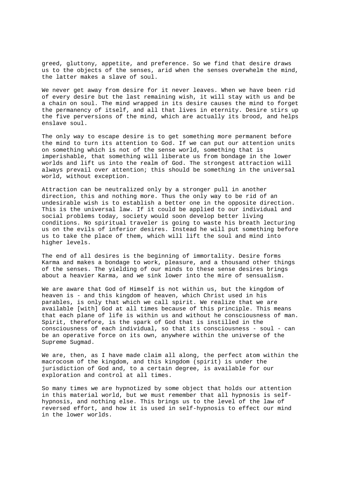greed, gluttony, appetite, and preference. So we find that desire draws us to the objects of the senses, arid when the senses overwhelm the mind, the latter makes a slave of soul.

We never get away from desire for it never leaves. When we have been rid of every desire but the last remaining wish, it will stay with us and be a chain on soul. The mind wrapped in its desire causes the mind to forget the permanency of itself, and all that lives in eternity. Desire stirs up the five perversions of the mind, which are actually its brood, and helps enslave soul.

The only way to escape desire is to get something more permanent before the mind to turn its attention to God. If we can put our attention units on something which is not of the sense world, something that is imperishable, that something will liberate us from bondage in the lower worlds and lift us into the realm of God. The strongest attraction will always prevail over attention; this should be something in the universal world, without exception.

Attraction can be neutralized only by a stronger pull in another direction, this and nothing more. Thus the only way to be rid of an undesirable wish is to establish a better one in the opposite direction. This is the universal law. If it could be applied to our individual and social problems today, society would soon develop better living conditions. No spiritual traveler is going to waste his breath lecturing us on the evils of inferior desires. Instead he will put something before us to take the place of them, which will lift the soul and mind into higher levels.

The end of all desires is the beginning of immortality. Desire forms Karma and makes a bondage to work, pleasure, and a thousand other things of the senses. The yielding of our minds to these sense desires brings about a heavier Karma, and we sink lower into the mire of sensualism.

We are aware that God of Himself is not within us, but the kingdom of heaven is - and this kingdom of heaven, which Christ used in his parables, is only that which we call spirit. We realize that we are available [with] God at all times because of this principle. This means that each plane of life is within us and without he consciousness of man. Spirit, therefore, is the spark of God that is instilled in the consciousness of each individual, so that its consciousness - soul - can be an operative force on its own, anywhere within the universe of the Supreme Sugmad.

We are, then, as I have made claim all along, the perfect atom within the macrocosm of the kingdom, and this kingdom (spirit) is under the jurisdiction of God and, to a certain degree, is available for our exploration and control at all times.

So many times we are hypnotized by some object that holds our attention in this material world, but we must remember that all hypnosis is selfhypnosis, and nothing else. This brings us to the level of the law of reversed effort, and how it is used in self-hypnosis to effect our mind in the lower worlds.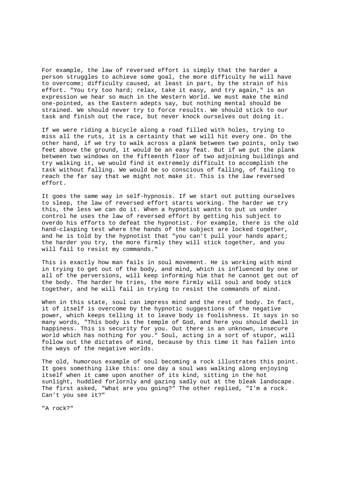For example, the law of reversed effort is simply that the harder a person struggles to achieve some goal, the more difficulty he will have to overcome; difficulty caused, at least in part, by the strain of his effort. "You try too hard; relax, take it easy, and try again," is an expression we hear so much in the Western World. We must make the mind one-pointed, as the Eastern adepts say, but nothing mental should be strained. We should never try to force results. We should stick to our task and finish out the race, but never knock ourselves out doing it.

If we were riding a bicycle along a road filled with holes, trying to miss all the ruts, it is a certainty that we will hit every one. On the other hand, if we try to walk across a plank between two points, only two feet above the ground, it would be an easy feat. But if we put the plank between two windows on the fifteenth floor of two adjoining buildings and try walking it, we would find it extremely difficult to accomplish the task without falling. We would be so conscious of falling, of failing to reach the far say that we might not make it. This is the law reversed effort.

It goes the same way in self-hypnosis. If we start out putting ourselves to sleep, the law of reversed effort starts working. The harder we try this, the less we can do it. When a hypnotist wants to put us under control he uses the law of reversed effort by getting his subject to overdo his efforts to defeat the hypnotist. For example, there is the old hand-clasping test where the hands of the subject are locked together, and he is told by the hypnotist that "you can't pull your hands apart; the harder you try, the more firmly they will stick together, and you will fail to resist my commands."

This is exactly how man fails in soul movement. He is working with mind in trying to get out of the body, and mind, which is influenced by one or all of the perversions, will keep informing him that he cannot get out of the body. The harder he tries, the more firmly will soul and body stick together, and he will fail in trying to resist the commands of mind.

When in this state, soul can impress mind and the rest of body. In fact, it of itself is overcome by the hypnotic suggestions of the negative power, which keeps telling it to leave body is foolishness. It says in so many words, "This body is the temple of God, and here you should dwell in happiness. This is security for you. Out there is an unknown, insecure world which has nothing for you." Soul, acting in a sort of stupor, will follow out the dictates of mind, because by this time it has fallen into the ways of the negative worlds.

The old, humorous example of soul becoming a rock illustrates this point. It goes something like this: one day a soul was walking along enjoying itself when it came upon another of its kind, sitting in the hot sunlight, huddled forlornly and gazing sadly out at the bleak landscape. The first asked, "What are you going?" The other replied, "I'm a rock. Can't you see it?"

"A rock?"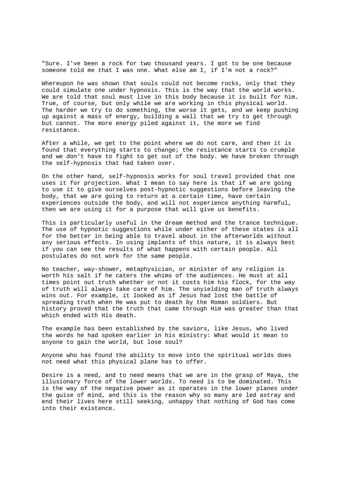"Sure. I've been a rock for two thousand years. I got to be one because someone told me that I was one. What else am I, if I'm not a rock?"

Whereupon he was shown that souls could not become rocks, only that they could simulate one under hypnosis. This is the way that the world works. We are told that soul must live in this body because it is built for him. True, of course, but only while we are working in this physical world. The harder we try to do something, the worse it gets, and we keep pushing up against a mass of energy, building a wall that we try to get through but cannot. The more energy piled against it, the more we find resistance.

After a while, we get to the point where we do not care, and then it is found that everything starts to change; the resistance starts to crumple and we don't have to fight to get out of the body. We have broken through the self-hypnosis that had taken over.

On the other hand, self-hypnosis works for soul travel provided that one uses it for projection. What I mean to say here is that if we are going to use it to give ourselves post-hypnotic suggestions before leaving the body, that we are going to return at a certain time, have certain experiences outside the body, and will not experience anything harmful, then we are using it for a purpose that will give us benefits.

This is particularly useful in the dream method and the trance technique. The use of hypnotic suggestions while under either of these states is all for the better in being able to travel about in the afterworlds without any serious effects. In using implants of this nature, it is always best if you can see the results of what happens with certain people. All postulates do not work for the same people.

No teacher, way-shower, metaphysician, or minister of any religion is worth his salt if he caters the whims of the audiences. He must at all times point out truth whether or not it costs him his flock, for the way of truth will always take care of him. The unyielding man of truth always wins out. For example, it looked as if Jesus had lost the battle of spreading truth when He was put to death by the Roman soldiers. But history proved that the truth that came through Him was greater than that which ended with His death.

The example has been established by the saviors, like Jesus, who lived the words he had spoken earlier in his ministry: What would it mean to anyone to gain the world, but lose soul?

Anyone who has found the ability to move into the spiritual worlds does not need what this physical plane has to offer.

Desire is a need, and to need means that we are in the grasp of Maya, the illusionary force of the lower worlds. To need is to be dominated. This is the way of the negative power as it operates in the lower planes under the guise of mind, and this is the reason why so many are led astray and end their lives here still seeking, unhappy that nothing of God has come into their existence.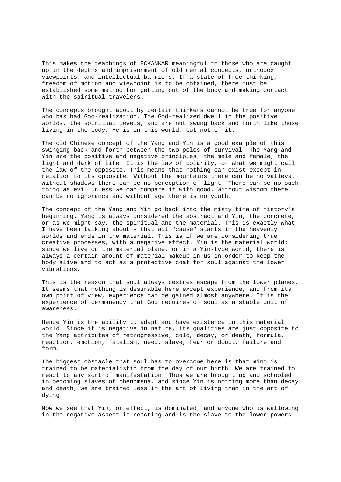This makes the teachings of ECKANKAR meaningful to those who are caught up in the depths and imprisonment of old mental concepts, orthodox viewpoints, and intellectual barriers. If a state of free thinking, freedom of motion and viewpoint is to be obtained, there must be established some method for getting out of the body and making contact with the spiritual travelers.

The concepts brought about by certain thinkers cannot be true for anyone who has had God-realization. The God-realized dwell in the positive worlds, the spiritual levels, and are not swung back and forth like those living in the body. He is in this world, but not of it.

The old Chinese concept of the Yang and Yin is a good example of this swinging back and forth between the two poles of survival. The Yang and Yin are the positive and negative principles, the male and female, the light and dark of life. It is the law of polarity, or what we might call the law of the opposite. This means that nothing can exist except in relation to its opposite. Without the mountains there can be no valleys. Without shadows there can be no perception of light. There can be no such thing as evil unless we can compare it with good. Without wisdom there can be no ignorance and without age there is no youth.

The concept of the Yang and Yin go back into the misty time of history's beginning. Yang is always considered the abstract and Yin, the concrete, or as we might say, the spiritual and the material. This is exactly what I have been talking about - that all "cause" starts in the heavenly worlds and ends in the material. This is if we are considering true creative processes, with a negative effect. Yin is the material world; since we live on the material plane, or in a Yin-type world, there is always a certain amount of material makeup in us in order to keep the body alive and to act as a protective coat for soul against the lower vibrations.

This is the reason that soul always desires escape from the lower planes. It seems that nothing is desirable here except experience, and from its own point of view, experience can be gained almost anywhere. It is the experience of permanency that God requires of soul as a stable unit of awareness.

Hence Yin is the ability to adapt and have existence in this material world. Since it is negative in nature, its qualities are just opposite to the Yang attributes of retrogressive, cold, decay, or death, formula, reaction, emotion, fatalism, need, slave, fear or doubt, failure and form.

The biggest obstacle that soul has to overcome here is that mind is trained to be materialistic from the day of our birth. We are trained to react to any sort of manifestation. Thus we are brought up and schooled in becoming slaves of phenomena, and since Yin is nothing more than decay and death, we are trained less in the art of living than in the art of dying.

Now we see that Yin, or effect, is dominated, and anyone who is wallowing in the negative aspect is reacting and is the slave to the lower powers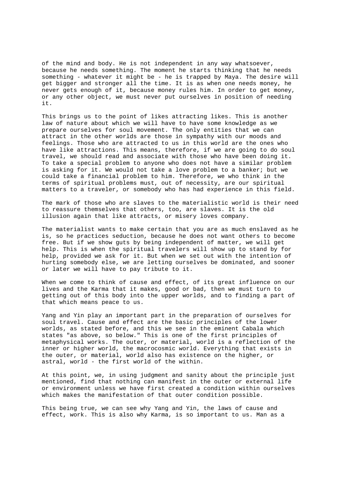of the mind and body. He is not independent in any way whatsoever, because he needs something. The moment he starts thinking that he needs something - whatever it might be - he is trapped by Maya. The desire will get bigger and stronger all the time. It is as when one needs money, he never gets enough of it, because money rules him. In order to get money, or any other object, we must never put ourselves in position of needing it.

This brings us to the point of likes attracting likes. This is another law of nature about which we will have to have some knowledge as we prepare ourselves for soul movement. The only entities that we can attract in the other worlds are those in sympathy with our moods and feelings. Those who are attracted to us in this world are the ones who have like attractions. This means, therefore, if we are going to do soul travel, we should read and associate with those who have been doing it. To take a special problem to anyone who does not have a similar problem is asking for it. We would not take a love problem to a banker; but we could take a financial problem to him. Therefore, we who think in the terms of spiritual problems must, out of necessity, are our spiritual matters to a traveler, or somebody who has had experience in this field.

The mark of those who are slaves to the materialistic world is their need to reassure themselves that others, too, are slaves. It is the old illusion again that like attracts, or misery loves company.

The materialist wants to make certain that you are as much enslaved as he is, so he practices seduction, because he does not want others to become free. But if we show guts by being independent of matter, we will get help. This is when the spiritual travelers will show up to stand by for help, provided we ask for it. But when we set out with the intention of hurting somebody else, we are letting ourselves be dominated, and sooner or later we will have to pay tribute to it.

When we come to think of cause and effect, of its great influence on our lives and the Karma that it makes, good or bad, then we must turn to getting out of this body into the upper worlds, and to finding a part of that which means peace to us.

Yang and Yin play an important part in the preparation of ourselves for soul travel. Cause and effect are the basic principles of the lower worlds, as stated before, and this we see in the eminent Cabala which states "as above, so below." This is one of the first principles of metaphysical works. The outer, or material, world is a reflection of the inner or higher world, the macrocosmic world. Everything that exists in the outer, or material, world also has existence on the higher, or astral, world - the first world of the within.

At this point, we, in using judgment and sanity about the principle just mentioned, find that nothing can manifest in the outer or external life or environment unless we have first created a condition within ourselves which makes the manifestation of that outer condition possible.

This being true, we can see why Yang and Yin, the laws of cause and effect, work. This is also why Karma, is so important to us. Man as a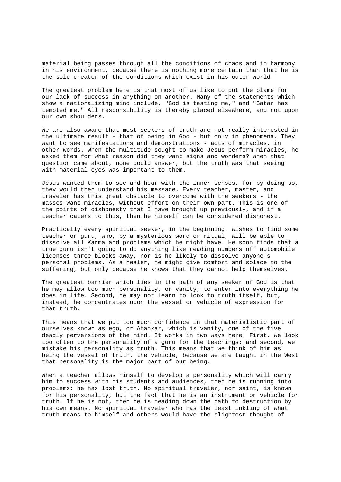material being passes through all the conditions of chaos and in harmony in his environment, because there is nothing more certain than that he is the sole creator of the conditions which exist in his outer world.

The greatest problem here is that most of us like to put the blame for our lack of success in anything on another. Many of the statements which show a rationalizing mind include, "God is testing me," and "Satan has tempted me." All responsibility is thereby placed elsewhere, and not upon our own shoulders.

We are also aware that most seekers of truth are not really interested in the ultimate result - that of being in God - but only in phenomena. They want to see manifestations and demonstrations - acts of miracles, in other words. When the multitude sought to make Jesus perform miracles, he asked them for what reason did they want signs and wonders? When that question came about, none could answer, but the truth was that seeing with material eyes was important to them.

Jesus wanted them to see and hear with the inner senses, for by doing so, they would then understand his message. Every teacher, master, and traveler has this great obstacle to overcome with the seekers - the masses want miracles, without effort on their own part. This is one of the points of dishonesty that I have brought up previously, and if a teacher caters to this, then he himself can be considered dishonest.

Practically every spiritual seeker, in the beginning, wishes to find some teacher or guru, who, by a mysterious word or ritual, will be able to dissolve all Karma and problems which he might have. He soon finds that a true guru isn't going to do anything like reading numbers off automobile licenses three blocks away, nor is he likely to dissolve anyone's personal problems. As a healer, he might give comfort and solace to the suffering, but only because he knows that they cannot help themselves.

The greatest barrier which lies in the path of any seeker of God is that he may allow too much personality, or vanity, to enter into everything he does in life. Second, he may not learn to look to truth itself, but, instead, he concentrates upon the vessel or vehicle of expression for that truth.

This means that we put too much confidence in that materialistic part of ourselves known as ego, or Ahankar, which is vanity, one of the five deadly perversions of the mind. It works in two ways here: First, we look too often to the personality of a guru for the teachings; and second, we mistake his personality as truth. This means that we think of him as being the vessel of truth, the vehicle, because we are taught in the West that personality is the major part of our being.

When a teacher allows himself to develop a personality which will carry him to success with his students and audiences, then he is running into problems: he has lost truth. No spiritual traveler, nor saint, is known for his personality, but the fact that he is an instrument or vehicle for truth. If he is not, then he is heading down the path to destruction by his own means. No spiritual traveler who has the least inkling of what truth means to himself and others would have the slightest thought of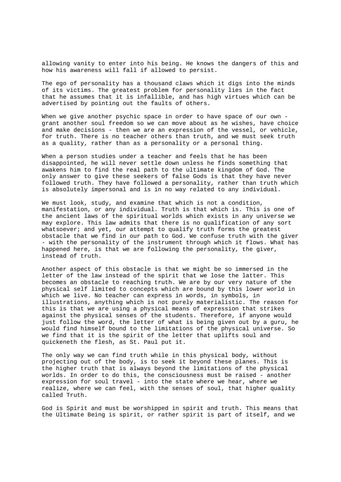allowing vanity to enter into his being. He knows the dangers of this and how his awareness will fall if allowed to persist.

The ego of personality has a thousand claws which it digs into the minds of its victims. The greatest problem for personality lies in the fact that he assumes that it is infallible, and has high virtues which can be advertised by pointing out the faults of others.

When we give another psychic space in order to have space of our own grant another soul freedom so we can move about as he wishes, have choice and make decisions - then we are an expression of the vessel, or vehicle, for truth. There is no teacher others than truth, and we must seek truth as a quality, rather than as a personality or a personal thing.

When a person studies under a teacher and feels that he has been disappointed, he will never settle down unless he finds something that awakens him to find the real path to the ultimate kingdom of God. The only answer to give these seekers of false Gods is that they have never followed truth. They have followed a personality, rather than truth which is absolutely impersonal and is in no way related to any individual.

We must look, study, and examine that which is not a condition, manifestation, or any individual. Truth is that which is. This is one of the ancient laws of the spiritual worlds which exists in any universe we may explore. This law admits that there is no qualification of any sort whatsoever; and yet, our attempt to qualify truth forms the greatest obstacle that we find in our path to God. We confuse truth with the giver - with the personality of the instrument through which it flows. What has happened here, is that we are following the personality, the giver, instead of truth.

Another aspect of this obstacle is that we might be so immersed in the letter of the law instead of the spirit that we lose the latter. This becomes an obstacle to reaching truth. We are by our very nature of the physical self limited to concepts which are bound by this lower world in which we live. No teacher can express in words, in symbols, in illustrations, anything which is not purely materialistic. The reason for this is that we are using a physical means of expression that strikes against the physical senses of the students. Therefore, if anyone would just follow the word, the letter of what is being given out by a guru, he would find himself bound to the limitations of the physical universe. So we find that it is the spirit of the letter that uplifts soul and quickeneth the flesh, as St. Paul put it.

The only way we can find truth while in this physical body, without projecting out of the body, is to seek it beyond these planes. This is the higher truth that is always beyond the limitations of the physical worlds. In order to do this, the consciousness must be raised - another expression for soul travel - into the state where we hear, where we realize, where we can feel, with the senses of soul, that higher quality called Truth.

God is Spirit and must be worshipped in spirit and truth. This means that the Ultimate Being is spirit, or rather spirit is part of itself, and we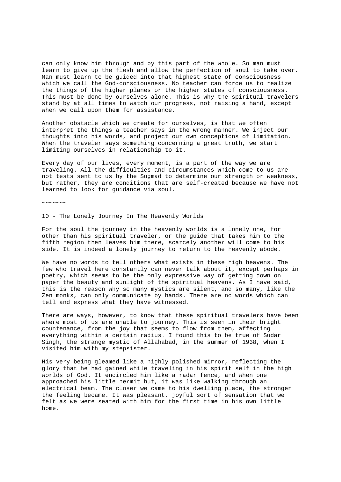can only know him through and by this part of the whole. So man must learn to give up the flesh and allow the perfection of soul to take over. Man must learn to be guided into that highest state of consciousness which we call the God-consciousness. No teacher can force us to realize the things of the higher planes or the higher states of consciousness. This must be done by ourselves alone. This is why the spiritual travelers stand by at all times to watch our progress, not raising a hand, except when we call upon them for assistance.

Another obstacle which we create for ourselves, is that we often interpret the things a teacher says in the wrong manner. We inject our thoughts into his words, and project our own conceptions of limitation. When the traveler says something concerning a great truth, we start limiting ourselves in relationship to it.

Every day of our lives, every moment, is a part of the way we are traveling. All the difficulties and circumstances which come to us are not tests sent to us by the Sugmad to determine our strength or weakness, but rather, they are conditions that are self-created because we have not learned to look for guidance via soul.

 $\sim\sim\sim\sim\sim\sim\sim$ 

10 - The Lonely Journey In The Heavenly Worlds

For the soul the journey in the heavenly worlds is a lonely one, for other than his spiritual traveler, or the guide that takes him to the fifth region then leaves him there, scarcely another will come to his side. It is indeed a lonely journey to return to the heavenly abode.

We have no words to tell others what exists in these high heavens. The few who travel here constantly can never talk about it, except perhaps in poetry, which seems to be the only expressive way of getting down on paper the beauty and sunlight of the spiritual heavens. As I have said, this is the reason why so many mystics are silent, and so many, like the Zen monks, can only communicate by hands. There are no words which can tell and express what they have witnessed.

There are ways, however, to know that these spiritual travelers have been where most of us are unable to journey. This is seen in their bright countenance, from the joy that seems to flow from them, affecting everything within a certain radius. I found this to be true of Sudar Singh, the strange mystic of Allahabad, in the summer of 1938, when I visited him with my stepsister.

His very being gleamed like a highly polished mirror, reflecting the glory that he had gained while traveling in his spirit self in the high worlds of God. It encircled him like a radar fence, and when one approached his little hermit hut, it was like walking through an electrical beam. The closer we came to his dwelling place, the stronger the feeling became. It was pleasant, joyful sort of sensation that we felt as we were seated with him for the first time in his own little home.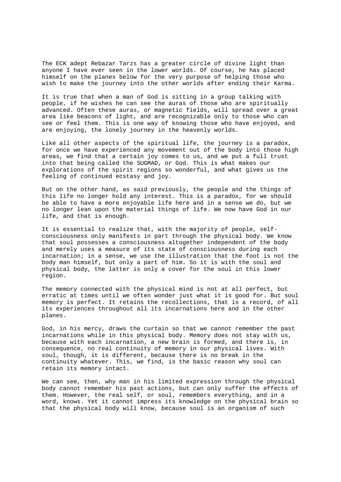The ECK adept Rebazar Tarzs has a greater circle of divine light than anyone I have ever seen in the lower worlds. Of course, he has placed himself on the planes below for the very purpose of helping those who wish to make the journey into the other worlds after ending their Karma.

It is true that when a man of God is sitting in a group talking with people, if he wishes he can see the auras of those who are spiritually advanced. Often these auras, or magnetic fields, will spread over a great area like beacons of light, and are recognizable only to those who can see or feel them. This is one way of knowing those who have enjoyed, and are enjoying, the lonely journey in the heavenly worlds.

Like all other aspects of the spiritual life, the journey is a paradox, for once we have experienced any movement out of the body into those high areas, we find that a certain joy comes to us, and we put a full trust into that being called the SUGMAD, or God. This is what makes our explorations of the spirit regions so wonderful, and what gives us the feeling of continued ecstasy and joy.

But on the other hand, as said previously, the people and the things of this life no longer hold any interest. This is a paradox, for we should be able to have a more enjoyable life here and in a sense we do, but we no longer lean upon the material things of life. We now have God in our life, and that is enough.

It is essential to realize that, with the majority of people, selfconsciousness only manifests in part through the physical body. We know that soul possesses a consciousness altogether independent of the body and merely uses a measure of its state of consciousness during each incarnation; in a sense, we use the illustration that the foot is not the body man himself, but only a part of him. So it is with the soul and physical body, the latter is only a cover for the soul in this lower region.

The memory connected with the physical mind is not at all perfect, but erratic at times until we often wonder just what it is good for. But soul memory is perfect. It retains the recollections, that is a record, of all its experiences throughout all its incarnations here and in the other planes.

God, in his mercy, draws the curtain so that we cannot remember the past incarnations while in this physical body. Memory does not stay with us, because with each incarnation, a new brain is formed, and there is, in consequence, no real continuity of memory in our physical lives. With soul, though, it is different, because there is no break in the continuity whatever. This, we find, is the basic reason why soul can retain its memory intact.

We can see, then, why man in his limited expression through the physical body cannot remember his past actions, but can only suffer the effects of them. However, the real self, or soul, remembers everything, and in a word, knows. Yet it cannot impress its knowledge on the physical brain so that the physical body will know, because soul is an organism of such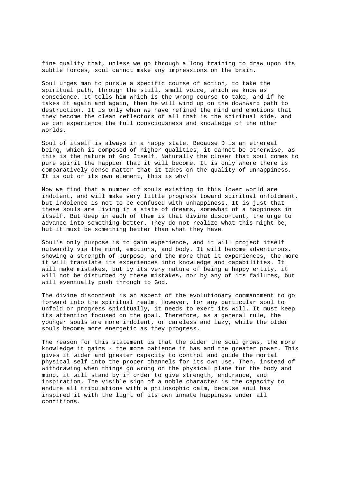fine quality that, unless we go through a long training to draw upon its subtle forces, soul cannot make any impressions on the brain.

Soul urges man to pursue a specific course of action, to take the spiritual path, through the still, small voice, which we know as conscience. It tells him which is the wrong course to take, and if he takes it again and again, then he will wind up on the downward path to destruction. It is only when we have refined the mind and emotions that they become the clean reflectors of all that is the spiritual side, and we can experience the full consciousness and knowledge of the other worlds.

Soul of itself is always in a happy state. Because D is an ethereal being, which is composed of higher qualities, it cannot be otherwise, as this is the nature of God Itself. Naturally the closer that soul comes to pure spirit the happier that it will become. It is only where there is comparatively dense matter that it takes on the quality of unhappiness. It is out of its own element, this is why!

Now we find that a number of souls existing in this lower world are indolent, and will make very little progress toward spiritual unfoldment, but indolence is not to be confused with unhappiness. It is just that these souls are living in a state of dreams, somewhat of a happiness in itself. But deep in each of them is that divine discontent, the urge to advance into something better. They do not realize what this might be, but it must be something better than what they have.

Soul's only purpose is to gain experience, and it will project itself outwardly via the mind, emotions, and body. It will become adventurous, showing a strength of purpose, and the more that it experiences, the more it will translate its experiences into knowledge and capabilities. It will make mistakes, but by its very nature of being a happy entity, it will not be disturbed by these mistakes, nor by any of its failures, but will eventually push through to God.

The divine discontent is an aspect of the evolutionary commandment to go forward into the spiritual realm. However, for any particular soul to unfold or progress spiritually, it needs to exert its will. It must keep its attention focused on the goal. Therefore, as a general rule, the younger souls are more indolent, or careless and lazy, while the older souls become more energetic as they progress.

The reason for this statement is that the older the soul grows, the more knowledge it gains - the more patience it has and the greater power. This gives it wider and greater capacity to control and guide the mortal physical self into the proper channels for its own use. Then, instead of withdrawing when things go wrong on the physical plane for the body and mind, it will stand by in order to give strength, endurance, and inspiration. The visible sign of a noble character is the capacity to endure all tribulations with a philosophic calm, because soul has inspired it with the light of its own innate happiness under all conditions.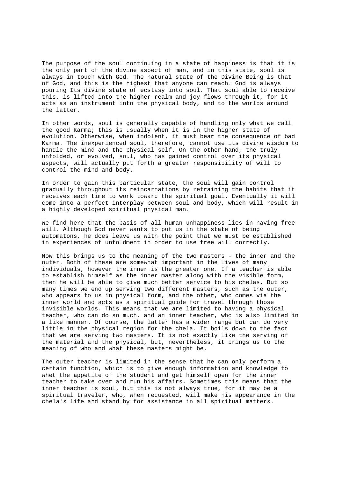The purpose of the soul continuing in a state of happiness is that it is the only part of the divine aspect of man, and in this state, soul is always in touch with God. The natural state of the Divine Being is that of God, and this is the highest that anyone can reach. God is always pouring Its divine state of ecstasy into soul. That soul able to receive this, is lifted into the higher realm and joy flows through it, for it acts as an instrument into the physical body, and to the worlds around the latter.

In other words, soul is generally capable of handling only what we call the good Karma; this is usually when it is in the higher state of evolution. Otherwise, when indolent, it must bear the consequence of bad Karma. The inexperienced soul, therefore, cannot use its divine wisdom to handle the mind and the physical self. On the other hand, the truly unfolded, or evolved, soul, who has gained control over its physical aspects, will actually put forth a greater responsibility of will to control the mind and body.

In order to gain this particular state, the soul will gain control gradually throughout its reincarnations by retraining the habits that it receives each time to work toward the spiritual goal. Eventually it will come into a perfect interplay between soul and body, which will result in a highly developed spiritual physical man.

We find here that the basis of all human unhappiness lies in having free will. Although God never wants to put us in the state of being automatons, he does leave us with the point that we must be established in experiences of unfoldment in order to use free will correctly.

Now this brings us to the meaning of the two masters - the inner and the outer. Both of these are somewhat important in the lives of many individuals, however the inner is the greater one. If a teacher is able to establish himself as the inner master along with the visible form, then he will be able to give much better service to his chelas. But so many times we end up serving two different masters, such as the outer, who appears to us in physical form, and the other, who comes via the inner world and acts as a spiritual guide for travel through those invisible worlds. This means that we are limited to having a physical teacher, who can do so much, and an inner teacher, who is also limited in a like manner. Of course, the latter has a wider range but can do very little in the physical region for the chela. It boils down to the fact that we are serving two masters. It is not exactly like the serving of the material and the physical, but, nevertheless, it brings us to the meaning of who and what these masters might be.

The outer teacher is limited in the sense that he can only perform a certain function, which is to give enough information and knowledge to whet the appetite of the student and get himself open for the inner teacher to take over and run his affairs. Sometimes this means that the inner teacher is soul, but this is not always true, for it may be a spiritual traveler, who, when requested, will make his appearance in the chela's life and stand by for assistance in all spiritual matters.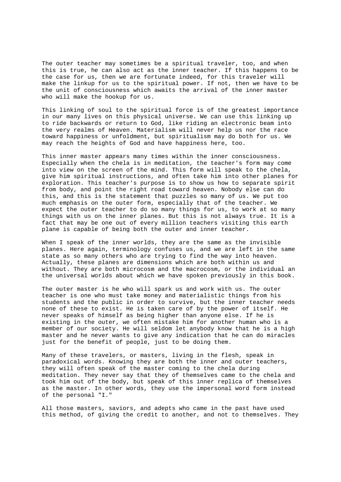The outer teacher may sometimes be a spiritual traveler, too, and when this is true, he can also act as the inner teacher. If this happens to be the case for us, then we are fortunate indeed, for this traveler will make the linkup for us to the spiritual power. If not, then we have to be the unit of consciousness which awaits the arrival of the inner master who will make the hookup for us.

This linking of soul to the spiritual force is of the greatest importance in our many lives on this physical universe. We can use this linking up to ride backwards or return to God, like riding an electronic beam into the very realms of Heaven. Materialism will never help us nor the race toward happiness or unfoldment, but spiritualism may do both for us. We may reach the heights of God and have happiness here, too.

This inner master appears many times within the inner consciousness. Especially when the chela is in meditation, the teacher's form may come into view on the screen of the mind. This form will speak to the chela, give him spiritual instructions, and often take him into other planes for exploration. This teacher's purpose is to show us how to separate spirit from body, and point the right road toward heaven. Nobody else can do this, and this is the statement that puzzles so many of us. We put too much emphasis on the outer form, especially that of the teacher. We expect the outer teacher to do so many things for us, to work at so many things with us on the inner planes. But this is not always true. It is a fact that may be one out of every million teachers visiting this earth plane is capable of being both the outer and inner teacher.

When I speak of the inner worlds, they are the same as the invisible planes. Here again, terminology confuses us, and we are left in the same state as so many others who are trying to find the way into heaven. Actually, these planes are dimensions which are both within us and without. They are both microcosm and the macrocosm, or the individual an the universal worlds about which we have spoken previously in this book.

The outer master is he who will spark us and work with us. The outer teacher is one who must take money and materialistic things from his students and the public in order to survive, but the inner teacher needs none of these to exist. He is taken care of by the power of itself. He never speaks of himself as being higher than anyone else. If he is existing in the outer, we often mistake him for another human who is a member of our society. He will seldom let anybody know that he is a high master and he never wants to give any indication that he can do miracles just for the benefit of people, just to be doing them.

Many of these travelers, or masters, living in the flesh, speak in paradoxical words. Knowing they are both the inner and outer teachers, they will often speak of the master coming to the chela during meditation. They never say that they of themselves came to the chela and took him out of the body, but speak of this inner replica of themselves as the master. In other words, they use the impersonal word form instead of the personal "I."

All those masters, saviors, and adepts who came in the past have used this method, of giving the credit to another, and not to themselves. They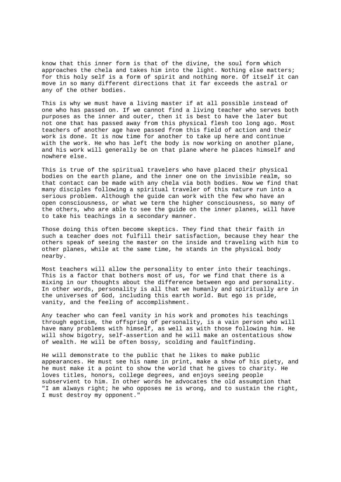know that this inner form is that of the divine, the soul form which approaches the chela and takes him into the light. Nothing else matters; for this holy self is a form of spirit and nothing more. Of itself it can move in so many different directions that it far exceeds the astral or any of the other bodies.

This is why we must have a living master if at all possible instead of one who has passed on. If we cannot find a living teacher who serves both purposes as the inner and outer, then it is best to have the later but not one that has passed away from this physical flesh too long ago. Most teachers of another age have passed from this field of action and their work is done. It is now time for another to take up here and continue with the work. He who has left the body is now working on another plane, and his work will generally be on that plane where he places himself and nowhere else.

This is true of the spiritual travelers who have placed their physical bodies on the earth plane, and the inner one on the invisible realm, so that contact can be made with any chela via both bodies. Now we find that many disciples following a spiritual traveler of this nature run into a serious problem. Although the guide can work with the few who have an open consciousness, or what we term the higher consciousness, so many of the others, who are able to see the guide on the inner planes, will have to take his teachings in a secondary manner.

Those doing this often become skeptics. They find that their faith in such a teacher does not fulfill their satisfaction, because they hear the others speak of seeing the master on the inside and traveling with him to other planes, while at the same time, he stands in the physical body nearby.

Most teachers will allow the personality to enter into their teachings. This is a factor that bothers most of us, for we find that there is a mixing in our thoughts about the difference between ego and personality. In other words, personality is all that we humanly and spiritually are in the universes of God, including this earth world. But ego is pride, vanity, and the feeling of accomplishment.

Any teacher who can feel vanity in his work and promotes his teachings through egotism, the offspring of personality, is a vain person who will have many problems with himself, as well as with those following him. He will show bigotry, self-assertion and he will make an ostentatious show of wealth. He will be often bossy, scolding and faultfinding.

He will demonstrate to the public that he likes to make public appearances. He must see his name in print, make a show of his piety, and he must make it a point to show the world that he gives to charity. He loves titles, honors, college degrees, and enjoys seeing people subservient to him. In other words he advocates the old assumption that "I am always right; he who opposes me is wrong, and to sustain the right, I must destroy my opponent."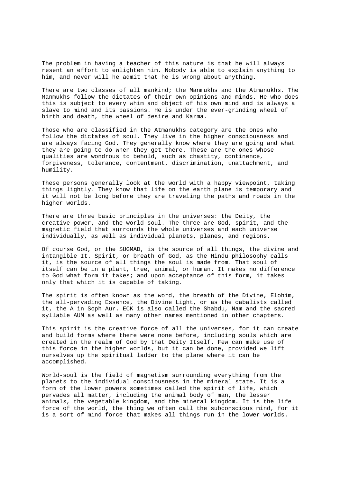The problem in having a teacher of this nature is that he will always resent an effort to enlighten him. Nobody is able to explain anything to him, and never will he admit that he is wrong about anything.

There are two classes of all mankind; the Manmukhs and the Atmanukhs. The Manmukhs follow the dictates of their own opinions and minds. He who does this is subject to every whim and object of his own mind and is always a slave to mind and its passions. He is under the ever-grinding wheel of birth and death, the wheel of desire and Karma.

Those who are classified in the Atmanukhs category are the ones who follow the dictates of soul. They live in the higher consciousness and are always facing God. They generally know where they are going and what they are going to do when they get there. These are the ones whose qualities are wondrous to behold, such as chastity, continence, forgiveness, tolerance, contentment, discrimination, unattachment, and humility.

These persons generally look at the world with a happy viewpoint, taking things lightly. They know that life on the earth plane is temporary and it will not be long before they are traveling the paths and roads in the higher worlds.

There are three basic principles in the universes: the Deity, the creative power, and the world-soul. The three are God, spirit, and the magnetic field that surrounds the whole universes and each universe individually, as well as individual planets, planes, and regions.

Of course God, or the SUGMAD, is the source of all things, the divine and intangible It. Spirit, or breath of God, as the Hindu philosophy calls it, is the source of all things the soul is made from. That soul of itself can be in a plant, tree, animal, or human. It makes no difference to God what form it takes; and upon acceptance of this form, it takes only that which it is capable of taking.

The spirit is often known as the word, the breath of the Divine, Elohim, the all-pervading Essence, the Divine Light, or as the cabalists called it, the A in Soph Aur. ECK is also called the Shabdu, Nam and the sacred syllable AUM as well as many other names mentioned in other chapters.

This spirit is the creative force of all the universes, for it can create and build forms where there were none before, including souls which are created in the realm of God by that Deity Itself. Few can make use of this force in the higher worlds, but it can be done, provided we lift ourselves up the spiritual ladder to the plane where it can be accomplished.

World-soul is the field of magnetism surrounding everything from the planets to the individual consciousness in the mineral state. It is a form of the lower powers sometimes called the spirit of life, which pervades all matter, including the animal body of man, the lesser animals, the vegetable kingdom, and the mineral kingdom. It is the life force of the world, the thing we often call the subconscious mind, for it is a sort of mind force that makes all things run in the lower worlds.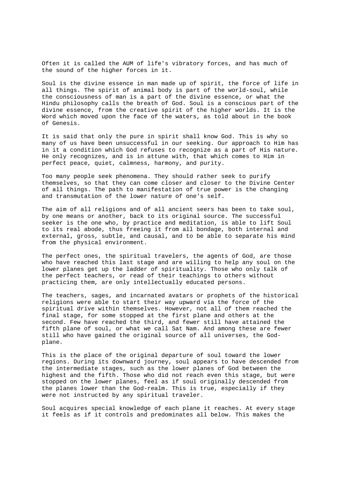Often it is called the AUM of life's vibratory forces, and has much of the sound of the higher forces in it.

Soul is the divine essence in man made up of spirit, the force of life in all things. The spirit of animal body is part of the world-soul, while the consciousness of man is a part of the divine essence, or what the Hindu philosophy calls the breath of God. Soul is a conscious part of the divine essence, from the creative spirit of the higher worlds. It is the Word which moved upon the face of the waters, as told about in the book of Genesis.

It is said that only the pure in spirit shall know God. This is why so many of us have been unsuccessful in our seeking. Our approach to Him has in it a condition which God refuses to recognize as a part of His nature. He only recognizes, and is in attune with, that which comes to Him in perfect peace, quiet, calmness, harmony, and purity.

Too many people seek phenomena. They should rather seek to purify themselves, so that they can come closer and closer to the Divine Center of all things. The path to manifestation of true power is the changing and transmutation of the lower nature of one's self.

The aim of all religions and of all ancient seers has been to take soul, by one means or another, back to its original source. The successful seeker is the one who, by practice and meditation, is able to lift Soul to its real abode, thus freeing it from all bondage, both internal and external, gross, subtle, and causal, and to be able to separate his mind from the physical environment.

The perfect ones, the spiritual travelers, the agents of God, are those who have reached this last stage and are willing to help any soul on the lower planes get up the ladder of spirituality. Those who only talk of the perfect teachers, or read of their teachings to others without practicing them, are only intellectually educated persons.

The teachers, sages, and incarnated avatars or prophets of the historical religions were able to start their way upward via the force of the spiritual drive within themselves. However, not all of them reached the final stage, for some stopped at the first plane and others at the second. Few have reached the third, and fewer still have attained the fifth plane of soul, or what we call Sat Nam. And among these are fewer still who have gained the original source of all universes, the Godplane.

This is the place of the original departure of soul toward the lower regions. During its downward journey, soul appears to have descended from the intermediate stages, such as the lower planes of God between the highest and the fifth. Those who did not reach even this stage, but were stopped on the lower planes, feel as if soul originally descended from the planes lower than the God-realm. This is true, especially if they were not instructed by any spiritual traveler.

Soul acquires special knowledge of each plane it reaches. At every stage it feels as if it controls and predominates all below. This makes the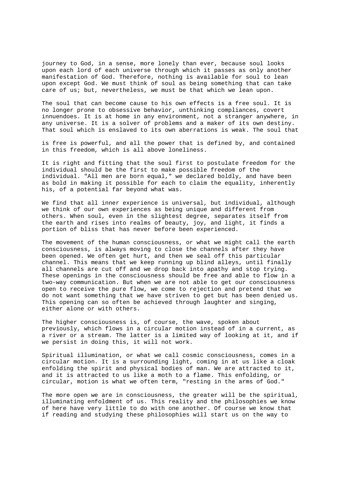journey to God, in a sense, more lonely than ever, because soul looks upon each lord of each universe through which it passes as only another manifestation of God. Therefore, nothing is available for soul to lean upon except God. We must think of soul as being something that can take care of us; but, nevertheless, we must be that which we lean upon.

The soul that can become cause to his own effects is a free soul. It is no longer prone to obsessive behavior, unthinking compliances, covert innuendoes. It is at home in any environment, not a stranger anywhere, in any universe. It is a solver of problems and a maker of its own destiny. That soul which is enslaved to its own aberrations is weak. The soul that

is free is powerful, and all the power that is defined by, and contained in this freedom, which is all above loneliness.

It is right and fitting that the soul first to postulate freedom for the individual should be the first to make possible freedom of the individual. "All men are born equal," we declared boldly, and have been as bold in making it possible for each to claim the equality, inherently his, of a potential far beyond what was.

We find that all inner experience is universal, but individual, although we think of our own experiences as being unique and different from others. When soul, even in the slightest degree, separates itself from the earth and rises into realms of beauty, joy, and light, it finds a portion of bliss that has never before been experienced.

The movement of the human consciousness, or what we might call the earth consciousness, is always moving to close the channels after they have been opened. We often get hurt, and then we seal off this particular channel. This means that we keep running up blind alleys, until finally all channels are cut off and we drop back into apathy and stop trying. These openings in the consciousness should be free and able to flow in a two-way communication. But when we are not able to get our consciousness open to receive the pure flow, we come to rejection and pretend that we do not want something that we have striven to get but has been denied us. This opening can so often be achieved through laughter and singing, either alone or with others.

The higher consciousness is, of course, the wave, spoken about previously, which flows in a circular motion instead of in a current, as a river or a stream. The latter is a limited way of looking at it, and if we persist in doing this, it will not work.

Spiritual illumination, or what we call cosmic consciousness, comes in a circular motion. It is a surrounding light, coming in at us like a cloak enfolding the spirit and physical bodies of man. We are attracted to it, and it is attracted to us like a moth to a flame. This enfolding, or circular, motion is what we often term, "resting in the arms of God."

The more open we are in consciousness, the greater will be the spiritual, illuminating enfoldment of us. This reality and the philosophies we know of here have very little to do with one another. Of course we know that if reading and studying these philosophies will start us on the way to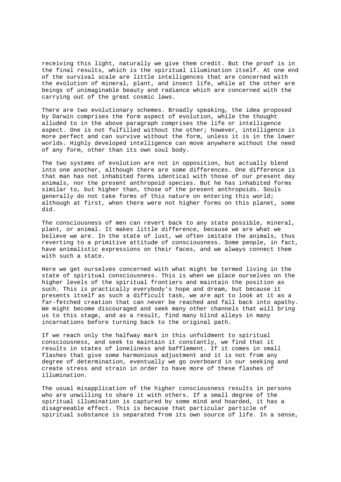receiving this light, naturally we give them credit. But the proof is in the final results, which is the spiritual illumination itself. At one end of the survival scale are little intelligences that are concerned with the evolution of mineral, plant, and insect life, while at the other are beings of unimaginable beauty and radiance which are concerned with the carrying out of the great cosmic laws.

There are two evolutionary schemes. Broadly speaking, the idea proposed by Darwin comprises the form aspect of evolution, while the thought alluded to in the above paragraph comprises the life or intelligence aspect. One is not fulfilled without the other; however, intelligence is more perfect and can survive without the form, unless it is in the lower worlds. Highly developed intelligence can move anywhere without the need of any form, other than its own soul body.

The two systems of evolution are not in opposition, but actually blend into one another, although there are some differences. One difference is that man has not inhabited forms identical with those of our present day animals, nor the present anthropoid species. But he has inhabited forms similar to, but higher than, those of the present anthropoids. Souls generally do not take forms of this nature on entering this world; although at first, when there were not higher forms on this planet, some did.

The consciousness of men can revert back to any state possible, mineral, plant, or animal. It makes little difference, because we are what we believe we are. In the state of lust, we often imitate the animals, thus reverting to a primitive attitude of consciousness. Some people, in fact, have animalistic expressions on their faces, and we always connect them with such a state.

Here we get ourselves concerned with what might be termed living in the state of spiritual consciousness. This is when we place ourselves on the higher levels of the spiritual frontiers and maintain the position as such. This is practically everybody's hope and dream, but because it presents itself as such a difficult task, we are apt to look at it as a far-fetched creation that can never be reached and fall back into apathy. We might become discouraged and seek many other channels that will bring us to this stage, and as a result, find many blind alleys in many incarnations before turning back to the original path.

If we reach only the halfway mark in this unfoldment to spiritual consciousness, and seek to maintain it constantly, we find that it results in states of loneliness and bafflement. If it comes in small flashes that give some harmonious adjustment and it is not from any degree of determination, eventually we go overboard in our seeking and create stress and strain in order to have more of these flashes of illumination.

The usual misapplication of the higher consciousness results in persons who are unwilling to share it with others. If a small degree of the spiritual illumination is captured by some mind and hoarded, it has a disagreeable effect. This is because that particular particle of spiritual substance is separated from its own source of life. In a sense,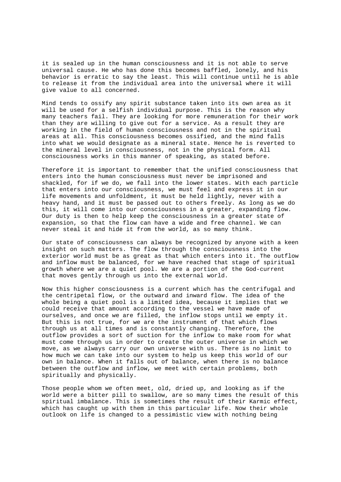it is sealed up in the human consciousness and it is not able to serve universal cause. He who has done this becomes baffled, lonely, and his behavior is erratic to say the least. This will continue until he is able to release it from the individual area into the universal where it will give value to all concerned.

Mind tends to ossify any spirit substance taken into its own area as it will be used for a selfish individual purpose. This is the reason why many teachers fail. They are looking for more remuneration for their work than they are willing to give out for a service. As a result they are working in the field of human consciousness and not in the spiritual areas at all. This consciousness becomes ossified, and the mind falls into what we would designate as a mineral state. Hence he is reverted to the mineral level in consciousness, not in the physical form. All consciousness works in this manner of speaking, as stated before.

Therefore it is important to remember that the unified consciousness that enters into the human consciousness must never be imprisoned and shackled, for if we do, we fall into the lower states. With each particle that enters into our consciousness, we must feel and express it in our life movements and unfoldment, it must be held lightly, never with a heavy hand, and it must be passed out to others freely. As long as we do this, it will come into our consciousness in a greater, expanding flow. Our duty is then to help keep the consciousness in a greater state of expansion, so that the flow can have a wide and free channel. We can never steal it and hide it from the world, as so many think.

Our state of consciousness can always be recognized by anyone with a keen insight on such matters. The flow through the consciousness into the exterior world must be as great as that which enters into it. The outflow and inflow must be balanced, for we have reached that stage of spiritual growth where we are a quiet pool. We are a portion of the God-current that moves gently through us into the external world.

Now this higher consciousness is a current which has the centrifugal and the centripetal flow, or the outward and inward flow. The idea of the whole being a quiet pool is a limited idea, because it implies that we could receive that amount according to the vessel we have made of ourselves, and once we are filled, the inflow stops until we empty it. But this is not true, for we are the instrument of that which flows through us at all times and is constantly changing. Therefore, the outflow provides a sort of suction for the inflow to make room for what must come through us in order to create the outer universe in which we move, as we always carry our own universe with us. There is no limit to how much we can take into our system to help us keep this world of our own in balance. When it falls out of balance, when there is no balance between the outflow and inflow, we meet with certain problems, both spiritually and physically.

Those people whom we often meet, old, dried up, and looking as if the world were a bitter pill to swallow, are so many times the result of this spiritual imbalance. This is sometimes the result of their Karmic effect, which has caught up with them in this particular life. Now their whole outlook on life is changed to a pessimistic view with nothing being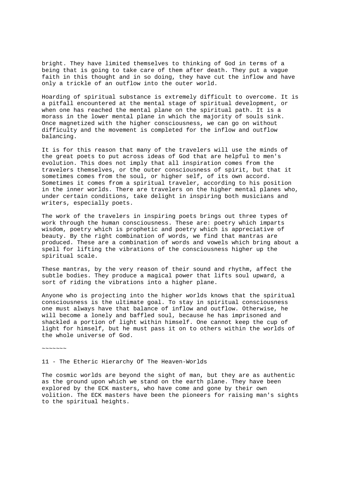bright. They have limited themselves to thinking of God in terms of a being that is going to take care of them after death. They put a vague faith in this thought and in so doing, they have cut the inflow and have only a trickle of an outflow into the outer world.

Hoarding of spiritual substance is extremely difficult to overcome. It is a pitfall encountered at the mental stage of spiritual development, or when one has reached the mental plane on the spiritual path. It is a morass in the lower mental plane in which the majority of souls sink. Once magnetized with the higher consciousness, we can go on without difficulty and the movement is completed for the inflow and outflow balancing.

It is for this reason that many of the travelers will use the minds of the great poets to put across ideas of God that are helpful to men's evolution. This does not imply that all inspiration comes from the travelers themselves, or the outer consciousness of spirit, but that it sometimes comes from the soul, or higher self, of its own accord. Sometimes it comes from a spiritual traveler, according to his position in the inner worlds. There are travelers on the higher mental planes who, under certain conditions, take delight in inspiring both musicians and writers, especially poets.

The work of the travelers in inspiring poets brings out three types of work through the human consciousness. These are: poetry which imparts wisdom, poetry which is prophetic and poetry which is appreciative of beauty. By the right combination of words, we find that mantras are produced. These are a combination of words and vowels which bring about a spell for lifting the vibrations of the consciousness higher up the spiritual scale.

These mantras, by the very reason of their sound and rhythm, affect the subtle bodies. They produce a magical power that lifts soul upward, a sort of riding the vibrations into a higher plane.

Anyone who is projecting into the higher worlds knows that the spiritual consciousness is the ultimate goal. To stay in spiritual consciousness one must always have that balance of inflow and outflow. Otherwise, he will become a lonely and baffled soul, because he has imprisoned and shackled a portion of light within himself. One cannot keep the cup of light for himself, but he must pass it on to others within the worlds of the whole universe of God.

~~~~~~~

11 - The Etheric Hierarchy Of The Heaven-Worlds

The cosmic worlds are beyond the sight of man, but they are as authentic as the ground upon which we stand on the earth plane. They have been explored by the ECK masters, who have come and gone by their own volition. The ECK masters have been the pioneers for raising man's sights to the spiritual heights.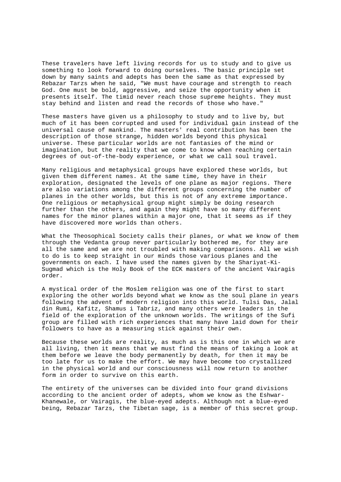These travelers have left living records for us to study and to give us something to look forward to doing ourselves. The basic principle set down by many saints and adepts has been the same as that expressed by Rebazar Tarzs when he said, "We must have courage and strength to reach God. One must be bold, aggressive, and seize the opportunity when it presents itself. The timid never reach those supreme heights. They must stay behind and listen and read the records of those who have."

These masters have given us a philosophy to study and to live by, but much of it has been corrupted and used for individual gain instead of the universal cause of mankind. The masters' real contribution has been the description of those strange, hidden worlds beyond this physical universe. These particular worlds are not fantasies of the mind or imagination, but the reality that we come to know when reaching certain degrees of out-of-the-body experience, or what we call soul travel.

Many religious and metaphysical groups have explored these worlds, but given them different names. At the same time, they have in their exploration, designated the levels of one plane as major regions. There are also variations among the different groups concerning the number of planes in the other worlds, but this is not of any extreme importance. One religious or metaphysical group might simply be doing research further than the others, and again they might have so many different names for the minor planes within a major one, that it seems as if they have discovered more worlds than others.

What the Theosophical Society calls their planes, or what we know of them through the Vedanta group never particularly bothered me, for they are all the same and we are not troubled with making comparisons. All we wish to do is to keep straight in our minds those various planes and the governments on each. I have used the names given by the Shariyat-Ki-Sugmad which is the Holy Book of the ECK masters of the ancient Vairagis order.

A mystical order of the Moslem religion was one of the first to start exploring the other worlds beyond what we know as the soul plane in years following the advent of modern religion into this world. Tulsi Das, Jalal din Rumi, Kafitz, Shamus i Tabriz, and many others were leaders in the field of the exploration of the unknown worlds. The writings of the Sufi group are filled with rich experiences that many have laid down for their followers to have as a measuring stick against their own.

Because these worlds are reality, as much as is this one in which we are all living, then it means that we must find the means of taking a look at them before we leave the body permanently by death, for then it may be too late for us to make the effort. We may have become too crystallized in the physical world and our consciousness will now return to another form in order to survive on this earth.

The entirety of the universes can be divided into four grand divisions according to the ancient order of adepts, whom we know as the Eshwar-Khanewale, or Vairagis, the blue-eyed adepts. Although not a blue-eyed being, Rebazar Tarzs, the Tibetan sage, is a member of this secret group.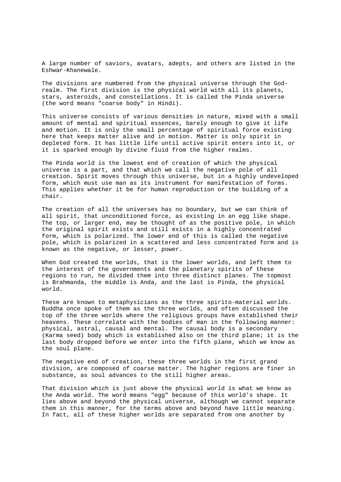A large number of saviors, avatars, adepts, and others are listed in the Eshwar-Khanewale.

The divisions are numbered from the physical universe through the Godrealm. The first division is the physical world with all its planets, stars, asteroids, and constellations. It is called the Pinda universe (the word means "coarse body" in Hindi).

This universe consists of various densities in nature, mixed with a small amount of mental and spiritual essences, barely enough to give it life and motion. It is only the small percentage of spiritual force existing here that keeps matter alive and in motion. Matter is only spirit in depleted form. It has little life until active spirit enters into it, or it is sparked enough by divine fluid from the higher realms.

The Pinda world is the lowest end of creation of which the physical universe is a part, and that which we call the negative pole of all creation. Spirit moves through this universe, but in a highly undeveloped form, which must use man as its instrument for manifestation of forms. This applies whether it be for human reproduction or the building of a chair.

The creation of all the universes has no boundary, but we can think of all spirit, that unconditioned force, as existing in an egg like shape. The top, or larger end, may be thought of as the positive pole, in which the original spirit exists and still exists in a highly concentrated form, which is polarized. The lower end of this is called the negative pole, which is polarized in a scattered and less concentrated form and is known as the negative, or lesser, power.

When God created the worlds, that is the lower worlds, and left them to the interest of the governments and the planetary spirits of these regions to run, he divided them into three distinct planes. The topmost is Brahmanda, the middle is Anda, and the last is Pinda, the physical world.

These are known to metaphysicians as the three spirito-material worlds. Buddha once spoke of them as the three worlds, and often discussed the top of the three worlds where the religious groups have established their heavens. These correlate with the bodies of man in the following manner: physical, astral, causal and mental. The causal body is a secondary (Karma seed) body which is established also on the third plane; it is the last body dropped before we enter into the fifth plane, which we know as the soul plane.

The negative end of creation, these three worlds in the first grand division, are composed of coarse matter. The higher regions are finer in substance, as soul advances to the still higher areas.

That division which is just above the physical world is what we know as the Anda world. The word means "egg" because of this world's shape. It lies above and beyond the physical universe, although we cannot separate them in this manner, for the terms above and beyond have little meaning. In fact, all of these higher worlds are separated from one another by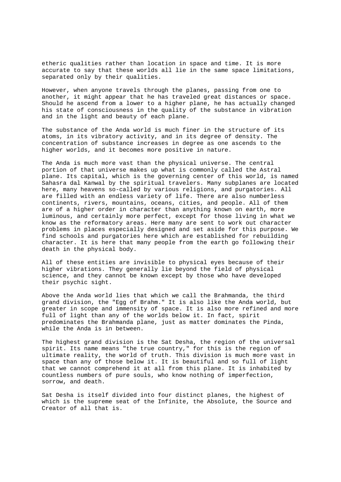etheric qualities rather than location in space and time. It is more accurate to say that these worlds all lie in the same space limitations, separated only by their qualities.

However, when anyone travels through the planes, passing from one to another, it might appear that he has traveled great distances or space. Should he ascend from a lower to a higher plane, he has actually changed his state of consciousness in the quality of the substance in vibration and in the light and beauty of each plane.

The substance of the Anda world is much finer in the structure of its atoms, in its vibratory activity, and in its degree of density. The concentration of substance increases in degree as one ascends to the higher worlds, and it becomes more positive in nature.

The Anda is much more vast than the physical universe. The central portion of that universe makes up what is commonly called the Astral plane. Its capital, which is the governing center of this world, is named Sahasra dal Kanwal by the spiritual travelers. Many subplanes are located here, many heavens so-called by various religions, and purgatories. All are filled with an endless variety of life. There are also numberless continents, rivers, mountains, oceans, cities, and people. All of them are of a higher order in character than anything known on earth, more luminous, and certainly more perfect, except for those living in what we know as the reformatory areas. Here many are sent to work out character problems in places especially designed and set aside for this purpose. We find schools and purgatories here which are established for rebuilding character. It is here that many people from the earth go following their death in the physical body.

All of these entities are invisible to physical eyes because of their higher vibrations. They generally lie beyond the field of physical science, and they cannot be known except by those who have developed their psychic sight.

Above the Anda world lies that which we call the Brahmanda, the third grand division, the "Egg of Brahm." It is also like the Anda world, but greater in scope and immensity of space. It is also more refined and more full of light than any of the worlds below it. In fact, spirit predominates the Brahmanda plane, just as matter dominates the Pinda, while the Anda is in between.

The highest grand division is the Sat Desha, the region of the universal spirit. Its name means "the true country," for this is the region of ultimate reality, the world of truth. This division is much more vast in space than any of those below it. It is beautiful and so full of light that we cannot comprehend it at all from this plane. It is inhabited by countless numbers of pure souls, who know nothing of imperfection, sorrow, and death.

Sat Desha is itself divided into four distinct planes, the highest of which is the supreme seat of the Infinite, the Absolute, the Source and Creator of all that is.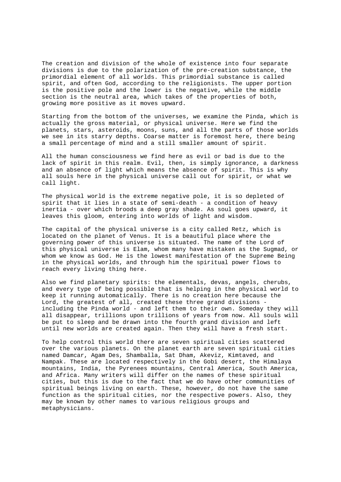The creation and division of the whole of existence into four separate divisions is due to the polarization of the pre-creation substance, the primordial element of all worlds. This primordial substance is called spirit, and often God, according to the religionists. The upper portion is the positive pole and the lower is the negative, while the middle section is the neutral area, which takes of the properties of both, growing more positive as it moves upward.

Starting from the bottom of the universes, we examine the Pinda, which is actually the gross material, or physical universe. Here we find the planets, stars, asteroids, moons, suns, and all the parts of those worlds we see in its starry depths. Coarse matter is foremost here, there being a small percentage of mind and a still smaller amount of spirit.

All the human consciousness we find here as evil or bad is due to the lack of spirit in this realm. Evil, then, is simply ignorance, a darkness and an absence of light which means the absence of spirit. This is why all souls here in the physical universe call out for spirit, or what we call light.

The physical world is the extreme negative pole, it is so depleted of spirit that it lies in a state of semi-death - a condition of heavy inertia - over which broods a deep gray shade. As soul goes upward, it leaves this gloom, entering into worlds of light and wisdom.

The capital of the physical universe is a city called Retz, which is located on the planet of Venus. It is a beautiful place where the governing power of this universe is situated. The name of the Lord of this physical universe is Elam, whom many have mistaken as the Sugmad, or whom we know as God. He is the lowest manifestation of the Supreme Being in the physical worlds, and through him the spiritual power flows to reach every living thing here.

Also we find planetary spirits: the elementals, devas, angels, cherubs, and every type of being possible that is helping in the physical world to keep it running automatically. There is no creation here because the Lord, the greatest of all, created these three grand divisions including the Pinda world - and left them to their own. Someday they will all disappear, trillions upon trillions of years from now. All souls will be put to sleep and be drawn into the fourth grand division and left until new worlds are created again. Then they will have a fresh start.

To help control this world there are seven spiritual cities scattered over the various planets. On the planet earth are seven spiritual cities named Damcar, Agam Des, Shamballa, Sat Dham, Akeviz, Kimtaved, and Nampak. These are located respectively in the Gobi desert, the Himalaya mountains, India, the Pyrenees mountains, Central America, South America, and Africa. Many writers will differ on the names of these spiritual cities, but this is due to the fact that we do have other communities of spiritual beings living on earth. These, however, do not have the same function as the spiritual cities, nor the respective powers. Also, they may be known by other names to various religious groups and metaphysicians.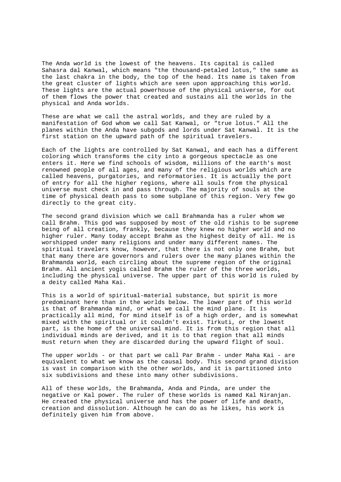The Anda world is the lowest of the heavens. Its capital is called Sahasra dal Kanwal, which means "the thousand-petaled lotus," the same as the last chakra in the body, the top of the head. Its name is taken from the great cluster of lights which are seen upon approaching this world. These lights are the actual powerhouse of the physical universe, for out of them flows the power that created and sustains all the worlds in the physical and Anda worlds.

These are what we call the astral worlds, and they are ruled by a manifestation of God whom we call Sat Kanwal, or "true lotus." All the planes within the Anda have subgods and lords under Sat Kanwal. It is the first station on the upward path of the spiritual travelers.

Each of the lights are controlled by Sat Kanwal, and each has a different coloring which transforms the city into a gorgeous spectacle as one enters it. Here we find schools of wisdom, millions of the earth's most renowned people of all ages, and many of the religious worlds which are called heavens, purgatories, and reformatories. It is actually the port of entry for all the higher regions, where all souls from the physical universe must check in and pass through. The majority of souls at the time of physical death pass to some subplane of this region. Very few go directly to the great city.

The second grand division which we call Brahmanda has a ruler whom we call Brahm. This god was supposed by most of the old rishis to be supreme being of all creation, frankly, because they knew no higher world and no higher ruler. Many today accept Brahm as the highest deity of all. He is worshipped under many religions and under many different names. The spiritual travelers know, however, that there is not only one Brahm, but that many there are governors and rulers over the many planes within the Brahmanda world, each circling about the supreme region of the original Brahm. All ancient yogis called Brahm the ruler of the three worlds, including the physical universe. The upper part of this world is ruled by a deity called Maha Kai.

This is a world of spiritual-material substance, but spirit is more predominant here than in the worlds below. The lower part of this world is that of Brahmanda mind, or what we call the mind plane. It is practically all mind, for mind itself is of a high order, and is somewhat mixed with the spiritual or it couldn't exist. Tirkuti, or the lowest part, is the home of the universal mind. It is from this region that all individual minds are derived, and it is to that region that all minds must return when they are discarded during the upward flight of soul.

The upper worlds - or that part we call Par Brahm - under Maha Kai - are equivalent to what we know as the causal body. This second grand division is vast in comparison with the other worlds, and it is partitioned into six subdivisions and these into many other subdivisions.

All of these worlds, the Brahmanda, Anda and Pinda, are under the negative or Kal power. The ruler of these worlds is named Kal Niranjan. He created the physical universe and has the power of life and death, creation and dissolution. Although he can do as he likes, his work is definitely given him from above.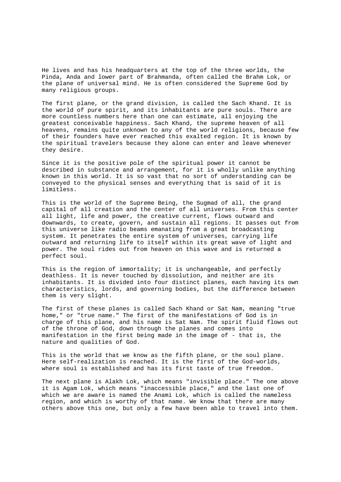He lives and has his headquarters at the top of the three worlds, the Pinda, Anda and lower part of Brahmanda, often called the Brahm Lok, or the plane of universal mind. He is often considered the Supreme God by many religious groups.

The first plane, or the grand division, is called the Sach Khand. It is the world of pure spirit, and its inhabitants are pure souls. There are more countless numbers here than one can estimate, all enjoying the greatest conceivable happiness. Sach Khand, the supreme heaven of all heavens, remains quite unknown to any of the world religions, because few of their founders have ever reached this exalted region. It is known by the spiritual travelers because they alone can enter and leave whenever they desire.

Since it is the positive pole of the spiritual power it cannot be described in substance and arrangement, for it is wholly unlike anything known in this world. It is so vast that no sort of understanding can be conveyed to the physical senses and everything that is said of it is limitless.

This is the world of the Supreme Being, the Sugmad of all, the grand capital of all creation and the center of all universes. From this center all light, life and power, the creative current, flows outward and downwards, to create, govern, and sustain all regions. It passes out from this universe like radio beams emanating from a great broadcasting system. It penetrates the entire system of universes, carrying life outward and returning life to itself within its great wave of light and power. The soul rides out from heaven on this wave and is returned a perfect soul.

This is the region of immortality; it is unchangeable, and perfectly deathless. It is never touched by dissolution, and neither are its inhabitants. It is divided into four distinct planes, each having its own characteristics, lords, and governing bodies, but the difference between them is very slight.

The first of these planes is called Sach Khand or Sat Nam, meaning "true home," or "true name." The first of the manifestations of God is in charge of this plane, and his name is Sat Nam. The spirit fluid flows out of the throne of God, down through the planes and comes into manifestation in the first being made in the image of - that is, the nature and qualities of God.

This is the world that we know as the fifth plane, or the soul plane. Here self-realization is reached. It is the first of the God-worlds, where soul is established and has its first taste of true freedom.

The next plane is Alakh Lok, which means "invisible place." The one above it is Agam Lok, which means "inaccessible place," and the last one of which we are aware is named the Anami Lok, which is called the nameless region, and which is worthy of that name. We know that there are many others above this one, but only a few have been able to travel into them.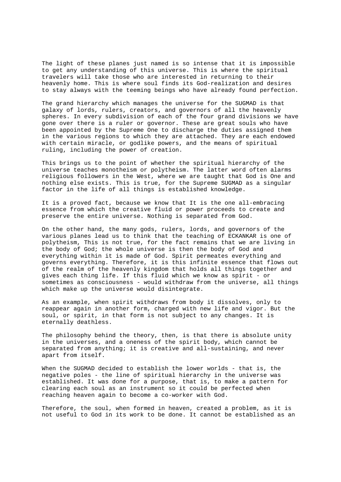The light of these planes just named is so intense that it is impossible to get any understanding of this universe. This is where the spiritual travelers will take those who are interested in returning to their heavenly home. This is where soul finds its God-realization and desires to stay always with the teeming beings who have already found perfection.

The grand hierarchy which manages the universe for the SUGMAD is that galaxy of lords, rulers, creators, and governors of all the heavenly spheres. In every subdivision of each of the four grand divisions we have gone over there is a ruler or governor. These are great souls who have been appointed by the Supreme One to discharge the duties assigned them in the various regions to which they are attached. They are each endowed with certain miracle, or godlike powers, and the means of spiritual ruling, including the power of creation.

This brings us to the point of whether the spiritual hierarchy of the universe teaches monotheism or polytheism. The latter word often alarms religious followers in the West, where we are taught that God is One and nothing else exists. This is true, for the Supreme SUGMAD as a singular factor in the life of all things is established knowledge.

It is a proved fact, because we know that It is the one all-embracing essence from which the creative fluid or power proceeds to create and preserve the entire universe. Nothing is separated from God.

On the other hand, the many gods, rulers, lords, and governors of the various planes lead us to think that the teaching of ECKANKAR is one of polytheism, This is not true, for the fact remains that we are living in the body of God; the whole universe is then the body of God and everything within it is made of God. Spirit permeates everything and governs everything. Therefore, it is this infinite essence that flows out of the realm of the heavenly kingdom that holds all things together and gives each thing life. If this fluid which we know as spirit - or sometimes as consciousness - would withdraw from the universe, all things which make up the universe would disintegrate.

As an example, when spirit withdraws from body it dissolves, only to reappear again in another form, charged with new life and vigor. But the soul, or spirit, in that form is not subject to any changes. It is eternally deathless.

The philosophy behind the theory, then, is that there is absolute unity in the universes, and a oneness of the spirit body, which cannot be separated from anything; it is creative and all-sustaining, and never apart from itself.

When the SUGMAD decided to establish the lower worlds - that is, the negative poles - the line of spiritual hierarchy in the universe was established. It was done for a purpose, that is, to make a pattern for clearing each soul as an instrument so it could be perfected when reaching heaven again to become a co-worker with God.

Therefore, the soul, when formed in heaven, created a problem, as it is not useful to God in its work to be done. It cannot be established as an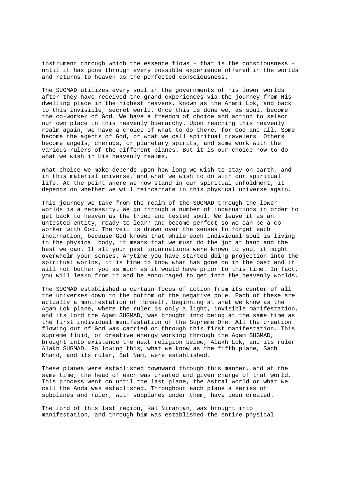instrument through which the essence flows - that is the consciousness until it has gone through every possible experience offered in the worlds and returns to heaven as the perfected consciousness.

The SUGMAD utilizes every soul in the governments of his lower worlds after they have received the grand experiences via the journey from His dwelling place in the highest heavens, known as the Anami Lok, and back to this invisible, secret world. Once this is done we, as soul, become the co-worker of God. We have a freedom of choice and action to select our own place in this heavenly hierarchy. Upon reaching this heavenly realm again, we have a choice of what to do there, for God and all. Some become the agents of God, or what we call spiritual travelers. Others become angels, cherubs, or planetary spirits, and some work with the various rulers of the different planes. But it is our choice now to do what we wish in His heavenly realms.

What choice we make depends upon how long we wish to stay on earth, and in this material universe, and what we wish to do with our spiritual life. At the point where we now stand in our spiritual unfoldment, it depends on whether we will reincarnate in this physical universe again.

This journey we take from the realm of the SUGMAD through the lower worlds is a necessity. We go through a number of incarnations in order to get back to heaven as the tried and tested soul. We leave it as an untested entity, ready to learn and become perfect so we can be a coworker with God. The veil is drawn over the senses to forget each incarnation, because God knows that while each individual soul is living in the physical body, it means that we must do the job at hand and the best we can. If all your past incarnations were known to you, it might overwhelm your senses. Anytime you have started doing projection into the spiritual worlds, it is time to know what has gone on in the past and it will not bother you as much as it would have prior to this time. In fact, you will learn from it and be encouraged to get into the heavenly worlds.

The SUGMAD established a certain focus of action from its center of all the universes down to the bottom of the negative pole. Each of these are actually a manifestation of Himself, beginning at what we know as the Agam Lok plane, where the ruler is only a light, invisible manifestation, and its lord the Agam SUGMAD, was brought into being at the same time as the first individual manifestation of the Supreme One. All the creation flowing out of God was carried on through this first manifestation. This supreme fluid, or creative energy working through the Agam SUGMAD, brought into existence the next religion below, Alakh Lok, and its ruler Alakh SUGMAD. Following this, what we know as the fifth plane, Sach Khand, and its ruler, Sat Nam, were established.

These planes were established downward through this manner, and at the same time, the head of each was created and given charge of that world. This process went on until the last plane, the Astral world or what we call the Anda was established. Throughout each plane a series of subplanes and ruler, with subplanes under them, have been created.

The lord of this last region, Kal Niranjan, was brought into manifestation, and through him was established the entire physical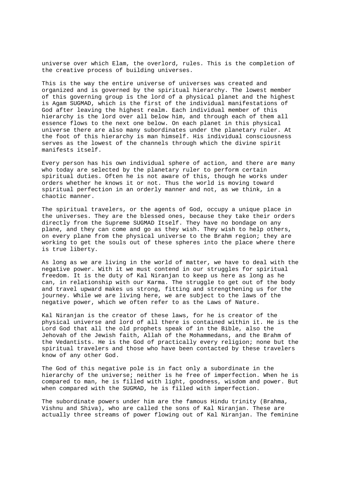universe over which Elam, the overlord, rules. This is the completion of the creative process of building universes.

This is the way the entire universe of universes was created and organized and is governed by the spiritual hierarchy. The lowest member of this governing group is the lord of a physical planet and the highest is Agam SUGMAD, which is the first of the individual manifestations of God after leaving the highest realm. Each individual member of this hierarchy is the lord over all below him, and through each of them all essence flows to the next one below. On each planet in this physical universe there are also many subordinates under the planetary ruler. At the foot of this hierarchy is man himself. His individual consciousness serves as the lowest of the channels through which the divine spirit manifests itself.

Every person has his own individual sphere of action, and there are many who today are selected by the planetary ruler to perform certain spiritual duties. Often he is not aware of this, though he works under orders whether he knows it or not. Thus the world is moving toward spiritual perfection in an orderly manner and not, as we think, in a chaotic manner.

The spiritual travelers, or the agents of God, occupy a unique place in the universes. They are the blessed ones, because they take their orders directly from the Supreme SUGMAD Itself. They have no bondage on any plane, and they can come and go as they wish. They wish to help others, on every plane from the physical universe to the Brahm region; they are working to get the souls out of these spheres into the place where there is true liberty.

As long as we are living in the world of matter, we have to deal with the negative power. With it we must contend in our struggles for spiritual freedom. It is the duty of Kal Niranjan to keep us here as long as he can, in relationship with our Karma. The struggle to get out of the body and travel upward makes us strong, fitting and strengthening us for the journey. While we are living here, we are subject to the laws of the negative power, which we often refer to as the Laws of Nature.

Kal Niranjan is the creator of these laws, for he is creator of the physical universe and lord of all there is contained within it. He is the Lord God that all the old prophets speak of in the Bible, also the Jehovah of the Jewish faith, Allah of the Mohammedans, and the Brahm of the Vedantists. He is the God of practically every religion; none but the spiritual travelers and those who have been contacted by these travelers know of any other God.

The God of this negative pole is in fact only a subordinate in the hierarchy of the universe; neither is he free of imperfection. When he is compared to man, he is filled with light, goodness, wisdom and power. But when compared with the SUGMAD, he is filled with imperfection.

The subordinate powers under him are the famous Hindu trinity (Brahma, Vishnu and Shiva), who are called the sons of Kal Niranjan. These are actually three streams of power flowing out of Kal Niranjan. The feminine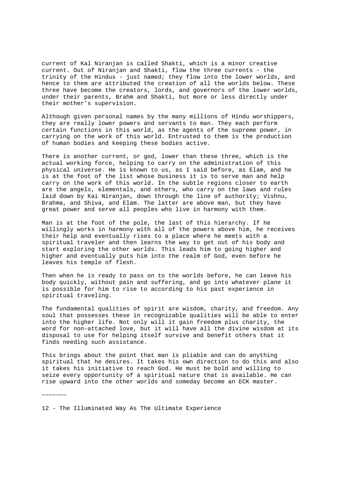current of Kal Niranjan is called Shakti, which is a minor creative current. Out of Niranjan and Shakti, flow the three currents - the trinity of the Hindus - just named; they flow into the lower worlds, and hence to them are attributed the creation of all the worlds below. These three have become the creators, lords, and governors of the lower worlds, under their parents, Brahm and Shakti, but more or less directly under their mother's supervision.

Although given personal names by the many millions of Hindu worshippers, they are really lower powers and servants to man. They each perform certain functions in this world, as the agents of the supreme power, in carrying on the work of this world. Entrusted to them is the production of human bodies and keeping these bodies active.

There is another current, or god, lower than these three, which is the actual working force, helping to carry on the administration of this physical universe. He is known to us, as I said before, as Elam, and he is at the foot of the list whose business it is to serve man and help carry on the work of this world. In the subtle regions closer to earth are the angels, elementals, and others, who carry on the laws and rules laid down by Kai Niranjan, down through the line of authority; Vishnu, Brahma, and Shiva, and Elam. The latter are above man, but they have great power and serve all peoples who live in harmony with them.

Man is at the foot of the pole, the last of this hierarchy. If he willingly works in harmony with all of the powers above him, he receives their help and eventually rises to a place where he meets with a spiritual traveler and then learns the way to get out of his body and start exploring the other worlds. This leads him to going higher and higher and eventually puts him into the realm of God, even before he leaves his temple of flesh.

Then when he is ready to pass on to the worlds before, he can leave his body quickly, without pain and suffering, and go into whatever plane it is possible for him to rise to according to his past experience in spiritual traveling.

The fundamental qualities of spirit are wisdom, charity, and freedom. Any soul that possesses these in recognizable qualities will be able to enter into the higher life. Not only will it gain freedom plus charity, the word for non-attached love, but it will have all the divine wisdom at its disposal to use for helping itself survive and benefit others that it finds needing such assistance.

This brings about the point that man is pliable and can do anything spiritual that he desires. It takes his own direction to do this and also it takes his initiative to reach God. He must be bold and willing to seize every opportunity of a spiritual nature that is available. He can rise upward into the other worlds and someday become an ECK master.

 $\sim\sim\sim\sim\sim\sim\sim$ 

12 - The Illuminated Way As The Ultimate Experience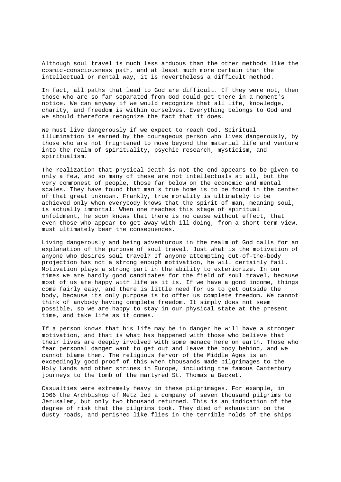Although soul travel is much less arduous than the other methods like the cosmic-consciousness path, and at least much more certain than the intellectual or mental way, it is nevertheless a difficult method.

In fact, all paths that lead to God are difficult. If they were not, then those who are so far separated from God could get there in a moment's notice. We can anyway if we would recognize that all life, knowledge, charity, and freedom is within ourselves. Everything belongs to God and we should therefore recognize the fact that it does.

We must live dangerously if we expect to reach God. Spiritual illumination is earned by the courageous person who lives dangerously, by those who are not frightened to move beyond the material life and venture into the realm of spirituality, psychic research, mysticism, and spiritualism.

The realization that physical death is not the end appears to be given to only a few, and so many of these are not intellectuals at all, but the very commonest of people, those far below on the economic and mental scales. They have found that man's true home is to be found in the center of that great unknown. Frankly, true morality is ultimately to be achieved only when everybody knows that the spirit of man, meaning soul, is actually immortal. When one reaches this stage of spiritual unfoldment, he soon knows that there is no cause without effect, that even those who appear to get away with ill-doing, from a short-term view, must ultimately bear the consequences.

Living dangerously and being adventurous in the realm of God calls for an explanation of the purpose of soul travel. Just what is the motivation of anyone who desires soul travel? If anyone attempting out-of-the-body projection has not a strong enough motivation, he will certainly fail. Motivation plays a strong part in the ability to exteriorize. In our times we are hardly good candidates for the field of soul travel, because most of us are happy with life as it is. If we have a good income, things come fairly easy, and there is little need for us to get outside the body, because its only purpose is to offer us complete freedom. We cannot think of anybody having complete freedom. It simply does not seem possible, so we are happy to stay in our physical state at the present time, and take life as it comes.

If a person knows that his life may be in danger he will have a stronger motivation, and that is what has happened with those who believe that their lives are deeply involved with some menace here on earth. Those who fear personal danger want to get out and leave the body behind, and we cannot blame them. The religious fervor of the Middle Ages is an exceedingly good proof of this when thousands made pilgrimages to the Holy Lands and other shrines in Europe, including the famous Canterbury journeys to the tomb of the martyred St. Thomas a Becket.

Casualties were extremely heavy in these pilgrimages. For example, in 1066 the Archbishop of Metz led a company of seven thousand pilgrims to Jerusalem, but only two thousand returned. This is an indication of the degree of risk that the pilgrims took. They died of exhaustion on the dusty roads, and perished like flies in the terrible holds of the ships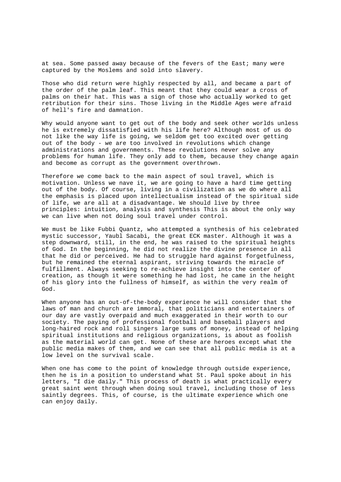at sea. Some passed away because of the fevers of the East; many were captured by the Moslems and sold into slavery.

Those who did return were highly respected by all, and became a part of the order of the palm leaf. This meant that they could wear a cross of palms on their hat. This was a sign of those who actually worked to get retribution for their sins. Those living in the Middle Ages were afraid of hell's fire and damnation.

Why would anyone want to get out of the body and seek other worlds unless he is extremely dissatisfied with his life here? Although most of us do not like the way life is going, we seldom get too excited over getting out of the body - we are too involved in revolutions which change administrations and governments. These revolutions never solve any problems for human life. They only add to them, because they change again and become as corrupt as the government overthrown.

Therefore we come back to the main aspect of soul travel, which is motivation. Unless we nave it, we are going to have a hard time getting out of the body. Of course, living in a civilization as we do where all the emphasis is placed upon intellectualism instead of the spiritual side of life, we are all at a disadvantage. We should live by three principles: intuition, analysis and synthesis This is about the only way we can live when not doing soul travel under control.

We must be like Fubbi Quantz, who attempted a synthesis of his celebrated mystic successor, Yaubl Sacabi, the great ECK master. Although it was a step downward, still, in the end, he was raised to the spiritual heights of God. In the beginning, he did not realize the divine presence in all that he did or perceived. He had to struggle hard against forgetfulness, but he remained the eternal aspirant, striving towards the miracle of fulfillment. Always seeking to re-achieve insight into the center of creation, as though it were something he had lost, he came in the height of his glory into the fullness of himself, as within the very realm of God.

When anyone has an out-of-the-body experience he will consider that the laws of man and church are immoral, that politicians and entertainers of our day are vastly overpaid and much exaggerated in their worth to our society. The paying of professional football and baseball players and long-haired rock and roll singers large sums of money, instead of helping spiritual institutions and religious organizations, is about as foolish as the material world can get. None of these are heroes except what the public media makes of them, and we can see that all public media is at a low level on the survival scale.

When one has come to the point of knowledge through outside experience, then he is in a position to understand what St. Paul spoke about in his letters, "I die daily." This process of death is what practically every great saint went through when doing soul travel, including those of less saintly degrees. This, of course, is the ultimate experience which one can enjoy daily.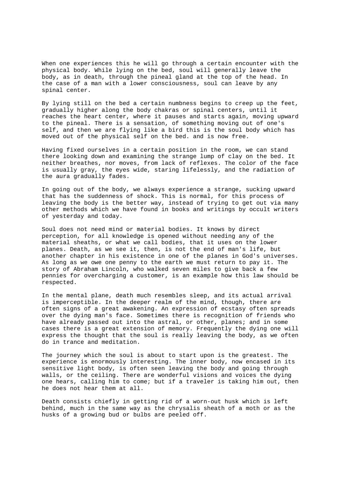When one experiences this he will go through a certain encounter with the physical body. While lying on the bed, soul will generally leave the body, as in death, through the pineal gland at the top of the head. In the case of a man with a lower consciousness, soul can leave by any spinal center.

By lying still on the bed a certain numbness begins to creep up the feet, gradually higher along the body chakras or spinal centers, until it reaches the heart center, where it pauses and starts again, moving upward to the pineal. There is a sensation, of something moving out of one's self, and then we are flying like a bird this is the soul body which has moved out of the physical self on the bed. and is now free.

Having fixed ourselves in a certain position in the room, we can stand there looking down and examining the strange lump of clay on the bed. It neither breathes, nor moves, from lack of reflexes. The color of the face is usually gray, the eyes wide, staring lifelessly, and the radiation of the aura gradually fades.

In going out of the body, we always experience a strange, sucking upward that has the suddenness of shock. This is normal, for this process of leaving the body is the better way, instead of trying to get out via many other methods which we have found in books and writings by occult writers of yesterday and today.

Soul does not need mind or material bodies. It knows by direct perception, for all knowledge is opened without needing any of the material sheaths, or what we call bodies, that it uses on the lower planes. Death, as we see it, then, is not the end of man's life, but another chapter in his existence in one of the planes in God's universes. As long as we owe one penny to the earth we must return to pay it. The story of Abraham Lincoln, who walked seven miles to give back a few pennies for overcharging a customer, is an example how this law should be respected.

In the mental plane, death much resembles sleep, and its actual arrival is imperceptible. In the deeper realm of the mind, though, there are often signs of a great awakening. An expression of ecstasy often spreads over the dying man's face. Sometimes there is recognition of friends who have already passed out into the astral, or other, planes; and in some cases there is a great extension of memory. Frequently the dying one will express the thought that the soul is really leaving the body, as we often do in trance and meditation.

The journey which the soul is about to start upon is the greatest. The experience is enormously interesting. The inner body, now encased in its sensitive light body, is often seen leaving the body and going through walls, or the ceiling. There are wonderful visions and voices the dying one hears, calling him to come; but if a traveler is taking him out, then he does not hear them at all.

Death consists chiefly in getting rid of a worn-out husk which is left behind, much in the same way as the chrysalis sheath of a moth or as the husks of a growing bud or bulbs are peeled off.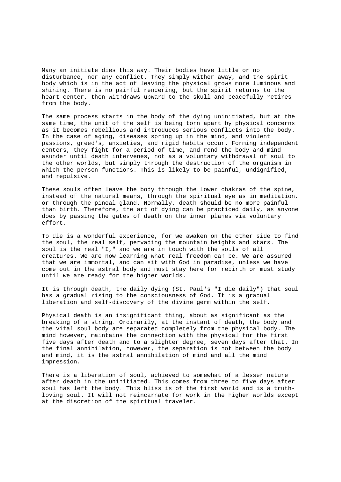Many an initiate dies this way. Their bodies have little or no disturbance, nor any conflict. They simply wither away, and the spirit body which is in the act of leaving the physical grows more luminous and shining. There is no painful rendering, but the spirit returns to the heart center, then withdraws upward to the skull and peacefully retires from the body.

The same process starts in the body of the dying uninitiated, but at the same time, the unit of the self is being torn apart by physical concerns as it becomes rebellious and introduces serious conflicts into the body. In the case of aging, diseases spring up in the mind, and violent passions, greed's, anxieties, and rigid habits occur. Forming independent centers, they fight for a period of time, and rend the body and mind asunder until death intervenes, not as a voluntary withdrawal of soul to the other worlds, but simply through the destruction of the organism in which the person functions. This is likely to be painful, undignified, and repulsive.

These souls often leave the body through the lower chakras of the spine, instead of the natural means, through the spiritual eye as in meditation, or through the pineal gland. Normally, death should be no more painful than birth. Therefore, the art of dying can be practiced daily, as anyone does by passing the gates of death on the inner planes via voluntary effort.

To die is a wonderful experience, for we awaken on the other side to find the soul, the real self, pervading the mountain heights and stars. The soul is the real "I," and we are in touch with the souls of all creatures. We are now learning what real freedom can be. We are assured that we are immortal, and can sit with God in paradise, unless we have come out in the astral body and must stay here for rebirth or must study until we are ready for the higher worlds.

It is through death, the daily dying (St. Paul's "I die daily") that soul has a gradual rising to the consciousness of God. It is a gradual liberation and self-discovery of the divine germ within the self.

Physical death is an insignificant thing, about as significant as the breaking of a string. Ordinarily, at the instant of death, the body and the vital soul body are separated completely from the physical body. The mind however, maintains the connection with the physical for the first five days after death and to a slighter degree, seven days after that. In the final annihilation, however, the separation is not between the body and mind, it is the astral annihilation of mind and all the mind impression.

There is a liberation of soul, achieved to somewhat of a lesser nature after death in the uninitiated. This comes from three to five days after soul has left the body. This bliss is of the first world and is a truthloving soul. It will not reincarnate for work in the higher worlds except at the discretion of the spiritual traveler.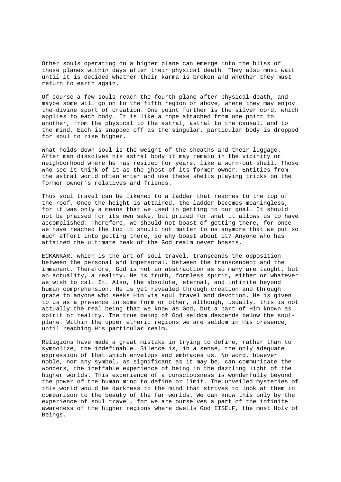Other souls operating on a higher plane can emerge into the bliss of those planes within days after their physical death. They also must wait until it is decided whether their karma is broken and whether they must return to earth again.

Of course a few souls reach the fourth plane after physical death, and maybe some will go on to the fifth region or above, where they may enjoy the divine sport of creation. One point further is the silver cord, which applies to each body. It is like a rope attached from one point to another, from the physical to the astral, astral to the causal, and to the mind. Each is snapped off as the singular, particular body is dropped for soul to rise higher.

What holds down soul is the weight of the sheaths and their luggage. After man dissolves his astral body it may remain in the vicinity or neighborhood where he has resided for years, like a worn-out shell. Those who see it think of it as the ghost of its former owner. Entities from the astral world often enter and use these shells playing tricks on the former owner's relatives and friends.

Thus soul travel can be likened to a ladder that reaches to the top of the roof. Once the height is attained, the ladder becomes meaningless, for it was only a means that we used in getting to our goal. It should not be praised for its own sake, but prized for what it allows us to have accomplished. Therefore, we should not boast of getting there, for once we have reached the top it should not matter to us anymore that we put so much effort into getting there, so why boast about it? Anyone who has attained the ultimate peak of the God realm never boasts.

ECKANKAR, which is the art of soul travel, transcends the opposition between the personal and impersonal, between the transcendent and the immanent. Therefore, God is not an abstraction as so many are taught, but an actuality, a reality. He is truth, formless spirit, either or whatever we wish to call It. Also, the absolute, eternal, and infinite beyond human comprehension. He is yet revealed through creation and through grace to anyone who seeks Him via soul travel and devotion. He is given to us as a presence in some form or other, although, usually, this is not actually the real being that we know as God, but a part of Him known as spirit or reality. The true being of God seldom descends below the soulplane. Within the upper etheric regions we are seldom in His presence, until reaching His particular realm.

Religions have made a great mistake in trying to define, rather than to symbolize, the indefinable. Silence is, in a sense, the only adequate expression of that which envelops and embraces us. No word, however noble, nor any symbol, as significant as it may be, can communicate the wonders, the ineffable experience of being in the dazzling light of the higher worlds. This experience of a consciousness is wonderfully beyond the power of the human mind to define or limit. The unveiled mysteries of this world would be darkness to the mind that strives to look at them in comparison to the beauty of the far worlds. We can know this only by the experience of soul travel, for we are ourselves a part of the infinite awareness of the higher regions where dwells God ITSELF, the most Holy of Beings.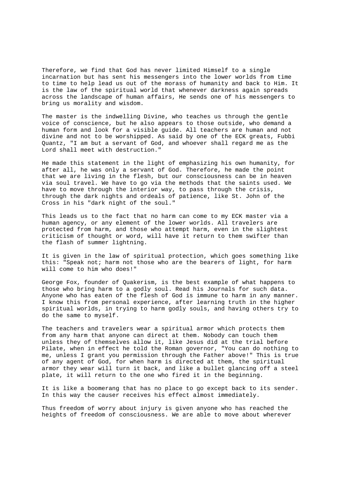Therefore, we find that God has never limited Himself to a single incarnation but has sent his messengers into the lower worlds from time to time to help lead us out of the morass of humanity and back to Him. It is the law of the spiritual world that whenever darkness again spreads across the landscape of human affairs, He sends one of his messengers to bring us morality and wisdom.

The master is the indwelling Divine, who teaches us through the gentle voice of conscience, but he also appears to those outside, who demand a human form and look for a visible guide. All teachers are human and not divine and not to be worshipped. As said by one of the ECK greats, Fubbi Quantz, "I am but a servant of God, and whoever shall regard me as the Lord shall meet with destruction."

He made this statement in the light of emphasizing his own humanity, for after all, he was only a servant of God. Therefore, he made the point that we are living in the flesh, but our consciousness can be in heaven via soul travel. We have to go via the methods that the saints used. We have to move through the interior way, to pass through the crisis, through the dark nights and ordeals of patience, like St. John of the Cross in his "dark night of the soul."

This leads us to the fact that no harm can come to my ECK master via a human agency, or any element of the lower worlds. All travelers are protected from harm, and those who attempt harm, even in the slightest criticism of thought or word, will have it return to them swifter than the flash of summer lightning.

It is given in the law of spiritual protection, which goes something like this: "Speak not; harm not those who are the bearers of light, for harm will come to him who does!"

George Fox, founder of Quakerism, is the best example of what happens to those who bring harm to a godly soul. Read his Journals for such data. Anyone who has eaten of the flesh of God is immune to harm in any manner. I know this from personal experience, after learning truth in the higher spiritual worlds, in trying to harm godly souls, and having others try to do the same to myself.

The teachers and travelers wear a spiritual armor which protects them from any harm that anyone can direct at them. Nobody can touch them unless they of themselves allow it, like Jesus did at the trial before Pilate, when in effect he told the Roman governor, "You can do nothing to me, unless I grant you permission through the Father above!" This is true of any agent of God, for when harm is directed at them, the spiritual armor they wear will turn it back, and like a bullet glancing off a steel plate, it will return to the one who fired it in the beginning.

It is like a boomerang that has no place to go except back to its sender. In this way the causer receives his effect almost immediately.

Thus freedom of worry about injury is given anyone who has reached the heights of freedom of consciousness. We are able to move about wherever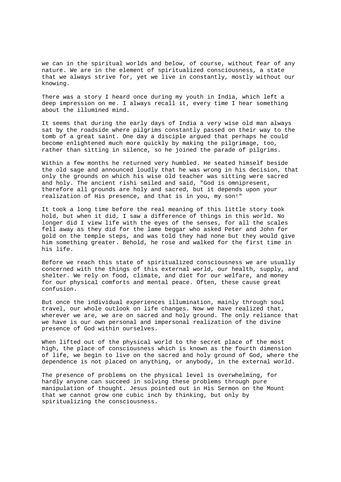we can in the spiritual worlds and below, of course, without fear of any nature. We are in the element of spiritualized consciousness, a state that we always strive for, yet we live in constantly, mostly without our knowing.

There was a story I heard once during my youth in India, which left a deep impression on me. I always recall it, every time I hear something about the illumined mind.

It seems that during the early days of India a very wise old man always sat by the roadside where pilgrims constantly passed on their way to the tomb of a great saint. One day a disciple argued that perhaps he could become enlightened much more quickly by making the pilgrimage, too, rather than sitting in silence, so he joined the parade of pilgrims.

Within a few months he returned very humbled. He seated himself beside the old sage and announced loudly that he was wrong in his decision, that only the grounds on which his wise old teacher was sitting were sacred and holy. The ancient rishi smiled and said, "God is omnipresent, therefore all grounds are holy and sacred, but it depends upon your realization of His presence, and that is in you, my son!"

It took a long time before the real meaning of this little story took hold, but when it did, I saw a difference of things in this world. No longer did I view life with the eyes of the senses, for all the scales fell away as they did for the lame beggar who asked Peter and John for gold on the temple steps, and was told they had none but they would give him something greater. Behold, he rose and walked for the first time in his life.

Before we reach this state of spiritualized consciousness we are usually concerned with the things of this external world, our health, supply, and shelter. We rely on food, climate, and diet for our welfare, and money for our physical comforts and mental peace. Often, these cause great confusion.

But once the individual experiences illumination, mainly through soul travel, our whole outlook on life changes. Now we have realized that, wherever we are, we are on sacred and holy ground. The only reliance that we have is our own personal and impersonal realization of the divine presence of God within ourselves.

When lifted out of the physical world to the secret place of the most high, the place of consciousness which is known as the fourth dimension of life, we begin to live on the sacred and holy ground of God, where the dependence is not placed on anything, or anybody, in the external world.

The presence of problems on the physical level is overwhelming, for hardly anyone can succeed in solving these problems through pure manipulation of thought. Jesus pointed out in His Sermon on the Mount that we cannot grow one cubic inch by thinking, but only by spiritualizing the consciousness.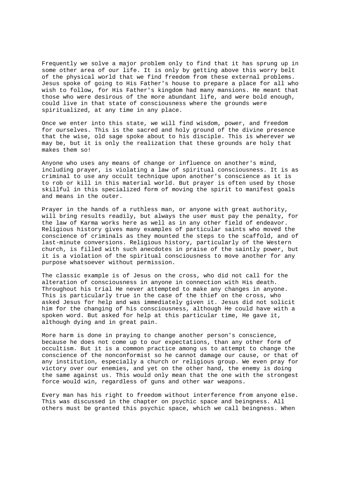Frequently we solve a major problem only to find that it has sprung up in some other area of our life. It is only by getting above this worry belt of the physical world that we find freedom from these external problems. Jesus spoke of going to His Father's house to prepare a place for all who wish to follow, for His Father's kingdom had many mansions. He meant that those who were desirous of the more abundant life, and were bold enough, could live in that state of consciousness where the grounds were spiritualized, at any time in any place.

Once we enter into this state, we will find wisdom, power, and freedom for ourselves. This is the sacred and holy ground of the divine presence that the wise, old sage spoke about to his disciple. This is wherever we may be, but it is only the realization that these grounds are holy that makes them so!

Anyone who uses any means of change or influence on another's mind, including prayer, is violating a law of spiritual consciousness. It is as criminal to use any occult technique upon another's conscience as it is to rob or kill in this material world. But prayer is often used by those skillful in this specialized form of moving the spirit to manifest goals and means in the outer.

Prayer in the hands of a ruthless man, or anyone with great authority, will bring results readily, but always the user must pay the penalty, for the law of Karma works here as well as in any other field of endeavor. Religious history gives many examples of particular saints who moved the conscience of criminals as they mounted the steps to the scaffold, and of last-minute conversions. Religious history, particularly of the Western church, is filled with such anecdotes in praise of the saintly power, but it is a violation of the spiritual consciousness to move another for any purpose whatsoever without permission.

The classic example is of Jesus on the cross, who did not call for the alteration of consciousness in anyone in connection with His death. Throughout his trial He never attempted to make any changes in anyone. This is particularly true in the case of the thief on the cross, who asked Jesus for help and was immediately given it. Jesus did not solicit him for the changing of his consciousness, although He could have with a spoken word. But asked for help at this particular time, He gave it, although dying and in great pain.

More harm is done in praying to change another person's conscience, because he does not come up to our expectations, than any other form of occultism. But it is a common practice among us to attempt to change the conscience of the nonconformist so he cannot damage our cause, or that of any institution, especially a church or religious group. We even pray for victory over our enemies, and yet on the other hand, the enemy is doing the same against us. This would only mean that the one with the strongest force would win, regardless of guns and other war weapons.

Every man has his right to freedom without interference from anyone else. This was discussed in the chapter on psychic space and beingness. All others must be granted this psychic space, which we call beingness. When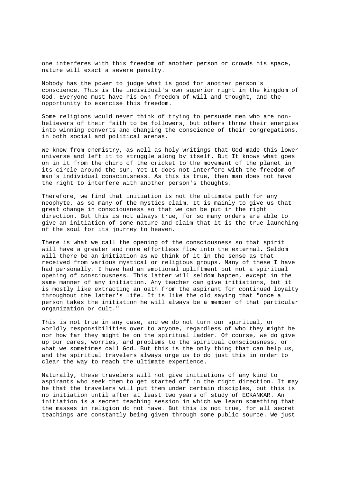one interferes with this freedom of another person or crowds his space, nature will exact a severe penalty.

Nobody has the power to judge what is good for another person's conscience. This is the individual's own superior right in the kingdom of God. Everyone must have his own freedom of will and thought, and the opportunity to exercise this freedom.

Some religions would never think of trying to persuade men who are nonbelievers of their faith to be followers, but others throw their energies into winning converts and changing the conscience of their congregations, in both social and political arenas.

We know from chemistry, as well as holy writings that God made this lower universe and left it to struggle along by itself. But It knows what goes on in it from the chirp of the cricket to the movement of the planet in its circle around the sun. Yet It does not interfere with the freedom of man's individual consciousness. As this is true, then man does not have the right to interfere with another person's thoughts.

Therefore, we find that initiation is not the ultimate path for any neophyte, as so many of the mystics claim. It is mainly to give us that great change in consciousness so that we can be put in the right direction. But this is not always true, for so many orders are able to give an initiation of some nature and claim that it is the true launching of the soul for its journey to heaven.

There is what we call the opening of the consciousness so that spirit will have a greater and more effortless flow into the external. Seldom will there be an initiation as we think of it in the sense as that received from various mystical or religious groups. Many of these I have had personally. I have had an emotional upliftment but not a spiritual opening of consciousness. This latter will seldom happen, except in the same manner of any initiation. Any teacher can give initiations, but it is mostly like extracting an oath from the aspirant for continued loyalty throughout the latter's life. It is like the old saying that "once a person takes the initiation he will always be a member of that particular organization or cult."

This is not true in any case, and we do not turn our spiritual, or worldly responsibilities over to anyone, regardless of who they might be nor how far they might be on the spiritual ladder. Of course, we do give up our cares, worries, and problems to the spiritual consciousness, or what we sometimes call God. But this is the only thing that can help us, and the spiritual travelers always urge us to do just this in order to clear the way to reach the ultimate experience.

Naturally, these travelers will not give initiations of any kind to aspirants who seek them to get started off in the right direction. It may be that the travelers will put them under certain disciples, but this is no initiation until after at least two years of study of ECKANKAR. An initiation is a secret teaching session in which we learn something that the masses in religion do not have. But this is not true, for all secret teachings are constantly being given through some public source. We just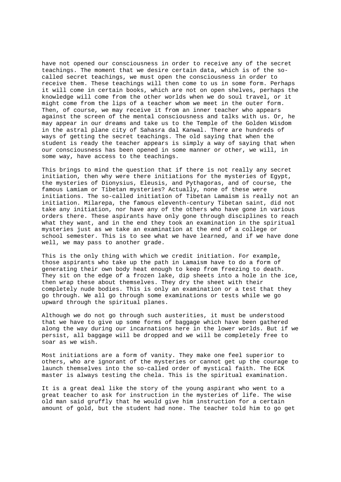have not opened our consciousness in order to receive any of the secret teachings. The moment that we desire certain data, which is of the socalled secret teachings, we must open the consciousness in order to receive them. These teachings will then come to us in some form. Perhaps it will come in certain books, which are not on open shelves, perhaps the knowledge will come from the other worlds when we do soul travel, or it might come from the lips of a teacher whom we meet in the outer form. Then, of course, we may receive it from an inner teacher who appears against the screen of the mental consciousness and talks with us. Or, he may appear in our dreams and take us to the Temple of the Golden Wisdom in the astral plane city of Sahasra dal Kanwal. There are hundreds of ways of getting the secret teachings. The old saying that when the student is ready the teacher appears is simply a way of saying that when our consciousness has been opened in some manner or other, we will, in some way, have access to the teachings.

This brings to mind the question that if there is not really any secret initiation, then why were there initiations for the mysteries of Egypt, the mysteries of Dionysius, Eleusis, and Pythagoras, and of course, the famous Lamiam or Tibetan mysteries? Actually, none of these were initiations. The so-called initiation of Tibetan Lamaism is really not an initiation. Milarepa, the famous eleventh-century Tibetan saint, did not take any initiation, nor have any of the others who have gone in various orders there. These aspirants have only gone through disciplines to reach what they want, and in the end they took an examination in the spiritual mysteries just as we take an examination at the end of a college or school semester. This is to see what we have learned, and if we have done well, we may pass to another grade.

This is the only thing with which we credit initiation. For example, those aspirants who take up the path in Lamaism have to do a form of generating their own body heat enough to keep from freezing to death. They sit on the edge of a frozen lake, dip sheets into a hole in the ice, then wrap these about themselves. They dry the sheet with their completely nude bodies. This is only an examination or a test that they go through. We all go through some examinations or tests while we go upward through the spiritual planes.

Although we do not go through such austerities, it must be understood that we have to give up some forms of baggage which have been gathered along the way during our incarnations here in the lower worlds. But if we persist, all baggage will be dropped and we will be completely free to soar as we wish.

Most initiations are a form of vanity. They make one feel superior to others, who are ignorant of the mysteries or cannot get up the courage to launch themselves into the so-called order of mystical faith. The ECK master is always testing the chela. This is the spiritual examination.

It is a great deal like the story of the young aspirant who went to a great teacher to ask for instruction in the mysteries of life. The wise old man said gruffly that he would give him instruction for a certain amount of gold, but the student had none. The teacher told him to go get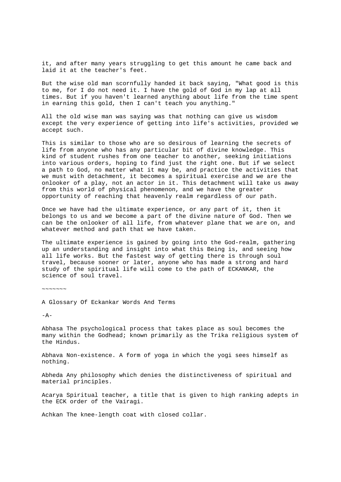it, and after many years struggling to get this amount he came back and laid it at the teacher's feet.

But the wise old man scornfully handed it back saying, "What good is this to me, for I do not need it. I have the gold of God in my lap at all times. But if you haven't learned anything about life from the time spent in earning this gold, then I can't teach you anything."

All the old wise man was saying was that nothing can give us wisdom except the very experience of getting into life's activities, provided we accept such.

This is similar to those who are so desirous of learning the secrets of life from anyone who has any particular bit of divine knowledge. This kind of student rushes from one teacher to another, seeking initiations into various orders, hoping to find just the right one. But if we select a path to God, no matter what it may be, and practice the activities that we must with detachment, it becomes a spiritual exercise and we are the onlooker of a play, not an actor in it. This detachment will take us away from this world of physical phenomenon, and we have the greater opportunity of reaching that heavenly realm regardless of our path.

Once we have had the ultimate experience, or any part of it, then it belongs to us and we become a part of the divine nature of God. Then we can be the onlooker of all life, from whatever plane that we are on, and whatever method and path that we have taken.

The ultimate experience is gained by going into the God-realm, gathering up an understanding and insight into what this Being is, and seeing how all life works. But the fastest way of getting there is through soul travel, because sooner or later, anyone who has made a strong and hard study of the spiritual life will come to the path of ECKANKAR, the science of soul travel.

~~~~~~~

A Glossary Of Eckankar Words And Terms

 $A-$ 

Abhasa The psychological process that takes place as soul becomes the many within the Godhead; known primarily as the Trika religious system of the Hindus.

Abhava Non-existence. A form of yoga in which the yogi sees himself as nothing.

Abheda Any philosophy which denies the distinctiveness of spiritual and material principles.

Acarya Spiritual teacher, a title that is given to high ranking adepts in the ECK order of the Vairagi.

Achkan The knee-length coat with closed collar.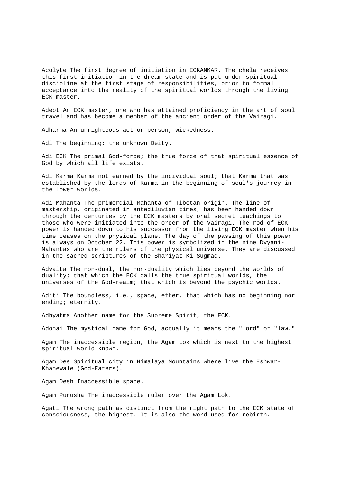Acolyte The first degree of initiation in ECKANKAR. The chela receives this first initiation in the dream state and is put under spiritual discipline at the first stage of responsibilities, prior to formal acceptance into the reality of the spiritual worlds through the living ECK master.

Adept An ECK master, one who has attained proficiency in the art of soul travel and has become a member of the ancient order of the Vairagi.

Adharma An unrighteous act or person, wickedness.

Adi The beginning; the unknown Deity.

Adi ECK The primal God-force; the true force of that spiritual essence of God by which all life exists.

Adi Karma Karma not earned by the individual soul; that Karma that was established by the lords of Karma in the beginning of soul's journey in the lower worlds.

Adi Mahanta The primordial Mahanta of Tibetan origin. The line of mastership, originated in antediluvian times, has been handed down through the centuries by the ECK masters by oral secret teachings to those who were initiated into the order of the Vairagi. The rod of ECK power is handed down to his successor from the living ECK master when his time ceases on the physical plane. The day of the passing of this power is always on October 22. This power is symbolized in the nine Dyyani-Mahantas who are the rulers of the physical universe. They are discussed in the sacred scriptures of the Shariyat-Ki-Sugmad.

Advaita The non-dual, the non-duality which lies beyond the worlds of duality; that which the ECK calls the true spiritual worlds, the universes of the God-realm; that which is beyond the psychic worlds.

Aditi The boundless, i.e., space, ether, that which has no beginning nor ending; eternity.

Adhyatma Another name for the Supreme Spirit, the ECK.

Adonai The mystical name for God, actually it means the "lord" or "law."

Agam The inaccessible region, the Agam Lok which is next to the highest spiritual world known.

Agam Des Spiritual city in Himalaya Mountains where live the Eshwar-Khanewale (God-Eaters).

Agam Desh Inaccessible space.

Agam Purusha The inaccessible ruler over the Agam Lok.

Agati The wrong path as distinct from the right path to the ECK state of consciousness, the highest. It is also the word used for rebirth.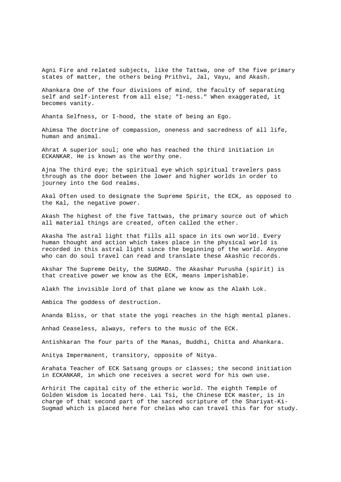Agni Fire and related subjects, like the Tattwa, one of the five primary states of matter, the others being Prithvi, Jal, Vayu, and Akash.

Ahankara One of the four divisions of mind, the faculty of separating self and self-interest from all else; "I-ness." When exaggerated, it becomes vanity.

Ahanta Selfness, or I-hood, the state of being an Ego.

Ahimsa The doctrine of compassion, oneness and sacredness of all life, human and animal.

Ahrat A superior soul; one who has reached the third initiation in ECKANKAR. He is known as the worthy one.

Ajna The third eye; the spiritual eye which spiritual travelers pass through as the door between the lower and higher worlds in order to journey into the God realms.

Akal Often used to designate the Supreme Spirit, the ECK, as opposed to the Kal, the negative power.

Akash The highest of the five Tattwas, the primary source out of which all material things are created, often called the ether.

Akasha The astral light that fills all space in its own world. Every human thought and action which takes place in the physical world is recorded in this astral light since the beginning of the world. Anyone who can do soul travel can read and translate these Akashic records.

Akshar The Supreme Deity, the SUGMAD. The Akashar Purusha (spirit) is that creative power we know as the ECK, means imperishable.

Alakh The invisible lord of that plane we know as the Alakh Lok.

Ambica The goddess of destruction.

Ananda Bliss, or that state the yogi reaches in the high mental planes.

Anhad Ceaseless, always, refers to the music of the ECK.

Antishkaran The four parts of the Manas, Buddhi, Chitta and Ahankara.

Anitya Impermanent, transitory, opposite of Nitya.

Arahata Teacher of ECK Satsang groups or classes; the second initiation in ECKANKAR, in which one receives a secret word for his own use.

Arhirit The capital city of the etheric world. The eighth Temple of Golden Wisdom is located here. Lai Tsi, the Chinese ECK master, is in charge of that second part of the sacred scripture of the Shariyat-Ki-Sugmad which is placed here for chelas who can travel this far for study.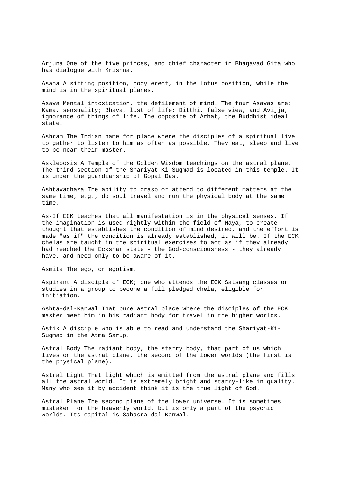Arjuna One of the five princes, and chief character in Bhagavad Gita who has dialogue with Krishna.

Asana A sitting position, body erect, in the lotus position, while the mind is in the spiritual planes.

Asava Mental intoxication, the defilement of mind. The four Asavas are: Kama, sensuality; Bhava, lust of life: Ditthi, false view, and Avijja, ignorance of things of life. The opposite of Arhat, the Buddhist ideal state.

Ashram The Indian name for place where the disciples of a spiritual live to gather to listen to him as often as possible. They eat, sleep and live to be near their master.

Askleposis A Temple of the Golden Wisdom teachings on the astral plane. The third section of the Shariyat-Ki-Sugmad is located in this temple. It is under the guardianship of Gopal Das.

Ashtavadhaza The ability to grasp or attend to different matters at the same time, e.g., do soul travel and run the physical body at the same time.

As-If ECK teaches that all manifestation is in the physical senses. If the imagination is used rightly within the field of Maya, to create thought that establishes the condition of mind desired, and the effort is made "as if" the condition is already established, it will be. If the ECK chelas are taught in the spiritual exercises to act as if they already had reached the Eckshar state - the God-consciousness - they already have, and need only to be aware of it.

Asmita The ego, or egotism.

Aspirant A disciple of ECK; one who attends the ECK Satsang classes or studies in a group to become a full pledged chela, eligible for initiation.

Ashta-dal-Kanwal That pure astral place where the disciples of the ECK master meet him in his radiant body for travel in the higher worlds.

Astik A disciple who is able to read and understand the Shariyat-Ki-Sugmad in the Atma Sarup.

Astral Body The radiant body, the starry body, that part of us which lives on the astral plane, the second of the lower worlds (the first is the physical plane).

Astral Light That light which is emitted from the astral plane and fills all the astral world. It is extremely bright and starry-like in quality. Many who see it by accident think it is the true light of God.

Astral Plane The second plane of the lower universe. It is sometimes mistaken for the heavenly world, but is only a part of the psychic worlds. Its capital is Sahasra-dal-Kanwal.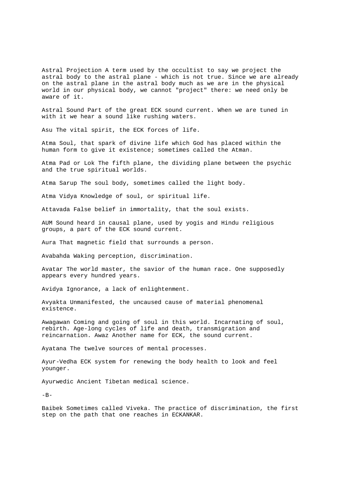Astral Projection A term used by the occultist to say we project the astral body to the astral plane - which is not true. Since we are already on the astral plane in the astral body much as we are in the physical world in our physical body, we cannot "project" there: we need only be aware of it.

Astral Sound Part of the great ECK sound current. When we are tuned in with it we hear a sound like rushing waters.

Asu The vital spirit, the ECK forces of life.

Atma Soul, that spark of divine life which God has placed within the human form to give it existence; sometimes called the Atman.

Atma Pad or Lok The fifth plane, the dividing plane between the psychic and the true spiritual worlds.

Atma Sarup The soul body, sometimes called the light body.

Atma Vidya Knowledge of soul, or spiritual life.

Attavada False belief in immortality, that the soul exists.

AUM Sound heard in causal plane, used by yogis and Hindu religious groups, a part of the ECK sound current.

Aura That magnetic field that surrounds a person.

Avabahda Waking perception, discrimination.

Avatar The world master, the savior of the human race. One supposedly appears every hundred years.

Avidya Ignorance, a lack of enlightenment.

Avyakta Unmanifested, the uncaused cause of material phenomenal existence.

Awagawan Coming and going of soul in this world. Incarnating of soul, rebirth. Age-long cycles of life and death, transmigration and reincarnation. Awaz Another name for ECK, the sound current.

Ayatana The twelve sources of mental processes.

Ayur-Vedha ECK system for renewing the body health to look and feel younger.

Ayurwedic Ancient Tibetan medical science.

 $-R -$ 

Baibek Sometimes called Viveka. The practice of discrimination, the first step on the path that one reaches in ECKANKAR.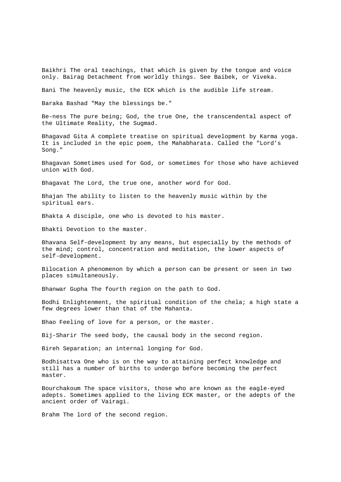Baikhri The oral teachings, that which is given by the tongue and voice only. Bairag Detachment from worldly things. See Baibek, or Viveka.

Bani The heavenly music, the ECK which is the audible life stream.

Baraka Bashad "May the blessings be."

Be-ness The pure being; God, the true One, the transcendental aspect of the Ultimate Reality, the Sugmad.

Bhagavad Gita A complete treatise on spiritual development by Karma yoga. It is included in the epic poem, the Mahabharata. Called the "Lord's Song."

Bhagavan Sometimes used for God, or sometimes for those who have achieved union with God.

Bhagavat The Lord, the true one, another word for God.

Bhajan The ability to listen to the heavenly music within by the spiritual ears.

Bhakta A disciple, one who is devoted to his master.

Bhakti Devotion to the master.

Bhavana Self-development by any means, but especially by the methods of the mind; control, concentration and meditation, the lower aspects of self-development.

Bilocation A phenomenon by which a person can be present or seen in two places simultaneously.

Bhanwar Gupha The fourth region on the path to God.

Bodhi Enlightenment, the spiritual condition of the chela; a high state a few degrees lower than that of the Mahanta.

Bhao Feeling of love for a person, or the master.

Bij-Sharir The seed body, the causal body in the second region.

Bireh Separation; an internal longing for God.

Bodhisattva One who is on the way to attaining perfect knowledge and still has a number of births to undergo before becoming the perfect master.

Bourchakoum The space visitors, those who are known as the eagle-eyed adepts. Sometimes applied to the living ECK master, or the adepts of the ancient order of Vairagi.

Brahm The lord of the second region.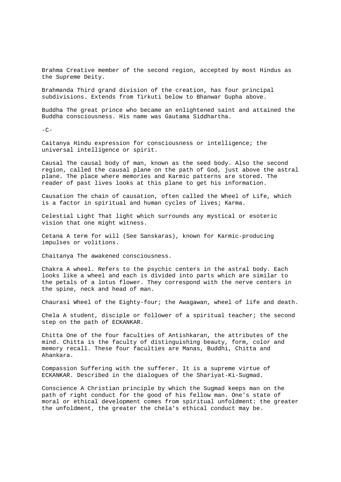Brahma Creative member of the second region, accepted by most Hindus as the Supreme Deity.

Brahmanda Third grand division of the creation, has four principal subdivisions. Extends from Tirkuti below to Bhanwar Gupha above.

Buddha The great prince who became an enlightened saint and attained the Buddha consciousness. His name was Gautama Siddhartha.

 $-C-$ 

Caitanya Hindu expression for consciousness or intelligence; the universal intelligence or spirit.

Causal The causal body of man, known as the seed body. Also the second region, called the causal plane on the path of God, just above the astral plane. The place where memories and Karmic patterns are stored. The reader of past lives looks at this plane to get his information.

Causation The chain of causation, often called the Wheel of Life, which is a factor in spiritual and human cycles of lives; Karma.

Celestial Light That light which surrounds any mystical or esoteric vision that one might witness.

Cetana A term for will (See Sanskaras), known for Karmic-producing impulses or volitions.

Chaitanya The awakened consciousness.

Chakra A wheel. Refers to the psychic centers in the astral body. Each looks like a wheel and each is divided into parts which are similar to the petals of a lotus flower. They correspond with the nerve centers in the spine, neck and head of man.

Chaurasi Wheel of the Eighty-four; the Awagawan, wheel of life and death.

Chela A student, disciple or follower of a spiritual teacher; the second step on the path of ECKANKAR.

Chitta One of the four faculties of Antishkaran, the attributes of the mind. Chitta is the faculty of distinguishing beauty, form, color and memory recall. These four faculties are Manas, Buddhi, Chitta and Ahankara.

Compassion Suffering with the sufferer. It is a supreme virtue of ECKANKAR. Described in the dialogues of the Shariyat-Ki-Sugmad.

Conscience A Christian principle by which the Sugmad keeps man on the path of right conduct for the good of his fellow man. One's state of moral or ethical development comes from spiritual unfoldment: the greater the unfoldment, the greater the chela's ethical conduct may be.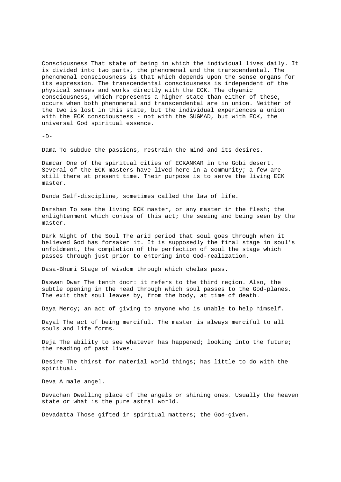Consciousness That state of being in which the individual lives daily. It is divided into two parts, the phenomenal and the transcendental. The phenomenal consciousness is that which depends upon the sense organs for its expression. The transcendental consciousness is independent of the physical senses and works directly with the ECK. The dhyanic consciousness, which represents a higher state than either of these, occurs when both phenomenal and transcendental are in union. Neither of the two is lost in this state, but the individual experiences a union with the ECK consciousness - not with the SUGMAD, but with ECK, the universal God spiritual essence.

 $-D-$ 

Dama To subdue the passions, restrain the mind and its desires.

Damcar One of the spiritual cities of ECKANKAR in the Gobi desert. Several of the ECK masters have lived here in a community; a few are still there at present time. Their purpose is to serve the living ECK master.

Danda Self-discipline, sometimes called the law of life.

Darshan To see the living ECK master, or any master in the flesh; the enlightenment which conies of this act; the seeing and being seen by the master.

Dark Night of the Soul The arid period that soul goes through when it believed God has forsaken it. It is supposedly the final stage in soul's unfoldment, the completion of the perfection of soul the stage which passes through just prior to entering into God-realization.

Dasa-Bhumi Stage of wisdom through which chelas pass.

Daswan Dwar The tenth door: it refers to the third region. Also, the subtle opening in the head through which soul passes to the God-planes. The exit that soul leaves by, from the body, at time of death.

Daya Mercy; an act of giving to anyone who is unable to help himself.

Dayal The act of being merciful. The master is always merciful to all souls and life forms.

Deja The ability to see whatever has happened; looking into the future; the reading of past lives.

Desire The thirst for material world things; has little to do with the spiritual.

Deva A male angel.

Devachan Dwelling place of the angels or shining ones. Usually the heaven state or what is the pure astral world.

Devadatta Those gifted in spiritual matters; the God-given.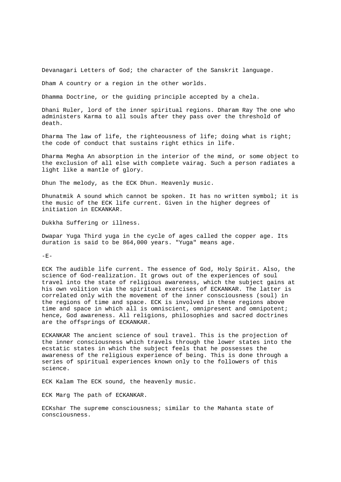Devanagari Letters of God; the character of the Sanskrit language.

Dham A country or a region in the other worlds.

Dhamma Doctrine, or the guiding principle accepted by a chela.

Dhani Ruler, lord of the inner spiritual regions. Dharam Ray The one who administers Karma to all souls after they pass over the threshold of death.

Dharma The law of life, the righteousness of life; doing what is right; the code of conduct that sustains right ethics in life.

Dharma Megha An absorption in the interior of the mind, or some object to the exclusion of all else with complete vairag. Such a person radiates a light like a mantle of glory.

Dhun The melody, as the ECK Dhun. Heavenly music.

Dhunatmik A sound which cannot be spoken. It has no written symbol; it is the music of the ECK life current. Given in the higher degrees of initiation in ECKANKAR.

Dukkha Suffering or illness.

Dwapar Yuga Third yuga in the cycle of ages called the copper age. Its duration is said to be 864,000 years. "Yuga" means age.

 $-E$ -

ECK The audible life current. The essence of God, Holy Spirit. Also, the science of God-realization. It grows out of the experiences of soul travel into the state of religious awareness, which the subject gains at his own volition via the spiritual exercises of ECKANKAR. The latter is correlated only with the movement of the inner consciousness (soul) in the regions of time and space. ECK is involved in these regions above time and space in which all is omniscient, omnipresent and omnipotent; hence, God awareness. All religions, philosophies and sacred doctrines are the offsprings of ECKANKAR.

ECKANKAR The ancient science of soul travel. This is the projection of the inner consciousness which travels through the lower states into the ecstatic states in which the subject feels that he possesses the awareness of the religious experience of being. This is done through a series of spiritual experiences known only to the followers of this science.

ECK Kalam The ECK sound, the heavenly music.

ECK Marg The path of ECKANKAR.

ECKshar The supreme consciousness; similar to the Mahanta state of consciousness.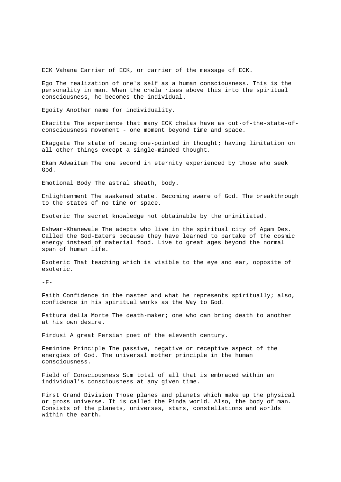ECK Vahana Carrier of ECK, or carrier of the message of ECK.

Ego The realization of one's self as a human consciousness. This is the personality in man. When the chela rises above this into the spiritual consciousness, he becomes the individual.

Egoity Another name for individuality.

Ekacitta The experience that many ECK chelas have as out-of-the-state-ofconsciousness movement - one moment beyond time and space.

Ekaggata The state of being one-pointed in thought; having limitation on all other things except a single-minded thought.

Ekam Adwaitam The one second in eternity experienced by those who seek God.

Emotional Body The astral sheath, body.

Enlightenment The awakened state. Becoming aware of God. The breakthrough to the states of no time or space.

Esoteric The secret knowledge not obtainable by the uninitiated.

Eshwar-Khanewale The adepts who live in the spiritual city of Agam Des. Called the God-Eaters because they have learned to partake of the cosmic energy instead of material food. Live to great ages beyond the normal span of human life.

Exoteric That teaching which is visible to the eye and ear, opposite of esoteric.

 $-F-$ 

Faith Confidence in the master and what he represents spiritually; also, confidence in his spiritual works as the Way to God.

Fattura della Morte The death-maker; one who can bring death to another at his own desire.

Firdusi A great Persian poet of the eleventh century.

Feminine Principle The passive, negative or receptive aspect of the energies of God. The universal mother principle in the human consciousness.

Field of Consciousness Sum total of all that is embraced within an individual's consciousness at any given time.

First Grand Division Those planes and planets which make up the physical or gross universe. It is called the Pinda world. Also, the body of man. Consists of the planets, universes, stars, constellations and worlds within the earth.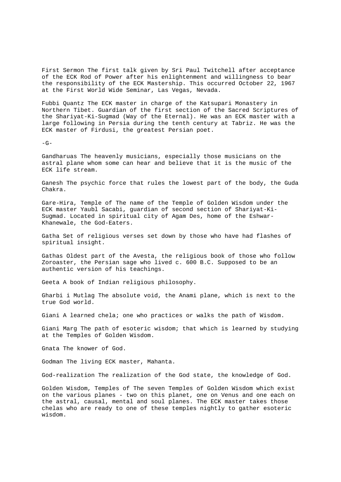First Sermon The first talk given by Sri Paul Twitchell after acceptance of the ECK Rod of Power after his enlightenment and willingness to bear the responsibility of the ECK Mastership. This occurred October 22, 1967 at the First World Wide Seminar, Las Vegas, Nevada.

Fubbi Quantz The ECK master in charge of the Katsupari Monastery in Northern Tibet. Guardian of the first section of the Sacred Scriptures of the Shariyat-Ki-Sugmad (Way of the Eternal). He was an ECK master with a large following in Persia during the tenth century at Tabriz. He was the ECK master of Firdusi, the greatest Persian poet.

 $-G-$ 

Gandharuas The heavenly musicians, especially those musicians on the astral plane whom some can hear and believe that it is the music of the ECK life stream.

Ganesh The psychic force that rules the lowest part of the body, the Guda Chakra.

Gare-Hira, Temple of The name of the Temple of Golden Wisdom under the ECK master Yaubl Sacabi, guardian of second section of Shariyat-Ki-Sugmad. Located in spiritual city of Agam Des, home of the Eshwar-Khanewale, the God-Eaters.

Gatha Set of religious verses set down by those who have had flashes of spiritual insight.

Gathas Oldest part of the Avesta, the religious book of those who follow Zoroaster, the Persian sage who lived c. 600 B.C. Supposed to be an authentic version of his teachings.

Geeta A book of Indian religious philosophy.

Gharbi i Mutlag The absolute void, the Anami plane, which is next to the true God world.

Giani A learned chela; one who practices or walks the path of Wisdom.

Giani Marg The path of esoteric wisdom; that which is learned by studying at the Temples of Golden Wisdom.

Gnata The knower of God.

Godman The living ECK master, Mahanta.

God-realization The realization of the God state, the knowledge of God.

Golden Wisdom, Temples of The seven Temples of Golden Wisdom which exist on the various planes - two on this planet, one on Venus and one each on the astral, causal, mental and soul planes. The ECK master takes those chelas who are ready to one of these temples nightly to gather esoteric wisdom.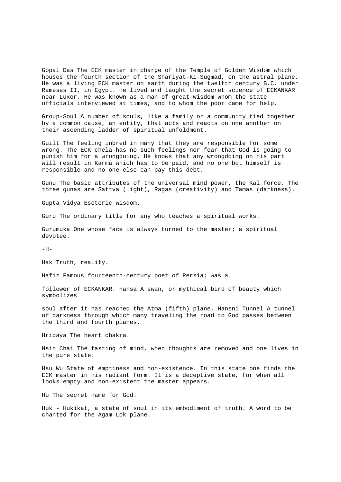Gopal Das The ECK master in charge of the Temple of Golden Wisdom which houses the fourth section of the Shariyat-Ki-Sugmad, on the astral plane. He was a living ECK master on earth during the twelfth century B.C. under Rameses II, in Egypt. He lived and taught the secret science of ECKANKAR near Luxor. He was known as a man of great wisdom whom the state officials interviewed at times, and to whom the poor came for help.

Group-Soul A number of souls, like a family or a community tied together by a common cause, an entity, that acts and reacts on one another on their ascending ladder of spiritual unfoldment.

Guilt The feeling inbred in many that they are responsible for some wrong. The ECK chela has no such feelings nor fear that God is going to punish him for a wrongdoing. He knows that any wrongdoing on his part will result in Karma which has to be paid, and no one but himself is responsible and no one else can pay this debt.

Gunu The basic attributes of the universal mind power, the Kal force. The three gunas are Sattva (light), Ragas (creativity) and Tamas (darkness).

Gupta Vidya Esoteric wisdom.

Guru The ordinary title for any who teaches a spiritual works.

Gurumuka One whose face is always turned to the master; a spiritual devotee.

 $-H -$ 

Hak Truth, reality.

Hafiz Famous fourteenth-century poet of Persia; was a

follower of ECKANKAR. Hansa A swan, or mythical bird of beauty which symbolizes

soul after it has reached the Atma (fifth) plane. Hansni Tunnel A tunnel of darkness through which many traveling the road to God passes between the third and fourth planes.

Hridaya The heart chakra.

Hsin Chai The fasting of mind, when thoughts are removed and one lives in the pure state.

Hsu Wu State of emptiness and non-existence. In this state one finds the ECK master in his radiant form. It is a deceptive state, for when all looks empty and non-existent the master appears.

Hu The secret name for God.

Huk - Hukikat, a state of soul in its embodiment of truth. A word to be chanted for the Agam Lok plane.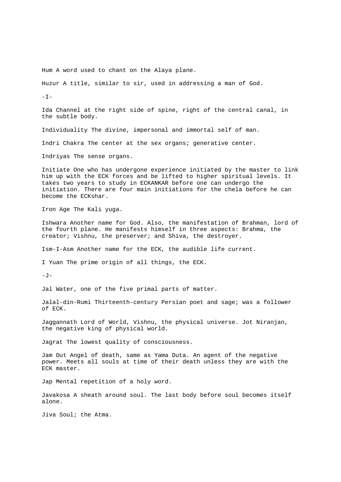Hum A word used to chant on the Alaya plane.

Huzur A title, similar to sir, used in addressing a man of God.

 $-I$ -

Ida Channel at the right side of spine, right of the central canal, in the subtle body.

Individuality The divine, impersonal and immortal self of man.

Indri Chakra The center at the sex organs; generative center.

Indriyas The sense organs.

Initiate One who has undergone experience initiated by the master to link him up with the ECK forces and be lifted to higher spiritual levels. It takes two years to study in ECKANKAR before one can undergo the initiation. There are four main initiations for the chela before he can become the ECKshar.

Iron Age The Kali yuga.

Ishwara Another name for God. Also, the manifestation of Brahman, lord of the fourth plane. He manifests himself in three aspects: Brahma, the creator; Vishnu, the preserver; and Shiva, the destroyer.

Ism-I-Asm Another name for the ECK, the audible life current.

I Yuan The prime origin of all things, the ECK.

 $-J$ -

Jal Water, one of the five primal parts of matter.

Jalal-din-Rumi Thirteenth-century Persian poet and sage; was a follower of ECK.

Jaggannath Lord of World, Vishnu, the physical universe. Jot Niranjan, the negative king of physical world.

Jagrat The lowest quality of consciousness.

Jam Dut Angel of death, same as Yama Duta. An agent of the negative power. Meets all souls at time of their death unless they are with the ECK master.

Jap Mental repetition of a holy word.

Javakosa A sheath around soul. The last body before soul becomes itself alone.

Jiva Soul; the Atma.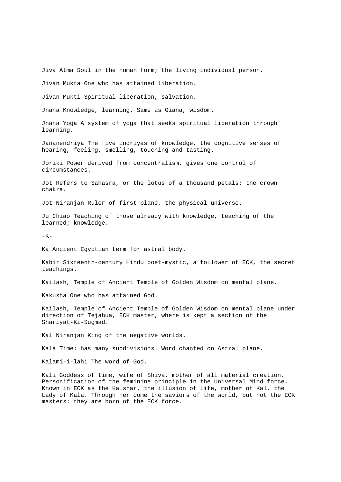Jiva Atma Soul in the human form; the living individual person.

Jivan Mukta One who has attained liberation.

Jivan Mukti Spiritual liberation, salvation.

Jnana Knowledge, learning. Same as Giana, wisdom.

Jnana Yoga A system of yoga that seeks spiritual liberation through learning.

Jananendriya The five indriyas of knowledge, the cognitive senses of hearing, feeling, smelling, touching and tasting.

Joriki Power derived from concentralism, gives one control of circumstances.

Jot Refers to Sahasra, or the lotus of a thousand petals; the crown chakra.

Jot Niranjan Ruler of first plane, the physical universe.

Ju Chiao Teaching of those already with knowledge, teaching of the learned; knowledge.

 $-K-$ 

Ka Ancient Egyptian term for astral body.

Kabir Sixteenth-century Hindu poet-mystic, a follower of ECK, the secret teachings.

Kailash, Temple of Ancient Temple of Golden Wisdom on mental plane.

Kakusha One who has attained God.

Kailash, Temple of Ancient Temple of Golden Wisdom on mental plane under direction of Tejahua, ECK master, where is kept a section of the Shariyat-Ki-Sugmad.

Kal Niranjan King of the negative worlds.

Kala Time; has many subdivisions. Word chanted on Astral plane.

Kalami-i-lahi The word of God.

Kali Goddess of time, wife of Shiva, mother of all material creation. Personification of the feminine principle in the Universal Mind force. Known in ECK as the Kalshar, the illusion of life, mother of Kal, the Lady of Kala. Through her come the saviors of the world, but not the ECK masters: they are born of the ECK force.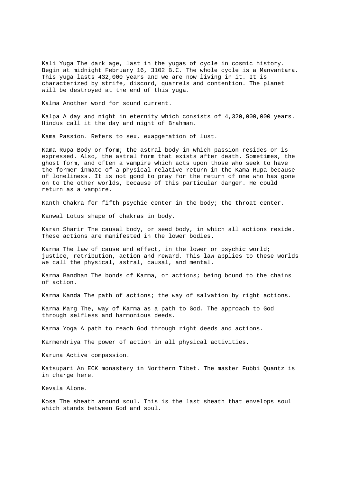Kali Yuga The dark age, last in the yugas of cycle in cosmic history. Begin at midnight February 16, 3102 B.C. The whole cycle is a Manvantara. This yuga lasts 432,000 years and we are now living in it. It is characterized by strife, discord, quarrels and contention. The planet will be destroyed at the end of this yuga.

Kalma Another word for sound current.

Kalpa A day and night in eternity which consists of 4,320,000,000 years. Hindus call it the day and night of Brahman.

Kama Passion. Refers to sex, exaggeration of lust.

Kama Rupa Body or form; the astral body in which passion resides or is expressed. Also, the astral form that exists after death. Sometimes, the ghost form, and often a vampire which acts upon those who seek to have the former inmate of a physical relative return in the Kama Rupa because of loneliness. It is not good to pray for the return of one who has gone on to the other worlds, because of this particular danger. He could return as a vampire.

Kanth Chakra for fifth psychic center in the body; the throat center.

Kanwal Lotus shape of chakras in body.

Karan Sharir The causal body, or seed body, in which all actions reside. These actions are manifested in the lower bodies.

Karma The law of cause and effect, in the lower or psychic world; justice, retribution, action and reward. This law applies to these worlds we call the physical, astral, causal, and mental.

Karma Bandhan The bonds of Karma, or actions; being bound to the chains of action.

Karma Kanda The path of actions; the way of salvation by right actions.

Karma Marg The, way of Karma as a path to God. The approach to God through selfless and harmonious deeds.

Karma Yoga A path to reach God through right deeds and actions.

Karmendriya The power of action in all physical activities.

Karuna Active compassion.

Katsupari An ECK monastery in Northern Tibet. The master Fubbi Quantz is in charge here.

Kevala Alone.

Kosa The sheath around soul. This is the last sheath that envelops soul which stands between God and soul.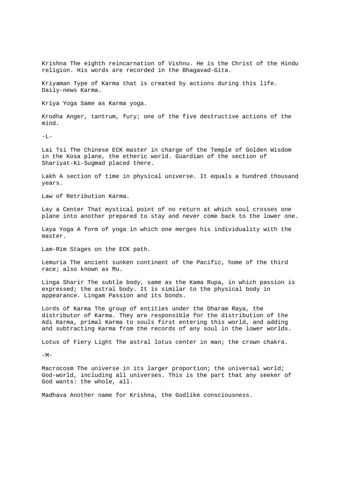Krishna The eighth reincarnation of Vishnu. He is the Christ of the Hindu religion. His words are recorded in the Bhagavad-Gita.

Kriyaman Type of Karma that is created by actions during this life. Daily-news Karma.

Kriya Yoga Same as Karma yoga.

Krodha Anger, tantrum, fury; one of the five destructive actions of the mind.

 $-T_{\rm L}-$ 

Lai Tsi The Chinese ECK master in charge of the Temple of Golden Wisdom in the Kosa plane, the etheric world. Guardian of the section of Shariyat-Ki-Sugmad placed there.

Lakh A section of time in physical universe. It equals a hundred thousand years.

Law of Retribution Karma.

Lay a Center That mystical point of no return at which soul crosses one plane into another prepared to stay and never come back to the lower one.

Laya Yoga A form of yoga in which one merges his individuality with the master.

Lam-Rim Stages on the ECK path.

Lemuria The ancient sunken continent of the Pacific, home of the third race; also known as Mu.

Linga Sharir The subtle body, same as the Kama Rupa, in which passion is expressed; the astral body. It is similar to the physical body in appearance. Lingam Passion and its bonds.

Lords of Karma The group of entities under the Dharam Raya, the distributor of Karma. They are responsible for the distribution of the Adi Karma, primal Karma to souls first entering this world, and adding and subtracting Karma from the records of any soul in the lower worlds.

Lotus of Fiery Light The astral lotus center in man; the crown chakra.

 $-M -$ 

Macrocosm The universe in its larger proportion; the universal world; God-world, including all universes. This is the part that any seeker of God wants: the whole, all.

Madhava Another name for Krishna, the Godlike consciousness.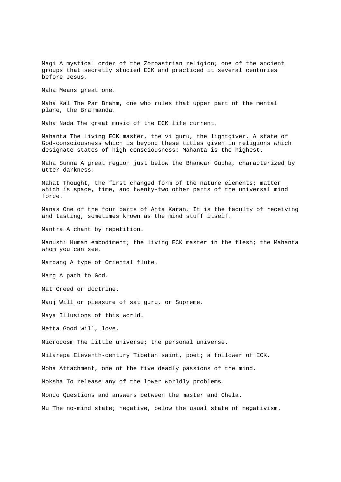Magi A mystical order of the Zoroastrian religion; one of the ancient groups that secretly studied ECK and practiced it several centuries before Jesus.

Maha Means great one.

Maha Kal The Par Brahm, one who rules that upper part of the mental plane, the Brahmanda.

Maha Nada The great music of the ECK life current.

Mahanta The living ECK master, the vi guru, the lightgiver. A state of God-consciousness which is beyond these titles given in religions which designate states of high consciousness: Mahanta is the highest.

Maha Sunna A great region just below the Bhanwar Gupha, characterized by utter darkness.

Mahat Thought, the first changed form of the nature elements; matter which is space, time, and twenty-two other parts of the universal mind force.

Manas One of the four parts of Anta Karan. It is the faculty of receiving and tasting, sometimes known as the mind stuff itself.

Mantra A chant by repetition.

Manushi Human embodiment; the living ECK master in the flesh; the Mahanta whom you can see.

Mardang A type of Oriental flute.

Marg A path to God.

Mat Creed or doctrine.

Mauj Will or pleasure of sat guru, or Supreme.

Maya Illusions of this world.

Metta Good will, love.

Microcosm The little universe; the personal universe.

Milarepa Eleventh-century Tibetan saint, poet; a follower of ECK.

Moha Attachment, one of the five deadly passions of the mind.

Moksha To release any of the lower worldly problems.

Mondo Questions and answers between the master and Chela.

Mu The no-mind state; negative, below the usual state of negativism.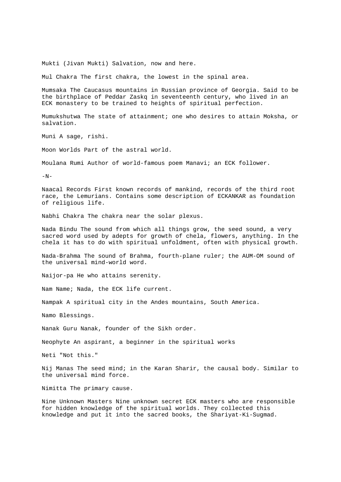Mukti (Jivan Mukti) Salvation, now and here.

Mul Chakra The first chakra, the lowest in the spinal area.

Mumsaka The Caucasus mountains in Russian province of Georgia. Said to be the birthplace of Peddar Zaskq in seventeenth century, who lived in an ECK monastery to be trained to heights of spiritual perfection.

Mumukshutwa The state of attainment; one who desires to attain Moksha, or salvation.

Muni A sage, rishi.

Moon Worlds Part of the astral world.

Moulana Rumi Author of world-famous poem Manavi; an ECK follower.

 $-N-$ 

Naacal Records First known records of mankind, records of the third root race, the Lemurians. Contains some description of ECKANKAR as foundation of religious life.

Nabhi Chakra The chakra near the solar plexus.

Nada Bindu The sound from which all things grow, the seed sound, a very sacred word used by adepts for growth of chela, flowers, anything. In the chela it has to do with spiritual unfoldment, often with physical growth.

Nada-Brahma The sound of Brahma, fourth-plane ruler; the AUM-OM sound of the universal mind-world word.

Naijor-pa He who attains serenity.

Nam Name; Nada, the ECK life current.

Nampak A spiritual city in the Andes mountains, South America.

Namo Blessings.

Nanak Guru Nanak, founder of the Sikh order.

Neophyte An aspirant, a beginner in the spiritual works

Neti "Not this."

Nij Manas The seed mind; in the Karan Sharir, the causal body. Similar to the universal mind force.

Nimitta The primary cause.

Nine Unknown Masters Nine unknown secret ECK masters who are responsible for hidden knowledge of the spiritual worlds. They collected this knowledge and put it into the sacred books, the Shariyat-Ki-Sugmad.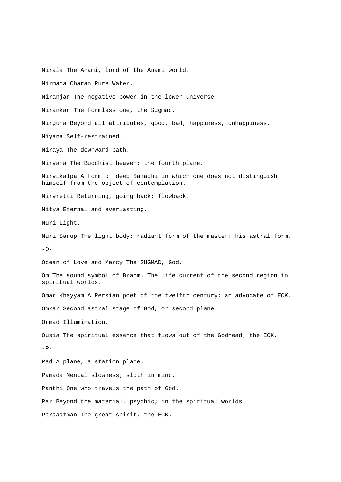Nirala The Anami, lord of the Anami world. Nirmana Charan Pure Water. Niranjan The negative power in the lower universe. Nirankar The formless one, the Sugmad. Nirguna Beyond all attributes, good, bad, happiness, unhappiness. Niyana Self-restrained. Niraya The downward path. Nirvana The Buddhist heaven; the fourth plane. Nirvikalpa A form of deep Samadhi in which one does not distinguish himself from the object of contemplation. Nirvretti Returning, going back; flowback. Nitya Eternal and everlasting. Nuri Light. Nuri Sarup The light body; radiant form of the master: his astral form.  $-O-$ Ocean of Love and Mercy The SUGMAD, God. Om The sound symbol of Brahm. The life current of the second region in spiritual worlds. Omar Khayyam A Persian poet of the twelfth century; an advocate of ECK. Omkar Second astral stage of God, or second plane. Ormad Illumination. Ousia The spiritual essence that flows out of the Godhead; the ECK.  $-P-$ Pad A plane, a station place. Pamada Mental slowness; sloth in mind. Panthi One who travels the path of God. Par Beyond the material, psychic; in the spiritual worlds. Paraaatman The great spirit, the ECK.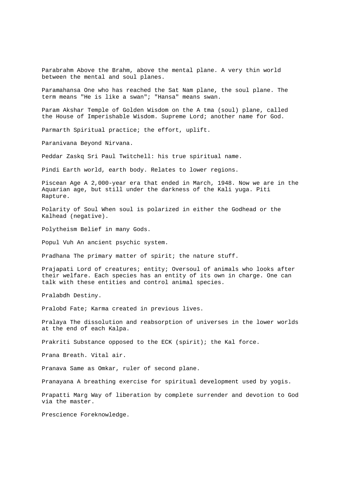Parabrahm Above the Brahm, above the mental plane. A very thin world between the mental and soul planes.

Paramahansa One who has reached the Sat Nam plane, the soul plane. The term means "He is like a swan"; "Hansa" means swan.

Param Akshar Temple of Golden Wisdom on the A tma (soul) plane, called the House of Imperishable Wisdom. Supreme Lord; another name for God.

Parmarth Spiritual practice; the effort, uplift.

Paranivana Beyond Nirvana.

Peddar Zaskq Sri Paul Twitchell: his true spiritual name.

Pindi Earth world, earth body. Relates to lower regions.

Piscean Age A 2,000-year era that ended in March, 1948. Now we are in the Aquarian age, but still under the darkness of the Kali yuga. Piti Rapture.

Polarity of Soul When soul is polarized in either the Godhead or the Kalhead (negative).

Polytheism Belief in many Gods.

Popul Vuh An ancient psychic system.

Pradhana The primary matter of spirit; the nature stuff.

Prajapati Lord of creatures; entity; Oversoul of animals who looks after their welfare. Each species has an entity of its own in charge. One can talk with these entities and control animal species.

Pralabdh Destiny.

Pralobd Fate; Karma created in previous lives.

Pralaya The dissolution and reabsorption of universes in the lower worlds at the end of each Kalpa.

Prakriti Substance opposed to the ECK (spirit); the Kal force.

Prana Breath. Vital air.

Pranava Same as Omkar, ruler of second plane.

Pranayana A breathing exercise for spiritual development used by yogis.

Prapatti Marg Way of liberation by complete surrender and devotion to God via the master.

Prescience Foreknowledge.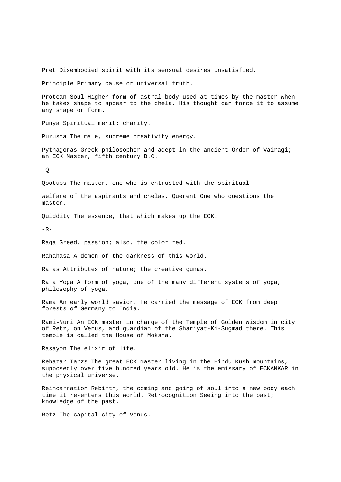Pret Disembodied spirit with its sensual desires unsatisfied.

Principle Primary cause or universal truth.

Protean Soul Higher form of astral body used at times by the master when he takes shape to appear to the chela. His thought can force it to assume any shape or form.

Punya Spiritual merit; charity.

Purusha The male, supreme creativity energy.

Pythagoras Greek philosopher and adept in the ancient Order of Vairagi; an ECK Master, fifth century B.C.

 $-Q-$ 

Qootubs The master, one who is entrusted with the spiritual

welfare of the aspirants and chelas. Querent One who questions the master.

Quiddity The essence, that which makes up the ECK.

 $-R -$ 

Raga Greed, passion; also, the color red.

Rahahasa A demon of the darkness of this world.

Rajas Attributes of nature; the creative gunas.

Raja Yoga A form of yoga, one of the many different systems of yoga, philosophy of yoga.

Rama An early world savior. He carried the message of ECK from deep forests of Germany to India.

Rami-Nuri An ECK master in charge of the Temple of Golden Wisdom in city of Retz, on Venus, and guardian of the Shariyat-Ki-Sugmad there. This temple is called the House of Moksha.

Rasayon The elixir of life.

Rebazar Tarzs The great ECK master living in the Hindu Kush mountains, supposedly over five hundred years old. He is the emissary of ECKANKAR in the physical universe.

Reincarnation Rebirth, the coming and going of soul into a new body each time it re-enters this world. Retrocognition Seeing into the past; knowledge of the past.

Retz The capital city of Venus.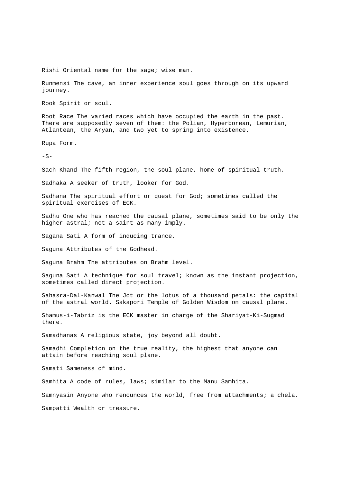Rishi Oriental name for the sage; wise man.

Runmensi The cave, an inner experience soul goes through on its upward journey.

Rook Spirit or soul.

Root Race The varied races which have occupied the earth in the past. There are supposedly seven of them: the Polian, Hyperborean, Lemurian, Atlantean, the Aryan, and two yet to spring into existence.

Rupa Form.

 $-S-$ 

Sach Khand The fifth region, the soul plane, home of spiritual truth.

Sadhaka A seeker of truth, looker for God.

Sadhana The spiritual effort or quest for God; sometimes called the spiritual exercises of ECK.

Sadhu One who has reached the causal plane, sometimes said to be only the higher astral; not a saint as many imply.

Sagana Sati A form of inducing trance.

Saguna Attributes of the Godhead.

Saguna Brahm The attributes on Brahm level.

Saguna Sati A technique for soul travel; known as the instant projection, sometimes called direct projection.

Sahasra-Dal-Kanwal The Jot or the lotus of a thousand petals: the capital of the astral world. Sakapori Temple of Golden Wisdom on causal plane.

Shamus-i-Tabriz is the ECK master in charge of the Shariyat-Ki-Sugmad there.

Samadhanas A religious state, joy beyond all doubt.

Samadhi Completion on the true reality, the highest that anyone can attain before reaching soul plane.

Samati Sameness of mind.

Samhita A code of rules, laws; similar to the Manu Samhita.

Samnyasin Anyone who renounces the world, free from attachments; a chela.

Sampatti Wealth or treasure.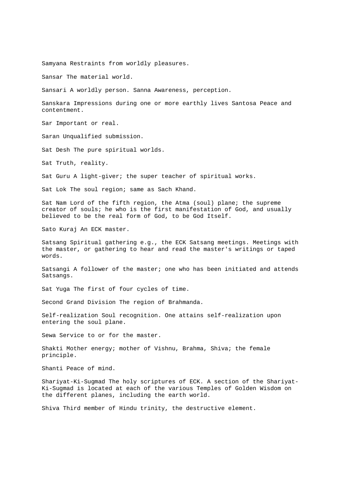Samyana Restraints from worldly pleasures.

Sansar The material world.

Sansari A worldly person. Sanna Awareness, perception.

Sanskara Impressions during one or more earthly lives Santosa Peace and contentment.

Sar Important or real.

Saran Unqualified submission.

Sat Desh The pure spiritual worlds.

Sat Truth, reality.

Sat Guru A light-giver; the super teacher of spiritual works.

Sat Lok The soul region; same as Sach Khand.

Sat Nam Lord of the fifth region, the Atma (soul) plane; the supreme creator of souls; he who is the first manifestation of God, and usually believed to be the real form of God, to be God Itself.

Sato Kuraj An ECK master.

Satsang Spiritual gathering e.g., the ECK Satsang meetings. Meetings with the master, or gathering to hear and read the master's writings or taped words.

Satsangi A follower of the master; one who has been initiated and attends Satsangs.

Sat Yuga The first of four cycles of time.

Second Grand Division The region of Brahmanda.

Self-realization Soul recognition. One attains self-realization upon entering the soul plane.

Sewa Service to or for the master.

Shakti Mother energy; mother of Vishnu, Brahma, Shiva; the female principle.

Shanti Peace of mind.

Shariyat-Ki-Sugmad The holy scriptures of ECK. A section of the Shariyat-Ki-Sugmad is located at each of the various Temples of Golden Wisdom on the different planes, including the earth world.

Shiva Third member of Hindu trinity, the destructive element.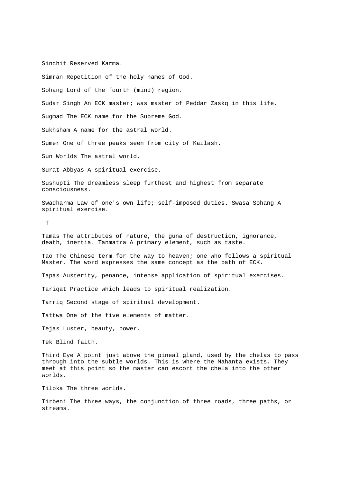Sinchit Reserved Karma.

Simran Repetition of the holy names of God. Sohang Lord of the fourth (mind) region. Sudar Singh An ECK master; was master of Peddar Zaskq in this life. Sugmad The ECK name for the Supreme God. Sukhsham A name for the astral world. Sumer One of three peaks seen from city of Kailash. Sun Worlds The astral world. Surat Abbyas A spiritual exercise. Sushupti The dreamless sleep furthest and highest from separate consciousness. Swadharma Law of one's own life; self-imposed duties. Swasa Sohang A spiritual exercise.  $-T$ -Tamas The attributes of nature, the guna of destruction, ignorance, death, inertia. Tanmatra A primary element, such as taste. Tao The Chinese term for the way to heaven; one who follows a spiritual Master. The word expresses the same concept as the path of ECK. Tapas Austerity, penance, intense application of spiritual exercises. Tariqat Practice which leads to spiritual realization. Tarriq Second stage of spiritual development. Tattwa One of the five elements of matter. Tejas Luster, beauty, power. Tek Blind faith.

Third Eye A point just above the pineal gland, used by the chelas to pass through into the subtle worlds. This is where the Mahanta exists. They meet at this point so the master can escort the chela into the other worlds.

Tiloka The three worlds.

Tirbeni The three ways, the conjunction of three roads, three paths, or streams.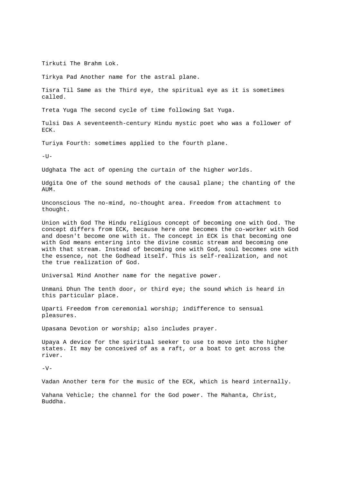Tirkuti The Brahm Lok.

Tirkya Pad Another name for the astral plane.

Tisra Til Same as the Third eye, the spiritual eye as it is sometimes called.

Treta Yuga The second cycle of time following Sat Yuga.

Tulsi Das A seventeenth-century Hindu mystic poet who was a follower of ECK.

Turiya Fourth: sometimes applied to the fourth plane.

 $-U-$ 

Udghata The act of opening the curtain of the higher worlds.

Udgita One of the sound methods of the causal plane; the chanting of the **ATIM** 

Unconscious The no-mind, no-thought area. Freedom from attachment to thought.

Union with God The Hindu religious concept of becoming one with God. The concept differs from ECK, because here one becomes the co-worker with God and doesn't become one with it. The concept in ECK is that becoming one with God means entering into the divine cosmic stream and becoming one with that stream. Instead of becoming one with God, soul becomes one with the essence, not the Godhead itself. This is self-realization, and not the true realization of God.

Universal Mind Another name for the negative power.

Unmani Dhun The tenth door, or third eye; the sound which is heard in this particular place.

Uparti Freedom from ceremonial worship; indifference to sensual pleasures.

Upasana Devotion or worship; also includes prayer.

Upaya A device for the spiritual seeker to use to move into the higher states. It may be conceived of as a raft, or a boat to get across the river.

 $-V-$ 

Vadan Another term for the music of the ECK, which is heard internally.

Vahana Vehicle; the channel for the God power. The Mahanta, Christ, Buddha.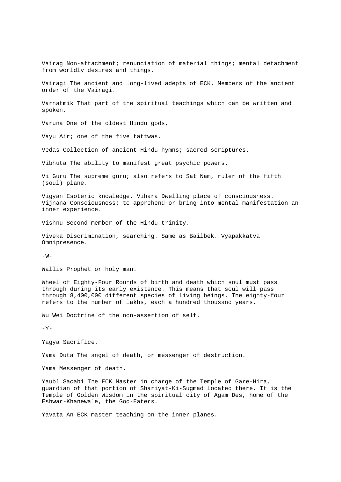Vairag Non-attachment; renunciation of material things; mental detachment from worldly desires and things.

Vairagi The ancient and long-lived adepts of ECK. Members of the ancient order of the Vairagi.

Varnatmik That part of the spiritual teachings which can be written and spoken.

Varuna One of the oldest Hindu gods.

Vayu Air; one of the five tattwas.

Vedas Collection of ancient Hindu hymns; sacred scriptures.

Vibhuta The ability to manifest great psychic powers.

Vi Guru The supreme guru; also refers to Sat Nam, ruler of the fifth (soul) plane.

Vigyan Esoteric knowledge. Vihara Dwelling place of consciousness. Vijnana Consciousness; to apprehend or bring into mental manifestation an inner experience.

Vishnu Second member of the Hindu trinity.

Viveka Discrimination, searching. Same as Bailbek. Vyapakkatva Omnipresence.

 $-W-$ 

Wallis Prophet or holy man.

Wheel of Eighty-Four Rounds of birth and death which soul must pass through during its early existence. This means that soul will pass through 8,400,000 different species of living beings. The eighty-four refers to the number of lakhs, each a hundred thousand years.

Wu Wei Doctrine of the non-assertion of self.

 $-Y-$ 

Yagya Sacrifice.

Yama Duta The angel of death, or messenger of destruction.

Yama Messenger of death.

Yaubl Sacabi The ECK Master in charge of the Temple of Gare-Hira, guardian of that portion of Shariyat-Ki-Sugmad located there. It is the Temple of Golden Wisdom in the spiritual city of Agam Des, home of the Eshwar-Khanewale, the God-Eaters.

Yavata An ECK master teaching on the inner planes.